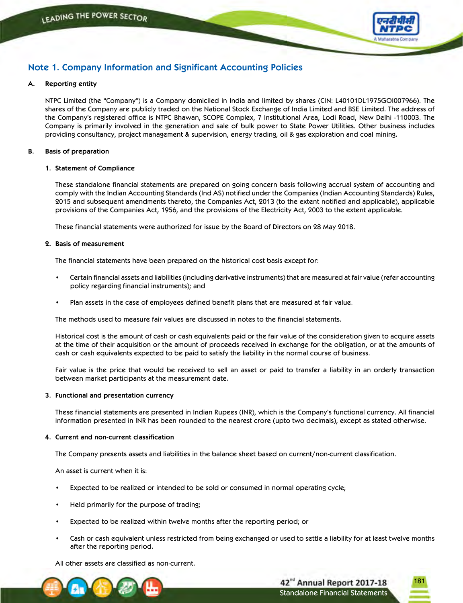

181

Standalone Financial Statements

42<sup>nd</sup> Annual Report 2017-18

# **Note 1. Company Information and Significant Accounting Policies**

### **A. Reporting entity**

 NTPC Limited (the "Company") is a Company domiciled in India and limited by shares (CIN: L40101DL1975GOI007966). The shares of the Company are publicly traded on the National Stock Exchange of India Limited and BSE Limited. The address of the Company's registered office is NTPC Bhawan, SCOPE Complex, 7 Institutional Area, Lodi Road, New Delhi -110003. The Company is primarily involved in the generation and sale of bulk power to State Power Utilities. Other business includes providing consultancy, project management & supervision, energy trading, oil & gas exploration and coal mining.

### **B. Basis of preparation**

### **1. Statement of Compliance**

 These standalone financial statements are prepared on going concern basis following accrual system of accounting and comply with the Indian Accounting Standards (Ind AS) notified under the Companies (Indian Accounting Standards) Rules, 2015 and subsequent amendments thereto, the Companies Act, 2013 (to the extent notified and applicable), applicable provisions of the Companies Act, 1956, and the provisions of the Electricity Act, 2003 to the extent applicable.

These financial statements were authorized for issue by the Board of Directors on 28 May 2018.

### **2. Basis of measurement**

The financial statements have been prepared on the historical cost basis except for:

- Certain financial assets and liabilities (including derivative instruments) that are measured at fair value (refer accounting policy regarding financial instruments); and
- Plan assets in the case of employees defined benefit plans that are measured at fair value.

The methods used to measure fair values are discussed in notes to the financial statements.

 Historical cost is the amount of cash or cash equivalents paid or the fair value of the consideration given to acquire assets at the time of their acquisition or the amount of proceeds received in exchange for the obligation, or at the amounts of cash or cash equivalents expected to be paid to satisfy the liability in the normal course of business.

 Fair value is the price that would be received to sell an asset or paid to transfer a liability in an orderly transaction between market participants at the measurement date.

#### **3. Functional and presentation currency**

These financial statements are presented in Indian Rupees (INR), which is the Company's functional currency. All financial information presented in INR has been rounded to the nearest crore (upto two decimals), except as stated otherwise.

#### **4. Current and non-current classification**

The Company presents assets and liabilities in the balance sheet based on current/non-current classification.

An asset is current when it is:

- Expected to be realized or intended to be sold or consumed in normal operating cycle;
- Held primarily for the purpose of trading;
- Expected to be realized within twelve months after the reporting period; or
- Cash or cash equivalent unless restricted from being exchanged or used to settle a liability for at least twelve months after the reporting period.

All other assets are classified as non-current.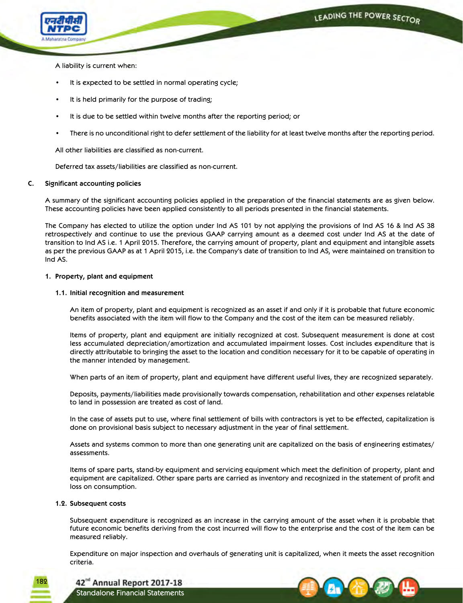

A liability is current when:

- It is expected to be settled in normal operating cycle;
- It is held primarily for the purpose of trading;
- It is due to be settled within twelve months after the reporting period; or
- There is no unconditional right to defer settlement of the liability for at least twelve months after the reporting period.

All other liabilities are classified as non-current.

Deferred tax assets/liabilities are classified as non-current.

### **C. Significant accounting policies**

 A summary of the significant accounting policies applied in the preparation of the financial statements are as given below. These accounting policies have been applied consistently to all periods presented in the financial statements.

 The Company has elected to utilize the option under Ind AS 101 by not applying the provisions of Ind AS 16 & Ind AS 38 retrospectively and continue to use the previous GAAP carrying amount as a deemed cost under Ind AS at the date of transition to Ind AS i.e. 1 April 2015. Therefore, the carrying amount of property, plant and equipment and intangible assets as per the previous GAAP as at 1 April 2015, i.e. the Company's date of transition to Ind AS, were maintained on transition to Ind AS.

### **1. Property, plant and equipment**

### **1.1. Initial recognition and measurement**

 An item of property, plant and equipment is recognized as an asset if and only if it is probable that future economic benefits associated with the item will flow to the Company and the cost of the item can be measured reliably.

 Items of property, plant and equipment are initially recognized at cost. Subsequent measurement is done at cost less accumulated depreciation/amortization and accumulated impairment losses. Cost includes expenditure that is directly attributable to bringing the asset to the location and condition necessary for it to be capable of operating in the manner intended by management.

When parts of an item of property, plant and equipment have different useful lives, they are recognized separately.

 Deposits, payments/liabilities made provisionally towards compensation, rehabilitation and other expenses relatable to land in possession are treated as cost of land.

 In the case of assets put to use, where final settlement of bills with contractors is yet to be effected, capitalization is done on provisional basis subject to necessary adjustment in the year of final settlement.

 Assets and systems common to more than one generating unit are capitalized on the basis of engineering estimates/ assessments.

 Items of spare parts, stand-by equipment and servicing equipment which meet the definition of property, plant and equipment are capitalized. Other spare parts are carried as inventory and recognized in the statement of profit and loss on consumption.

### **1.2. Subsequent costs**

182

Subsequent expenditure is recognized as an increase in the carrying amount of the asset when it is probable that future economic benefits deriving from the cost incurred will flow to the enterprise and the cost of the item can be measured reliably.

 Expenditure on major inspection and overhauls of generating unit is capitalized, when it meets the asset recognition criteria.



42<sup>nd</sup> Annual Report 2017-18 Standalone Financial Statements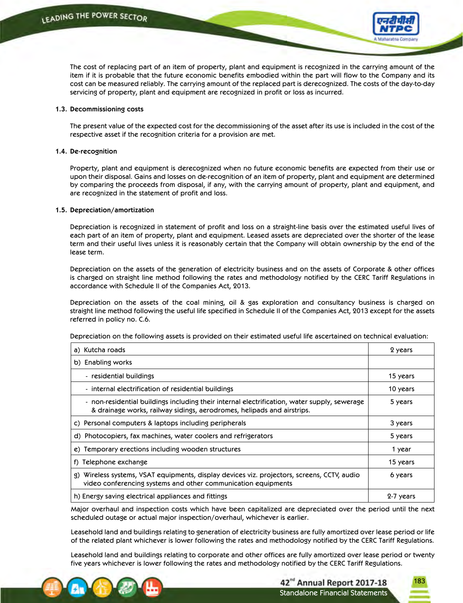

 The cost of replacing part of an item of property, plant and equipment is recognized in the carrying amount of the item if it is probable that the future economic benefits embodied within the part will flow to the Company and its cost can be measured reliably. The carrying amount of the replaced part is derecognized. The costs of the day-to-day servicing of property, plant and equipment are recognized in profit or loss as incurred.

#### **1.3. Decommissioning costs**

 The present value of the expected cost for the decommissioning of the asset after its use is included in the cost of the respective asset if the recognition criteria for a provision are met.

#### **1.4. De-recognition**

 Property, plant and equipment is derecognized when no future economic benefits are expected from their use or upon their disposal. Gains and losses on de-recognition of an item of property, plant and equipment are determined by comparing the proceeds from disposal, if any, with the carrying amount of property, plant and equipment, and are recognized in the statement of profit and loss.

#### **1.5. Depreciation/amortization**

 Depreciation is recognized in statement of profit and loss on a straight-line basis over the estimated useful lives of each part of an item of property, plant and equipment. Leased assets are depreciated over the shorter of the lease term and their useful lives unless it is reasonably certain that the Company will obtain ownership by the end of the lease term.

 Depreciation on the assets of the generation of electricity business and on the assets of Corporate & other offices is charged on straight line method following the rates and methodology notified by the CERC Tariff Regulations in accordance with Schedule II of the Companies Act, 2013.

 Depreciation on the assets of the coal mining, oil & gas exploration and consultancy business is charged on straight line method following the useful life specified in Schedule II of the Companies Act, 2013 except for the assets referred in policy no. C.6.

Depreciation on the following assets is provided on their estimated useful life ascertained on technical evaluation:

| a) Kutcha roads                                                                                                                                                        | 2 years   |
|------------------------------------------------------------------------------------------------------------------------------------------------------------------------|-----------|
| b) Enabling works                                                                                                                                                      |           |
| - residential buildings                                                                                                                                                | 15 years  |
| - internal electrification of residential buildings                                                                                                                    | 10 years  |
| - non-residential buildings including their internal electrification, water supply, sewerage<br>& drainage works, railway sidings, aerodromes, helipads and airstrips. | 5 years   |
| c) Personal computers & laptops including peripherals                                                                                                                  | 3 years   |
| d) Photocopiers, fax machines, water coolers and refrigerators                                                                                                         | 5 years   |
| e) Temporary erections including wooden structures                                                                                                                     | 1 year    |
| Telephone exchange<br>f)                                                                                                                                               | 15 years  |
| g) Wireless systems, VSAT equipments, display devices viz. projectors, screens, CCTV, audio<br>video conferencing systems and other communication equipments           | 6 years   |
| h) Energy saving electrical appliances and fittings                                                                                                                    | 2-7 years |

 Major overhaul and inspection costs which have been capitalized are depreciated over the period until the next scheduled outage or actual major inspection/overhaul, whichever is earlier.

 Leasehold land and buildings relating to generation of electricity business are fully amortized over lease period or life of the related plant whichever is lower following the rates and methodology notified by the CERC Tariff Regulations.

 Leasehold land and buildings relating to corporate and other offices are fully amortized over lease period or twenty five years whichever is lower following the rates and methodology notified by the CERC Tariff Regulations.

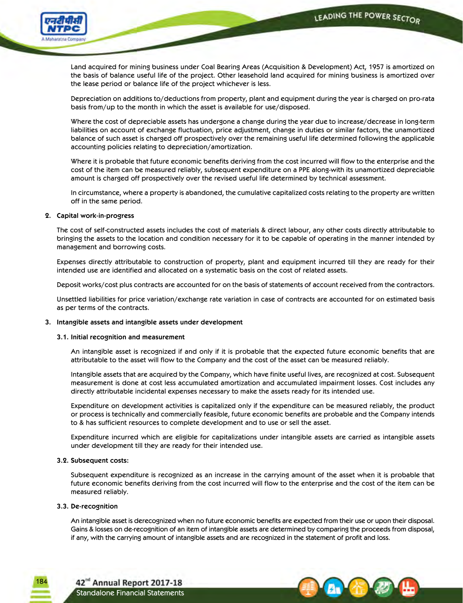

 Land acquired for mining business under Coal Bearing Areas (Acquisition & Development) Act, 1957 is amortized on the basis of balance useful life of the project. Other leasehold land acquired for mining business is amortized over the lease period or balance life of the project whichever is less.

 Depreciation on additions to/deductions from property, plant and equipment during the year is charged on pro-rata basis from/up to the month in which the asset is available for use/disposed.

 Where the cost of depreciable assets has undergone a change during the year due to increase/decrease in long-term liabilities on account of exchange fluctuation, price adjustment, change in duties or similar factors, the unamortized balance of such asset is charged off prospectively over the remaining useful life determined following the applicable accounting policies relating to depreciation/amortization.

 Where it is probable that future economic benefits deriving from the cost incurred will flow to the enterprise and the cost of the item can be measured reliably, subsequent expenditure on a PPE along-with its unamortized depreciable amount is charged off prospectively over the revised useful life determined by technical assessment.

 In circumstance, where a property is abandoned, the cumulative capitalized costs relating to the property are written off in the same period.

### **2. Capital work-in-progress**

 The cost of self-constructed assets includes the cost of materials & direct labour, any other costs directly attributable to bringing the assets to the location and condition necessary for it to be capable of operating in the manner intended by management and borrowing costs.

 Expenses directly attributable to construction of property, plant and equipment incurred till they are ready for their intended use are identified and allocated on a systematic basis on the cost of related assets.

Deposit works/cost plus contracts are accounted for on the basis of statements of account received from the contractors.

 Unsettled liabilities for price variation/exchange rate variation in case of contracts are accounted for on estimated basis as per terms of the contracts.

### **3. Intangible assets and intangible assets under development**

#### **3.1. Initial recognition and measurement**

 An intangible asset is recognized if and only if it is probable that the expected future economic benefits that are attributable to the asset will flow to the Company and the cost of the asset can be measured reliably.

 Intangible assets that are acquired by the Company, which have finite useful lives, are recognized at cost. Subsequent measurement is done at cost less accumulated amortization and accumulated impairment losses. Cost includes any directly attributable incidental expenses necessary to make the assets ready for its intended use.

 Expenditure on development activities is capitalized only if the expenditure can be measured reliably, the product or process is technically and commercially feasible, future economic benefits are probable and the Company intends to & has sufficient resources to complete development and to use or sell the asset.

 Expenditure incurred which are eligible for capitalizations under intangible assets are carried as intangible assets under development till they are ready for their intended use.

#### **3.2. Subsequent costs:**

 Subsequent expenditure is recognized as an increase in the carrying amount of the asset when it is probable that future economic benefits deriving from the cost incurred will flow to the enterprise and the cost of the item can be measured reliably.

### **3.3. De-recognition**

18.

 An intangible asset is derecognized when no future economic benefits are expected from their use or upon their disposal. Gains & losses on de-recognition of an item of intangible assets are determined by comparing the proceeds from disposal, if any, with the carrying amount of intangible assets and are recognized in the statement of profit and loss.



42<sup>nd</sup> Annual Report 2017-18 Standalone Financial Statements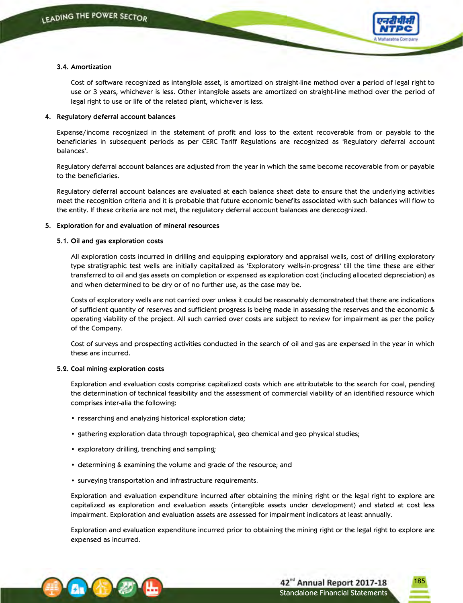

### **3.4. Amortization**

 Cost of software recognized as intangible asset, is amortized on straight-line method over a period of legal right to use or 3 years, whichever is less. Other intangible assets are amortized on straight-line method over the period of legal right to use or life of the related plant, whichever is less.

### **4. Regulatory deferral account balances**

 Expense/income recognized in the statement of profit and loss to the extent recoverable from or payable to the beneficiaries in subsequent periods as per CERC Tariff Regulations are recognized as 'Regulatory deferral account balances'.

 Regulatory deferral account balances are adjusted from the year in which the same become recoverable from or payable to the beneficiaries.

 Regulatory deferral account balances are evaluated at each balance sheet date to ensure that the underlying activities meet the recognition criteria and it is probable that future economic benefits associated with such balances will flow to the entity. If these criteria are not met, the regulatory deferral account balances are derecognized.

### **5. Exploration for and evaluation of mineral resources**

### **5.1. Oil and gas exploration costs**

 All exploration costs incurred in drilling and equipping exploratory and appraisal wells, cost of drilling exploratory type stratigraphic test wells are initially capitalized as 'Exploratory wells-in-progress' till the time these are either transferred to oil and gas assets on completion or expensed as exploration cost (including allocated depreciation) as and when determined to be dry or of no further use, as the case may be.

 Costs of exploratory wells are not carried over unless it could be reasonably demonstrated that there are indications of sufficient quantity of reserves and sufficient progress is being made in assessing the reserves and the economic & operating viability of the project. All such carried over costs are subject to review for impairment as per the policy of the Company.

 Cost of surveys and prospecting activities conducted in the search of oil and gas are expensed in the year in which these are incurred.

#### **5.2. Coal mining exploration costs**

 Exploration and evaluation costs comprise capitalized costs which are attributable to the search for coal, pending the determination of technical feasibility and the assessment of commercial viability of an identified resource which comprises inter-alia the following:

- researching and analyzing historical exploration data;
- • gathering exploration data through topographical, geo chemical and geo physical studies;
- exploratory drilling, trenching and sampling;
- determining & examining the volume and grade of the resource; and
- • surveying transportation and infrastructure requirements.

 Exploration and evaluation expenditure incurred after obtaining the mining right or the legal right to explore are capitalized as exploration and evaluation assets (intangible assets under development) and stated at cost less impairment. Exploration and evaluation assets are assessed for impairment indicators at least annually.

 Exploration and evaluation expenditure incurred prior to obtaining the mining right or the legal right to explore are expensed as incurred.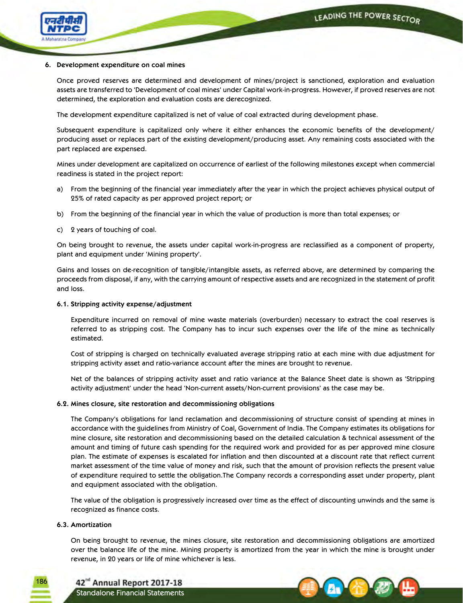

### **6. Development expenditure on coal mines**

Once proved reserves are determined and development of mines/project is sanctioned, exploration and evaluation assets are transferred to 'Development of coal mines' under Capital work-in-progress. However, if proved reserves are not determined, the exploration and evaluation costs are derecognized.

The development expenditure capitalized is net of value of coal extracted during development phase.

 Subsequent expenditure is capitalized only where it either enhances the economic benefits of the development/ producing asset or replaces part of the existing development/producing asset. Any remaining costs associated with the part replaced are expensed.

 Mines under development are capitalized on occurrence of earliest of the following milestones except when commercial readiness is stated in the project report:

- a) From the beginning of the financial year immediately after the year in which the project achieves physical output of 25% of rated capacity as per approved project report; or
- b) From the beginning of the financial year in which the value of production is more than total expenses; or
- c) 2 years of touching of coal.

 On being brought to revenue, the assets under capital work-in-progress are reclassified as a component of property, plant and equipment under 'Mining property'.

 Gains and losses on de-recognition of tangible/intangible assets, as referred above, are determined by comparing the proceeds from disposal, if any, with the carrying amount of respective assets and are recognized in the statement of profit and loss.

### **6.1. Stripping activity expense/adjustment**

 Expenditure incurred on removal of mine waste materials (overburden) necessary to extract the coal reserves is referred to as stripping cost. The Company has to incur such expenses over the life of the mine as technically estimated.

 Cost of stripping is charged on technically evaluated average stripping ratio at each mine with due adjustment for stripping activity asset and ratio-variance account after the mines are brought to revenue.

 Net of the balances of stripping activity asset and ratio variance at the Balance Sheet date is shown as 'Stripping activity adjustment' under the head 'Non-current assets/Non-current provisions' as the case may be.

### **6.2. Mines closure, site restoration and decommissioning obligations**

The Company's obligations for land reclamation and decommissioning of structure consist of spending at mines in accordance with the guidelines from Ministry of Coal, Government of India. The Company estimates its obligations for mine closure, site restoration and decommissioning based on the detailed calculation & technical assessment of the amount and timing of future cash spending for the required work and provided for as per approved mine closure plan. The estimate of expenses is escalated for inflation and then discounted at a discount rate that reflect current market assessment of the time value of money and risk, such that the amount of provision reflects the present value of expenditure required to settle the obligation.The Company records a corresponding asset under property, plant and equipment associated with the obligation.

 The value of the obligation is progressively increased over time as the effect of discounting unwinds and the same is recognized as finance costs.

### **6.3. Amortization**

186

 On being brought to revenue, the mines closure, site restoration and decommissioning obligations are amortized over the balance life of the mine. Mining property is amortized from the year in which the mine is brought under revenue, in 20 years or life of mine whichever is less.

42<sup>nd</sup> Annual Report 2017-18 Standalone Financial Statements

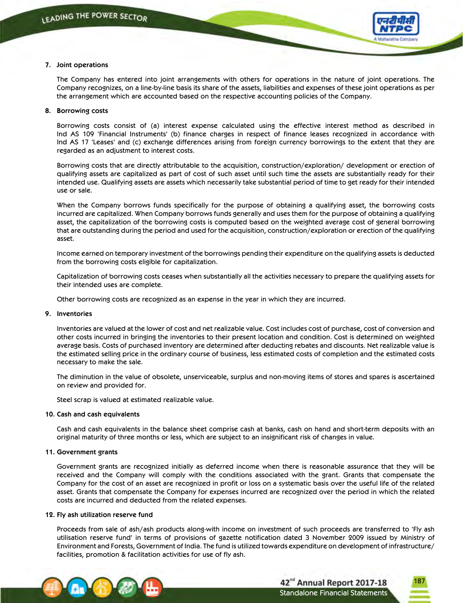

### **7. Joint operations**

 The Company has entered into joint arrangements with others for operations in the nature of joint operations. The Company recognizes, on a line-by-line basis its share of the assets, liabilities and expenses of these joint operations as per the arrangement which are accounted based on the respective accounting policies of the Company.

### **8. Borrowing costs**

 Borrowing costs consist of (a) interest expense calculated using the effective interest method as described in Ind AS 109 'Financial Instruments' (b) finance charges in respect of finance leases recognized in accordance with Ind AS 17 'Leases' and (c) exchange differences arising from foreign currency borrowings to the extent that they are regarded as an adjustment to interest costs.

 Borrowing costs that are directly attributable to the acquisition, construction/exploration/ development or erection of qualifying assets are capitalized as part of cost of such asset until such time the assets are substantially ready for their intended use. Qualifying assets are assets which necessarily take substantial period of time to get ready for their intended use or sale.

 When the Company borrows funds specifically for the purpose of obtaining a qualifying asset, the borrowing costs incurred are capitalized. When Company borrows funds generally and uses them for the purpose of obtaining a qualifying asset, the capitalization of the borrowing costs is computed based on the weighted average cost of general borrowing that are outstanding during the period and used for the acquisition, construction/exploration or erection of the qualifying asset.

 Income earned on temporary investment of the borrowings pending their expenditure on the qualifying assets is deducted from the borrowing costs eligible for capitalization.

 Capitalization of borrowing costs ceases when substantially all the activities necessary to prepare the qualifying assets for their intended uses are complete.

Other borrowing costs are recognized as an expense in the year in which they are incurred.

#### **9. Inventories**

Inventories are valued at the lower of cost and net realizable value. Cost includes cost of purchase, cost of conversion and other costs incurred in bringing the inventories to their present location and condition. Cost is determined on weighted average basis. Costs of purchased inventory are determined after deducting rebates and discounts. Net realizable value is the estimated selling price in the ordinary course of business, less estimated costs of completion and the estimated costs necessary to make the sale.

 The diminution in the value of obsolete, unserviceable, surplus and non-moving items of stores and spares is ascertained on review and provided for.

Steel scrap is valued at estimated realizable value.

#### **10. Cash and cash equivalents**

 Cash and cash equivalents in the balance sheet comprise cash at banks, cash on hand and short-term deposits with an original maturity of three months or less, which are subject to an insignificant risk of changes in value.

#### **11. Government grants**

 Government grants are recognized initially as deferred income when there is reasonable assurance that they will be received and the Company will comply with the conditions associated with the grant. Grants that compensate the Company for the cost of an asset are recognized in profit or loss on a systematic basis over the useful life of the related asset. Grants that compensate the Company for expenses incurred are recognized over the period in which the related costs are incurred and deducted from the related expenses.

#### **12. Fly ash utilization reserve fund**

 Proceeds from sale of ash/ash products along-with income on investment of such proceeds are transferred to 'Fly ash utilisation reserve fund' in terms of provisions of gazette notification dated 3 November 2009 issued by Ministry of Environment and Forests, Government of India. The fund is utilized towards expenditure on development of infrastructure/ facilities, promotion & facilitation activities for use of fly ash.

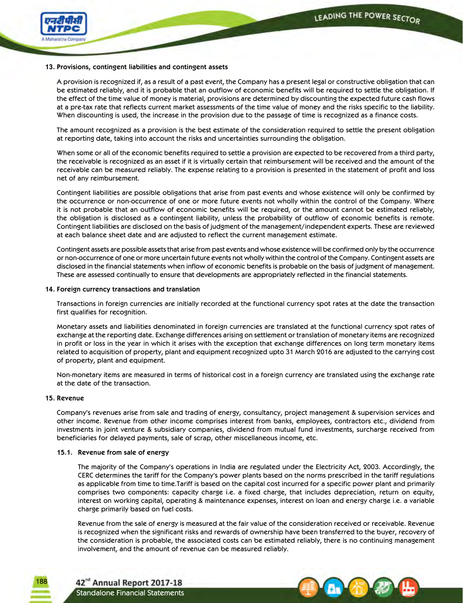

### **13. Provisions, contingent liabilities and contingent assets**

 A provision is recognized if, as a result of a past event, the Company has a present legal or constructive obligation that can be estimated reliably, and it is probable that an outflow of economic benefits will be required to settle the obligation. If the effect of the time value of money is material, provisions are determined by discounting the expected future cash flows at a pre-tax rate that reflects current market assessments of the time value of money and the risks specific to the liability. When discounting is used, the increase in the provision due to the passage of time is recognized as a finance costs.

 The amount recognized as a provision is the best estimate of the consideration required to settle the present obligation at reporting date, taking into account the risks and uncertainties surrounding the obligation.

 When some or all of the economic benefits required to settle a provision are expected to be recovered from a third party, the receivable is recognized as an asset if it is virtually certain that reimbursement will be received and the amount of the receivable can be measured reliably. The expense relating to a provision is presented in the statement of profit and loss net of any reimbursement.

 Contingent liabilities are possible obligations that arise from past events and whose existence will only be confirmed by the occurrence or non-occurrence of one or more future events not wholly within the control of the Company. Where it is not probable that an outflow of economic benefits will be required, or the amount cannot be estimated reliably, the obligation is disclosed as a contingent liability, unless the probability of outflow of economic benefits is remote. Contingent liabilities are disclosed on the basis of judgment of the management/independent experts. These are reviewed at each balance sheet date and are adjusted to reflect the current management estimate.

 Contingent assets are possible assets that arise from past events and whose existence will be confirmed only by the occurrence or non-occurrence of one or more uncertain future events not wholly within the control of the Company. Contingent assets are disclosed in the financial statements when inflow of economic benefits is probable on the basis of judgment of management. These are assessed continually to ensure that developments are appropriately reflected in the financial statements.

### **14. Foreign currency transactions and translation**

 Transactions in foreign currencies are initially recorded at the functional currency spot rates at the date the transaction first qualifies for recognition.

 Monetary assets and liabilities denominated in foreign currencies are translated at the functional currency spot rates of exchange at the reporting date. Exchange differences arising on settlement or translation of monetary items are recognized in profit or loss in the year in which it arises with the exception that exchange differences on long term monetary items related to acquisition of property, plant and equipment recognized upto 31 March 2016 are adjusted to the carrying cost of property, plant and equipment.

 Non-monetary items are measured in terms of historical cost in a foreign currency are translated using the exchange rate at the date of the transaction.

### **15. Revenue**

188

Company's revenues arise from sale and trading of energy, consultancy, project management & supervision services and other income. Revenue from other income comprises interest from banks, employees, contractors etc., dividend from investments in joint venture & subsidiary companies, dividend from mutual fund investments, surcharge received from beneficiaries for delayed payments, sale of scrap, other miscellaneous income, etc.

### **15.1. Revenue from sale of energy**

 The majority of the Company's operations in India are regulated under the Electricity Act, 2003. Accordingly, the CERC determines the tariff for the Company's power plants based on the norms prescribed in the tariff regulations as applicable from time to time.Tariff is based on the capital cost incurred for a specific power plant and primarily comprises two components: capacity charge i.e. a fixed charge, that includes depreciation, return on equity, interest on working capital, operating & maintenance expenses, interest on loan and energy charge i.e. a variable charge primarily based on fuel costs.

 Revenue from the sale of energy is measured at the fair value of the consideration received or receivable. Revenue is recognized when the significant risks and rewards of ownership have been transferred to the buyer, recovery of the consideration is probable, the associated costs can be estimated reliably, there is no continuing management involvement, and the amount of revenue can be measured reliably.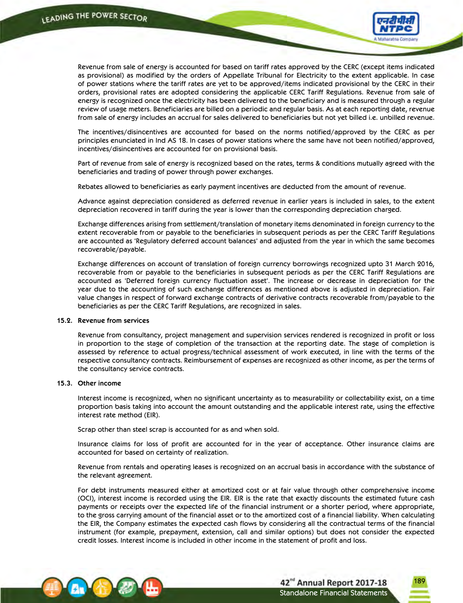

 Revenue from sale of energy is accounted for based on tariff rates approved by the CERC (except items indicated as provisional) as modified by the orders of Appellate Tribunal for Electricity to the extent applicable. In case of power stations where the tariff rates are yet to be approved/items indicated provisional by the CERC in their orders, provisional rates are adopted considering the applicable CERC Tariff Regulations. Revenue from sale of energy is recognized once the electricity has been delivered to the beneficiary and is measured through a regular review of usage meters. Beneficiaries are billed on a periodic and regular basis. As at each reporting date, revenue from sale of energy includes an accrual for sales delivered to beneficiaries but not yet billed i.e. unbilled revenue.

 The incentives/disincentives are accounted for based on the norms notified/approved by the CERC as per principles enunciated in Ind AS 18. In cases of power stations where the same have not been notified/approved, incentives/disincentives are accounted for on provisional basis.

 Part of revenue from sale of energy is recognized based on the rates, terms & conditions mutually agreed with the beneficiaries and trading of power through power exchanges.

Rebates allowed to beneficiaries as early payment incentives are deducted from the amount of revenue.

 Advance against depreciation considered as deferred revenue in earlier years is included in sales, to the extent depreciation recovered in tariff during the year is lower than the corresponding depreciation charged.

 Exchange differences arising from settlement/translation of monetary items denominated in foreign currency to the extent recoverable from or payable to the beneficiaries in subsequent periods as per the CERC Tariff Regulations are accounted as 'Regulatory deferred account balances' and adjusted from the year in which the same becomes recoverable/payable.

 Exchange differences on account of translation of foreign currency borrowings recognized upto 31 March 2016, recoverable from or payable to the beneficiaries in subsequent periods as per the CERC Tariff Regulations are accounted as 'Deferred foreign currency fluctuation asset'. The increase or decrease in depreciation for the year due to the accounting of such exchange differences as mentioned above is adjusted in depreciation. Fair value changes in respect of forward exchange contracts of derivative contracts recoverable from/payable to the beneficiaries as per the CERC Tariff Regulations, are recognized in sales.

#### **15.2. Revenue from services**

 Revenue from consultancy, project management and supervision services rendered is recognized in profit or loss in proportion to the stage of completion of the transaction at the reporting date. The stage of completion is assessed by reference to actual progress/technical assessment of work executed, in line with the terms of the respective consultancy contracts. Reimbursement of expenses are recognized as other income, as per the terms of the consultancy service contracts.

### **15.3. Other income**

 Interest income is recognized, when no significant uncertainty as to measurability or collectability exist, on a time proportion basis taking into account the amount outstanding and the applicable interest rate, using the effective interest rate method (EIR).

Scrap other than steel scrap is accounted for as and when sold.

 Insurance claims for loss of profit are accounted for in the year of acceptance. Other insurance claims are accounted for based on certainty of realization.

 Revenue from rentals and operating leases is recognized on an accrual basis in accordance with the substance of the relevant agreement.

 For debt instruments measured either at amortized cost or at fair value through other comprehensive income (OCI), interest income is recorded using the EIR. EIR is the rate that exactly discounts the estimated future cash payments or receipts over the expected life of the financial instrument or a shorter period, where appropriate, to the gross carrying amount of the financial asset or to the amortized cost of a financial liability. When calculating the EIR, the Company estimates the expected cash flows by considering all the contractual terms of the financial instrument (for example, prepayment, extension, call and similar options) but does not consider the expected credit losses. Interest income is included in other income in the statement of profit and loss.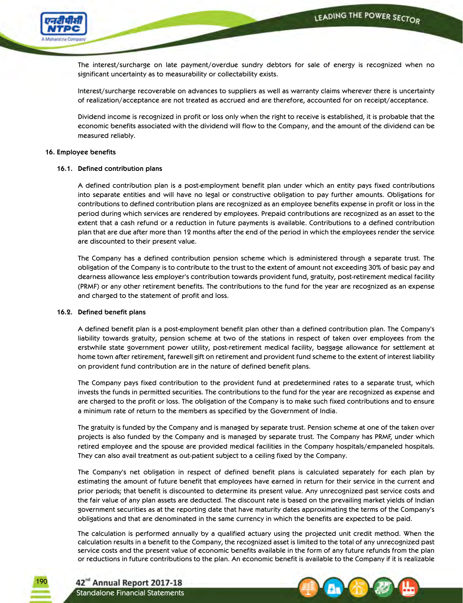

 The interest/surcharge on late payment/overdue sundry debtors for sale of energy is recognized when no significant uncertainty as to measurability or collectability exists.

 Interest/surcharge recoverable on advances to suppliers as well as warranty claims wherever there is uncertainty of realization/acceptance are not treated as accrued and are therefore, accounted for on receipt/acceptance.

 Dividend income is recognized in profit or loss only when the right to receive is established, it is probable that the economic benefits associated with the dividend will flow to the Company, and the amount of the dividend can be measured reliably.

### **16. Employee benefits**

### **16.1. Defined contribution plans**

 A defined contribution plan is a post-employment benefit plan under which an entity pays fixed contributions into separate entities and will have no legal or constructive obligation to pay further amounts. Obligations for contributions to defined contribution plans are recognized as an employee benefits expense in profit or loss in the period during which services are rendered by employees. Prepaid contributions are recognized as an asset to the extent that a cash refund or a reduction in future payments is available. Contributions to a defined contribution plan that are due after more than 12 months after the end of the period in which the employees render the service are discounted to their present value.

 The Company has a defined contribution pension scheme which is administered through a separate trust. The obligation of the Company is to contribute to the trust to the extent of amount not exceeding 30% of basic pay and dearness allowance less employer's contribution towards provident fund, gratuity, post-retirement medical facility (PRMF) or any other retirement benefits. The contributions to the fund for the year are recognized as an expense and charged to the statement of profit and loss.

### **16.2. Defined benefit plans**

 A defined benefit plan is a post-employment benefit plan other than a defined contribution plan. The Company's liability towards gratuity, pension scheme at two of the stations in respect of taken over employees from the erstwhile state government power utility, post-retirement medical facility, baggage allowance for settlement at home town after retirement, farewell gift on retirement and provident fund scheme to the extent of interest liability on provident fund contribution are in the nature of defined benefit plans.

 The Company pays fixed contribution to the provident fund at predetermined rates to a separate trust, which invests the funds in permitted securities. The contributions to the fund for the year are recognized as expense and are charged to the profit or loss. The obligation of the Company is to make such fixed contributions and to ensure a minimum rate of return to the members as specified by the Government of India.

 The gratuity is funded by the Company and is managed by separate trust. Pension scheme at one of the taken over projects is also funded by the Company and is managed by separate trust. The Company has PRMF, under which retired employee and the spouse are provided medical facilities in the Company hospitals/empaneled hospitals. They can also avail treatment as out-patient subject to a ceiling fixed by the Company.

 The Company's net obligation in respect of defined benefit plans is calculated separately for each plan by estimating the amount of future benefit that employees have earned in return for their service in the current and prior periods; that benefit is discounted to determine its present value. Any unrecognized past service costs and the fair value of any plan assets are deducted. The discount rate is based on the prevailing market yields of Indian government securities as at the reporting date that have maturity dates approximating the terms of the Company's obligations and that are denominated in the same currency in which the benefits are expected to be paid.

 The calculation is performed annually by a qualified actuary using the projected unit credit method. When the calculation results in a benefit to the Company, the recognized asset is limited to the total of any unrecognized past service costs and the present value of economic benefits available in the form of any future refunds from the plan or reductions in future contributions to the plan. An economic benefit is available to the Company if it is realizable



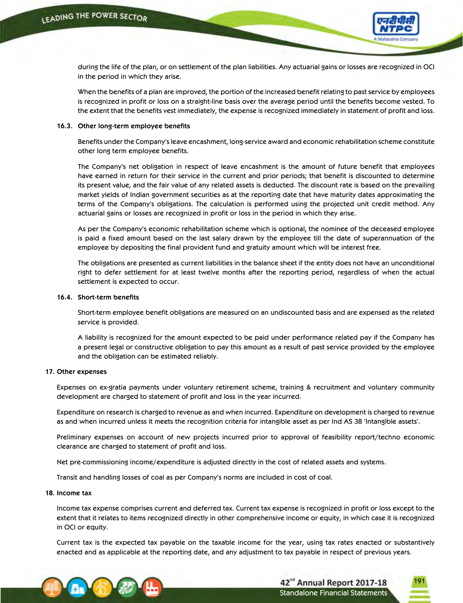

during the life of the plan, or on settlement of the plan liabilities. Any actuarial gains or losses are recognized in OCI in the period in which they arise.

 When the benefits of a plan are improved, the portion of the increased benefit relating to past service by employees is recognized in profit or loss on a straight-line basis over the average period until the benefits become vested. To the extent that the benefits vest immediately, the expense is recognized immediately in statement of profit and loss.

#### **16.3. Other long-term employee benefits**

 Benefits under the Company's leave encashment, long-service award and economic rehabilitation scheme constitute other long term employee benefits.

 The Company's net obligation in respect of leave encashment is the amount of future benefit that employees have earned in return for their service in the current and prior periods; that benefit is discounted to determine its present value, and the fair value of any related assets is deducted. The discount rate is based on the prevailing market yields of Indian government securities as at the reporting date that have maturity dates approximating the terms of the Company's obligations. The calculation is performed using the projected unit credit method. Any actuarial gains or losses are recognized in profit or loss in the period in which they arise.

 As per the Company's economic rehabilitation scheme which is optional, the nominee of the deceased employee is paid a fixed amount based on the last salary drawn by the employee till the date of superannuation of the employee by depositing the final provident fund and gratuity amount which will be interest free.

 The obligations are presented as current liabilities in the balance sheet if the entity does not have an unconditional right to defer settlement for at least twelve months after the reporting period, regardless of when the actual settlement is expected to occur.

### **16.4. Short-term benefits**

 Short-term employee benefit obligations are measured on an undiscounted basis and are expensed as the related service is provided.

 A liability is recognized for the amount expected to be paid under performance related pay if the Company has a present legal or constructive obligation to pay this amount as a result of past service provided by the employee and the obligation can be estimated reliably.

#### **17. Other expenses**

 Expenses on ex-gratia payments under voluntary retirement scheme, training & recruitment and voluntary community development are charged to statement of profit and loss in the year incurred.

 Expenditure on research is charged to revenue as and when incurred. Expenditure on development is charged to revenue as and when incurred unless it meets the recognition criteria for intangible asset as per Ind AS 38 'Intangible assets'.

 Preliminary expenses on account of new projects incurred prior to approval of feasibility report/techno economic clearance are charged to statement of profit and loss.

Net pre-commissioning income/expenditure is adjusted directly in the cost of related assets and systems.

 Transit and handling losses of coal as per Company's norms are included in cost of coal.

#### **18. Income tax**

 Income tax expense comprises current and deferred tax. Current tax expense is recognized in profit or loss except to the extent that it relates to items recognized directly in other comprehensive income or equity, in which case it is recognized in OCI or equity.

 Current tax is the expected tax payable on the taxable income for the year, using tax rates enacted or substantively enacted and as applicable at the reporting date, and any adjustment to tax payable in respect of previous years.

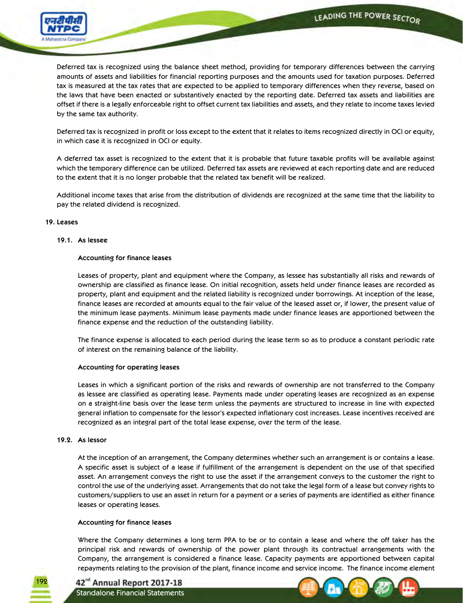

 Deferred tax is recognized using the balance sheet method, providing for temporary differences between the carrying amounts of assets and liabilities for financial reporting purposes and the amounts used for taxation purposes. Deferred tax is measured at the tax rates that are expected to be applied to temporary differences when they reverse, based on the laws that have been enacted or substantively enacted by the reporting date. Deferred tax assets and liabilities are offset if there is a legally enforceable right to offset current tax liabilities and assets, and they relate to income taxes levied by the same tax authority.

 Deferred tax is recognized in profit or loss except to the extent that it relates to items recognized directly in OCI or equity, in which case it is recognized in OCI or equity.

 A deferred tax asset is recognized to the extent that it is probable that future taxable profits will be available against which the temporary difference can be utilized. Deferred tax assets are reviewed at each reporting date and are reduced to the extent that it is no longer probable that the related tax benefit will be realized.

 Additional income taxes that arise from the distribution of dividends are recognized at the same time that the liability to pay the related dividend is recognized.

### **19. Leases**

### **19.1. As lessee**

### **Accounting for finance leases**

 Leases of property, plant and equipment where the Company, as lessee has substantially all risks and rewards of ownership are classified as finance lease. On initial recognition, assets held under finance leases are recorded as property, plant and equipment and the related liability is recognized under borrowings. At inception of the lease, finance leases are recorded at amounts equal to the fair value of the leased asset or, if lower, the present value of the minimum lease payments. Minimum lease payments made under finance leases are apportioned between the finance expense and the reduction of the outstanding liability.

 The finance expense is allocated to each period during the lease term so as to produce a constant periodic rate of interest on the remaining balance of the liability.

#### **Accounting for operating leases**

 Leases in which a significant portion of the risks and rewards of ownership are not transferred to the Company as lessee are classified as operating lease. Payments made under operating leases are recognized as an expense on a straight-line basis over the lease term unless the payments are structured to increase in line with expected general inflation to compensate for the lessor's expected inflationary cost increases. Lease incentives received are recognized as an integral part of the total lease expense, over the term of the lease.

### **19.2. As lessor**

192

 At the inception of an arrangement, the Company determines whether such an arrangement is or contains a lease. A specific asset is subject of a lease if fulfillment of the arrangement is dependent on the use of that specified asset. An arrangement conveys the right to use the asset if the arrangement conveys to the customer the right to control the use of the underlying asset. Arrangements that do not take the legal form of a lease but convey rights to customers/suppliers to use an asset in return for a payment or a series of payments are identified as either finance leases or operating leases.

#### **Accounting for finance leases**

 Where the Company determines a long term PPA to be or to contain a lease and where the off taker has the principal risk and rewards of ownership of the power plant through its contractual arrangements with the Company, the arrangement is considered a finance lease. Capacity payments are apportioned between capital repayments relating to the provision of the plant, finance income and service income. The finance income element



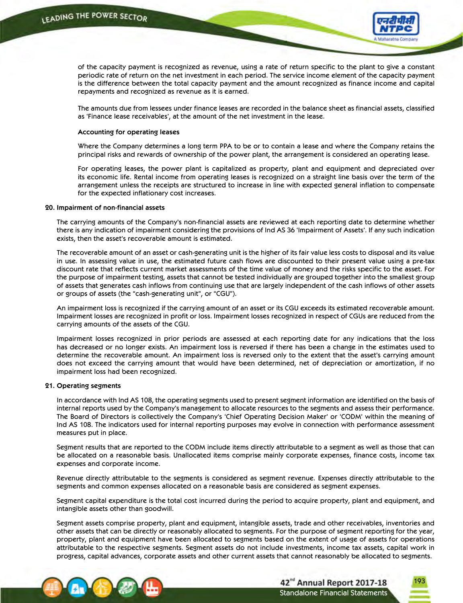

193

of the capacity payment is recognized as revenue, using a rate of return specific to the plant to give a constant periodic rate of return on the net investment in each period. The service income element of the capacity payment is the difference between the total capacity payment and the amount recognized as finance income and capital repayments and recognized as revenue as it is earned.

 The amounts due from lessees under finance leases are recorded in the balance sheet as financial assets, classified as 'Finance lease receivables', at the amount of the net investment in the lease.

#### **Accounting for operating leases**

 Where the Company determines a long term PPA to be or to contain a lease and where the Company retains the principal risks and rewards of ownership of the power plant, the arrangement is considered an operating lease.

 For operating leases, the power plant is capitalized as property, plant and equipment and depreciated over its economic life. Rental income from operating leases is recognized on a straight line basis over the term of the arrangement unless the receipts are structured to increase in line with expected general inflation to compensate for the expected inflationary cost increases.

#### **20. Impairment of non-financial assets**

The carrying amounts of the Company's non-financial assets are reviewed at each reporting date to determine whether there is any indication of impairment considering the provisions of Ind AS 36 'Impairment of Assets'. If any such indication exists, then the asset's recoverable amount is estimated.

 The recoverable amount of an asset or cash-generating unit is the higher of its fair value less costs to disposal and its value in use. In assessing value in use, the estimated future cash flows are discounted to their present value using a pre-tax discount rate that reflects current market assessments of the time value of money and the risks specific to the asset. For the purpose of impairment testing, assets that cannot be tested individually are grouped together into the smallest group of assets that generates cash inflows from continuing use that are largely independent of the cash inflows of other assets or groups of assets (the "cash-generating unit", or "CGU").

 An impairment loss is recognized if the carrying amount of an asset or its CGU exceeds its estimated recoverable amount. Impairment losses are recognized in profit or loss. Impairment losses recognized in respect of CGUs are reduced from the carrying amounts of the assets of the CGU.

 Impairment losses recognized in prior periods are assessed at each reporting date for any indications that the loss has decreased or no longer exists. An impairment loss is reversed if there has been a change in the estimates used to determine the recoverable amount. An impairment loss is reversed only to the extent that the asset's carrying amount does not exceed the carrying amount that would have been determined, net of depreciation or amortization, if no impairment loss had been recognized.

#### **21. Operating segments**

 In accordance with Ind AS 108, the operating segments used to present segment information are identified on the basis of internal reports used by the Company's management to allocate resources to the segments and assess their performance. The Board of Directors is collectively the Company's 'Chief Operating Decision Maker' or 'CODM' within the meaning of Ind AS 108. The indicators used for internal reporting purposes may evolve in connection with performance assessment measures put in place.

 Segment results that are reported to the CODM include items directly attributable to a segment as well as those that can be allocated on a reasonable basis. Unallocated items comprise mainly corporate expenses, finance costs, income tax expenses and corporate income.

 Revenue directly attributable to the segments is considered as segment revenue. Expenses directly attributable to the segments and common expenses allocated on a reasonable basis are considered as segment expenses.

 Segment capital expenditure is the total cost incurred during the period to acquire property, plant and equipment, and intangible assets other than goodwill.

 Segment assets comprise property, plant and equipment, intangible assets, trade and other receivables, inventories and other assets that can be directly or reasonably allocated to segments. For the purpose of segment reporting for the year, property, plant and equipment have been allocated to segments based on the extent of usage of assets for operations attributable to the respective segments. Segment assets do not include investments, income tax assets, capital work in progress, capital advances, corporate assets and other current assets that cannot reasonably be allocated to segments.

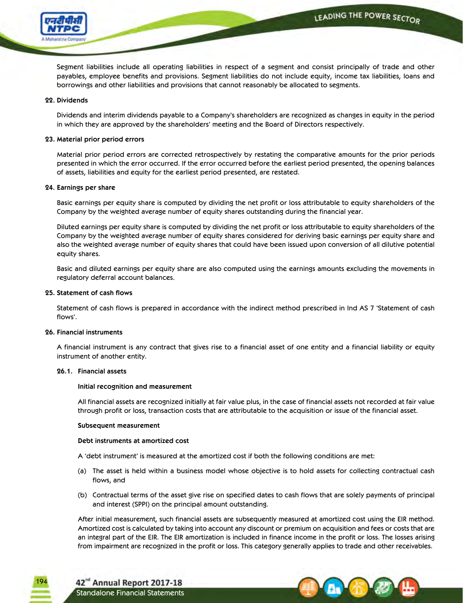

 Segment liabilities include all operating liabilities in respect of a segment and consist principally of trade and other payables, employee benefits and provisions. Segment liabilities do not include equity, income tax liabilities, loans and borrowings and other liabilities and provisions that cannot reasonably be allocated to segments.

### **22. Dividends**

Dividends and interim dividends payable to a Company's shareholders are recognized as changes in equity in the period in which they are approved by the shareholders' meeting and the Board of Directors respectively.

### **23. Material prior period errors**

 Material prior period errors are corrected retrospectively by restating the comparative amounts for the prior periods presented in which the error occurred. If the error occurred before the earliest period presented, the opening balances of assets, liabilities and equity for the earliest period presented, are restated.

### **24. Earnings per share**

 Basic earnings per equity share is computed by dividing the net profit or loss attributable to equity shareholders of the Company by the weighted average number of equity shares outstanding during the financial year.

 Diluted earnings per equity share is computed by dividing the net profit or loss attributable to equity shareholders of the Company by the weighted average number of equity shares considered for deriving basic earnings per equity share and also the weighted average number of equity shares that could have been issued upon conversion of all dilutive potential equity shares.

 Basic and diluted earnings per equity share are also computed using the earnings amounts excluding the movements in regulatory deferral account balances.

### **25. Statement of cash flows**

 Statement of cash flows is prepared in accordance with the indirect method prescribed in Ind AS 7 'Statement of cash flows'.

### **26. Financial instruments**

 A financial instrument is any contract that gives rise to a financial asset of one entity and a financial liability or equity instrument of another entity.

#### **26.1. Financial assets**

#### **Initial recognition and measurement**

 All financial assets are recognized initially at fair value plus, in the case of financial assets not recorded at fair value through profit or loss, transaction costs that are attributable to the acquisition or issue of the financial asset.

#### **Subsequent measurement**

#### **Debt instruments at amortized cost**

A 'debt instrument' is measured at the amortized cost if both the following conditions are met:

- (a) The asset is held within a business model whose objective is to hold assets for collecting contractual cash flows, and
- (b) Contractual terms of the asset give rise on specified dates to cash flows that are solely payments of principal and interest (SPPI) on the principal amount outstanding.

 After initial measurement, such financial assets are subsequently measured at amortized cost using the EIR method. Amortized cost is calculated by taking into account any discount or premium on acquisition and fees or costs that are an integral part of the EIR. The EIR amortization is included in finance income in the profit or loss. The losses arising from impairment are recognized in the profit or loss. This category generally applies to trade and other receivables.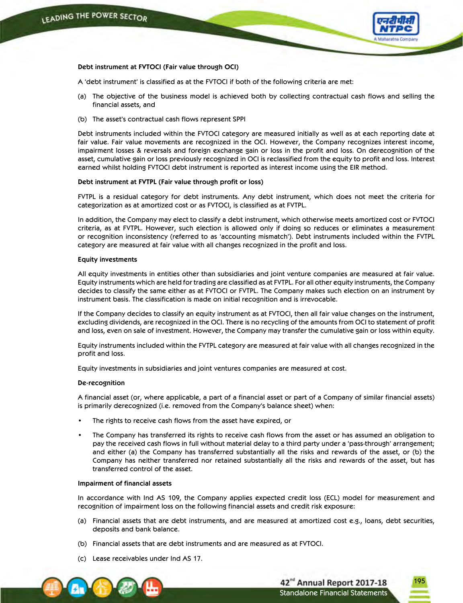

195

### **Debt instrument at FVTOCI (Fair value through OCI)**

 A 'debt instrument' is classified as at the FVTOCI if both of the following criteria are met:

- (a) The objective of the business model is achieved both by collecting contractual cash flows and selling the financial assets, and
- (b) The asset's contractual cash flows represent SPPI

 Debt instruments included within the FVTOCI category are measured initially as well as at each reporting date at fair value. Fair value movements are recognized in the OCI. However, the Company recognizes interest income, impairment losses & reversals and foreign exchange gain or loss in the profit and loss. On derecognition of the asset, cumulative gain or loss previously recognized in OCI is reclassified from the equity to profit and loss. Interest earned whilst holding FVTOCI debt instrument is reported as interest income using the EIR method.

#### **Debt instrument at FVTPL (Fair value through profit or loss)**

 FVTPL is a residual category for debt instruments. Any debt instrument, which does not meet the criteria for categorization as at amortized cost or as FVTOCI, is classified as at FVTPL.

 In addition, the Company may elect to classify a debt instrument, which otherwise meets amortized cost or FVTOCI criteria, as at FVTPL. However, such election is allowed only if doing so reduces or eliminates a measurement or recognition inconsistency (referred to as 'accounting mismatch'). Debt instruments included within the FVTPL category are measured at fair value with all changes recognized in the profit and loss.

#### **Equity investments**

 All equity investments in entities other than subsidiaries and joint venture companies are measured at fair value. Equity instruments which are held for trading are classified as at FVTPL. For all other equity instruments, the Company decides to classify the same either as at FVTOCI or FVTPL. The Company makes such election on an instrument by instrument basis. The classification is made on initial recognition and is irrevocable.

 If the Company decides to classify an equity instrument as at FVTOCI, then all fair value changes on the instrument, excluding dividends, are recognized in the OCI. There is no recycling of the amounts from OCI to statement of profit and loss, even on sale of investment. However, the Company may transfer the cumulative gain or loss within equity.

 Equity instruments included within the FVTPL category are measured at fair value with all changes recognized in the profit and loss.

Equity investments in subsidiaries and joint ventures companies are measured at cost.

#### **De-recognition**

 A financial asset (or, where applicable, a part of a financial asset or part of a Company of similar financial assets) is primarily derecognized (i.e. removed from the Company's balance sheet) when:

- The rights to receive cash flows from the asset have expired, or
- The Company has transferred its rights to receive cash flows from the asset or has assumed an obligation to pay the received cash flows in full without material delay to a third party under a 'pass-through' arrangement; and either (a) the Company has transferred substantially all the risks and rewards of the asset, or (b) the Company has neither transferred nor retained substantially all the risks and rewards of the asset, but has transferred control of the asset.

#### **Impairment of financial assets**

 In accordance with Ind AS 109, the Company applies expected credit loss (ECL) model for measurement and recognition of impairment loss on the following financial assets and credit risk exposure:

- (a) Financial assets that are debt instruments, and are measured at amortized cost e.g., loans, debt securities, deposits and bank balance.
- (b) Financial assets that are debt instruments and are measured as at FVTOCI.
- (c) Lease receivables under Ind AS 17.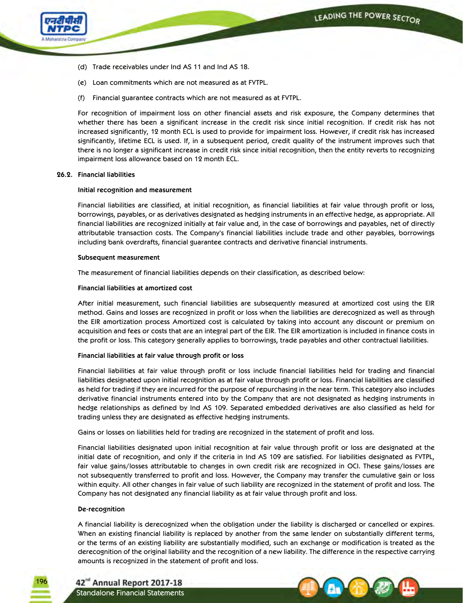

- (d) Trade receivables under Ind AS 11 and Ind AS 18.
- (e) Loan commitments which are not measured as at FVTPL.
- (f) Financial guarantee contracts which are not measured as at FVTPL.

 For recognition of impairment loss on other financial assets and risk exposure, the Company determines that whether there has been a significant increase in the credit risk since initial recognition. If credit risk has not increased significantly, 12 month ECL is used to provide for impairment loss. However, if credit risk has increased significantly, lifetime ECL is used. If, in a subsequent period, credit quality of the instrument improves such that there is no longer a significant increase in credit risk since initial recognition, then the entity reverts to recognizing impairment loss allowance based on 12 month ECL.

### **26.2. Financial liabilities**

### **Initial recognition and measurement**

 Financial liabilities are classified, at initial recognition, as financial liabilities at fair value through profit or loss, borrowings, payables, or as derivatives designated as hedging instruments in an effective hedge, as appropriate. All financial liabilities are recognized initially at fair value and, in the case of borrowings and payables, net of directly attributable transaction costs. The Company's financial liabilities include trade and other payables, borrowings including bank overdrafts, financial guarantee contracts and derivative financial instruments.

### **Subsequent measurement**

The measurement of financial liabilities depends on their classification, as described below:

## **Financial liabilities at amortized cost**

After initial measurement, such financial liabilities are subsequently measured at amortized cost using the EIR method. Gains and losses are recognized in profit or loss when the liabilities are derecognized as well as through the EIR amortization process Amortized cost is calculated by taking into account any discount or premium on acquisition and fees or costs that are an integral part of the EIR. The EIR amortization is included in finance costs in the profit or loss. This category generally applies to borrowings, trade payables and other contractual liabilities.

### **Financial liabilities at fair value through profit or loss**

 Financial liabilities at fair value through profit or loss include financial liabilities held for trading and financial liabilities designated upon initial recognition as at fair value through profit or loss. Financial liabilities are classified as held for trading if they are incurred for the purpose of repurchasing in the near term. This category also includes derivative financial instruments entered into by the Company that are not designated as hedging instruments in hedge relationships as defined by Ind AS 109. Separated embedded derivatives are also classified as held for trading unless they are designated as effective hedging instruments.

Gains or losses on liabilities held for trading are recognized in the statement of profit and loss.

 Financial liabilities designated upon initial recognition at fair value through profit or loss are designated at the initial date of recognition, and only if the criteria in Ind AS 109 are satisfied. For liabilities designated as FVTPL, fair value gains/losses attributable to changes in own credit risk are recognized in OCI. These gains/losses are not subsequently transferred to profit and loss. However, the Company may transfer the cumulative gain or loss within equity. All other changes in fair value of such liability are recognized in the statement of profit and loss. The Company has not designated any financial liability as at fair value through profit and loss.

### **De-recognition**

196

 A financial liability is derecognized when the obligation under the liability is discharged or cancelled or expires. When an existing financial liability is replaced by another from the same lender on substantially different terms, or the terms of an existing liability are substantially modified, such an exchange or modification is treated as the derecognition of the original liability and the recognition of a new liability. The difference in the respective carrying amounts is recognized in the statement of profit and loss.

42<sup>nd</sup> Annual Report 2017-18 Standalone Financial Statements

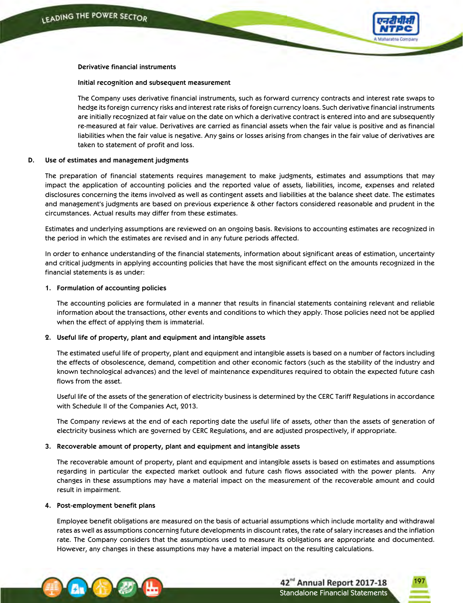

### **Derivative financial instruments**

### **Initial recognition and subsequent measurement**

 The Company uses derivative financial instruments, such as forward currency contracts and interest rate swaps to hedge its foreign currency risks and interest rate risks of foreign currency loans. Such derivative financial instruments are initially recognized at fair value on the date on which a derivative contract is entered into and are subsequently re-measured at fair value. Derivatives are carried as financial assets when the fair value is positive and as financial liabilities when the fair value is negative. Any gains or losses arising from changes in the fair value of derivatives are taken to statement of profit and loss.

### **D. Use of estimates and management judgments**

 The preparation of financial statements requires management to make judgments, estimates and assumptions that may impact the application of accounting policies and the reported value of assets, liabilities, income, expenses and related disclosures concerning the items involved as well as contingent assets and liabilities at the balance sheet date. The estimates and management's judgments are based on previous experience & other factors considered reasonable and prudent in the circumstances. Actual results may differ from these estimates.

 Estimates and underlying assumptions are reviewed on an ongoing basis. Revisions to accounting estimates are recognized in the period in which the estimates are revised and in any future periods affected.

 In order to enhance understanding of the financial statements, information about significant areas of estimation, uncertainty and critical judgments in applying accounting policies that have the most significant effect on the amounts recognized in the financial statements is as under:

### **1. Formulation of accounting policies**

 The accounting policies are formulated in a manner that results in financial statements containing relevant and reliable information about the transactions, other events and conditions to which they apply. Those policies need not be applied when the effect of applying them is immaterial.

### **2. Useful life of property, plant and equipment and intangible assets**

 The estimated useful life of property, plant and equipment and intangible assets is based on a number of factors including the effects of obsolescence, demand, competition and other economic factors (such as the stability of the industry and known technological advances) and the level of maintenance expenditures required to obtain the expected future cash flows from the asset.

 Useful life of the assets of the generation of electricity business is determined by the CERC Tariff Regulations in accordance with Schedule II of the Companies Act, 2013.

 The Company reviews at the end of each reporting date the useful life of assets, other than the assets of generation of electricity business which are governed by CERC Regulations, and are adjusted prospectively, if appropriate.

### **3. Recoverable amount of property, plant and equipment and intangible assets**

 The recoverable amount of property, plant and equipment and intangible assets is based on estimates and assumptions regarding in particular the expected market outlook and future cash flows associated with the power plants. Any changes in these assumptions may have a material impact on the measurement of the recoverable amount and could result in impairment.

### **4. Post-employment benefit plans**

 Employee benefit obligations are measured on the basis of actuarial assumptions which include mortality and withdrawal rates as well as assumptions concerning future developments in discount rates, the rate of salary increases and the inflation rate. The Company considers that the assumptions used to measure its obligations are appropriate and documented. However, any changes in these assumptions may have a material impact on the resulting calculations.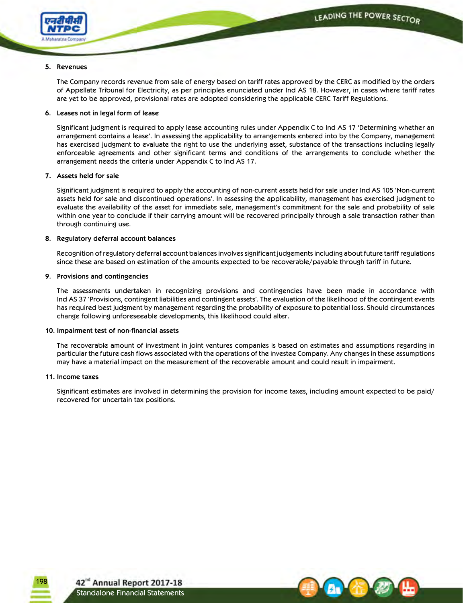

## **5. Revenues**

 The Company records revenue from sale of energy based on tariff rates approved by the CERC as modified by the orders of Appellate Tribunal for Electricity, as per principles enunciated under Ind AS 18. However, in cases where tariff rates are yet to be approved, provisional rates are adopted considering the applicable CERC Tariff Regulations.

## **6. Leases not in legal form of lease**

 Significant judgment is required to apply lease accounting rules under Appendix C to Ind AS 17 'Determining whether an arrangement contains a lease'. In assessing the applicability to arrangements entered into by the Company, management has exercised judgment to evaluate the right to use the underlying asset, substance of the transactions including legally enforceable agreements and other significant terms and conditions of the arrangements to conclude whether the arrangement needs the criteria under Appendix C to Ind AS 17.

## **7. Assets held for sale**

 Significant judgment is required to apply the accounting of non-current assets held for sale under Ind AS 105 'Non-current assets held for sale and discontinued operations'. In assessing the applicability, management has exercised judgment to evaluate the availability of the asset for immediate sale, management's commitment for the sale and probability of sale within one year to conclude if their carrying amount will be recovered principally through a sale transaction rather than through continuing use.

## **8. Regulatory deferral account balances**

 Recognition of regulatory deferral account balances involves significant judgements including about future tariff regulations since these are based on estimation of the amounts expected to be recoverable/payable through tariff in future.

### **9. Provisions and contingencies**

 The assessments undertaken in recognizing provisions and contingencies have been made in accordance with Ind AS 37 'Provisions, contingent liabilities and contingent assets'. The evaluation of the likelihood of the contingent events has required best judgment by management regarding the probability of exposure to potential loss. Should circumstances change following unforeseeable developments, this likelihood could alter.

### **10. Impairment test of non-financial assets**

 The recoverable amount of investment in joint ventures companies is based on estimates and assumptions regarding in particular the future cash flows associated with the operations of the investee Company. Any changes in these assumptions may have a material impact on the measurement of the recoverable amount and could result in impairment.

### **11. Income taxes**

198

 Significant estimates are involved in determining the provision for income taxes, including amount expected to be paid/ recovered for uncertain tax positions.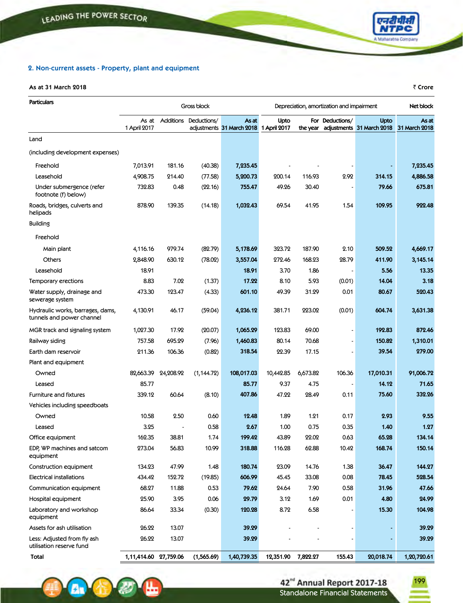## **2. Non-current assets - Property, plant and equipment**

## **As at 31 March 2018** ` **Crore**

 $\mathbf{A}$ 

不

| <b>Particulars</b>                                            | Gross block<br>Depreciation, amortization and impairment |           |                       |                                    |                      |          |                 | Net block                         |                        |
|---------------------------------------------------------------|----------------------------------------------------------|-----------|-----------------------|------------------------------------|----------------------|----------|-----------------|-----------------------------------|------------------------|
|                                                               | As at<br>1 April 2017                                    |           | Additions Deductions/ | As at<br>adjustments 31 March 2018 | Upto<br>1 April 2017 | the year | For Deductions/ | Upto<br>adjustments 31 March 2018 | As at<br>31 March 2018 |
| Land                                                          |                                                          |           |                       |                                    |                      |          |                 |                                   |                        |
| (including development expenses)                              |                                                          |           |                       |                                    |                      |          |                 |                                   |                        |
| Freehold                                                      | 7,013.91                                                 | 181.16    | (40.38)               | 7,235.45                           |                      |          |                 |                                   | 7,235.45               |
| Leasehold                                                     | 4,908.75                                                 | 214.40    | (77.58)               | 5,200.73                           | 200.14               | 116.93   | 2.92            | 314.15                            | 4,886.58               |
| Under submergence (refer<br>footnote (f) below)               | 732.83                                                   | 0.48      | (22.16)               | 755.47                             | 49.26                | 30.40    |                 | 79.66                             | 675.81                 |
| Roads, bridges, culverts and<br>helipads                      | 878.90                                                   | 139.35    | (14.18)               | 1,032.43                           | 69.54                | 41.95    | 1.54            | 109.95                            | 922.48                 |
| <b>Building</b>                                               |                                                          |           |                       |                                    |                      |          |                 |                                   |                        |
| Freehold                                                      |                                                          |           |                       |                                    |                      |          |                 |                                   |                        |
| Main plant                                                    | 4,116.16                                                 | 979.74    | (82.79)               | 5,178.69                           | 323.72               | 187.90   | 2.10            | 509.52                            | 4,669.17               |
| <b>Others</b>                                                 | 2,848.90                                                 | 630.12    | (78.02)               | 3,557.04                           | 272.46               | 168.23   | 28.79           | 411.90                            | 3,145.14               |
| Leasehold                                                     | 18.91                                                    |           |                       | 18.91                              | 3.70                 | 1.86     |                 | 5.56                              | 13.35                  |
| Temporary erections                                           | 8.83                                                     | 7.02      | (1.37)                | 17.22                              | 8.10                 | 5.93     | (0.01)          | 14.04                             | 3.18                   |
| Water supply, drainage and<br>sewerage system                 | 473.30                                                   | 123.47    | (4.33)                | 601.10                             | 49.39                | 31.29    | 0.01            | 80.67                             | 520.43                 |
| Hydraulic works, barrages, dams,<br>tunnels and power channel | 4,130.91                                                 | 46.17     | (59.04)               | 4,236.12                           | 381.71               | 223.02   | (0.01)          | 604.74                            | 3,631.38               |
| MGR track and signaling system                                | 1,027.30                                                 | 17.92     | (20.07)               | 1,065.29                           | 123.83               | 69.00    |                 | 192.83                            | 872.46                 |
| Railway siding                                                | 757.58                                                   | 695.29    | (7.96)                | 1,460.83                           | 80.14                | 70.68    |                 | 150.82                            | 1,310.01               |
| Earth dam reservoir                                           | 211.36                                                   | 106.36    | (0.82)                | 318.54                             | 22.39                | 17.15    |                 | 39.54                             | 279.00                 |
| Plant and equipment                                           |                                                          |           |                       |                                    |                      |          |                 |                                   |                        |
| Owned                                                         | 82,663.39                                                | 24,208.92 | (1, 144.72)           | 108,017.03                         | 10,442.85            | 6,673.82 | 106.36          | 17,010.31                         | 91,006.72              |
| Leased                                                        | 85.77                                                    |           |                       | 85.77                              | 9.37                 | 4.75     |                 | 14.12                             | 71.65                  |
| <b>Furniture and fixtures</b>                                 | 339.12                                                   | 60.64     | (8.10)                | 407.86                             | 47.22                | 28.49    | 0.11            | 75.60                             | 332.26                 |
| Vehicles including speedboats                                 |                                                          |           |                       |                                    |                      |          |                 |                                   |                        |
| Owned                                                         | 10.58                                                    | 2.50      | 0.60                  | 12.48                              | 1.89                 | 1.21     | 0.17            | 2.93                              | 9.55                   |
| Leased                                                        | 3.25                                                     |           | 0.58                  | 2.67                               | 1.00                 | 0.75     | 0.35            | 1.40                              | 1.27                   |
| Office equipment                                              | 162.35                                                   | 38.81     | 1.74                  | 199.42                             | 43.89                | 22.02    | 0.63            | 65.28                             | 134.14                 |
| EDP, WP machines and satcom<br>equipment                      | 273.04                                                   | 56.83     | 10.99                 | 318.88                             | 116.28               | 62.88    | 10.42           | 168.74                            | 150.14                 |
| Construction equipment                                        | 134.23                                                   | 47.99     | 1.48                  | 180.74                             | 23.09                | 14.76    | 1.38            | 36.47                             | 144.27                 |
| <b>Electrical installations</b>                               | 434.42                                                   | 152.72    | (19.85)               | 606.99                             | 45.45                | 33.08    | 0.08            | 78.45                             | 528.54                 |
| Communication equipment                                       | 68.27                                                    | 11.88     | 0.53                  | 79.62                              | 24.64                | 7.90     | 0.58            | 31.96                             | 47.66                  |
| Hospital equipment                                            | 25.90                                                    | 3.95      | 0.06                  | 29.79                              | 3.12                 | 1.69     | 0.01            | 4.80                              | 24.99                  |
| Laboratory and workshop<br>equipment                          | 86.64                                                    | 33.34     | (0.30)                | 120.28                             | 8.72                 | 6.58     |                 | 15.30                             | 104.98                 |
| Assets for ash utilisation                                    | 26.22                                                    | 13.07     |                       | 39.29                              |                      |          |                 |                                   | 39.29                  |
| Less: Adjusted from fly ash<br>utilisation reserve fund       | 26.22                                                    | 13.07     |                       | 39.29                              |                      |          |                 |                                   | 39.29                  |
| Total                                                         | 1,11,414.60 27,759.06                                    |           | (1,565.69)            | 1,40,739.35                        | 12,351.90            | 7,822.27 | 155.43          | 20,018.74                         | 1,20,720.61            |



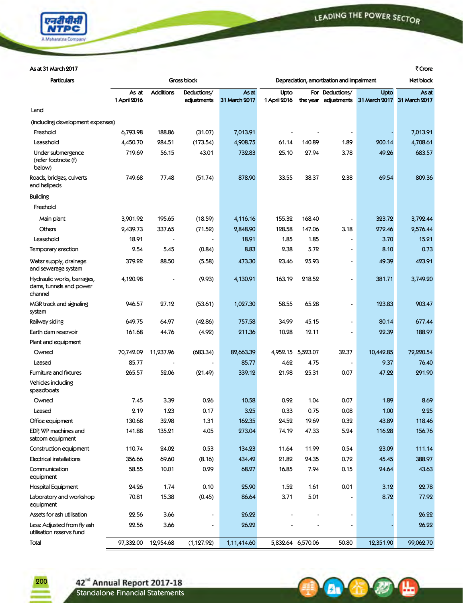

**A A B** 

## **Asat31March2017** `**Crore**

| <b>Particulars</b>                                               |                       | <b>Gross block</b><br>Depreciation, amortization and impairment |                            |                        |                      |                   | Net block                               |                       |                        |
|------------------------------------------------------------------|-----------------------|-----------------------------------------------------------------|----------------------------|------------------------|----------------------|-------------------|-----------------------------------------|-----------------------|------------------------|
|                                                                  | As at<br>1 April 2016 | <b>Additions</b>                                                | Deductions/<br>adjustments | As at<br>31 March 2017 | Upto<br>1 April 2016 |                   | For Deductions/<br>the year adjustments | Upto<br>31 March 2017 | As at<br>31 March 2017 |
| Land                                                             |                       |                                                                 |                            |                        |                      |                   |                                         |                       |                        |
| (including development expenses)                                 |                       |                                                                 |                            |                        |                      |                   |                                         |                       |                        |
| Freehold                                                         | 6,793.98              | 188.86                                                          | (31.07)                    | 7,013.91               |                      |                   |                                         |                       | 7,013.91               |
| Leasehold                                                        | 4,450.70              | 284.51                                                          | (173.54)                   | 4,908.75               | 61.14                | 140.89            | 1.89                                    | 200.14                | 4,708.61               |
| Under submergence<br>(refer footnote (f)<br>below)               | 719.69                | 56.15                                                           | 43.01                      | 732.83                 | 25.10                | 27.94             | 3.78                                    | 49.26                 | 683.57                 |
| Roads, bridges, culverts<br>and helipads                         | 749.68                | 77.48                                                           | (51.74)                    | 878.90                 | 33.55                | 38.37             | 2.38                                    | 69.54                 | 809.36                 |
| <b>Building</b>                                                  |                       |                                                                 |                            |                        |                      |                   |                                         |                       |                        |
| Freehold                                                         |                       |                                                                 |                            |                        |                      |                   |                                         |                       |                        |
| Main plant                                                       | 3,901.92              | 195.65                                                          | (18.59)                    | 4,116.16               | 155.32               | 168.40            | $\overline{\phantom{a}}$                | 323.72                | 3,792.44               |
| Others                                                           | 2,439.73              | 337.65                                                          | (71.52)                    | 2,848.90               | 128.58               | 147.06            | 3.18                                    | 272.46                | 2,576.44               |
| Leasehold                                                        | 18.91                 |                                                                 |                            | 18.91                  | 1.85                 | 1.85              | ٠                                       | 3.70                  | 15.21                  |
| Temporary erection                                               | 2.54                  | 5.45                                                            | (0.84)                     | 8.83                   | 2.38                 | 5.72              | $\qquad \qquad \blacksquare$            | 8.10                  | 0.73                   |
| Water supply, drainage<br>and sewerage system                    | 379.22                | 88.50                                                           | (5.58)                     | 473.30                 | 23.46                | 25.93             | $\overline{\phantom{a}}$                | 49.39                 | 423.91                 |
| Hydraulic works, barrages,<br>dams, tunnels and power<br>channel | 4,120.98              |                                                                 | (9.93)                     | 4,130.91               | 163.19               | 218.52            |                                         | 381.71                | 3,749.20               |
| MGR track and signaling<br>system                                | 946.57                | 27.12                                                           | (53.61)                    | 1,027.30               | 58.55                | 65.28             | $\overline{\phantom{a}}$                | 123.83                | 903.47                 |
| Railway siding                                                   | 649.75                | 64.97                                                           | (42.86)                    | 757.58                 | 34.99                | 45.15             | $\blacksquare$                          | 80.14                 | 677.44                 |
| Earth dam reservoir                                              | 161.68                | 44.76                                                           | (4.92)                     | 211.36                 | 10.28                | 12.11             |                                         | 22.39                 | 188.97                 |
| Plant and equipment                                              |                       |                                                                 |                            |                        |                      |                   |                                         |                       |                        |
| Owned                                                            | 70,742.09             | 11,237.96                                                       | (683.34)                   | 82,663.39              | 4,952.15 5,523.07    |                   | 32.37                                   | 10,442.85             | 72,220.54              |
| Leased                                                           | 85.77                 |                                                                 |                            | 85.77                  | 4.62                 | 4.75              | $\overline{\phantom{a}}$                | 9.37                  | 76.40                  |
| Furniture and fixtures                                           | 265.57                | 52.06                                                           | (21.49)                    | 339.12                 | 21.98                | 25.31             | 0.07                                    | 47.22                 | 291.90                 |
| Vehicles including<br>speedboats                                 |                       |                                                                 |                            |                        |                      |                   |                                         |                       |                        |
| Owned                                                            | 7.45                  | 3.39                                                            | 0.26                       | 10.58                  | 0.92                 | 1.04              | 0.07                                    | 1.89                  | 8.69                   |
| Leased                                                           | 2.19                  | 1.23                                                            | 0.17                       | 3.25                   | 0.33                 | 0.75              | 0.08                                    | 1.00                  | 2.25                   |
| Office equipment                                                 | 130.68                | 32.98                                                           | 1.31                       | 162.35                 | 24.52                | 19.69             | 0.32                                    | 43.89                 | 118.46                 |
| EDP, WP machines and<br>satcom equipment                         | 141.88                | 135.21                                                          | 4.05                       | 273.04                 | 74.19                | 47.33             | 5.24                                    | 116.28                | 156.76                 |
| Construction equipment                                           | 110.74                | 24.02                                                           | 0.53                       | 134.23                 | 11.64                | 11.99             | 0.54                                    | 23.09                 | 111.14                 |
| Electrical installations                                         | 356.66                | 69.60                                                           | (8.16)                     | 434.42                 | 21.82                | 24.35             | 0.72                                    | 45.45                 | 388.97                 |
| Communication<br>equipment                                       | 58.55                 | 10.01                                                           | 0.29                       | 68.27                  | 16.85                | 7.94              | 0.15                                    | 24.64                 | 43.63                  |
| Hospital Equipment                                               | 24.26                 | 1.74                                                            | 0.10                       | 25.90                  | 1.52                 | 1.61              | 0.01                                    | 3.12                  | 22.78                  |
| Laboratory and workshop<br>equipment                             | 70.81                 | 15.38                                                           | (0.45)                     | 86.64                  | 3.71                 | 5.01              |                                         | 8.72                  | 77.92                  |
| Assets for ash utilisation                                       | 22.56                 | 3.66                                                            |                            | 26.22                  |                      |                   |                                         |                       | 26.22                  |
| Less: Adjusted from fly ash<br>utilisation reserve fund          | 22.56                 | 3.66                                                            |                            | 26.22                  |                      |                   |                                         |                       | 26.22                  |
| Total                                                            | 97,332.00             | 12,954.68                                                       | (1, 127.92)                | 1,11,414.60            |                      | 5,832.64 6,570.06 | 50.80                                   | 12,351.90             | 99,062.70              |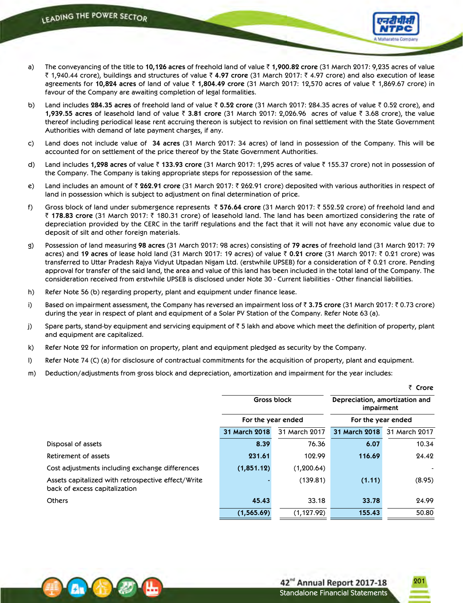

- a) The conveyancing of the title to **10,126 acres** of freehold land of value ` **1,900.82 crore** (31 March 2017: 9,235 acres of value ` 1,940.44 crore), buildings and structures of value ` **4.97 crore** (31 March 2017: ` 4.97 crore) and also execution of lease agreements for 10,824 acres of land of value ₹ 1,804.49 crore (31 March 2017: 12,570 acres of value ₹ 1,869.67 crore) in favour of the Company are awaiting completion of legal formalities.
- b) Land includes **284.35 acres** of freehold land of value ` **0.52 crore** (31 March 2017: 284.35 acres of value ` 0.52 crore), and **1,939.55** acres of leasehold land of value ₹ 3.81 crore (31 March 2017: 2,026.96 acres of value ₹ 3.68 crore), the value thereof including periodical lease rent accruing thereon is subject to revision on final settlement with the State Government Authorities with demand of late payment charges, if any.
- c) Land does not include value of **34 acres** (31 March 2017: 34 acres) of land in possession of the Company. This will be accounted for on settlement of the price thereof by the State Government Authorities.
- d) Land includes 1,298 acres of value ₹ 133.93 crore (31 March 2017: 1,295 acres of value ₹ 155.37 crore) not in possession of the Company. The Company is taking appropriate steps for repossession of the same.
- e) Land includes an amount of ` **262.91 crore** (31 March 2017: ` 262.91 crore) deposited with various authorities in respect of land in possession which is subject to adjustment on final determination of price.
- f) Gross block of land under submergence represents ` **576.64 crore** (31 March 2017: ` 552.52 crore) of freehold land and ` **178.83 crore** (31 March 2017: ` 180.31 crore) of leasehold land. The land has been amortized considering the rate of depreciation provided by the CERC in the tariff regulations and the fact that it will not have any economic value due to deposit of silt and other foreign materials.
- g) Possession of land measuring **98 acres** (31 March 2017: 98 acres) consisting of **79 acres** of freehold land (31 March 2017: 79 acres) and **19 acres** of lease hold land (31 March 2017: 19 acres) of value ` **0.21 crore** (31 March 2017: ` 0.21 crore) was transferred to Uttar Pradesh Rajya Vidyut Utpadan Nigam Ltd. (erstwhile UPSEB) for a consideration of  $\bar{z}$  0.21 crore. Pending approval for transfer of the said land, the area and value of this land has been included in the total land of the Company. The consideration received from erstwhile UPSEB is disclosed under Note 30 - Current liabilities - Other financial liabilities.
- h) Refer Note 56 (b) regarding property, plant and equipment under finance lease.
- i) Based on impairment assessment, the Company has reversed an impairment loss of ₹ 3.75 crore (31 March 2017: ₹ 0.73 crore) during the year in respect of plant and equipment of a Solar PV Station of the Company. Refer Note 63 (a).
- j) Spare parts, stand-by equipment and servicing equipment of  $\bar{z}$  5 lakh and above which meet the definition of property, plant and equipment are capitalized.
- k) Refer Note 22 for information on property, plant and equipment pledged as security by the Company.
- l) Refer Note 74 (C) (a) for disclosure of contractual commitments for the acquisition of property, plant and equipment.
- m) Deduction/adjustments from gross block and depreciation, amortization and impairment for the year includes:

|                                                                                     |                    |               |                                              | ₹ Crore       |  |
|-------------------------------------------------------------------------------------|--------------------|---------------|----------------------------------------------|---------------|--|
|                                                                                     | <b>Gross block</b> |               | Depreciation, amortization and<br>impairment |               |  |
|                                                                                     | For the year ended |               | For the year ended                           |               |  |
|                                                                                     | 31 March 2018      | 31 March 2017 | 31 March 2018                                | 31 March 2017 |  |
| Disposal of assets                                                                  | 8.39               | 76.36         | 6.07                                         | 10.34         |  |
| Retirement of assets                                                                | 231.61             | 102.99        | 116.69                                       | 24.42         |  |
| Cost adjustments including exchange differences                                     | (1,851.12)         | (1, 200.64)   |                                              |               |  |
| Assets capitalized with retrospective effect/Write<br>back of excess capitalization |                    | (139.81)      | (1.11)                                       | (8.95)        |  |
| <b>Others</b>                                                                       | 45.43              | 33.18         | 33.78                                        | 24.99         |  |
|                                                                                     | (1,565.69)         | (1, 127.92)   | 155.43                                       | 50.80         |  |



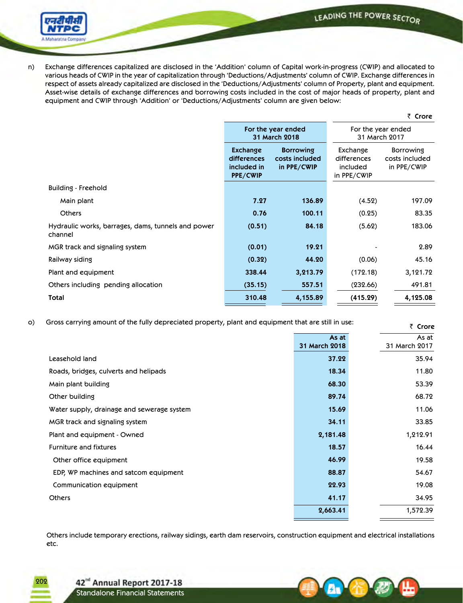LEADING THE POWER SECTOR



n) Exchange differences capitalized are disclosed in the 'Addition' column of Capital work-in-progress (CWIP) and allocated to various heads of CWIP in the year of capitalization through 'Deductions/Adjustments' column of CWIP. Exchange differences in respect of assets already capitalized are disclosed in the 'Deductions/Adjustments' column of Property, plant and equipment. Asset-wise details of exchange differences and borrowing costs included in the cost of major heads of property, plant and equipment and CWIP through 'Addition' or 'Deductions/Adjustments' column are given below:

` **Crore**

|                                                               |                                                                  | For the year ended<br>31 March 2018               | For the year ended<br>31 March 2017                |                                                   |  |
|---------------------------------------------------------------|------------------------------------------------------------------|---------------------------------------------------|----------------------------------------------------|---------------------------------------------------|--|
|                                                               | <b>Exchange</b><br>differences<br>included in<br><b>PPE/CWIP</b> | <b>Borrowing</b><br>costs included<br>in PPE/CWIP | Exchange<br>differences<br>included<br>in PPE/CWIP | <b>Borrowing</b><br>costs included<br>in PPE/CWIP |  |
| Building - Freehold                                           |                                                                  |                                                   |                                                    |                                                   |  |
| Main plant                                                    | 7.27                                                             | 136.89                                            | (4.52)                                             | 197.09                                            |  |
| <b>Others</b>                                                 | 0.76                                                             | 100.11                                            | (0.25)                                             | 83.35                                             |  |
| Hydraulic works, barrages, dams, tunnels and power<br>channel | (0.51)                                                           | 84.18                                             | (5.62)                                             | 183.06                                            |  |
| MGR track and signaling system                                | (0.01)                                                           | 19.21                                             |                                                    | 2.89                                              |  |
| Railway siding                                                | (0.32)                                                           | 44.20                                             | (0.06)                                             | 45.16                                             |  |
| Plant and equipment                                           | 338.44                                                           | 3,213.79                                          | (172.18)                                           | 3,121.72                                          |  |
| Others including pending allocation                           | (35.15)                                                          | 557.51                                            | (232.66)                                           | 491.81                                            |  |
| Total                                                         | 310.48                                                           | 4,155.89                                          | (415.29)                                           | 4,125.08                                          |  |

o) Gross carrying amount of the fully depreciated property, plant and equipment that are still in use:

|                                            |                        | र <b>Crore</b>         |
|--------------------------------------------|------------------------|------------------------|
|                                            | As at<br>31 March 2018 | As at<br>31 March 2017 |
| Leasehold land                             | 37.22                  | 35.94                  |
| Roads, bridges, culverts and helipads      | 18.34                  | 11.80                  |
| Main plant building                        | 68.30                  | 53.39                  |
| Other building                             | 89.74                  | 68.72                  |
| Water supply, drainage and sewerage system | 15.69                  | 11.06                  |
| MGR track and signaling system             | 34.11                  | 33.85                  |
| Plant and equipment - Owned                | 2,181.48               | 1,212.91               |
| <b>Furniture and fixtures</b>              | 18.57                  | 16.44                  |
| Other office equipment                     | 46.99                  | 19.58                  |
| EDP, WP machines and satcom equipment      | 88.87                  | 54.67                  |
| Communication equipment                    | 22.93                  | 19.08                  |
| <b>Others</b>                              | 41.17                  | 34.95                  |
|                                            | 2,663.41               | 1,572.39               |
|                                            |                        |                        |

Others include temporary erections, railway sidings, earth dam reservoirs, construction equipment and electrical installations etc.

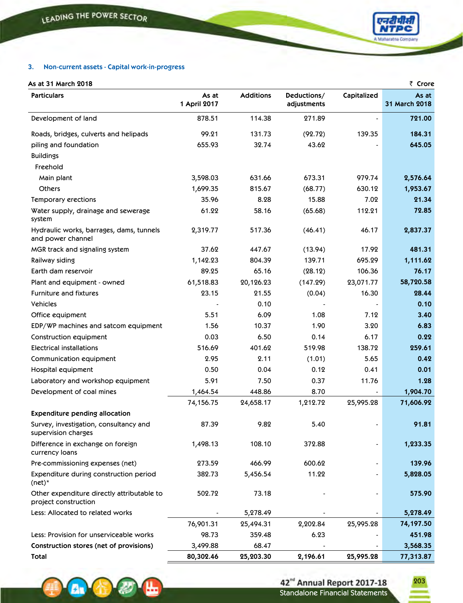

 $\overline{z}$  **C** 

## **3. Non-current assets - Capital work-in-progress**

# **As at 31 March 2018**

A.

| AS di Ji March 2010                                                |                       |                  |                            |             | שטוע                   |
|--------------------------------------------------------------------|-----------------------|------------------|----------------------------|-------------|------------------------|
| <b>Particulars</b>                                                 | As at<br>1 April 2017 | <b>Additions</b> | Deductions/<br>adjustments | Capitalized | As at<br>31 March 2018 |
| Development of land                                                | 878.51                | 114.38           | 271.89                     |             | 721.00                 |
| Roads, bridges, culverts and helipads                              | 99.21                 | 131.73           | (92.72)                    | 139.35      | 184.31                 |
| piling and foundation                                              | 655.93                | 32.74            | 43.62                      |             | 645.05                 |
| <b>Buildings</b>                                                   |                       |                  |                            |             |                        |
| Freehold                                                           |                       |                  |                            |             |                        |
| Main plant                                                         | 3,598.03              | 631.66           | 673.31                     | 979.74      | 2,576.64               |
| <b>Others</b>                                                      | 1,699.35              | 815.67           | (68.77)                    | 630.12      | 1,953.67               |
| Temporary erections                                                | 35.96                 | 8.28             | 15.88                      | 7.02        | 21.34                  |
| Water supply, drainage and sewerage<br>system                      | 61.22                 | 58.16            | (65.68)                    | 112.21      | 72.85                  |
| Hydraulic works, barrages, dams, tunnels<br>and power channel      | 2,319.77              | 517.36           | (46.41)                    | 46.17       | 2,837.37               |
| MGR track and signaling system                                     | 37.62                 | 447.67           | (13.94)                    | 17.92       | 481.31                 |
| Railway siding                                                     | 1,142.23              | 804.39           | 139.71                     | 695.29      | 1,111.62               |
| Earth dam reservoir                                                | 89.25                 | 65.16            | (28.12)                    | 106.36      | 76.17                  |
| Plant and equipment - owned                                        | 61,518.83             | 20,126.23        | (147.29)                   | 23,071.77   | 58,720.58              |
| <b>Furniture and fixtures</b>                                      | 23.15                 | 21.55            | (0.04)                     | 16.30       | 28.44                  |
| Vehicles                                                           |                       | 0.10             |                            |             | 0.10                   |
| Office equipment                                                   | 5.51                  | 6.09             | 1.08                       | 7.12        | 3.40                   |
| EDP/WP machines and satcom equipment                               | 1.56                  | 10.37            | 1.90                       | 3.20        | 6.83                   |
| Construction equipment                                             | 0.03                  | 6.50             | 0.14                       | 6.17        | 0.22                   |
| <b>Electrical installations</b>                                    | 516.69                | 401.62           | 519.98                     | 138.72      | 259.61                 |
| Communication equipment                                            | 2.95                  | 2.11             | (1.01)                     | 5.65        | 0.42                   |
| Hospital equipment                                                 | 0.50                  | 0.04             | 0.12                       | 0.41        | 0.01                   |
| Laboratory and workshop equipment                                  | 5.91                  | 7.50             | 0.37                       | 11.76       | 1.28                   |
| Development of coal mines                                          | 1,464.54              | 448.86           | 8.70                       |             | 1,904.70               |
|                                                                    | 74,156.75             | 24,658.17        | 1,212.72                   | 25,995.28   | 71,606.92              |
| <b>Expenditure pending allocation</b>                              |                       |                  |                            |             |                        |
| Survey, investigation, consultancy and<br>supervision charges      | 87.39                 | 9.82             | 5.40                       |             | 91.81                  |
| Difference in exchange on foreign<br>currency loans                | 1,498.13              | 108.10           | 372.88                     |             | 1,233.35               |
| Pre-commissioning expenses (net)                                   | 273.59                | 466.99           | 600.62                     |             | 139.96                 |
| Expenditure during construction period<br>$(net)^*$                | 382.73                | 5,456.54         | 11.22                      |             | 5,828.05               |
| Other expenditure directly attributable to<br>project construction | 502.72                | 73.18            |                            |             | 575.90                 |
| Less: Allocated to related works                                   |                       | 5,278.49         |                            |             | 5,278.49               |
|                                                                    | 76,901.31             | 25,494.31        | 2,202.84                   | 25,995.28   | 74,197.50              |
| Less: Provision for unserviceable works                            | 98.73                 | 359.48           | 6.23                       |             | 451.98                 |
| Construction stores (net of provisions)                            | 3,499.88              | 68.47            |                            |             | 3,568.35               |
| Total                                                              | 80,302.46             | 25,203.30        | 2,196.61                   | 25,995.28   | 77,313.87              |

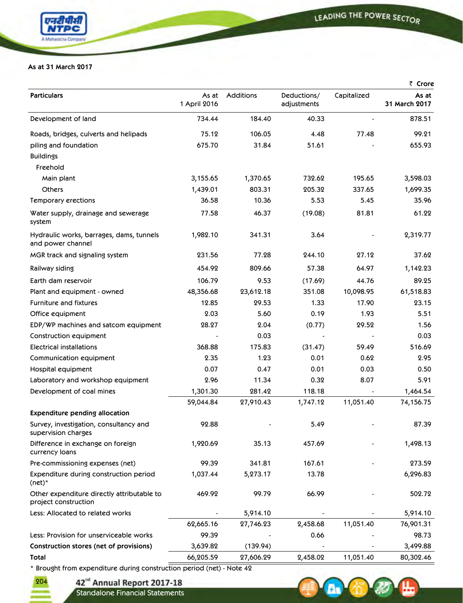

## **As at 31 March 2017**

|                                                                    |                       |           |                            |             | ₹ Crore                |
|--------------------------------------------------------------------|-----------------------|-----------|----------------------------|-------------|------------------------|
| <b>Particulars</b>                                                 | As at<br>1 April 2016 | Additions | Deductions/<br>adjustments | Capitalized | As at<br>31 March 2017 |
| Development of land                                                | 734.44                | 184.40    | 40.33                      |             | 878.51                 |
| Roads, bridges, culverts and helipads                              | 75.12                 | 106.05    | 4.48                       | 77.48       | 99.21                  |
| piling and foundation                                              | 675.70                | 31.84     | 51.61                      |             | 655.93                 |
| <b>Buildings</b>                                                   |                       |           |                            |             |                        |
| Freehold                                                           |                       |           |                            |             |                        |
| Main plant                                                         | 3,155.65              | 1,370.65  | 732.62                     | 195.65      | 3,598.03               |
| <b>Others</b>                                                      | 1,439.01              | 803.31    | 205.32                     | 337.65      | 1,699.35               |
| Temporary erections                                                | 36.58                 | 10.36     | 5.53                       | 5.45        | 35.96                  |
| Water supply, drainage and sewerage<br>system                      | 77.58                 | 46.37     | (19.08)                    | 81.81       | 61.22                  |
| Hydraulic works, barrages, dams, tunnels<br>and power channel      | 1,982.10              | 341.31    | 3.64                       |             | 2,319.77               |
| MGR track and signaling system                                     | 231.56                | 77.28     | 244.10                     | 27.12       | 37.62                  |
| Railway siding                                                     | 454.92                | 809.66    | 57.38                      | 64.97       | 1,142.23               |
| Earth dam reservoir                                                | 106.79                | 9.53      | (17.69)                    | 44.76       | 89.25                  |
| Plant and equipment - owned                                        | 48,356.68             | 23,612.18 | 351.08                     | 10,098.95   | 61,518.83              |
| <b>Furniture and fixtures</b>                                      | 12.85                 | 29.53     | 1.33                       | 17.90       | 23.15                  |
| Office equipment                                                   | 2.03                  | 5.60      | 0.19                       | 1.93        | 5.51                   |
| EDP/WP machines and satcom equipment                               | 28.27                 | 2.04      | (0.77)                     | 29.52       | 1.56                   |
| Construction equipment                                             |                       | 0.03      |                            |             | 0.03                   |
| Electrical installations                                           | 368.88                | 175.83    | (31.47)                    | 59.49       | 516.69                 |
| Communication equipment                                            | 2.35                  | 1.23      | 0.01                       | 0.62        | 2.95                   |
| Hospital equipment                                                 | 0.07                  | 0.47      | 0.01                       | 0.03        | 0.50                   |
| Laboratory and workshop equipment                                  | 2.96                  | 11.34     | 0.32                       | 8.07        | 5.91                   |
| Development of coal mines                                          | 1,301.30              | 281.42    | 118.18                     |             | 1,464.54               |
|                                                                    | 59,044.84             | 27,910.43 | 1,747.12                   | 11,051.40   | 74,156.75              |
| <b>Expenditure pending allocation</b>                              |                       |           |                            |             |                        |
| Survey, investigation, consultancy and<br>supervision charges      | 92.88                 |           | 5.49                       |             | 87.39                  |
| Difference in exchange on foreign<br>currency loans                | 1,920.69              | 35.13     | 457.69                     |             | 1,498.13               |
| Pre-commissioning expenses (net)                                   | 99.39                 | 341.81    | 167.61                     |             | 273.59                 |
| Expenditure during construction period<br>$(net)^*$                | 1,037.44              | 5,273.17  | 13.78                      |             | 6,296.83               |
| Other expenditure directly attributable to<br>project construction | 469.92                | 99.79     | 66.99                      |             | 502.72                 |
| Less: Allocated to related works                                   |                       | 5,914.10  |                            |             | 5,914.10               |
|                                                                    | 62,665.16             | 27,746.23 | 2,458.68                   | 11,051.40   | 76,901.31              |
| Less: Provision for unserviceable works                            | 99.39                 |           | 0.66                       |             | 98.73                  |
| Construction stores (net of provisions)                            | 3,639.82              | (139.94)  |                            |             | 3,499.88               |
| <b>Total</b>                                                       | 66,205.59             | 27,606.29 | 2,458.02                   | 11,051.40   | 80,302.46              |

\* Brought from expenditure during construction period (net) - Note 42

42<sup>nd</sup> Annual Report 2017-18<br>Standalone Financial Statements

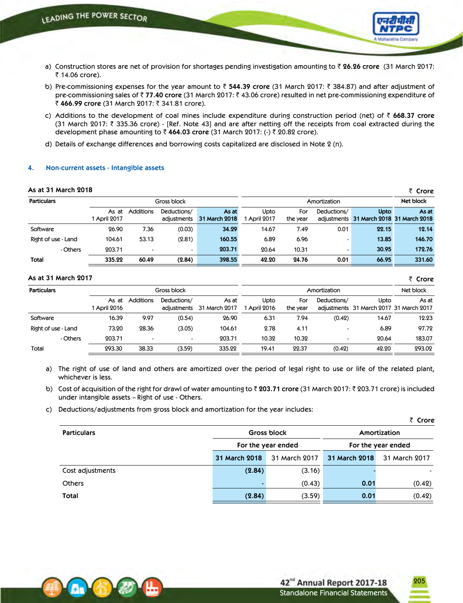

- a) Construction stores are net of provision for shortages pending investigation amounting to ` **26.26 crore** (31 March 2017: ₹ 14.06 crore).
- b) Pre-commissioning expenses for the year amount to ₹ 544.39 crore (31 March 2017: ₹ 384.87) and after adjustment of pre-commissioning sales of ₹77.40 crore (31 March 2017: ₹43.06 crore) resulted in net pre-commissioning expenditure of ₹ 466.99 crore (31 March 2017: ₹ 341.81 crore).
- c) Additions to the development of coal mines include expenditure during construction period (net) of ` **668.37 crore** (31 March 2017:  $\bar{\tau}$  335.36 crore) - [Ref. Note 43] and are after netting off the receipts from coal extracted during the development phase amounting to ₹ 464.03 crore (31 March 2017: (-) ₹ 20.82 crore).
- d) Details of exchange differences and borrowing costs capitalized are disclosed in Note 2 (n).

### **4. Non-current assets - Intangible assets**

#### **As at 31 March 2018**

| As at 31 March 2018 |              |                  |             |               |              |          |             |                                         | ₹ Crore   |
|---------------------|--------------|------------------|-------------|---------------|--------------|----------|-------------|-----------------------------------------|-----------|
| <b>Particulars</b>  |              | Gross block      |             |               | Amortization |          |             |                                         | Net block |
|                     | As at        | <b>Additions</b> | Deductions/ | As at         | Upto         | For      | Deductions/ | Upto                                    | As at     |
|                     | 1 April 2017 |                  | adiustments | 31 March 2018 | 1 April 2017 | the year |             | adiustments 31 March 2018 31 March 2018 |           |
| Software            | 26.90        | 7.36             | (0.03)      | 34.29         | 14.67        | 7.49     | 0.01        | 22.15                                   | 12.14     |
| Right of use - Land | 104.61       | 53.13            | (2.81)      | 160.55        | 6.89         | 6.96     |             | 13.85                                   | 146.70    |
| - Others            | 203.71       |                  |             | 203.71        | 20.64        | 10.31    |             | 30.95                                   | 172.76    |
| Total               | 335.22       | 60.49            | (2.84)      | 398.55        | 42.20        | 24.76    | 0.01        | 66.95                                   | 331.60    |

#### **As at 31 March 2017**

| As at 31 March 2017 |                       |                  |                            |                        |                      |                 |                          |                                                 | ₹ Crore   |
|---------------------|-----------------------|------------------|----------------------------|------------------------|----------------------|-----------------|--------------------------|-------------------------------------------------|-----------|
| <b>Particulars</b>  |                       |                  | Gross block                |                        | Amortization         |                 |                          |                                                 | Net block |
|                     | As at<br>1 April 2016 | <b>Additions</b> | Deductions/<br>adiustments | As at<br>31 March 2017 | Upto<br>1 April 2016 | For<br>the year | Deductions/              | Upto<br>adjustments 31 March 2017 31 March 2017 | As at     |
| Software            | 16.39                 | 9.97             | (0.54)                     | 26.90                  | 6.31                 | 7.94            | (0.42)                   | 14.67                                           | 12.23     |
| Right of use - Land | 73.20                 | 28.36            | (3.05)                     | 104.61                 | 2.78                 | 4.11            | $\overline{\phantom{a}}$ | 6.89                                            | 97.72     |
| - Others            | 203.71                |                  |                            | 203.71                 | 10.32                | 10.32           | $\overline{\phantom{a}}$ | 20.64                                           | 183.07    |
| Total               | 293.30                | 38.33            | (3.59)                     | 335.22                 | 19.41                | 22.37           | (0.42)                   | 42.20                                           | 293.02    |

a) The right of use of land and others are amortized over the period of legal right to use or life of the related plant, whichever is less.

b) Cost of acquisition of the right for drawl of water amounting to ₹ 203.71 crore (31 March 2017: ₹ 203.71 crore) is included under intangible assets – Right of use - Others.

c) Deductions/adjustments from gross block and amortization for the year includes:

|                    |               |                    |               | . ເເບເຮ            |  |
|--------------------|---------------|--------------------|---------------|--------------------|--|
| <b>Particulars</b> |               | <b>Gross block</b> | Amortization  |                    |  |
|                    |               | For the year ended |               | For the year ended |  |
|                    | 31 March 2018 | 31 March 2017      | 31 March 2018 | 31 March 2017      |  |
| Cost adjustments   | (2.84)        | (3.16)             |               |                    |  |
| <b>Others</b>      |               | (0.43)             | 0.01          | (0.42)             |  |
| Total              | (2.84)        | (3.59)             | 0.01          | (0.42)             |  |



205

` **Crore**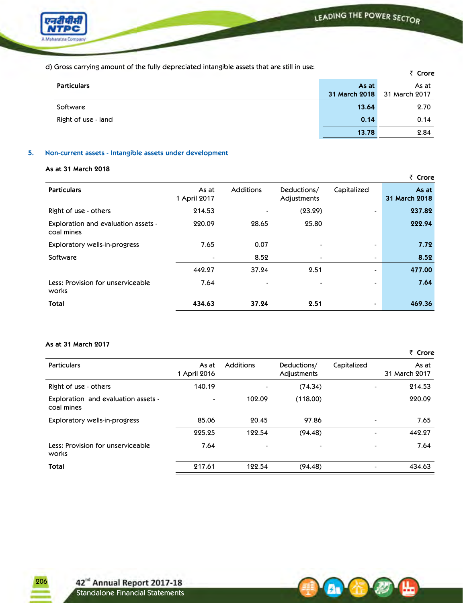

d) Gross carrying amount of the fully depreciated intangible assets that are still in use:

| a) Oross carrying amount or the rang appreciated intengroic assets that are still in ase. |                        | ₹ Crore                |
|-------------------------------------------------------------------------------------------|------------------------|------------------------|
| <b>Particulars</b>                                                                        | As at<br>31 March 2018 | As at<br>31 March 2017 |
| Software                                                                                  | 13.64                  | 2.70                   |
| Right of use - land                                                                       | 0.14                   | 0.14                   |
|                                                                                           | 13.78                  | 2.84                   |

## **5. Non-current assets - Intangible assets under development**

## **As at 31 March 2018**

|                                                   |                       |                  |                            |                          | ₹ Crore                |
|---------------------------------------------------|-----------------------|------------------|----------------------------|--------------------------|------------------------|
| <b>Particulars</b>                                | As at<br>1 April 2017 | <b>Additions</b> | Deductions/<br>Adjustments | Capitalized              | As at<br>31 March 2018 |
| Right of use - others                             | 214.53                | $\blacksquare$   | (23.29)                    |                          | 237.82                 |
| Exploration and evaluation assets -<br>coal mines | 220.09                | 28.65            | 25.80                      |                          | 222.94                 |
| Exploratory wells-in-progress                     | 7.65                  | 0.07             |                            | $\overline{\phantom{0}}$ | 7.72                   |
| Software                                          | $\blacksquare$        | 8.52             | $\blacksquare$             | $\blacksquare$           | 8.52                   |
|                                                   | 442.27                | 37.24            | 2.51                       | $\overline{\phantom{0}}$ | 477.00                 |
| Less: Provision for unserviceable<br>works        | 7.64                  | $\blacksquare$   |                            |                          | 7.64                   |
| Total                                             | 434.63                | 37.24            | 2.51                       |                          | 469.36                 |

## **As at 31 March 2017**

|                                                   |                       |                |                            |                          | ₹ Crore                |
|---------------------------------------------------|-----------------------|----------------|----------------------------|--------------------------|------------------------|
| Particulars                                       | As at<br>1 April 2016 | Additions      | Deductions/<br>Adjustments | Capitalized              | As at<br>31 March 2017 |
| Right of use - others                             | 140.19                |                | (74.34)                    | -                        | 214.53                 |
| Exploration and evaluation assets -<br>coal mines |                       | 102.09         | (118.00)                   |                          | 220.09                 |
| <b>Exploratory wells-in-progress</b>              | 85.06                 | 20.45          | 97.86                      | $\blacksquare$           | 7.65                   |
|                                                   | 225.25                | 122.54         | (94.48)                    | $\blacksquare$           | 442.27                 |
| Less: Provision for unserviceable<br>works        | 7.64                  | $\blacksquare$ |                            | $\overline{\phantom{0}}$ | 7.64                   |
| Total                                             | 217.61                | 122.54         | (94.48)                    | $\blacksquare$           | 434.63                 |

A.

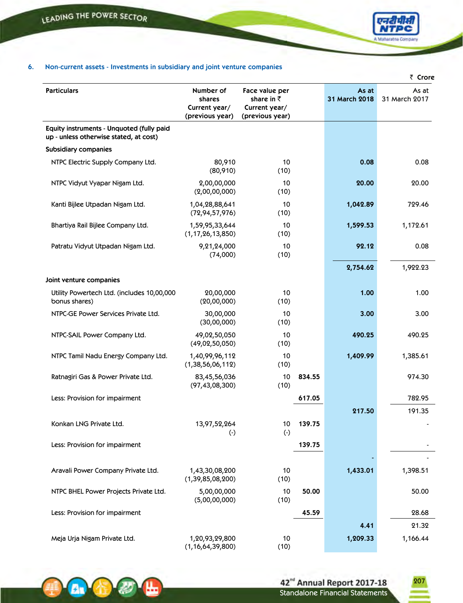**Art** 



## **6. Non-current assets - Investments in subsidiary and joint venture companies**

|                                                                                     |                                                         |                                                                          |        |                        | ₹ Crore                |
|-------------------------------------------------------------------------------------|---------------------------------------------------------|--------------------------------------------------------------------------|--------|------------------------|------------------------|
| <b>Particulars</b>                                                                  | Number of<br>shares<br>Current year/<br>(previous year) | Face value per<br>share in $\bar{z}$<br>Current year/<br>(previous year) |        | As at<br>31 March 2018 | As at<br>31 March 2017 |
| Equity instruments - Unquoted (fully paid<br>up - unless otherwise stated, at cost) |                                                         |                                                                          |        |                        |                        |
| <b>Subsidiary companies</b>                                                         |                                                         |                                                                          |        |                        |                        |
| NTPC Electric Supply Company Ltd.                                                   | 80,910<br>(80, 910)                                     | 10<br>(10)                                                               |        | 0.08                   | 0.08                   |
| NTPC Vidyut Vyapar Nigam Ltd.                                                       | 2,00,00,000<br>(2,00,00,000)                            | 10<br>(10)                                                               |        | 20.00                  | 20.00                  |
| Kanti Bijlee Utpadan Nigam Ltd.                                                     | 1,04,28,88,641<br>(72, 94, 57, 976)                     | 10<br>(10)                                                               |        | 1,042.89               | 729.46                 |
| Bhartiya Rail Bijlee Company Ltd.                                                   | 1,59,95,33,644<br>(1, 17, 26, 13, 850)                  | 10<br>(10)                                                               |        | 1,599.53               | 1,172.61               |
| Patratu Vidyut Utpadan Nigam Ltd.                                                   | 9,21,24,000<br>(74,000)                                 | 10<br>(10)                                                               |        | 92.12                  | 0.08                   |
|                                                                                     |                                                         |                                                                          |        | 2,754.62               | 1,922.23               |
| Joint venture companies                                                             |                                                         |                                                                          |        |                        |                        |
| Utility Powertech Ltd. (includes 10,00,000<br>bonus shares)                         | 20,00,000<br>(20,00,000)                                | 10<br>(10)                                                               |        | 1.00                   | 1.00                   |
| NTPC-GE Power Services Private Ltd.                                                 | 30,00,000<br>(30,00,000)                                | 10<br>(10)                                                               |        | 3.00                   | 3.00                   |
| NTPC-SAIL Power Company Ltd.                                                        | 49,02,50,050<br>(49,02,50,050)                          | 10<br>(10)                                                               |        | 490.25                 | 490.25                 |
| NTPC Tamil Nadu Energy Company Ltd.                                                 | 1,40,99,96,112<br>(1, 38, 56, 06, 112)                  | 10<br>(10)                                                               |        | 1,409.99               | 1,385.61               |
| Ratnagiri Gas & Power Private Ltd.                                                  | 83,45,56,036<br>(97, 43, 08, 300)                       | 10<br>(10)                                                               | 834.55 |                        | 974.30                 |
| Less: Provision for impairment                                                      |                                                         |                                                                          | 617.05 |                        | 782.95                 |
|                                                                                     |                                                         |                                                                          |        | 217.50                 | 191.35                 |
| Konkan LNG Private Ltd.                                                             | 13,97,52,264<br>$(\cdot)$                               | 10<br>$(\cdot)$                                                          | 139.75 |                        |                        |
| Less: Provision for impairment                                                      |                                                         |                                                                          | 139.75 |                        |                        |
| Aravali Power Company Private Ltd.                                                  | 1,43,30,08,200<br>(1, 39, 85, 08, 200)                  | 10<br>(10)                                                               |        | 1,433.01               | 1,398.51               |
| NTPC BHEL Power Projects Private Ltd.                                               | 5,00,00,000<br>(5,00,00,000)                            | 10<br>(10)                                                               | 50.00  |                        | 50.00                  |
| Less: Provision for impairment                                                      |                                                         |                                                                          | 45.59  |                        | 28.68                  |
|                                                                                     |                                                         |                                                                          |        | 4.41                   | 21.32                  |
| Meja Urja Nigam Private Ltd.                                                        | 1,20,93,29,800<br>(1, 16, 64, 39, 800)                  | 10<br>(10)                                                               |        | 1,209.33               | 1,166.44               |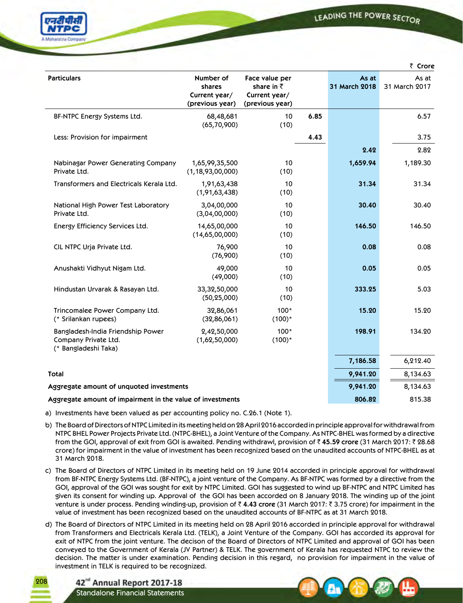LEADING THE POWER SECTOR



|                                                                                   |                                                         |                                                                          |      |                        | ₹ Crore                |
|-----------------------------------------------------------------------------------|---------------------------------------------------------|--------------------------------------------------------------------------|------|------------------------|------------------------|
| <b>Particulars</b>                                                                | Number of<br>shares<br>Current year/<br>(previous year) | Face value per<br>share in $\bar{z}$<br>Current year/<br>(previous year) |      | As at<br>31 March 2018 | As at<br>31 March 2017 |
| BF-NTPC Energy Systems Ltd.                                                       | 68,48,681<br>(65, 70, 900)                              | 10<br>(10)                                                               | 6.85 |                        | 6.57                   |
| Less: Provision for impairment                                                    |                                                         |                                                                          | 4.43 |                        | 3.75                   |
|                                                                                   |                                                         |                                                                          |      | 2.42                   | 2.82                   |
| Nabinagar Power Generating Company<br>Private Ltd.                                | 1,65,99,35,500<br>(1, 18, 93, 00, 000)                  | 10<br>(10)                                                               |      | 1,659.94               | 1,189.30               |
| Transformers and Electricals Kerala Ltd.                                          | 1,91,63,438<br>(1,91,63,438)                            | 10<br>(10)                                                               |      | 31.34                  | 31.34                  |
| National High Power Test Laboratory<br>Private Ltd.                               | 3,04,00,000<br>(3,04,00,000)                            | 10<br>(10)                                                               |      | 30.40                  | 30.40                  |
| Energy Efficiency Services Ltd.                                                   | 14,65,00,000<br>(14,65,00,000)                          | 10<br>(10)                                                               |      | 146.50                 | 146.50                 |
| CIL NTPC Urja Private Ltd.                                                        | 76,900<br>(76,900)                                      | 10<br>(10)                                                               |      | 0.08                   | 0.08                   |
| Anushakti Vidhyut Nigam Ltd.                                                      | 49,000<br>(49,000)                                      | 10<br>(10)                                                               |      | 0.05                   | 0.05                   |
| Hindustan Urvarak & Rasayan Ltd.                                                  | 33,32,50,000<br>(50, 25, 000)                           | 10<br>(10)                                                               |      | 333.25                 | 5.03                   |
| Trincomalee Power Company Ltd.<br>(* Srilankan rupees)                            | 32,86,061<br>(32,86,061)                                | $100*$<br>$(100)^*$                                                      |      | 15.20                  | 15.20                  |
| Bangladesh-India Friendship Power<br>Company Private Ltd.<br>(* Bangladeshi Taka) | 2,42,50,000<br>(1,62,50,000)                            | $100*$<br>$(100)^*$                                                      |      | 198.91                 | 134.20                 |
|                                                                                   |                                                         |                                                                          |      | 7,186.58               | 6,212.40               |
| <b>Total</b>                                                                      |                                                         |                                                                          |      | 9,941.20               | 8,134.63               |
| Aggregate amount of unquoted investments                                          |                                                         |                                                                          |      | 9,941.20               | 8,134.63               |
| Aggregate amount of impairment in the value of investments                        |                                                         |                                                                          |      | 806.82                 | 815.38                 |

a) Investments have been valued as per accounting policy no. C.26.1 (Note 1).

b) The Board of Directors of NTPC Limited in its meeting held on 28 April 2016 accorded in principle approval for withdrawal from NTPC BHEL Power Projects Private Ltd. (NTPC-BHEL), a Joint Venture of the Company. As NTPC-BHEL was formed by a directive from the GOI, approval of exit from GOI is awaited. Pending withdrawl, provision of ` **45.59 crore** (31 March 2017: ` 28.68 crore) for impairment in the value of investment has been recognized based on the unaudited accounts of NTPC-BHEL as at 31 March 2018.

- c) The Board of Directors of NTPC Limited in its meeting held on 19 June 2014 accorded in principle approval for withdrawal from BF-NTPC Energy Systems Ltd. (BF-NTPC), a joint venture of the Company. As BF-NTPC was formed by a directive from the GOI, approval of the GOI was sought for exit by NTPC Limited. GOI has suggested to wind up BF-NTPC and NTPC Limited has given its consent for winding up. Approval of the GOI has been accorded on 8 January 2018. The winding up of the joint venture is under process. Pending winding-up, provision of  $\bar{\zeta}$  4.43 crore (31 March 2017:  $\bar{\zeta}$  3.75 crore) for impairment in the value of investment has been recognized based on the unaudited accounts of BF-NTPC as at 31 March 2018.
- d) The Board of Directors of NTPC Limited in its meeting held on 28 April 2016 accorded in principle approval for withdrawal from Transformers and Electricals Kerala Ltd. (TELK), a Joint Venture of the Company. GOI has accorded its approval for exit of NTPC from the joint venture. The decison of the Board of Directors of NTPC Limited and approval of GOI has been conveyed to the Government of Kerala (JV Partner) & TELK. The government of Kerala has requested NTPC to review the decision. The matter is under examination. Pending decision in this regard, no provision for impairment in the value of investment in TELK is required to be recognized.

42<sup>nd</sup> Annual Report 2017-18 Standalone Financial Statements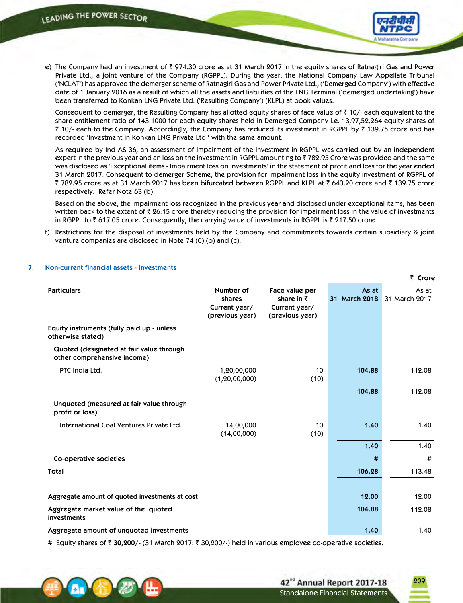

e) The Company had an investment of  $\bar{\tau}$  974.30 crore as at 31 March 2017 in the equity shares of Ratnagiri Gas and Power Private Ltd., a joint venture of the Company (RGPPL). During the year, the National Company Law Appellate Tribunal ('NCLAT') has approved the demerger scheme of Ratnagiri Gas and Power Private Ltd., ('Demerged Company') with effective date of 1 January 2016 as a result of which all the assets and liabilities of the LNG Terminal ('demerged undertaking') have been transferred to Konkan LNG Private Ltd. ('Resulting Company') (KLPL) at book values.

Consequent to demerger, the Resulting Company has allotted equity shares of face value of  $\bar{z}$  10/- each equivalent to the share entitlement ratio of 143:1000 for each equity shares held in Demerged Company i.e. 13,97,52,264 equity shares of  $\bar{\zeta}$  10/- each to the Company. Accordingly, the Company has reduced its investment in RGPPL by  $\bar{\zeta}$  139.75 crore and has recorded 'Investment in Konkan LNG Private Ltd.' with the same amount.

 As required by Ind AS 36, an assessment of impairment of the investment in RGPPL was carried out by an independent expert in the previous year and an loss on the investment in RGPPL amounting to  $\bar{\tau}$  782.95 Crore was provided and the same was disclosed as 'Exceptional items - Impairment loss on investments' in the statement of profit and loss for the year ended 31 March 2017. Consequent to demerger Scheme, the provision for impairment loss in the equity investment of RGPPL of ₹ 782.95 crore as at 31 March 2017 has been bifurcated between RGPPL and KLPL at ₹ 643.20 crore and ₹ 139.75 crore respectively. Refer Note 63 (b).

 Based on the above, the impairment loss recognized in the previous year and disclosed under exceptional items, has been written back to the extent of  $\bar{z}$  26.15 crore thereby reducing the provision for impairment loss in the value of investments in RGPPL to  $\bar{\tau}$  617.05 crore. Consequently, the carrying value of investments in RGPPL is  $\bar{\tau}$  217.50 crore.

f) Restrictions for the disposal of investments held by the Company and commitments towards certain subsidiary & joint venture companies are disclosed in Note 74 (C) (b) and (c).

|                                                                         |                                                         |                                                                          |                        | ₹ Crore                |
|-------------------------------------------------------------------------|---------------------------------------------------------|--------------------------------------------------------------------------|------------------------|------------------------|
| <b>Particulars</b>                                                      | Number of<br>shares<br>Current year/<br>(previous year) | Face value per<br>share in $\bar{z}$<br>Current year/<br>(previous year) | As at<br>31 March 2018 | As at<br>31 March 2017 |
| Equity instruments (fully paid up - unless<br>otherwise stated)         |                                                         |                                                                          |                        |                        |
| Quoted (designated at fair value through<br>other comprehensive income) |                                                         |                                                                          |                        |                        |
| PTC India Ltd.                                                          | 1,20,00,000<br>(1, 20, 00, 000)                         | 10<br>(10)                                                               | 104.88                 | 112.08                 |
|                                                                         |                                                         |                                                                          | 104.88                 | 112.08                 |
| Unquoted (measured at fair value through<br>profit or loss)             |                                                         |                                                                          |                        |                        |
| International Coal Ventures Private Ltd.                                | 14,00,000<br>(14,00,000)                                | 10<br>(10)                                                               | 1.40                   | 1.40                   |
|                                                                         |                                                         |                                                                          | 1.40                   | 1.40                   |
| Co-operative societies                                                  |                                                         |                                                                          | #                      | #                      |
| Total                                                                   |                                                         |                                                                          | 106.28                 | 113.48                 |
|                                                                         |                                                         |                                                                          |                        |                        |
| Aggregate amount of quoted investments at cost                          |                                                         |                                                                          | 12.00                  | 12.00                  |
| Aggregate market value of the quoted<br>investments                     |                                                         |                                                                          | 104.88                 | 112.08                 |
| Aggregate amount of unquoted investments                                |                                                         |                                                                          | 1.40                   | 1.40                   |

### **7. Non-current financial assets - Investments**

# Equity shares of ₹ 30,200/- (31 March 2017: ₹ 30,200/-) held in various employee co-operative societies.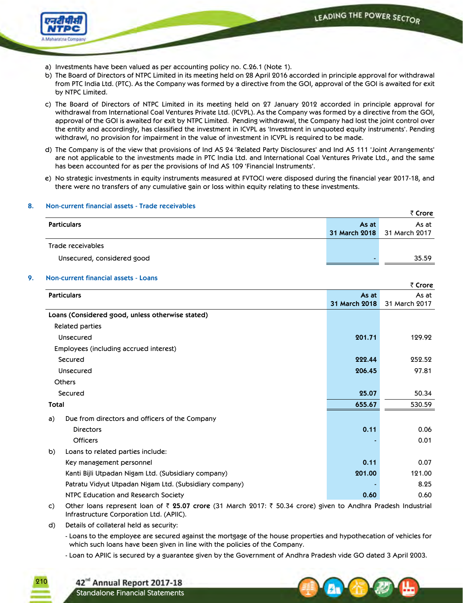

- a) Investments have been valued as per accounting policy no. C.26.1 (Note 1).
- b) The Board of Directors of NTPC Limited in its meeting held on 28 April 2016 accorded in principle approval for withdrawal from PTC India Ltd. (PTC). As the Company was formed by a directive from the GOI, approval of the GOI is awaited for exit by NTPC Limited.
- c) The Board of Directors of NTPC Limited in its meeting held on 27 January 2012 accorded in principle approval for withdrawal from International Coal Ventures Private Ltd. (ICVPL). As the Company was formed by a directive from the GOI, approval of the GOI is awaited for exit by NTPC Limited. Pending withdrawal, the Company had lost the joint control over the entity and accordingly, has classified the investment in ICVPL as 'Investment in unquoted equity instruments'. Pending withdrawl, no provision for impairment in the value of investment in ICVPL is required to be made.
- d) The Company is of the view that provisions of Ind AS 24 'Related Party Disclosures' and Ind AS 111 'Joint Arrangements' are not applicable to the investments made in PTC India Ltd. and International Coal Ventures Private Ltd., and the same has been accounted for as per the provisions of Ind AS 109 'Financial Instruments'.
- e) No strategic investments in equity instruments measured at FVTOCI were disposed during the financial year 2017-18, and there were no transfers of any cumulative gain or loss within equity relating to these investments.

| <u> NUIFCUITEIIL IIIIGIICIGI ASSELS - TIQUE TECENQUIES</u> |                      | ₹ Crore       |
|------------------------------------------------------------|----------------------|---------------|
| <b>Particulars</b>                                         | As at                | As at         |
|                                                            | <b>31 March 2018</b> | 31 March 2017 |
| Trade receivables                                          |                      |               |
| Unsecured, considered good                                 |                      | 35.59         |

## **8. Non-current financial assets - Trade receivables**

## **9. Non-current financial assets - Loans**

|                                                        |               | ₹ Crore       |
|--------------------------------------------------------|---------------|---------------|
| <b>Particulars</b>                                     | As at         | As at         |
|                                                        | 31 March 2018 | 31 March 2017 |
| Loans (Considered good, unless otherwise stated)       |               |               |
| <b>Related parties</b>                                 |               |               |
| Unsecured                                              | 201.71        | 129.92        |
| Employees (including accrued interest)                 |               |               |
| Secured                                                | 222.44        | 252.52        |
| Unsecured                                              | 206.45        | 97.81         |
| <b>Others</b>                                          |               |               |
| Secured                                                | 25.07         | 50.34         |
| Total                                                  | 655.67        | 530.59        |
| Due from directors and officers of the Company<br>a)   |               |               |
| <b>Directors</b>                                       | 0.11          | 0.06          |
| <b>Officers</b>                                        |               | 0.01          |
| Loans to related parties include:<br>b)                |               |               |
| Key management personnel                               | 0.11          | 0.07          |
| Kanti Bijli Utpadan Nigam Ltd. (Subsidiary company)    | 201.00        | 121.00        |
| Patratu Vidyut Utpadan Nigam Ltd. (Subsidiary company) |               | 8.25          |
| NTPC Education and Research Society                    | 0.60          | 0.60          |

c) Other loans represent loan of ` **25.07 crore** (31 March 2017: ` 50.34 crore) given to Andhra Pradesh Industrial Infrastructure Corporation Ltd. (APIIC).

d) Details of collateral held as security:

210

- Loans to the employee are secured against the mortgage of the house properties and hypothecation of vehicles for which such loans have been given in line with the policies of the Company.

- Loan to APIIC is secured by a guarantee given by the Government of Andhra Pradesh vide GO dated 3 April 2003.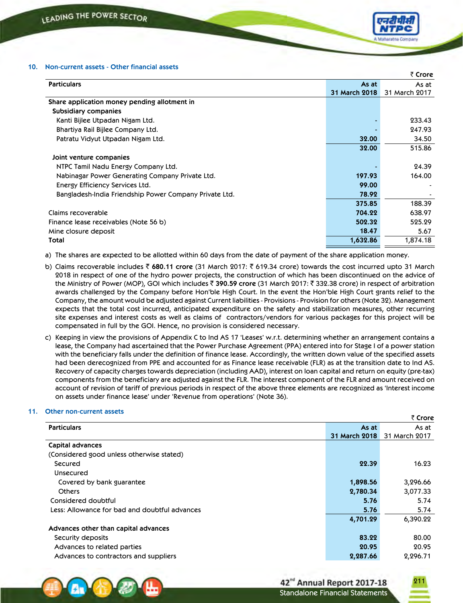

| <b>Particulars</b><br>As at<br>As at<br>31 March 2018<br>31 March 2017<br>Share application money pending allotment in<br><b>Subsidiary companies</b><br>233.43<br>Kanti Bijlee Utpadan Nigam Ltd.<br>247.93<br>Bhartiya Rail Bijlee Company Ltd.<br>34.50<br>Patratu Vidyut Utpadan Nigam Ltd.<br>32.00<br>515.86<br>32.00<br>Joint venture companies<br>24.39<br>NTPC Tamil Nadu Energy Company Ltd.<br>197.93<br>164.00<br>Nabinagar Power Generating Company Private Ltd.<br>99.00<br>Energy Efficiency Services Ltd.<br>Bangladesh-India Friendship Power Company Private Ltd.<br>78.92<br>375.85<br>188.39<br>638.97<br>Claims recoverable<br>704.22<br>502.32<br>525.29<br>Finance lease receivables (Note 56 b)<br>18.47<br>5.67<br>Mine closure deposit<br>1,632.86<br>1,874.18<br>Total |  | ₹ Crore |
|---------------------------------------------------------------------------------------------------------------------------------------------------------------------------------------------------------------------------------------------------------------------------------------------------------------------------------------------------------------------------------------------------------------------------------------------------------------------------------------------------------------------------------------------------------------------------------------------------------------------------------------------------------------------------------------------------------------------------------------------------------------------------------------------------|--|---------|
|                                                                                                                                                                                                                                                                                                                                                                                                                                                                                                                                                                                                                                                                                                                                                                                                   |  |         |
|                                                                                                                                                                                                                                                                                                                                                                                                                                                                                                                                                                                                                                                                                                                                                                                                   |  |         |
|                                                                                                                                                                                                                                                                                                                                                                                                                                                                                                                                                                                                                                                                                                                                                                                                   |  |         |
|                                                                                                                                                                                                                                                                                                                                                                                                                                                                                                                                                                                                                                                                                                                                                                                                   |  |         |
|                                                                                                                                                                                                                                                                                                                                                                                                                                                                                                                                                                                                                                                                                                                                                                                                   |  |         |
|                                                                                                                                                                                                                                                                                                                                                                                                                                                                                                                                                                                                                                                                                                                                                                                                   |  |         |
|                                                                                                                                                                                                                                                                                                                                                                                                                                                                                                                                                                                                                                                                                                                                                                                                   |  |         |
|                                                                                                                                                                                                                                                                                                                                                                                                                                                                                                                                                                                                                                                                                                                                                                                                   |  |         |
|                                                                                                                                                                                                                                                                                                                                                                                                                                                                                                                                                                                                                                                                                                                                                                                                   |  |         |
|                                                                                                                                                                                                                                                                                                                                                                                                                                                                                                                                                                                                                                                                                                                                                                                                   |  |         |
|                                                                                                                                                                                                                                                                                                                                                                                                                                                                                                                                                                                                                                                                                                                                                                                                   |  |         |
|                                                                                                                                                                                                                                                                                                                                                                                                                                                                                                                                                                                                                                                                                                                                                                                                   |  |         |
|                                                                                                                                                                                                                                                                                                                                                                                                                                                                                                                                                                                                                                                                                                                                                                                                   |  |         |
|                                                                                                                                                                                                                                                                                                                                                                                                                                                                                                                                                                                                                                                                                                                                                                                                   |  |         |
|                                                                                                                                                                                                                                                                                                                                                                                                                                                                                                                                                                                                                                                                                                                                                                                                   |  |         |
|                                                                                                                                                                                                                                                                                                                                                                                                                                                                                                                                                                                                                                                                                                                                                                                                   |  |         |
|                                                                                                                                                                                                                                                                                                                                                                                                                                                                                                                                                                                                                                                                                                                                                                                                   |  |         |
|                                                                                                                                                                                                                                                                                                                                                                                                                                                                                                                                                                                                                                                                                                                                                                                                   |  |         |

a) The shares are expected to be allotted within 60 days from the date of payment of the share application money.

- b) Claims recoverable includes ` **680.11 crore** (31 March 2017: ` 619.34 crore) towards the cost incurred upto 31 March 2018 in respect of one of the hydro power projects, the construction of which has been discontinued on the advice of the Ministry of Power (MOP), GOI which includes ₹ 390.59 crore (31 March 2017: ₹ 332.38 crore) in respect of arbitration awards challenged by the Company before Hon'ble High Court. In the event the Hon'ble High Court grants relief to the Company, the amount would be adjusted against Current liabilities - Provisions - Provision for others (Note 32). Management expects that the total cost incurred, anticipated expenditure on the safety and stabilization measures, other recurring site expenses and interest costs as well as claims of contractors/vendors for various packages for this project will be compensated in full by the GOI. Hence, no provision is considered necessary.
- c) Keeping in view the provisions of Appendix C to Ind AS 17 'Leases' w.r.t. determining whether an arrangement contains a lease, the Company had ascertained that the Power Purchase Agreement (PPA) entered into for Stage I of a power station with the beneficiary falls under the definition of finance lease. Accordingly, the written down value of the specified assets had been derecognized from PPE and accounted for as Finance lease receivable (FLR) as at the transition date to Ind AS. Recovery of capacity charges towards depreciation (including AAD), interest on loan capital and return on equity (pre-tax) components from the beneficiary are adjusted against the FLR. The interest component of the FLR and amount received on account of revision of tariff of previous periods in respect of the above three elements are recognized as 'Interest income on assets under finance lease' under 'Revenue from operations' (Note 36).

### **11. Other non-current assets**

|                                               |               | ₹ Crore       |
|-----------------------------------------------|---------------|---------------|
| <b>Particulars</b>                            | As at         | As at         |
|                                               | 31 March 2018 | 31 March 2017 |
| Capital advances                              |               |               |
| (Considered good unless otherwise stated)     |               |               |
| Secured                                       | 22.39         | 16.23         |
| <b>Unsecured</b>                              |               |               |
| Covered by bank guarantee                     | 1,898.56      | 3,296.66      |
| <b>Others</b>                                 | 2,780.34      | 3,077.33      |
| Considered doubtful                           | 5.76          | 5.74          |
| Less: Allowance for bad and doubtful advances | 5.76          | 5.74          |
|                                               | 4,701.29      | 6,390.22      |
| Advances other than capital advances          |               |               |
| Security deposits                             | 83.22         | 80.00         |
| Advances to related parties                   | 20.95         | 20.95         |
| Advances to contractors and suppliers         | 2,287.66      | 2,296.71      |

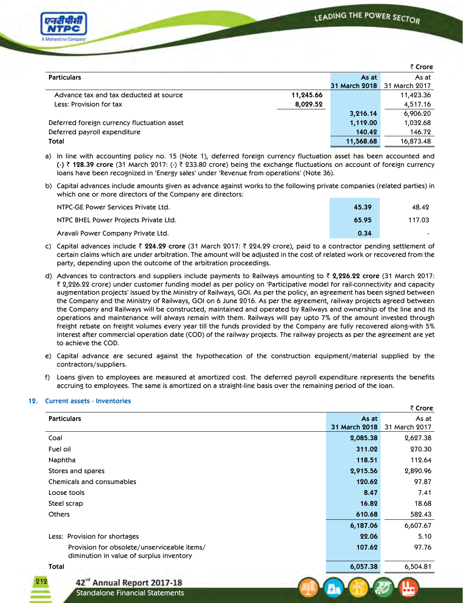` **Crore**



|                                             |           |                      | ₹ Crore       |
|---------------------------------------------|-----------|----------------------|---------------|
| <b>Particulars</b>                          |           | As at                | As at         |
|                                             |           | <b>31 March 2018</b> | 31 March 2017 |
| Advance tax and tax deducted at source      | 11,245.66 |                      | 11,423.36     |
| Less: Provision for tax                     | 8,029.52  |                      | 4,517.16      |
|                                             |           | 3,216.14             | 6,906.20      |
| Deferred foreign currency fluctuation asset |           | 1,119.00             | 1,032.68      |
| Deferred payroll expenditure                |           | 140.42               | 146.72        |
| Total                                       |           | 11,568.68            | 16,873.48     |

- a) In line with accounting policy no. 15 (Note 1), deferred foreign currency fluctuation asset has been accounted and **(-)** ` **128.39 crore** (31 March 2017: (-) ` 233.80 crore) being the exchange fluctuations on account of foreign currency loans have been recognized in 'Energy sales' under 'Revenue from operations' (Note 36).
- b) Capital advances include amounts given as advance against works to the following private companies (related parties) in which one or more directors of the Company are directors:

| NTPC-GE Power Services Private Ltd.   | 45.39 | 48.42  |
|---------------------------------------|-------|--------|
| NTPC BHEL Power Projects Private Ltd. | 65.95 | 117.03 |
| Aravali Power Company Private Ltd.    | 0.34  |        |

- c) Capital advances include ` **224.29 crore** (31 March 2017: ` 224.29 crore), paid to a contractor pending settlement of certain claims which are under arbitration. The amount will be adjusted in the cost of related work or recovered from the party, depending upon the outcome of the arbitration proceedings.
- d) Advances to contractors and suppliers include payments to Railways amounting to ` **2,226.22 crore** (31 March 2017: ` 2,226.22 crore) under customer funding model as per policy on 'Participative model for rail-connectivity and capacity augmentation projects' issued by the Ministry of Railways, GOI. As per the policy, an agreement has been signed between the Company and the Ministry of Railways, GOI on 6 June 2016. As per the agreement, railway projects agreed between the Company and Railways will be constructed, maintained and operated by Railways and ownership of the line and its operations and maintenance will always remain with them. Railways will pay upto 7% of the amount invested through freight rebate on freight volumes every year till the funds provided by the Company are fully recovered along-with 5% interest after commercial operation date (COD) of the railway projects. The railway projects as per the agreement are yet to achieve the COD.
- e) Capital advance are secured against the hypothecation of the construction equipment/material supplied by the contractors/suppliers.
- f) Loans given to employees are measured at amortized cost. The deferred payroll expenditure represents the benefits accruing to employees. The same is amortized on a straight-line basis over the remaining period of the loan.

### **12. Current assets - Inventories**

|                                                                                         |                        | $\sim$                 |
|-----------------------------------------------------------------------------------------|------------------------|------------------------|
| <b>Particulars</b>                                                                      | As at<br>31 March 2018 | As at<br>31 March 2017 |
| Coal                                                                                    | 2,085.38               | 2,627.38               |
| Fuel oil                                                                                | 311.02                 | 270.30                 |
| Naphtha                                                                                 | 118.51                 | 112.64                 |
| Stores and spares                                                                       | 2,915.56               | 2,890.96               |
| Chemicals and consumables                                                               | 120.62                 | 97.87                  |
| Loose tools                                                                             | 8.47                   | 7.41                   |
| Steel scrap                                                                             | 16.82                  | 18.68                  |
| <b>Others</b>                                                                           | 610.68                 | 582.43                 |
|                                                                                         | 6,187.06               | 6,607.67               |
| Less: Provision for shortages                                                           | 22.06                  | 5.10                   |
| Provision for obsolete/unserviceable items/<br>diminution in value of surplus inventory | 107.62                 | 97.76                  |
| Total                                                                                   | 6,057.38               | 6,504.81               |
| 212<br>42 <sup>nd</sup> Annual Report 2017-18                                           |                        |                        |
| Standalone Financial Statements                                                         |                        |                        |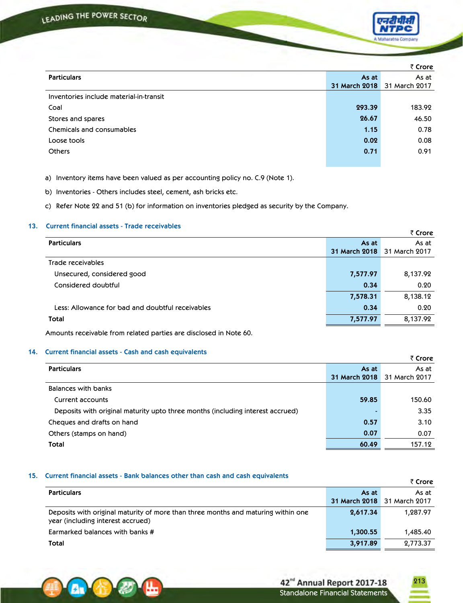

|                                         |               | ₹ Crore       |
|-----------------------------------------|---------------|---------------|
| <b>Particulars</b>                      | As at         | As at         |
|                                         | 31 March 2018 | 31 March 2017 |
| Inventories include material-in-transit |               |               |
| Coal                                    | 293.39        | 183.92        |
| Stores and spares                       | 26.67         | 46.50         |
| Chemicals and consumables               | 1.15          | 0.78          |
| Loose tools                             | 0.02          | 0.08          |
| <b>Others</b>                           | 0.71          | 0.91          |
|                                         |               |               |

a) Inventory items have been valued as per accounting policy no. C.9 (Note 1).

b) Inventories - Others includes steel, cement, ash bricks etc.

c) Refer Note 22 and 51 (b) for information on inventories pledged as security by the Company.

## **13. Current financial assets - Trade receivables**

|                                                  |               | ₹ Crore       |
|--------------------------------------------------|---------------|---------------|
| <b>Particulars</b>                               | As at         | As at         |
|                                                  | 31 March 2018 | 31 March 2017 |
| Trade receivables                                |               |               |
| Unsecured, considered good                       | 7,577.97      | 8,137.92      |
| Considered doubtful                              | 0.34          | 0.20          |
|                                                  | 7,578.31      | 8,138.12      |
| Less: Allowance for bad and doubtful receivables | 0.34          | 0.20          |
| Total                                            | 7,577.97      | 8,137.92      |

Amounts receivable from related parties are disclosed in Note 60.

## **14. Current financial assets - Cash and cash equivalents**

|                                                                                |               | ₹ Crore       |
|--------------------------------------------------------------------------------|---------------|---------------|
| <b>Particulars</b>                                                             | As at         | As at         |
|                                                                                | 31 March 2018 | 31 March 2017 |
| Balances with banks                                                            |               |               |
| Current accounts                                                               | 59.85         | 150.60        |
| Deposits with original maturity upto three months (including interest accrued) |               | 3.35          |
| Cheques and drafts on hand                                                     | 0.57          | 3.10          |
| Others (stamps on hand)                                                        | 0.07          | 0.07          |
| Total                                                                          | 60.49         | 157.12        |

#### **15. Current financial assets - Bank balances other than cash and cash equivalents**

|                                                                                                                        |               | ₹ Crore       |
|------------------------------------------------------------------------------------------------------------------------|---------------|---------------|
| <b>Particulars</b>                                                                                                     | As at         | As at         |
|                                                                                                                        | 31 March 2018 | 31 March 2017 |
| Deposits with original maturity of more than three months and maturing within one<br>year (including interest accrued) | 2,617.34      | 1.287.97      |
| Earmarked balances with banks #                                                                                        | 1,300.55      | 1,485.40      |
| Total                                                                                                                  | 3,917.89      | 2,773.37      |



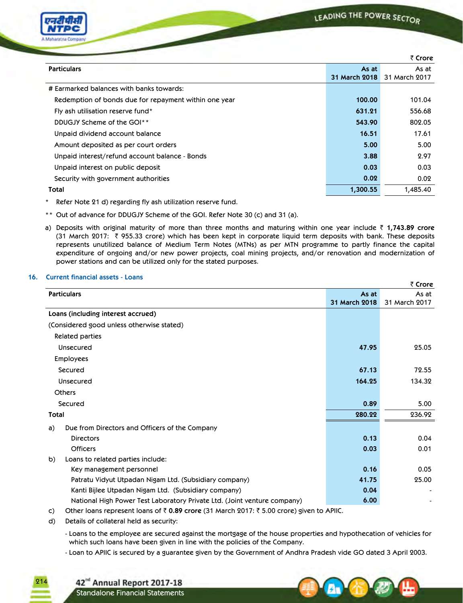| Cо<br>npany<br><b><i><u>Cating</u></i></b> |
|--------------------------------------------|

|                                                       |                        | ₹ Crore                |
|-------------------------------------------------------|------------------------|------------------------|
| <b>Particulars</b>                                    | As at<br>31 March 2018 | As at<br>31 March 2017 |
| # Earmarked balances with banks towards:              |                        |                        |
| Redemption of bonds due for repayment within one year | 100.00                 | 101.04                 |
| Fly ash utilisation reserve fund*                     | 631.21                 | 556.68                 |
| DDUGJY Scheme of the GOI**                            | 543.90                 | 802.05                 |
| Unpaid dividend account balance                       | 16.51                  | 17.61                  |
| Amount deposited as per court orders                  | 5.00                   | 5.00                   |
| Unpaid interest/refund account balance - Bonds        | 3.88                   | 2.97                   |
| Unpaid interest on public deposit                     | 0.03                   | 0.03                   |
| Security with government authorities                  | 0.02                   | 0.02                   |
| Total                                                 | 1,300.55               | 1,485.40               |

\* Refer Note 21 d) regarding fly ash utilization reserve fund.

- \*\* Out of advance for DDUGJY Scheme of the GOI. Refer Note 30 (c) and 31 (a).
- a) Deposits with original maturity of more than three months and maturing within one year include ₹ 1,743.89 crore (31 March 2017: ` 955.33 crore) which has been kept in corporate liquid term deposits with bank. These deposits represents unutilized balance of Medium Term Notes (MTNs) as per MTN programme to partly finance the capital expenditure of ongoing and/or new power projects, coal mining projects, and/or renovation and modernization of power stations and can be utilized only for the stated purposes.

## **16. Current financial assets - Loans**

|                                                                          |               | ₹ Crore       |
|--------------------------------------------------------------------------|---------------|---------------|
| <b>Particulars</b>                                                       | As at         | As at         |
|                                                                          | 31 March 2018 | 31 March 2017 |
| Loans (including interest accrued)                                       |               |               |
| (Considered good unless otherwise stated)                                |               |               |
| Related parties                                                          |               |               |
| Unsecured                                                                | 47.95         | 25.05         |
| <b>Employees</b>                                                         |               |               |
| Secured                                                                  | 67.13         | 72.55         |
| Unsecured                                                                | 164.25        | 134.32        |
| <b>Others</b>                                                            |               |               |
| Secured                                                                  | 0.89          | 5.00          |
| Total                                                                    | 280.22        | 236.92        |
| Due from Directors and Officers of the Company<br>a)                     |               |               |
| <b>Directors</b>                                                         | 0.13          | 0.04          |
| <b>Officers</b>                                                          | 0.03          | 0.01          |
| Loans to related parties include:<br>b)                                  |               |               |
| Key management personnel                                                 | 0.16          | 0.05          |
| Patratu Vidyut Utpadan Nigam Ltd. (Subsidiary company)                   | 41.75         | 25.00         |
| Kanti Bijlee Utpadan Nigam Ltd. (Subsidiary company)                     | 0.04          |               |
| National High Power Test Laboratory Private Ltd. (Joint venture company) | 6.00          |               |
|                                                                          |               |               |

c) Other loans represent loans of ` **0.89 crore** (31 March 2017: ` 5.00 crore) given to APIIC.

d) Details of collateral held as security:

214

- Loans to the employee are secured against the mortgage of the house properties and hypothecation of vehicles for which such loans have been given in line with the policies of the Company.

- Loan to APIIC is secured by a guarantee given by the Government of Andhra Pradesh vide GO dated 3 April 2003.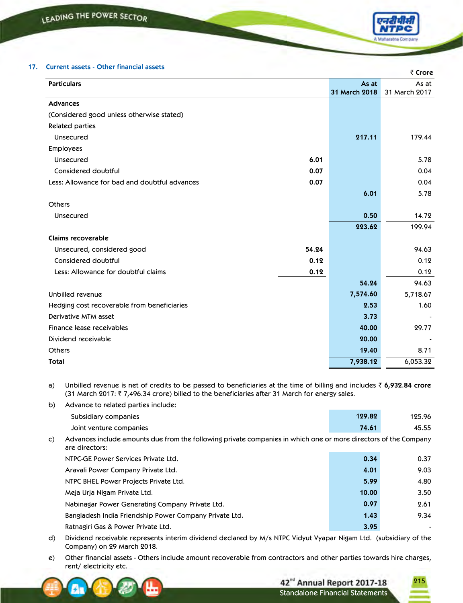## **17. Current assets - Other financial assets**

|                                               |       |               | ₹ Crore       |
|-----------------------------------------------|-------|---------------|---------------|
| <b>Particulars</b>                            |       | As at         | As at         |
|                                               |       | 31 March 2018 | 31 March 2017 |
| <b>Advances</b>                               |       |               |               |
| (Considered good unless otherwise stated)     |       |               |               |
| Related parties                               |       |               |               |
| Unsecured                                     |       | 217.11        | 179.44        |
| <b>Employees</b>                              |       |               |               |
| <b>Unsecured</b>                              | 6.01  |               | 5.78          |
| Considered doubtful                           | 0.07  |               | 0.04          |
| Less: Allowance for bad and doubtful advances | 0.07  |               | 0.04          |
|                                               |       | 6.01          | 5.78          |
| <b>Others</b>                                 |       |               |               |
| <b>Unsecured</b>                              |       | 0.50          | 14.72         |
|                                               |       | 223.62        | 199.94        |
| Claims recoverable                            |       |               |               |
| Unsecured, considered good                    | 54.24 |               | 94.63         |
| Considered doubtful                           | 0.12  |               | 0.12          |
| Less: Allowance for doubtful claims           | 0.12  |               | 0.12          |
|                                               |       | 54.24         | 94.63         |
| Unbilled revenue                              |       | 7,574.60      | 5,718.67      |
| Hedging cost recoverable from beneficiaries   |       | 2.53          | 1.60          |
| Derivative MTM asset                          |       | 3.73          |               |
| Finance lease receivables                     |       | 40.00         | 29.77         |
| Dividend receivable                           |       | 20.00         |               |
| <b>Others</b>                                 |       | 19.40         | 8.71          |
| <b>Total</b>                                  |       | 7,938.12      | 6,053.32      |

a) Unbilled revenue is net of credits to be passed to beneficiaries at the time of billing and includes ` **6,932.84 crore** (31 March 2017:  $\bar{\tau}$  7,496.34 crore) billed to the beneficiaries after 31 March for energy sales.

- b) Advance to related parties include: Subsidiary companies **129.82** 125.96 Joint venture companies **74.61** 45.55 c) Advances include amounts due from the following private companies in which one or more directors of the Company are directors: NTPC-GE Power Services Private Ltd. **0.34** 0.37 Aravali Power Company Private Ltd. **4.01** 9.03 NTPC BHEL Power Projects Private Ltd. **5.99** 4.80 Meja Urja Nigam Private Ltd. **10.00** 3.50 Nabinagar Power Generating Company Private Ltd. **0.97** 2.61 Bangladesh India Friendship Power Company Private Ltd. **1.43** 9.34
	- Ratnagiri Gas & Power Private Ltd. **3.95** -
- d) Dividend receivable represents interim dividend declared by M/s NTPC Vidyut Vyapar Nigam Ltd. (subsidiary of the Company) on 29 March 2018.
- e) Other financial assets Others include amount recoverable from contractors and other parties towards hire charges, rent/ electricity etc.



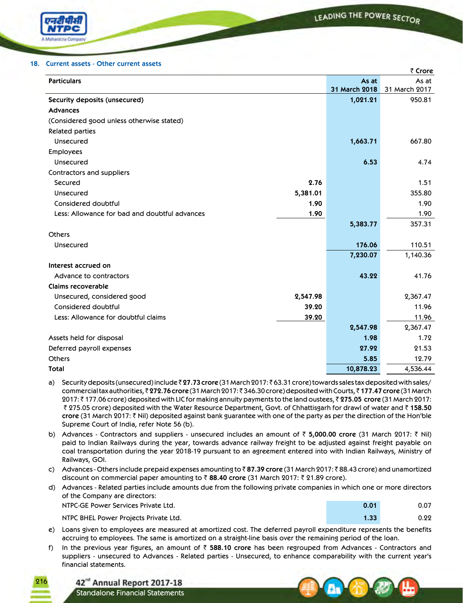

#### **18. Current assets - Other current assets**

|                                               |          |               | ₹ Crore       |
|-----------------------------------------------|----------|---------------|---------------|
| <b>Particulars</b>                            |          | As at         | As at         |
|                                               |          | 31 March 2018 | 31 March 2017 |
| Security deposits (unsecured)                 |          | 1,021.21      | 950.81        |
| <b>Advances</b>                               |          |               |               |
| (Considered good unless otherwise stated)     |          |               |               |
| <b>Related parties</b>                        |          |               |               |
| Unsecured                                     |          | 1,663.71      | 667.80        |
| Employees                                     |          |               |               |
| Unsecured                                     |          | 6.53          | 4.74          |
| Contractors and suppliers                     |          |               |               |
| Secured                                       | 2.76     |               | 1.51          |
| Unsecured                                     | 5,381.01 |               | 355.80        |
| Considered doubtful                           | 1.90     |               | 1.90          |
| Less: Allowance for bad and doubtful advances | 1.90     |               | 1.90          |
|                                               |          | 5,383.77      | 357.31        |
| <b>Others</b>                                 |          |               |               |
| Unsecured                                     |          | 176.06        | 110.51        |
|                                               |          | 7,230.07      | 1,140.36      |
| Interest accrued on                           |          |               |               |
| Advance to contractors                        |          | 43.22         | 41.76         |
| Claims recoverable                            |          |               |               |
| Unsecured, considered good                    | 2,547.98 |               | 2,367.47      |
| Considered doubtful                           | 39.20    |               | 11.96         |
| Less: Allowance for doubtful claims           | 39.20    |               | 11.96         |
|                                               |          | 2,547.98      | 2,367.47      |
| Assets held for disposal                      |          | 1.98          | 1.72          |
| Deferred payroll expenses                     |          | 27.92         | 21.53         |
| <b>Others</b>                                 |          | 5.85          | 12.79         |
| <b>Total</b>                                  |          | 10,878.23     | 4,536.44      |
|                                               |          |               |               |

- a) Security deposits (unsecured) include ₹27.73 crore (31 March 2017: ₹63.31 crore) towards sales tax deposited with sales/ commercial tax authorities, ₹272.76 crore (31 March 2017: ₹346.30 crore) deposited with Courts, ₹177.47 crore (31 March 2017: ` 177.06 crore) deposited with LIC for making annuity payments to the land oustees, ` **275.05 crore** (31 March 2017: ` 275.05 crore) deposited with the Water Resource Department, Govt. of Chhattisgarh for drawl of water and ` **158.50 crore** (31 March 2017: ` Nil) deposited against bank guarantee with one of the party as per the direction of the Hon'ble Supreme Court of India, refer Note 56 (b).
- b) Advances Contractors and suppliers unsecured includes an amount of  $\bar{z}$  5,000.00 crore (31 March 2017:  $\bar{z}$  Nil) paid to Indian Railways during the year, towards advance railway freight to be adjusted against freight payable on coal transportation during the year 2018-19 pursuant to an agreement entered into with Indian Railways, Ministry of Railways, GOI.
- c) Advances Others include prepaid expenses amounting to ` **87.39 crore** (31 March 2017: ` 88.43 crore) and unamortized discount on commercial paper amounting to ₹ 88.40 crore (31 March 2017: ₹ 21.89 crore).
- d) Advances Related parties include amounts due from the following private companies in which one or more directors of the Company are directors:

| NTPC-GE Power Services Private Ltd.   | 0.01 | 0.07 |
|---------------------------------------|------|------|
| NTPC BHEL Power Projects Private Ltd. | 1.33 | 0.22 |

- e) Loans given to employees are measured at amortized cost. The deferred payroll expenditure represents the benefits accruing to employees. The same is amortized on a straight-line basis over the remaining period of the loan.
- f) In the previous year figures, an amount of ` **588.10 crore** has been regrouped from Advances Contractors and suppliers - unsecured to Advances - Related parties - Unsecured, to enhance comparability with the current year's financial statements.



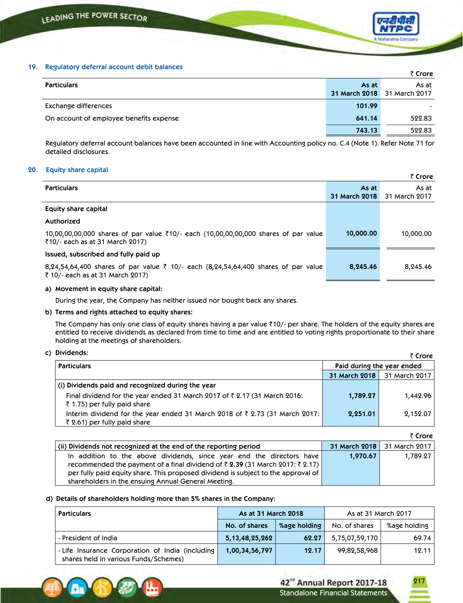# **19. Regulatory deferral account debit balances**

|                                          |        | ₹ Crore                     |
|------------------------------------------|--------|-----------------------------|
| <b>Particulars</b>                       | As at  | As at                       |
|                                          |        | 31 March 2018 31 March 2017 |
| Exchange differences                     | 101.99 |                             |
| On account of employee benefits expense. | 641.14 | 522.83                      |
|                                          | 743.13 | 522.83                      |

Regulatory deferral account balances have been accounted in line with Accounting policy no. C.4 (Note 1). Refer Note 71 for detailed disclosures.

## **20. Equity share capital**

|                                                                                                                                       |                        | ₹ Crore                |
|---------------------------------------------------------------------------------------------------------------------------------------|------------------------|------------------------|
| <b>Particulars</b>                                                                                                                    | As at<br>31 March 2018 | As at<br>31 March 2017 |
| Equity share capital                                                                                                                  |                        |                        |
| Authorized                                                                                                                            |                        |                        |
| $10,00,00,00,000$ shares of par value $\overline{5}10/-$ each (10,00,00,00,000 shares of par value<br>₹10/- each as at 31 March 2017) | 10,000.00              | 10,000.00              |
| Issued, subscribed and fully paid up                                                                                                  |                        |                        |
| 8,24,54,64,400 shares of par value ₹ 10/- each (8,24,54,64,400 shares of par value<br>₹ 10/- each as at 31 March 2017)                | 8,245.46               | 8,245.46               |
|                                                                                                                                       |                        |                        |

### **a) Movement in equity share capital:**

During the year, the Company has neither issued nor bought back any shares.

# **b) Terms and rights attached to equity shares:**

The Company has only one class of equity shares having a par value  $\bar{\tau}$ 10/- per share. The holders of the equity shares are entitled to receive dividends as declared from time to time and are entitled to voting rights proportionate to their share holding at the meetings of shareholders.

### **c) Dividends:**

| PIVIUCIIUS.                                                                                                                      |                            | ₹ Crore       |
|----------------------------------------------------------------------------------------------------------------------------------|----------------------------|---------------|
| <b>Particulars</b>                                                                                                               | Paid during the year ended |               |
|                                                                                                                                  | 31 March 2018              | 31 March 2017 |
| (i) Dividends paid and recognized during the year                                                                                |                            |               |
| Final dividend for the year ended 31 March 2017 of $\bar{\zeta}$ 2.17 (31 March 2016:<br>$\bar{\tau}$ 1.75) per fully paid share | 1,789.27                   | 1,442.96      |
| Interim dividend for the year ended 31 March 2018 of ₹ 2.73 (31 March 2017:<br>₹ 2.61) per fully paid share                      | 2,251.01                   | 2,152.07      |

|                                                                                                                                                                                                                                                                                                                            |               | ₹ Crore       |
|----------------------------------------------------------------------------------------------------------------------------------------------------------------------------------------------------------------------------------------------------------------------------------------------------------------------------|---------------|---------------|
| (ii) Dividends not recognized at the end of the reporting period                                                                                                                                                                                                                                                           | 31 March 2018 | 31 March 2017 |
| In addition to the above dividends, since year end the directors have<br>recommended the payment of a final dividend of $\bar{\tau}$ 2.39 (31 March 2017: $\bar{\tau}$ 2.17)  <br>per fully paid equity share. This proposed dividend is subject to the approval of<br>shareholders in the ensuing Annual General Meeting. | 1,970.67      | 1,789.27      |

# **d) Details of shareholders holding more than 5% shares in the Company:**

| <b>Particulars</b>                                                                        | As at 31 March 2018 |              | As at 31 March 2017 |              |
|-------------------------------------------------------------------------------------------|---------------------|--------------|---------------------|--------------|
|                                                                                           | No. of shares       | %age holding | No. of shares       | %age holding |
| - President of India                                                                      | 5, 13, 48, 25, 262  | 62.27        | 5,75,07,59,170      | 69.74        |
| - Life Insurance Corporation of India (including<br>shares held in various Funds/Schemes) | 1,00,34,56,797      | 12.17        | 99,82,58,968        | 12.11        |

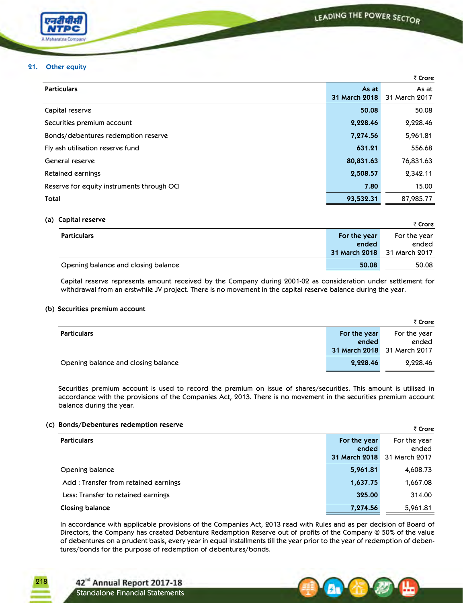$\overline{a}$ 



### **21. Other equity**

|                                            |                        | ₹ Crore                |
|--------------------------------------------|------------------------|------------------------|
| <b>Particulars</b>                         | As at<br>31 March 2018 | As at<br>31 March 2017 |
| Capital reserve                            | 50.08                  | 50.08                  |
| Securities premium account                 | 2,228.46               | 2,228.46               |
| Bonds/debentures redemption reserve        | 7,274.56               | 5,961.81               |
| Fly ash utilisation reserve fund           | 631.21                 | 556.68                 |
| General reserve                            | 80,831.63              | 76,831.63              |
| Retained earnings                          | 2,508.57               | 2,342.11               |
| Reserve for equity instruments through OCI | 7.80                   | 15.00                  |
| Total                                      | 93,532.31              | 87,985.77              |

### **(a) Capital reserve**

| $-$                                 |              | ₹ Crore                     |
|-------------------------------------|--------------|-----------------------------|
| <b>Particulars</b>                  | For the year | For the year                |
|                                     | ended        | ended                       |
|                                     |              | 31 March 2018 31 March 2017 |
| Opening balance and closing balance | 50.08        | 50.08                       |

Capital reserve represents amount received by the Company during 2001-02 as consideration under settlement for withdrawal from an erstwhile JV project. There is no movement in the capital reserve balance during the year.

### **(b) Securities premium account**

|                                     |              | ₹ Crore                     |
|-------------------------------------|--------------|-----------------------------|
| <b>Particulars</b>                  | For the year | For the year                |
|                                     | ended        | ended                       |
|                                     |              | 31 March 2018 31 March 2017 |
| Opening balance and closing balance | 2,228.46     | 2,228.46                    |

Securities premium account is used to record the premium on issue of shares/securities. This amount is utilised in accordance with the provisions of the Companies Act, 2013. There is no movement in the securities premium account balance during the year.

# **(c) Bonds/Debentures redemption reserve**

|                                      |               | र Crore       |
|--------------------------------------|---------------|---------------|
| <b>Particulars</b>                   | For the year  | For the year  |
|                                      | ended         | ended         |
|                                      | 31 March 2018 | 31 March 2017 |
| Opening balance                      | 5,961.81      | 4,608.73      |
| Add: Transfer from retained earnings | 1,637.75      | 1,667.08      |
| Less: Transfer to retained earnings  | 325.00        | 314.00        |
| Closing balance                      | 7,274.56      | 5,961.81      |

In accordance with applicable provisions of the Companies Act, 2013 read with Rules and as per decision of Board of Directors, the Company has created Debenture Redemption Reserve out of profits of the Company @ 50% of the value of debentures on a prudent basis, every year in equal installments till the year prior to the year of redemption of debentures/bonds for the purpose of redemption of debentures/bonds.



42<sup>nd</sup> Annual Report 2017-18 Standalone Financial Statements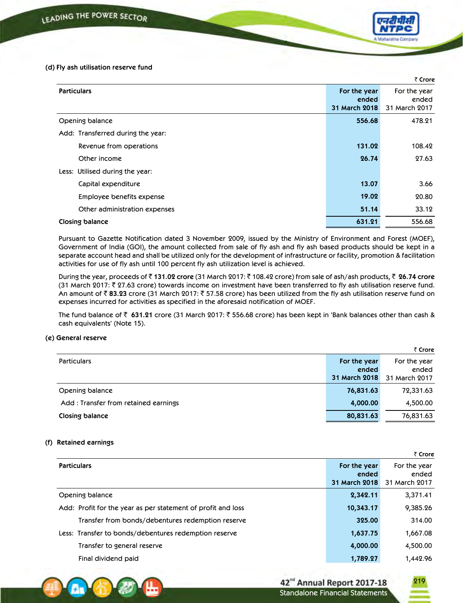### **(d) Fly ash utilisation reserve fund**

|                                   |                                               | ₹ Crore                                |
|-----------------------------------|-----------------------------------------------|----------------------------------------|
| <b>Particulars</b>                | For the year<br>ended<br><b>31 March 2018</b> | For the year<br>ended<br>31 March 2017 |
| Opening balance                   | 556.68                                        | 478.21                                 |
| Add: Transferred during the year: |                                               |                                        |
| Revenue from operations           | 131.02                                        | 108.42                                 |
| Other income                      | 26.74                                         | 27.63                                  |
| Less: Utilised during the year:   |                                               |                                        |
| Capital expenditure               | 13.07                                         | 3.66                                   |
| Employee benefits expense         | 19.02                                         | 20.80                                  |
| Other administration expenses     | 51.14                                         | 33.12                                  |
| Closing balance                   | 631.21                                        | 556.68                                 |

Pursuant to Gazette Notification dated 3 November 2009, issued by the Ministry of Environment and Forest (MOEF), Government of India (GOI), the amount collected from sale of fly ash and fly ash based products should be kept in a separate account head and shall be utilized only for the development of infrastructure or facility, promotion & facilitation activities for use of fly ash until 100 percent fly ash utilization level is achieved.

During the year, proceeds of ` **131.02 crore** (31 March 2017: ` 108.42 crore) from sale of ash/ash products, ` **26.74 crore** (31 March 2017:  $\bar{\tau}$  27.63 crore) towards income on investment have been transferred to fly ash utilisation reserve fund. An amount of  $\bar{\zeta}$  83.23 crore (31 March 2017:  $\bar{\zeta}$  57.58 crore) has been utilized from the fly ash utilisation reserve fund on expenses incurred for activities as specified in the aforesaid notification of MOEF.

The fund balance of ` **631.21** crore (31 March 2017: ` 556.68 crore) has been kept in 'Bank balances other than cash & cash equivalents' (Note 15).

# **(e) General reserve**

|                                      |               | ₹ Crore       |
|--------------------------------------|---------------|---------------|
| <b>Particulars</b>                   | For the year  | For the year  |
|                                      | ended         | ended         |
|                                      | 31 March 2018 | 31 March 2017 |
| Opening balance                      | 76,831.63     | 72,331.63     |
| Add: Transfer from retained earnings | 4,000.00      | 4,500.00      |
| Closing balance                      | 80,831.63     | 76,831.63     |

# **(f) Retained earnings**

|                                                              |                                        | ₹ Crore                                |
|--------------------------------------------------------------|----------------------------------------|----------------------------------------|
| <b>Particulars</b>                                           | For the year<br>ended<br>31 March 2018 | For the year<br>ended<br>31 March 2017 |
| Opening balance                                              | 2,342.11                               | 3,371.41                               |
| Add: Profit for the year as per statement of profit and loss | 10,343.17                              | 9,385.26                               |
| Transfer from bonds/debentures redemption reserve            | 325.00                                 | 314.00                                 |
| Less: Transfer to bonds/debentures redemption reserve        | 1,637.75                               | 1,667.08                               |
| Transfer to general reserve                                  | 4,000.00                               | 4,500.00                               |
| Final dividend paid                                          | 1,789.27                               | 1,442.96                               |

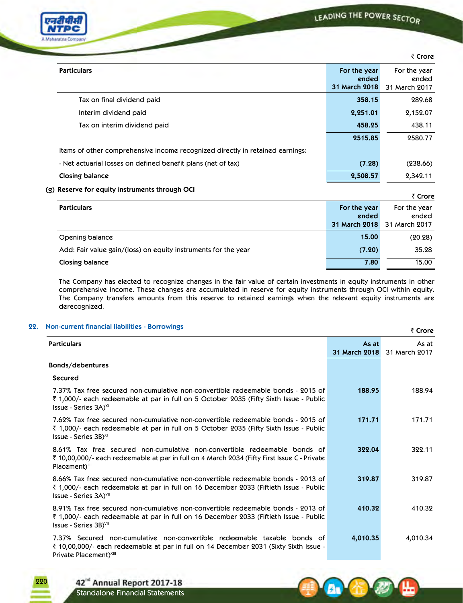

|                                                                               |                                        | ₹ Crore                                |
|-------------------------------------------------------------------------------|----------------------------------------|----------------------------------------|
| <b>Particulars</b>                                                            | For the year<br>ended<br>31 March 2018 | For the year<br>ended<br>31 March 2017 |
| Tax on final dividend paid                                                    | 358.15                                 | 289.68                                 |
| Interim dividend paid                                                         | 2,251.01                               | 2,152.07                               |
| Tax on interim dividend paid                                                  | 458.25                                 | 438.11                                 |
|                                                                               | 2515.85                                | 2580.77                                |
| Items of other comprehensive income recognized directly in retained earnings: |                                        |                                        |
| - Net actuarial losses on defined benefit plans (net of tax)                  | (7.28)                                 | (238.66)                               |
| Closing balance                                                               | 2,508.57                               | 2,342.11                               |

# **(g) Reserve for equity instruments through OCI**

|                                                                |                      | ₹ Crore       |
|----------------------------------------------------------------|----------------------|---------------|
| <b>Particulars</b>                                             | For the year         | For the year  |
|                                                                | ended                | ended         |
|                                                                | <b>31 March 2018</b> | 31 March 2017 |
| Opening balance                                                | 15.00                | (20.28)       |
| Add: Fair value gain/(loss) on equity instruments for the year | (7.20)               | 35.28         |
| Closing balance                                                | 7.80                 | 15.00         |

The Company has elected to recognize changes in the fair value of certain investments in equity instruments in other comprehensive income. These changes are accumulated in reserve for equity instruments through OCI within equity. The Company transfers amounts from this reserve to retained earnings when the relevant equity instruments are derecognized.

# **22. Non-current financial liabilities - Borrowings**

| Non-current financial liabilities - Borrowings                                                                                                                                                                  |                        | ₹ Crore                |
|-----------------------------------------------------------------------------------------------------------------------------------------------------------------------------------------------------------------|------------------------|------------------------|
| <b>Particulars</b>                                                                                                                                                                                              | As at<br>31 March 2018 | As at<br>31 March 2017 |
| Bonds/debentures                                                                                                                                                                                                |                        |                        |
| <b>Secured</b>                                                                                                                                                                                                  |                        |                        |
| 7.37% Tax free secured non-cumulative non-convertible redeemable bonds - 2015 of<br>₹ 1,000/- each redeemable at par in full on 5 October 2035 (Fifty Sixth Issue - Public<br>Issue - Series $3A$ <sup>xi</sup> | 188.95                 | 188.94                 |
| 7.62% Tax free secured non-cumulative non-convertible redeemable bonds - 2015 of<br>₹ 1,000/- each redeemable at par in full on 5 October 2035 (Fifty Sixth Issue - Public<br>Issue - Series $3B$ <sup>XI</sup> | 171.71                 | 171.71                 |
| 8.61% Tax free secured non-cumulative non-convertible redeemable bonds of<br>₹ 10,00,000/- each redeemable at par in full on 4 March 2034 (Fifty First Issue C - Private<br>Placement) <sup>III</sup>           | 322.04                 | 322.11                 |
| 8.66% Tax free secured non-cumulative non-convertible redeemable bonds - 2013 of<br>₹ 1,000/- each redeemable at par in full on 16 December 2033 (Fiftieth Issue - Public<br>Issue - Series $3A$ <sup>VII</sup> | 319.87                 | 319.87                 |
| 8.91% Tax free secured non-cumulative non-convertible redeemable bonds - 2013 of<br>₹ 1,000/- each redeemable at par in full on 16 December 2033 (Fiftieth Issue - Public<br>$Issue - Series$ 3B) $VII$         | 410.32                 | 410.32                 |
| 7.37% Secured non-cumulative non-convertible redeemable taxable bonds of<br>₹ 10,00,000/- each redeemable at par in full on 14 December 2031 (Sixty Sixth Issue -<br>Private Placement) <sup>XIII</sup>         | 4,010.35               | 4,010.34               |

42<sup>nd</sup> Annual Report 2017-18 Standalone Financial Statements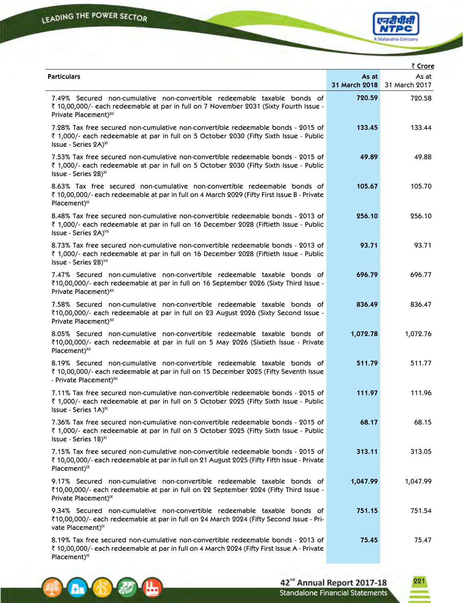**Ax** 

╚



|                                                                                                                                                                                                                           |          | ₹ Crore                              |
|---------------------------------------------------------------------------------------------------------------------------------------------------------------------------------------------------------------------------|----------|--------------------------------------|
| <b>Particulars</b>                                                                                                                                                                                                        | As at    | As at<br>31 March 2018 31 March 2017 |
| 7.49% Secured non-cumulative non-convertible redeemable taxable bonds of<br>₹ 10,00,000/- each redeemable at par in full on 7 November 2031 (Sixty Fourth Issue -<br>Private Placement) <sup>XII</sup>                    | 720.59   | 720.58                               |
| 7.28% Tax free secured non-cumulative non-convertible redeemable bonds - 2015 of<br>₹ 1,000/- each redeemable at par in full on 5 October 2030 (Fifty Sixth Issue - Public<br>Issue - Series 2A) <sup>XI</sup>            | 133.45   | 133.44                               |
| 7.53% Tax free secured non-cumulative non-convertible redeemable bonds - 2015 of<br>₹ 1,000/- each redeemable at par in full on 5 October 2030 (Fifty Sixth Issue - Public<br>Issue - Series 2B) <sup>XI</sup>            | 49.89    | 49.88                                |
| 8.63% Tax free secured non-cumulative non-convertible redeemable bonds of<br>₹ 10,00,000/- each redeemable at par in full on 4 March 2029 (Fifty First Issue B - Private<br>Placement) <sup>III</sup>                     | 105.67   | 105.70                               |
| 8.48% Tax free secured non-cumulative non-convertible redeemable bonds - 2013 of<br>रूँ 1,000/- each redeemable at par in full on 16 December 2028 (Fiftieth Issue - Public<br>Issue - Series 2A) <sup>VII</sup>          | 256.10   | 256.10                               |
| 8.73% Tax free secured non-cumulative non-convertible redeemable bonds - 2013 of<br>₹ 1,000/- each redeemable at par in full on 16 December 2028 (Fiftieth Issue - Public<br>Issue - Series 2B) <sup>VII</sup>            | 93.71    | 93.71                                |
| 7.47% Secured non-cumulative non-convertible redeemable taxable bonds of<br>₹10,00,000/- each redeemable at par in full on 16 September 2026 (Sixty Third Issue -<br>Private Placement) <sup>XII</sup>                    | 696.79   | 696.77                               |
| 7.58% Secured non-cumulative non-convertible redeemable taxable bonds of<br>₹10,00,000/- each redeemable at par in full on 23 August 2026 (Sixty Second Issue -<br>Private Placement) <sup>XII</sup>                      | 836.49   | 836.47                               |
| 8.05% Secured non-cumulative non-convertible redeemable taxable bonds of<br>₹10,00,000/- each redeemable at par in full on 5 May 2026 (Sixtieth Issue - Private<br>Placement) <sup>XII</sup>                              | 1,072.78 | 1,072.76                             |
| 8.19% Secured non-cumulative non-convertible redeemable taxable bonds of<br>₹ 10,00,000/- each redeemable at par in full on 15 December 2025 (Fifty Seventh Issue<br>- Private Placement) <sup>XII</sup>                  | 511.79   | 511.77                               |
| 7.11% Tax free secured non-cumulative non-convertible redeemable bonds - 2015 of<br>₹ 1,000/- each redeemable at par in full on 5 October 2025 (Fifty Sixth Issue - Public<br>Issue - Series 1A) <sup>XI</sup>            | 111.97   | 111.96                               |
| 7.36% Tax free secured non-cumulative non-convertible redeemable bonds - 2015 of<br>₹ 1,000/- each redeemable at par in full on 5 October 2025 (Fifty Sixth Issue - Public<br>Issue - Series 1B) <sup>XI</sup>            | 68.17    | 68.15                                |
| 7.15% Tax free secured non-cumulative non-convertible redeemable bonds - 2015 of<br>₹ 10,00,000/- each redeemable at par in full on 21 August 2025 (Fifty Fifth Issue - Private<br>$Placement)$ <sup><math>X</math></sup> | 313.11   | 313.05                               |
| 9.17% Secured non-cumulative non-convertible redeemable taxable bonds of<br>₹10,00,000/- each redeemable at par in full on 22 September 2024 (Fifty Third Issue -<br>Private Placement) <sup>1X</sup>                     | 1,047.99 | 1,047.99                             |
| 9.34% Secured non-cumulative non-convertible redeemable taxable bonds of<br>₹10,00,000/- each redeemable at par in full on 24 March 2024 (Fifty Second Issue - Pri-<br>vate Placement)"                                   | 751.15   | 751.54                               |
| 8.19% Tax free secured non-cumulative non-convertible redeemable bonds - 2013 of<br>₹ 10,00,000/- each redeemable at par in full on 4 March 2024 (Fifty First Issue A - Private<br>Placement) <sup>III</sup>              | 75.45    | 75.47                                |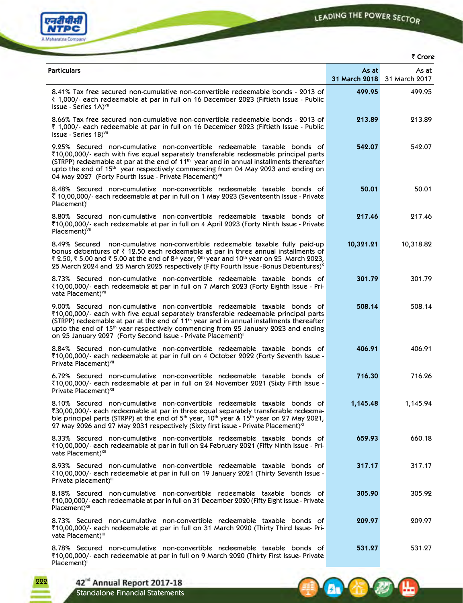

6 全 秒

ਢ



|                                                                                                                                                                                                                                                                                                                                                                                                                                                        |           | ₹ Crore                              |
|--------------------------------------------------------------------------------------------------------------------------------------------------------------------------------------------------------------------------------------------------------------------------------------------------------------------------------------------------------------------------------------------------------------------------------------------------------|-----------|--------------------------------------|
| <b>Particulars</b>                                                                                                                                                                                                                                                                                                                                                                                                                                     | As at     | As at<br>31 March 2018 31 March 2017 |
| 8.41% Tax free secured non-cumulative non-convertible redeemable bonds - 2013 of<br>₹ 1,000/- each redeemable at par in full on 16 December 2023 (Fiftieth Issue - Public<br>Issue - Series 1A) <sup>VII</sup>                                                                                                                                                                                                                                         | 499.95    | 499.95                               |
| 8.66% Tax free secured non-cumulative non-convertible redeemable bonds - 2013 of<br>₹ 1,000/- each redeemable at par in full on 16 December 2023 (Fiftieth Issue - Public<br>Issue - Series 1B) <sup>VII</sup>                                                                                                                                                                                                                                         | 213.89    | 213.89                               |
| 9.25% Secured non-cumulative non-convertible redeemable taxable bonds of<br>₹10,00,000/- each with five equal separately transferable redeemable principal parts<br>(STRPP) redeemable at par at the end of 11 <sup>th</sup> year and in annual installments thereafter<br>upto the end of 15 <sup>th</sup> year respectively commencing from 04 May 2023 and ending on<br>04 May 2027 (Forty Fourth Issue - Private Placement)VII                     | 542.07    | 542.07                               |
| 8.48% Secured non-cumulative non-convertible redeemable taxable bonds of<br>₹ 10,00,000/- each redeemable at par in full on 1 May 2023 (Seventeenth Issue - Private<br>$Placement$ <sup><math>\parallel</math></sup>                                                                                                                                                                                                                                   | 50.01     | 50.01                                |
| 8.80% Secured non-cumulative non-convertible redeemable taxable bonds of<br>₹10,00,000/- each redeemable at par in full on 4 April 2023 (Forty Ninth Issue - Private<br>Placement) <sup>VII</sup>                                                                                                                                                                                                                                                      | 217.46    | 217.46                               |
| 8.49% Secured non-cumulative non-convertible redeemable taxable fully paid-up<br>bonus debentures of ₹ 12.50 each redeemable at par in three annual installments of<br>₹ 2.50, ₹ 5.00 and ₹ 5.00 at the end of 8 <sup>th</sup> year, 9 <sup>th</sup> year and 10 <sup>th</sup> year on 25 March 2023,<br>25 March 2024 and 25 March 2025 respectively (Fifty Fourth Issue -Bonus Debentures) <sup>x</sup>                                              | 10,321.21 | 10,318.82                            |
| 8.73% Secured non-cumulative non-convertible redeemable taxable bonds of<br>₹10,00,000/- each redeemable at par in full on 7 March 2023 (Forty Eighth Issue - Pri-<br>vate Placement) <sup>VII</sup>                                                                                                                                                                                                                                                   | 301.79    | 301.79                               |
| 9.00% Secured non-cumulative non-convertible redeemable taxable bonds of<br>₹10,00,000/- each with five equal separately transferable redeemable principal parts<br>(STRPP) redeemable at par at the end of 11 <sup>th</sup> year and in annual installments thereafter<br>upto the end of 15 <sup>th</sup> year respectively commencing from 25 January 2023 and ending<br>on 25 January 2027 (Forty Second Issue - Private Placement) <sup>III</sup> | 508.14    | 508.14                               |
| 8.84% Secured non-cumulative non-convertible redeemable taxable bonds of<br>₹10,00,000/- each redeemable at par in full on 4 October 2022 (Forty Seventh Issue -<br>Private Placement) <sup>VII</sup>                                                                                                                                                                                                                                                  | 406.91    | 406.91                               |
| 6.72% Secured non-cumulative non-convertible redeemable taxable bonds of<br>₹10,00,000/- each redeemable at par in full on 24 November 2021 (Sixty Fifth Issue -<br>Private Placement) <sup>XII</sup>                                                                                                                                                                                                                                                  | 716.30    | 716.26                               |
| 8.10% Secured non-cumulative non-convertible redeemable taxable bonds of<br>₹30,00,000/- each redeemable at par in three equal separately transferable redeema-<br>ble principal parts (STRPP) at the end of 5 <sup>th</sup> year, 10 <sup>th</sup> year & 15 <sup>th</sup> year on 27 May 2021,<br>27 May 2026 and 27 May 2031 respectively (Sixty first issue - Private Placement) <sup>XI</sup>                                                     | 1,145.48  | 1,145.94                             |
| 8.33% Secured non-cumulative non-convertible redeemable taxable bonds of<br>₹10,00,000/- each redeemable at par in full on 24 February 2021 (Fifty Ninth Issue - Pri-<br>vate Placement) <sup>XII</sup>                                                                                                                                                                                                                                                | 659.93    | 660.18                               |
| 8.93% Secured non-cumulative non-convertible redeemable taxable bonds of<br>₹10,00,000/- each redeemable at par in full on 19 January 2021 (Thirty Seventh Issue -<br>Private placement) <sup>III</sup>                                                                                                                                                                                                                                                | 317.17    | 317.17                               |
| 8.18% Secured non-cumulative non-convertible redeemable taxable bonds of<br>₹10,00,000/- each redeemable at par in full on 31 December 2020 (Fifty Eight Issue - Private<br>Placement) <sup>XII</sup>                                                                                                                                                                                                                                                  | 305.90    | 305.92                               |
| 8.73% Secured non-cumulative non-convertible redeemable taxable bonds of<br>₹10,00,000/- each redeemable at par in full on 31 March 2020 (Thirty Third Issue- Pri-<br>vate Placement)"                                                                                                                                                                                                                                                                 | 209.97    | 209.97                               |
| 8.78% Secured non-cumulative non-convertible redeemable taxable bonds of<br>₹10,00,000/- each redeemable at par in full on 9 March 2020 (Thirty First Issue- Private<br>Placement)"                                                                                                                                                                                                                                                                    | 531.27    | 531.27                               |

42<sup>nd</sup> Annual Report 2017-18<br>Standalone Financial Statements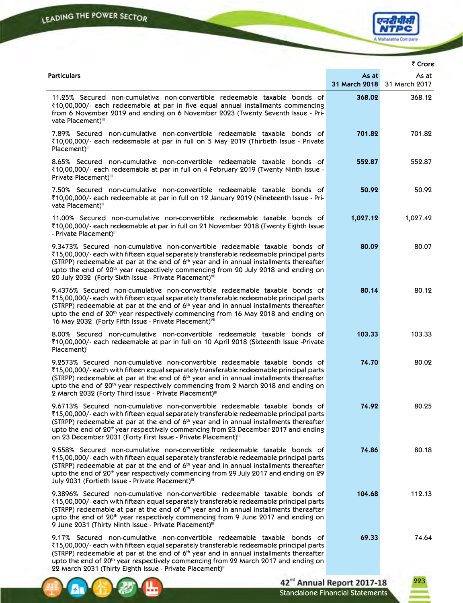4 位初一



|                                                                                                                                                                                                                                                                                                                                                                                                                                                    |          | ₹ Crore                              |
|----------------------------------------------------------------------------------------------------------------------------------------------------------------------------------------------------------------------------------------------------------------------------------------------------------------------------------------------------------------------------------------------------------------------------------------------------|----------|--------------------------------------|
| <b>Particulars</b>                                                                                                                                                                                                                                                                                                                                                                                                                                 | As at    | As at<br>31 March 2018 31 March 2017 |
| 11.25% Secured non-cumulative non-convertible redeemable taxable bonds of<br>₹10,00,000/- each redeemable at par in five equal annual installments commencing<br>from 6 November 2019 and ending on 6 November 2023 (Twenty Seventh Issue - Pri-<br>vate Placement)"                                                                                                                                                                               | 368.02   | 368.12                               |
| 7.89% Secured non-cumulative non-convertible redeemable taxable bonds of<br>₹10,00,000/- each redeemable at par in full on 5 May 2019 (Thirtieth Issue - Private<br>Placement) <sup>III</sup>                                                                                                                                                                                                                                                      | 701.82   | 701.82                               |
| 8.65% Secured non-cumulative non-convertible redeemable taxable bonds of<br>₹10,00,000/- each redeemable at par in full on 4 February 2019 (Twenty Ninth Issue -<br>Private Placement)"                                                                                                                                                                                                                                                            | 552.87   | 552.87                               |
| 7.50% Secured non-cumulative non-convertible redeemable taxable bonds of<br>₹10,00,000/- each redeemable at par in full on 12 January 2019 (Nineteenth Issue - Pri-<br>vate Placement)"                                                                                                                                                                                                                                                            | 50.92    | 50.92                                |
| 11.00% Secured non-cumulative non-convertible redeemable taxable bonds of<br>₹10,00,000/- each redeemable at par in full on 21 November 2018 (Twenty Eighth Issue<br>- Private Placement)"                                                                                                                                                                                                                                                         | 1,027.12 | 1,027.42                             |
| 9.3473% Secured non-cumulative non-convertible redeemable taxable bonds of<br>₹15,00,000/- each with fifteen equal separately transferable redeemable principal parts<br>(STRPP) redeemable at par at the end of 6 <sup>th</sup> year and in annual installments thereafter<br>upto the end of 20 <sup>th</sup> year respectively commencing from 20 July 2018 and ending on<br>20 July 2032 (Forty Sixth Issue - Private Placement)VII            | 80.09    | 80.07                                |
| 9.4376% Secured non-cumulative non-convertible redeemable taxable bonds of<br>₹15,00,000/- each with fifteen equal separately transferable redeemable principal parts<br>(STRPP) redeemable at par at the end of 6 <sup>th</sup> year and in annual installments thereafter<br>upto the end of 20 <sup>th</sup> year respectively commencing from 16 May 2018 and ending on<br>16 May 2032 (Forty Fifth Issue - Private Placement) <sup>VII</sup>  | 80.14    | 80.12                                |
| 8.00% Secured non-cumulative non-convertible redeemable taxable bonds of<br>₹10,00,000/- each redeemable at par in full on 10 April 2018 (Sixteenth Issue -Private<br>Placement) <sup>1</sup>                                                                                                                                                                                                                                                      | 103.33   | 103.33                               |
| 9.2573% Secured non-cumulative non-convertible redeemable taxable bonds of<br>₹15,00,000/- each with fifteen equal separately transferable redeemable principal parts<br>(STRPP) redeemable at par at the end of 6 <sup>th</sup> year and in annual installments thereafter<br>upto the end of 20 <sup>th</sup> year respectively commencing from 2 March 2018 and ending on<br>2 March 2032 (Forty Third Issue - Private Placement)"              | 74.70    | 80.02                                |
| 9.6713% Secured non-cumulative non-convertible redeemable taxable bonds of<br>₹15,00,000/- each with fifteen equal separately transferable redeemable principal parts<br>(STRPP) redeemable at par at the end of 6 <sup>th</sup> year and in annual installments thereafter<br>upto the end of $20th$ year respectively commencing from 23 December 2017 and ending<br>on 23 December 2031 (Forty First Issue - Private Placement) <sup>III</sup>  | 74.92    | 80.25                                |
| 9.558% Secured non-cumulative non-convertible redeemable taxable bonds of<br>₹15,00,000/- each with fifteen equal separately transferable redeemable principal parts<br>(STRPP) redeemable at par at the end of 6 <sup>th</sup> year and in annual installments thereafter<br>upto the end of 20 <sup>th</sup> year respectively commencing from 29 July 2017 and ending on 29<br>July 2031 (Fortieth Issue - Private Placement)"                  | 74.86    | 80.18                                |
| 9.3896% Secured non-cumulative non-convertible redeemable taxable bonds of<br>₹15,00,000/- each with fifteen equal separately transferable redeemable principal parts<br>(STRPP) redeemable at par at the end of 6 <sup>th</sup> year and in annual installments thereafter<br>upto the end of 20 <sup>th</sup> year respectively commencing from 9 June 2017 and ending on<br>9 June 2031 (Thirty Ninth Issue - Private Placement) <sup>III</sup> | 104.68   | 112.13                               |
| 9.17% Secured non-cumulative non-convertible redeemable taxable bonds of<br>₹15,00,000/- each with fifteen equal separately transferable redeemable principal parts<br>(STRPP) redeemable at par at the end of 6 <sup>th</sup> year and in annual installments thereafter<br>upto the end of 20 <sup>th</sup> year respectively commencing from 22 March 2017 and ending on<br>22 March 2031 (Thirty Eighth Issue - Private Placement)"            | 69.33    | 74.64                                |
|                                                                                                                                                                                                                                                                                                                                                                                                                                                    |          |                                      |



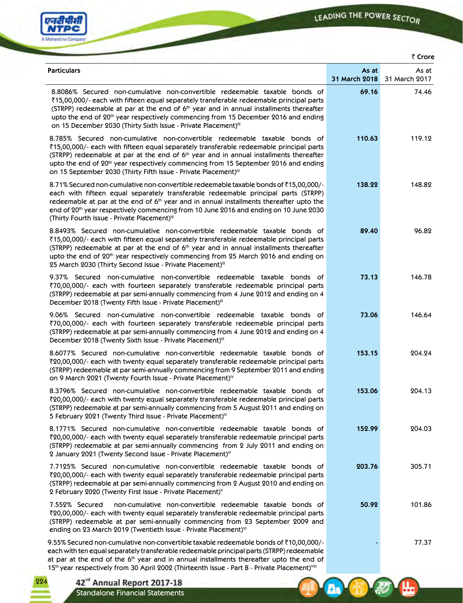**A** C

۰Щ

**LAN** 



224

42<sup>nd</sup> Annual Report 2017-18<br>Standalone Financial Statements

| ₹ Crore                                                                                                                                                                                                                                                                                                                                                                                                                                             |                        |                        |
|-----------------------------------------------------------------------------------------------------------------------------------------------------------------------------------------------------------------------------------------------------------------------------------------------------------------------------------------------------------------------------------------------------------------------------------------------------|------------------------|------------------------|
| <b>Particulars</b>                                                                                                                                                                                                                                                                                                                                                                                                                                  | As at<br>31 March 2018 | As at<br>31 March 2017 |
| 8.8086% Secured non-cumulative non-convertible redeemable taxable bonds of<br>₹15,00,000/- each with fifteen equal separately transferable redeemable principal parts<br>(STRPP) redeemable at par at the end of 6 <sup>th</sup> year and in annual installments thereafter<br>upto the end of 20 <sup>th</sup> year respectively commencing from 15 December 2016 and ending<br>on 15 December 2030 (Thirty Sixth Issue - Private Placement)"      | 69.16                  | 74.46                  |
| 8.785% Secured non-cumulative non-convertible redeemable taxable bonds of<br>₹15,00,000/- each with fifteen equal separately transferable redeemable principal parts<br>(STRPP) redeemable at par at the end of 6 <sup>th</sup> year and in annual installments thereafter<br>upto the end of $20th$ year respectively commencing from 15 September 2016 and ending<br>on 15 September 2030 (Thirty Fifth Issue - Private Placement) <sup>III</sup> | 110.63                 | 119.12                 |
| 8.71% Secured non-cumulative non-convertible redeemable taxable bonds of ₹15,00,000/-<br>each with fifteen equal separately transferable redeemable principal parts (STRPP)<br>redeemable at par at the end of 6 <sup>th</sup> year and in annual installments thereafter upto the<br>end of 20 <sup>th</sup> year respectively commencing from 10 June 2016 and ending on 10 June 2030<br>(Thirty Fourth Issue - Private Placement) <sup>III</sup> | 138.22                 | 148.82                 |
| 8.8493% Secured non-cumulative non-convertible redeemable taxable bonds of<br>₹15,00,000/- each with fifteen equal separately transferable redeemable principal parts<br>(STRPP) redeemable at par at the end of 6 <sup>th</sup> year and in annual installments thereafter<br>upto the end of 20 <sup>th</sup> year respectively commencing from 25 March 2016 and ending on<br>25 March 2030 (Thirty Second Issue - Private Placement)"           | 89.40                  | 96.82                  |
| 9.37% Secured non-cumulative non-convertible redeemable taxable bonds of<br>₹70,00,000/- each with fourteen separately transferable redeemable principal parts<br>(STRPP) redeemable at par semi-annually commencing from 4 June 2012 and ending on 4<br>December 2018 (Twenty Fifth Issue - Private Placement) <sup>III</sup>                                                                                                                      | 73.13                  | 146.78                 |
| 9.06% Secured non-cumulative non-convertible redeemable taxable bonds of<br>₹70,00,000/- each with fourteen separately transferable redeemable principal parts<br>(STRPP) redeemable at par semi-annually commencing from 4 June 2012 and ending on 4<br>December 2018 (Twenty Sixth Issue - Private Placement) <sup>III</sup>                                                                                                                      | 73.06                  | 146.64                 |
| 8.6077% Secured non-cumulative non-convertible redeemable taxable bonds of<br>₹20,00,000/- each with twenty equal separately transferable redeemable principal parts<br>(STRPP) redeemable at par semi-annually commencing from 9 September 2011 and ending<br>on 9 March 2021 (Twenty Fourth Issue - Private Placement) <sup>1V</sup>                                                                                                              | 153.15                 | 204.24                 |
| 8.3796% Secured non-cumulative non-convertible redeemable taxable bonds of<br>$\bar{\chi}20,00,000/$ - each with twenty equal separately transferable redeemable principal parts<br>(STRPP) redeemable at par semi-annually commencing from 5 August 2011 and ending on<br>5 February 2021 (Twenty Third Issue - Private Placement) <sup>1V</sup>                                                                                                   | 153.06                 | 204.13                 |
| 8.1771% Secured non-cumulative non-convertible redeemable taxable bonds of<br>₹20,00,000/- each with twenty equal separately transferable redeemable principal parts<br>(STRPP) redeemable at par semi-annually commencing from 2 July 2011 and ending on<br>2 January 2021 (Twenty Second Issue - Private Placement) <sup>1V</sup>                                                                                                                 | 152.99                 | 204.03                 |
| 7.7125% Secured non-cumulative non-convertible redeemable taxable bonds of<br>₹20,00,000/- each with twenty equal separately transferable redeemable principal parts<br>(STRPP) redeemable at par semi-annually commencing from 2 August 2010 and ending on<br>2 February 2020 (Twenty First Issue - Private Placement) <sup>V</sup>                                                                                                                | 203.76                 | 305.71                 |
| 7.552% Secured<br>non-cumulative non-convertible redeemable taxable bonds of<br>₹20,00,000/- each with twenty equal separately transferable redeemable principal parts<br>(STRPP) redeemable at par semi-annually commencing from 23 September 2009 and<br>ending on 23 March 2019 (Twentieth Issue - Private Placement) <sup>VI</sup>                                                                                                              | 50.92                  | 101.86                 |
| 9.55% Secured non-cumulative non-convertible taxable redeemable bonds of ₹10,00,000/-<br>each with ten equal separately transferable redeemable principal parts (STRPP) redeemable<br>at par at the end of the 6 <sup>th</sup> year and in annual installments thereafter upto the end of<br>15th year respectively from 30 April 2002 (Thirteenth Issue - Part B - Private Placement) <sup>VIII</sup>                                              |                        | 77.37                  |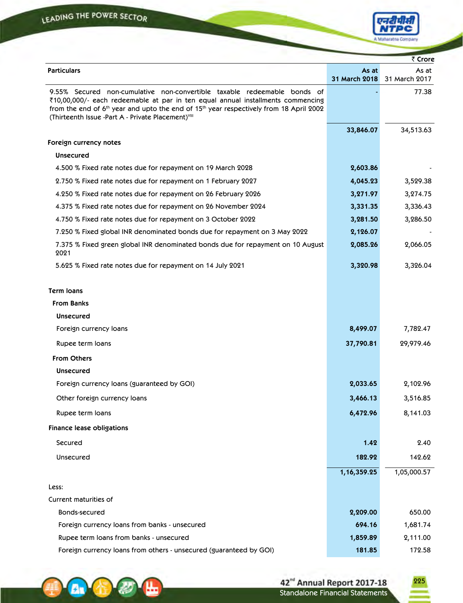**A B** 

⊞



|                                                                                                                                                                                                                                                                                                                                                 |                        | ₹ Crore                |
|-------------------------------------------------------------------------------------------------------------------------------------------------------------------------------------------------------------------------------------------------------------------------------------------------------------------------------------------------|------------------------|------------------------|
| <b>Particulars</b>                                                                                                                                                                                                                                                                                                                              | As at<br>31 March 2018 | As at<br>31 March 2017 |
| 9.55% Secured non-cumulative non-convertible taxable redeemable bonds of<br>₹10,00,000/- each redeemable at par in ten equal annual installments commencing<br>from the end of 6 <sup>th</sup> year and upto the end of 15 <sup>th</sup> year respectively from 18 April 2002<br>(Thirteenth Issue -Part A - Private Placement) <sup>VIII</sup> |                        | 77.38                  |
|                                                                                                                                                                                                                                                                                                                                                 | 33,846.07              | 34,513.63              |
| Foreign currency notes                                                                                                                                                                                                                                                                                                                          |                        |                        |
| <b>Unsecured</b>                                                                                                                                                                                                                                                                                                                                |                        |                        |
| 4.500 % Fixed rate notes due for repayment on 19 March 2028                                                                                                                                                                                                                                                                                     | 2,603.86               |                        |
| 2.750 % Fixed rate notes due for repayment on 1 February 2027                                                                                                                                                                                                                                                                                   | 4,045.23               | 3,529.38               |
| 4.250 % Fixed rate notes due for repayment on 26 February 2026                                                                                                                                                                                                                                                                                  | 3,271.97               | 3,274.75               |
| 4.375 % Fixed rate notes due for repayment on 26 November 2024                                                                                                                                                                                                                                                                                  | 3,331.35               | 3,336.43               |
| 4.750 % Fixed rate notes due for repayment on 3 October 2022                                                                                                                                                                                                                                                                                    | 3,281.50               | 3,286.50               |
| 7.250 % Fixed global INR denominated bonds due for repayment on 3 May 2022                                                                                                                                                                                                                                                                      | 2,126.07               |                        |
| 7.375 % Fixed green global INR denominated bonds due for repayment on 10 August<br>2021                                                                                                                                                                                                                                                         | 2,085.26               | 2,066.05               |
| 5.625 % Fixed rate notes due for repayment on 14 July 2021                                                                                                                                                                                                                                                                                      | 3,320.98               | 3,326.04               |
| <b>Term loans</b>                                                                                                                                                                                                                                                                                                                               |                        |                        |
| <b>From Banks</b>                                                                                                                                                                                                                                                                                                                               |                        |                        |
| <b>Unsecured</b>                                                                                                                                                                                                                                                                                                                                |                        |                        |
| Foreign currency loans                                                                                                                                                                                                                                                                                                                          | 8,499.07               | 7,782.47               |
| Rupee term loans                                                                                                                                                                                                                                                                                                                                | 37,790.81              | 29,979.46              |
| <b>From Others</b>                                                                                                                                                                                                                                                                                                                              |                        |                        |
| <b>Unsecured</b>                                                                                                                                                                                                                                                                                                                                |                        |                        |
| Foreign currency loans (guaranteed by GOI)                                                                                                                                                                                                                                                                                                      | 2,033.65               | 2,102.96               |
| Other foreign currency loans                                                                                                                                                                                                                                                                                                                    | 3,466.13               | 3,516.85               |
| Rupee term loans                                                                                                                                                                                                                                                                                                                                | 6,472.96               | 8,141.03               |
| <b>Finance lease obligations</b>                                                                                                                                                                                                                                                                                                                |                        |                        |
| Secured                                                                                                                                                                                                                                                                                                                                         | 1.42                   | 2.40                   |
| Unsecured                                                                                                                                                                                                                                                                                                                                       | 182.92                 | 142.62                 |
|                                                                                                                                                                                                                                                                                                                                                 | 1, 16, 359. 25         | 1,05,000.57            |
| Less:                                                                                                                                                                                                                                                                                                                                           |                        |                        |
| Current maturities of                                                                                                                                                                                                                                                                                                                           |                        |                        |
| Bonds-secured                                                                                                                                                                                                                                                                                                                                   | 2,209.00               | 650.00                 |
| Foreign currency loans from banks - unsecured                                                                                                                                                                                                                                                                                                   | 694.16                 | 1,681.74               |
| Rupee term loans from banks - unsecured                                                                                                                                                                                                                                                                                                         | 1,859.89               | 2,111.00               |
| Foreign currency loans from others - unsecured (guaranteed by GOI)                                                                                                                                                                                                                                                                              | 181.85                 | 172.58                 |

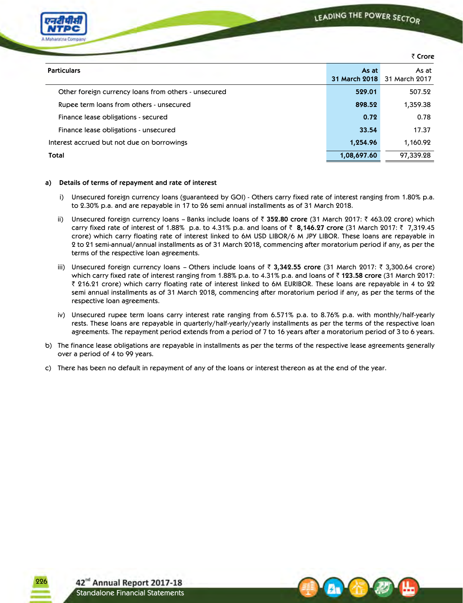

 Rupee term loans from others - unsecured **898.52** 1,359.38 Finance lease obligations - secured **0.72** 0.78 Finance lease obligations - unsecured **33.54** 17.37 Interest accrued but not due on borrowings **1,254.96** 1,160.92 **Total 1,08,697.60** 97,339.28

### **a) Details of terms of repayment and rate of interest**

- i) Unsecured foreign currency loans (guaranteed by GOI) Others carry fixed rate of interest ranging from 1.80% p.a. to 2.30% p.a. and are repayable in 17 to 26 semi annual installments as of 31 March 2018.
- ii) Unsecured foreign currency loans Banks include loans of ` **352.80 crore** (31 March 2017: ` 463.02 crore) which carry fixed rate of interest of 1.88% p.a. to 4.31% p.a. and loans of ` **8,146.27 crore** (31 March 2017: ` 7,319.45 crore) which carry floating rate of interest linked to 6M USD LIBOR/6 M JPY LIBOR. These loans are repayable in 2 to 21 semi-annual/annual installments as of 31 March 2018, commencing after moratorium period if any, as per the terms of the respective loan agreements.
- iii) Unsecured foreign currency loans Others include loans of ₹ 3,342.55 crore (31 March 2017: ₹ 3,300.64 crore) which carry fixed rate of interest ranging from 1.88% p.a. to 4.31% p.a. and loans of  $\bar{\tau}$  123.58 crore (31 March 2017: ` 216.21 crore) which carry floating rate of interest linked to 6M EURIBOR. These loans are repayable in 4 to 22 semi annual installments as of 31 March 2018, commencing after moratorium period if any, as per the terms of the respective loan agreements.
- iv) Unsecured rupee term loans carry interest rate ranging from 6.571% p.a. to 8.76% p.a. with monthly/half-yearly rests. These loans are repayable in quarterly/half-yearly/yearly installments as per the terms of the respective loan agreements. The repayment period extends from a period of 7 to 16 years after a moratorium period of 3 to 6 years.
- b) The finance lease obligations are repayable in installments as per the terms of the respective lease agreements generally over a period of 4 to 99 years.
- c) There has been no default in repayment of any of the loans or interest thereon as at the end of the year.

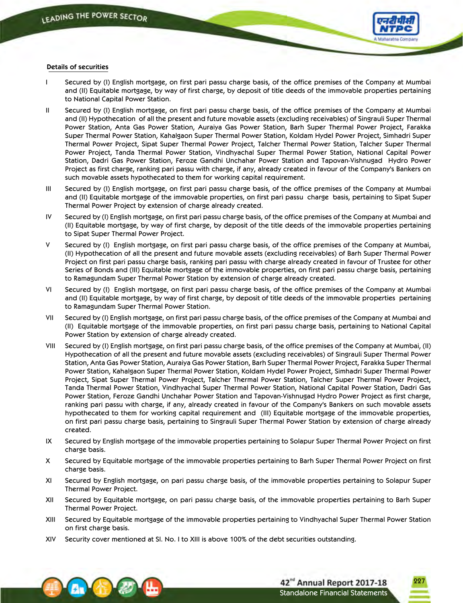

### **Details of securities**

- I Secured by (I) English mortgage, on first pari passu charge basis, of the office premises of the Company at Mumbai and (II) Equitable mortgage, by way of first charge, by deposit of title deeds of the immovable properties pertaining to National Capital Power Station.
- II Secured by (I) English mortgage, on first pari passu charge basis, of the office premises of the Company at Mumbai and (II) Hypothecation of all the present and future movable assets (excluding receivables) of Singrauli Super Thermal Power Station, Anta Gas Power Station, Auraiya Gas Power Station, Barh Super Thermal Power Project, Farakka Super Thermal Power Station, Kahalgaon Super Thermal Power Station, Koldam Hydel Power Project, Simhadri Super Thermal Power Project, Sipat Super Thermal Power Project, Talcher Thermal Power Station, Talcher Super Thermal Power Project, Tanda Thermal Power Station, Vindhyachal Super Thermal Power Station, National Capital Power Station, Dadri Gas Power Station, Feroze Gandhi Unchahar Power Station and Tapovan-Vishnugad Hydro Power Project as first charge, ranking pari passu with charge, if any, already created in favour of the Company's Bankers on such movable assets hypothecated to them for working capital requirement.
- III Secured by (I) English mortgage, on first pari passu charge basis, of the office premises of the Company at Mumbai and (II) Equitable mortgage of the immovable properties, on first pari passu charge basis, pertaining to Sipat Super Thermal Power Project by extension of charge already created.
- IV Secured by (I) English mortgage, on first pari passu charge basis, of the office premises of the Company at Mumbai and (II) Equitable mortgage, by way of first charge, by deposit of the title deeds of the immovable properties pertaining to Sipat Super Thermal Power Project.
- V Secured by (I) English mortgage, on first pari passu charge basis, of the office premises of the Company at Mumbai, (II) Hypothecation of all the present and future movable assets (excluding receivables) of Barh Super Thermal Power Project on first pari passu charge basis, ranking pari passu with charge already created in favour of Trustee for other Series of Bonds and (III) Equitable mortgage of the immovable properties, on first pari passu charge basis, pertaining to Ramagundam Super Thermal Power Station by extension of charge already created.
- VI Secured by (I) English mortgage, on first pari passu charge basis, of the office premises of the Company at Mumbai and (II) Equitable mortgage, by way of first charge, by deposit of title deeds of the immovable properties pertaining to Ramagundam Super Thermal Power Station.
- VII Secured by (I) English mortgage, on first pari passu charge basis, of the office premises of the Company at Mumbai and (II) Equitable mortgage of the immovable properties, on first pari passu charge basis, pertaining to National Capital Power Station by extension of charge already created.
- VIII Secured by (I) English mortgage, on first pari passu charge basis, of the office premises of the Company at Mumbai, (II) Hypothecation of all the present and future movable assets (excluding receivables) of Singrauli Super Thermal Power Station, Anta Gas Power Station, Auraiya Gas Power Station, Barh Super Thermal Power Project, Farakka Super Thermal Power Station, Kahalgaon Super Thermal Power Station, Koldam Hydel Power Project, Simhadri Super Thermal Power Project, Sipat Super Thermal Power Project, Talcher Thermal Power Station, Talcher Super Thermal Power Project, Tanda Thermal Power Station, Vindhyachal Super Thermal Power Station, National Capital Power Station, Dadri Gas Power Station, Feroze Gandhi Unchahar Power Station and Tapovan-Vishnugad Hydro Power Project as first charge, ranking pari passu with charge, if any, already created in favour of the Company's Bankers on such movable assets hypothecated to them for working capital requirement and (III) Equitable mortgage of the immovable properties, on first pari passu charge basis, pertaining to Singrauli Super Thermal Power Station by extension of charge already created.
- IX Secured by English mortgage of the immovable properties pertaining to Solapur Super Thermal Power Project on first charge basis.
- X Secured by Equitable mortgage of the immovable properties pertaining to Barh Super Thermal Power Project on first charge basis.
- XI Secured by English mortgage, on pari passu charge basis, of the immovable properties pertaining to Solapur Super Thermal Power Project.
- XII Secured by Equitable mortgage, on pari passu charge basis, of the immovable properties pertaining to Barh Super Thermal Power Project.
- XIII Secured by Equitable mortgage of the immovable properties pertaining to Vindhyachal Super Thermal Power Station on first charge basis.
- XIV Security cover mentioned at Sl. No. I to XIII is above 100% of the debt securities outstanding.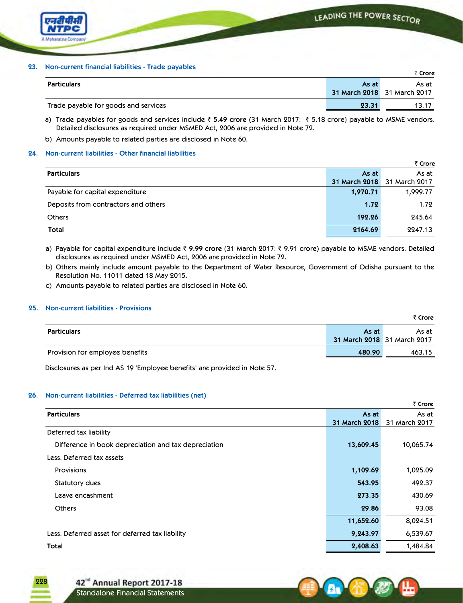

### **23. Non-current financial liabilities - Trade payables**

|                                      |       | ₹ Crore                     |
|--------------------------------------|-------|-----------------------------|
| <b>Particulars</b>                   | As at | As at I                     |
|                                      |       | 31 March 2018 31 March 2017 |
| Trade payable for goods and services | 23.31 | 13.17                       |

a) Trade payables for goods and services include ₹ 5.49 crore (31 March 2017: ₹ 5.18 crore) payable to MSME vendors. Detailed disclosures as required under MSMED Act, 2006 are provided in Note 72.

b) Amounts payable to related parties are disclosed in Note 60.

# **24. Non-current liabilities - Other financial liabilities**

|                                      |               | ₹ Crore       |
|--------------------------------------|---------------|---------------|
| <b>Particulars</b>                   | As at         | As at         |
|                                      | 31 March 2018 | 31 March 2017 |
| Payable for capital expenditure      | 1,970.71      | 1,999.77      |
| Deposits from contractors and others | 1.72          | 1.72          |
| <b>Others</b>                        | 192.26        | 245.64        |
| Total                                | 2164.69       | 2247.13       |

a) Payable for capital expenditure include ₹ 9.99 crore (31 March 2017: ₹ 9.91 crore) payable to MSME vendors. Detailed disclosures as required under MSMED Act, 2006 are provided in Note 72.

b) Others mainly include amount payable to the Department of Water Resource, Government of Odisha pursuant to the Resolution No. 11011 dated 18 May 2015.

c) Amounts payable to related parties are disclosed in Note 60.

# **25. Non-current liabilities - Provisions**

|                                 |                                      | ≺ ∪rore i |
|---------------------------------|--------------------------------------|-----------|
| <b>Particulars</b>              | As at<br>31 March 2018 31 March 2017 | As at     |
| Provision for employee benefits | 480.90                               | 463.15    |

 Disclosures as per Ind AS 19 'Employee benefits' are provided in Note 57.

# **26. Non-current liabilities - Deferred tax liabilities (net)**

|                                                      |               | ₹ Crore       |
|------------------------------------------------------|---------------|---------------|
| <b>Particulars</b>                                   | As at         | As at         |
|                                                      | 31 March 2018 | 31 March 2017 |
| Deferred tax liability                               |               |               |
| Difference in book depreciation and tax depreciation | 13,609.45     | 10,065.74     |
| Less: Deferred tax assets                            |               |               |
| <b>Provisions</b>                                    | 1,109.69      | 1,025.09      |
| Statutory dues                                       | 543.95        | 492.37        |
| Leave encashment                                     | 273.35        | 430.69        |
| <b>Others</b>                                        | 29.86         | 93.08         |
|                                                      | 11,652.60     | 8,024.51      |
| Less: Deferred asset for deferred tax liability      | 9,243.97      | 6,539.67      |
| <b>Total</b>                                         | 2,408.63      | 1,484.84      |

228



` **Crore**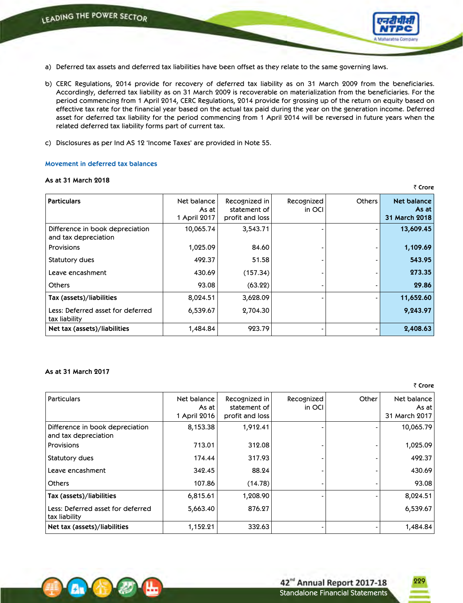- a) Deferred tax assets and deferred tax liabilities have been offset as they relate to the same governing laws.
- b) CERC Regulations, 2014 provide for recovery of deferred tax liability as on 31 March 2009 from the beneficiaries. Accordingly, deferred tax liability as on 31 March 2009 is recoverable on materialization from the beneficiaries. For the period commencing from 1 April 2014, CERC Regulations, 2014 provide for grossing up of the return on equity based on effective tax rate for the financial year based on the actual tax paid during the year on the generation income. Deferred asset for deferred tax liability for the period commencing from 1 April 2014 will be reversed in future years when the related deferred tax liability forms part of current tax.
- c) Disclosures as per Ind AS 12 'Income Taxes' are provided in Note 55.

### **Movement in deferred tax balances**

### **As at 31 March 2018**

| <b>Particulars</b>                                      | Net balance<br>As at<br>1 April 2017 | Recognized in<br>statement of<br>profit and loss | Recognized<br>in OCI | <b>Others</b> | <b>Net balance</b><br>As at<br>31 March 2018 |
|---------------------------------------------------------|--------------------------------------|--------------------------------------------------|----------------------|---------------|----------------------------------------------|
| Difference in book depreciation<br>and tax depreciation | 10,065.74                            | 3,543.71                                         |                      |               | 13,609.45                                    |
| <b>Provisions</b>                                       | 1,025.09                             | 84.60                                            |                      |               | 1,109.69                                     |
| Statutory dues                                          | 492.37                               | 51.58                                            |                      |               | 543.95                                       |
| Leave encashment                                        | 430.69                               | (157.34)                                         |                      |               | 273.35                                       |
| <b>Others</b>                                           | 93.08                                | (63.22)                                          |                      |               | 29.86                                        |
| Tax (assets)/liabilities                                | 8,024.51                             | 3,628.09                                         |                      |               | 11,652.60                                    |
| Less: Deferred asset for deferred<br>tax liability      | 6,539.67                             | 2,704.30                                         |                      |               | 9,243.97                                     |
| Net tax (assets)/liabilities                            | 1,484.84                             | 923.79                                           |                      |               | 2,408.63                                     |

# **As at 31 March 2017**

₹ Crore

₹ Crore

| Particulars                                             | Net balance<br>As at<br>1 April 2016 | Recognized in<br>statement of<br>profit and loss | Recognized<br>in OCI | Other | Net balance<br>As at I<br>31 March 2017 |
|---------------------------------------------------------|--------------------------------------|--------------------------------------------------|----------------------|-------|-----------------------------------------|
| Difference in book depreciation<br>and tax depreciation | 8,153.38                             | 1,912.41                                         |                      |       | 10,065.79                               |
| Provisions                                              | 713.01                               | 312.08                                           |                      |       | 1,025.09                                |
| Statutory dues                                          | 174.44                               | 317.93                                           |                      |       | 492.37                                  |
| l Leave encashment                                      | 342.45                               | 88.24                                            |                      |       | 430.69                                  |
| Others                                                  | 107.86                               | (14.78)                                          |                      |       | 93.08                                   |
| Tax (assets)/liabilities                                | 6,815.61                             | 1,208.90                                         |                      |       | 8,024.51                                |
| Less: Deferred asset for deferred<br>  tax liability    | 5,663.40                             | 876.27                                           |                      |       | 6,539.67                                |
| Net tax (assets)/liabilities                            | 1,152.21                             | 332.63                                           |                      |       | 1,484.84                                |

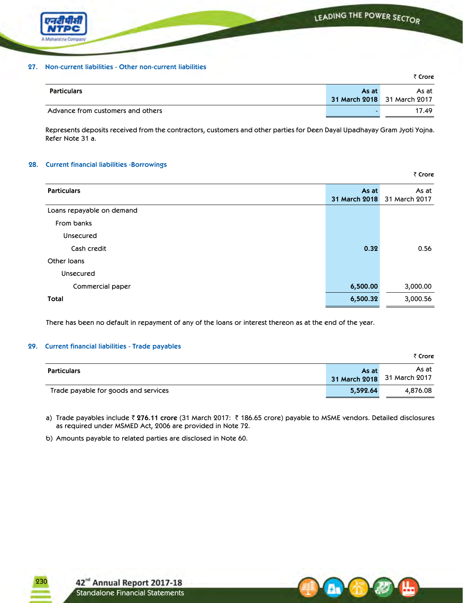

# **27. Non-current liabilities - Other non-current liabilities**

|                                   |       | ₹ Crore                     |
|-----------------------------------|-------|-----------------------------|
| <b>Particulars</b>                | As at | As at                       |
|                                   |       | 31 March 2018 31 March 2017 |
| Advance from customers and others |       | 17.49                       |

Represents deposits received from the contractors, customers and other parties for Deen Dayal Upadhayay Gram Jyoti Yojna. Refer Note 31 a.

₹ Crore

 $\overline{z}$  **C** 

# **28. Current financial liabilities -Borrowings**

| <b>Particulars</b>        | As at<br>31 March 2018 | As at<br>31 March 2017 |
|---------------------------|------------------------|------------------------|
| Loans repayable on demand |                        |                        |
| From banks                |                        |                        |
| Unsecured                 |                        |                        |
| Cash credit               | 0.32                   | 0.56                   |
| Other Ioans               |                        |                        |
| Unsecured                 |                        |                        |
| Commercial paper          | 6,500.00               | 3,000.00               |
| Total                     | 6,500.32               | 3,000.56               |
|                           |                        |                        |

There has been no default in repayment of any of the loans or interest thereon as at the end of the year.

# **29. Current financial liabilities - Trade payables**

|                                      |          | र <b>Crore</b>                       |
|--------------------------------------|----------|--------------------------------------|
| <b>Particulars</b>                   | As at    | As at<br>31 March 2018 31 March 2017 |
| Trade payable for goods and services | 5,592.64 | 4,876.08                             |

a) Trade payables include ` **276.11 crore** (31 March 2017: ` 186.65 crore) payable to MSME vendors. Detailed disclosures as required under MSMED Act, 2006 are provided in Note 72.

b) Amounts payable to related parties are disclosed in Note 60.

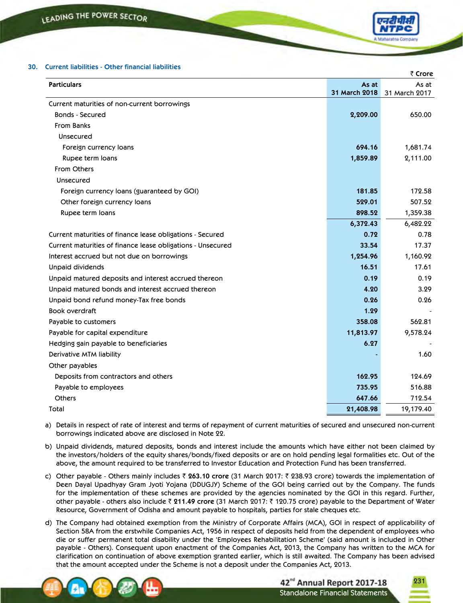

# **30. Current liabilities - Other financial liabilities**

|                                                             |               | ₹ Crore       |
|-------------------------------------------------------------|---------------|---------------|
| <b>Particulars</b>                                          | As at         | As at         |
|                                                             | 31 March 2018 | 31 March 2017 |
| Current maturities of non-current borrowings                |               |               |
| <b>Bonds - Secured</b>                                      | 2,209.00      | 650.00        |
| <b>From Banks</b>                                           |               |               |
| Unsecured                                                   |               |               |
| Foreign currency loans                                      | 694.16        | 1,681.74      |
| Rupee term loans                                            | 1,859.89      | 2,111.00      |
| From Others                                                 |               |               |
| Unsecured                                                   |               |               |
| Foreign currency loans (guaranteed by GOI)                  | 181.85        | 172.58        |
| Other foreign currency loans                                | 529.01        | 507.52        |
| Rupee term loans                                            | 898.52        | 1,359.38      |
|                                                             | 6,372.43      | 6,482.22      |
| Current maturities of finance lease obligations - Secured   | 0.72          | 0.78          |
| Current maturities of finance lease obligations - Unsecured | 33.54         | 17.37         |
| Interest accrued but not due on borrowings                  | 1,254.96      | 1,160.92      |
| <b>Unpaid dividends</b>                                     | 16.51         | 17.61         |
| Unpaid matured deposits and interest accrued thereon        | 0.19          | 0.19          |
| Unpaid matured bonds and interest accrued thereon           | 4.20          | 3.29          |
| Unpaid bond refund money-Tax free bonds                     | 0.26          | 0.26          |
| <b>Book overdraft</b>                                       | 1.29          |               |
| Payable to customers                                        | 358.08        | 562.81        |
| Payable for capital expenditure                             | 11,813.97     | 9,578.24      |
| Hedging gain payable to beneficiaries                       | 6.27          |               |
| Derivative MTM liability                                    |               | 1.60          |
| Other payables                                              |               |               |
| Deposits from contractors and others                        | 162.95        | 124.69        |
| Payable to employees                                        | 735.95        | 516.88        |
| Others                                                      | 647.66        | 712.54        |
| Total                                                       | 21,408.98     | 19,179.40     |
|                                                             |               |               |

- a) Details in respect of rate of interest and terms of repayment of current maturities of secured and unsecured non-current borrowings indicated above are disclosed in Note 22.
- b) Unpaid dividends, matured deposits, bonds and interest include the amounts which have either not been claimed by the investors/holders of the equity shares/bonds/fixed deposits or are on hold pending legal formalities etc. Out of the above, the amount required to be transferred to Investor Education and Protection Fund has been transferred.
- c) Other payable Others mainly includes ` **263.10 crore** (31 March 2017: ` 238.93 crore) towards the implementation of Deen Dayal Upadhyay Gram Jyoti Yojana (DDUGJY) Scheme of the GOI being carried out by the Company. The funds for the implementation of these schemes are provided by the agencies nominated by the GOI in this regard. Further, other payable - others also include ` **211.49 crore** (31 March 2017: ` 120.75 crore) payable to the Department of Water Resource, Government of Odisha and amount payable to hospitals, parties for stale cheques etc.
- d) The Company had obtained exemption from the Ministry of Corporate Affairs (MCA), GOI in respect of applicability of Section 58A from the erstwhile Companies Act, 1956 in respect of deposits held from the dependent of employees who die or suffer permanent total disability under the 'Employees Rehabilitation Scheme' (said amount is included in Other payable - Others). Consequent upon enactment of the Companies Act, 2013, the Company has written to the MCA for clarification on continuation of above exemption granted earlier, which is still awaited. The Company has been advised that the amount accepted under the Scheme is not a deposit under the Companies Act, 2013.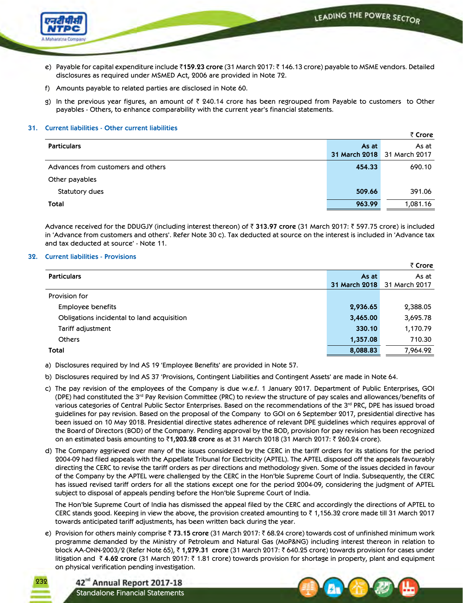LEADING THE POWER SECTOR



- e) Payable for capital expenditure include ₹159.23 crore (31 March 2017: ₹146.13 crore) payable to MSME vendors. Detailed disclosures as required under MSMED Act, 2006 are provided in Note 72.
- f) Amounts payable to related parties are disclosed in Note 60.
- g) In the previous year figures, an amount of  $\bar{\tau}$  240.14 crore has been regrouped from Payable to customers to Other payables - Others, to enhance comparability with the current year's financial statements.

### **31. Current liabilities - Other current liabilities**

|                                    |                               | ₹ Crore                |
|------------------------------------|-------------------------------|------------------------|
| <b>Particulars</b>                 | As at<br><b>31 March 2018</b> | As at<br>31 March 2017 |
|                                    |                               |                        |
| Advances from customers and others | 454.33                        | 690.10                 |
| Other payables                     |                               |                        |
| Statutory dues                     | 509.66                        | 391.06                 |
| Total                              | 963.99                        | 1,081.16               |

Advance received for the DDUGJY (including interest thereon) of ₹ 313.97 crore (31 March 2017: ₹ 597.75 crore) is included in 'Advance from customers and others'. Refer Note 30 c). Tax deducted at source on the interest is included in 'Advance tax and tax deducted at source' - Note 11.

### **32.** Current liabilities - Provisions

|                                            |                      | ₹ Crore       |
|--------------------------------------------|----------------------|---------------|
| <b>Particulars</b>                         | As at                | As at         |
|                                            | <b>31 March 2018</b> | 31 March 2017 |
| Provision for                              |                      |               |
| Employee benefits                          | 2,936.65             | 2,388.05      |
| Obligations incidental to land acquisition | 3,465.00             | 3,695.78      |
| Tariff adjustment                          | 330.10               | 1,170.79      |
| <b>Others</b>                              | 1,357.08             | 710.30        |
| Total                                      | 8,088.83             | 7,964.92      |

a) Disclosures required by Ind AS 19 'Employee Benefits' are provided in Note 57.

- b) Disclosures required by Ind AS 37 'Provisions, Contingent Liabilities and Contingent Assets' are made in Note 64.
- c) The pay revision of the employees of the Company is due w.e.f. 1 January 2017. Department of Public Enterprises, GOI (DPE) had constituted the 3<sup>rd</sup> Pay Revision Committee (PRC) to review the structure of pay scales and allowances/benefits of various categories of Central Public Sector Enterprises. Based on the recommendations of the 3rd PRC, DPE has issued broad guidelines for pay revision. Based on the proposal of the Company to GOI on 6 September 2017, presidential directive has been issued on 10 May 2018. Presidential directive states adherence of relevant DPE guidelines which requires approval of the Board of Directors (BOD) of the Company. Pending approval by the BOD, provision for pay revision has been recognized on an estimated basis amounting to `**1,203.28 crore** as at 31 March 2018 (31 March 2017: ` 260.24 crore).
- d) The Company aggrieved over many of the issues considered by the CERC in the tariff orders for its stations for the period 2004-09 had filed appeals with the Appellate Tribunal for Electricity (APTEL). The APTEL disposed off the appeals favourably directing the CERC to revise the tariff orders as per directions and methodology given. Some of the issues decided in favour of the Company by the APTEL were challenged by the CERC in the Hon'ble Supreme Court of India. Subsequently, the CERC has issued revised tariff orders for all the stations except one for the period 2004-09, considering the judgment of APTEL subject to disposal of appeals pending before the Hon'ble Supreme Court of India.

The Hon'ble Supreme Court of India has dismissed the appeal filed by the CERC and accordingly the directions of APTEL to CERC stands good. Keeping in view the above, the provision created amounting to  $\bar{\tau}$  1,156.32 crore made till 31 March 2017 towards anticipated tariff adjustments, has been written back during the year.

e) Provision for others mainly comprise ₹ 73.15 crore (31 March 2017: ₹ 68.24 crore) towards cost of unfinished minimum work programme demanded by the Ministry of Petroleum and Natural Gas (MoP&NG) including interest thereon in relation to block AA-ONN-2003/2 (Refer Note 65), ₹1,279.31 crore (31 March 2017: ₹640.25 crore) towards provision for cases under litigation and ₹4.62 crore (31 March 2017: ₹1.81 crore) towards provision for shortage in property, plant and equipment on physical verification pending investigation.



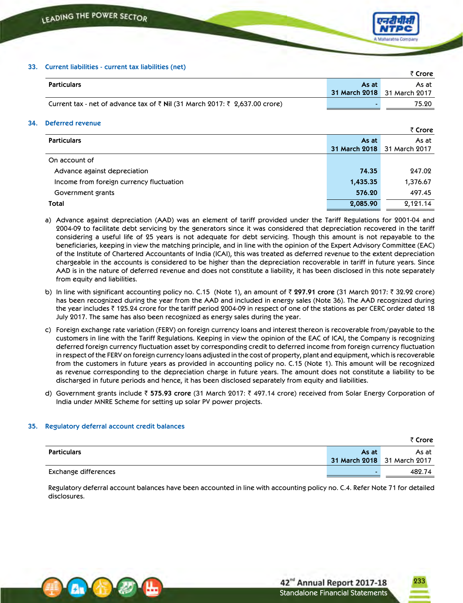

# **33. Current liabilities - current tax liabilities (net)**

|                                                                             |       | ₹ Crore                     |
|-----------------------------------------------------------------------------|-------|-----------------------------|
| <b>Particulars</b>                                                          | As at | As at                       |
|                                                                             |       | 31 March 2018 31 March 2017 |
| Current tax - net of advance tax of ₹ Nil (31 March 2017: ₹ 2,637.00 crore) |       | 75.20                       |

### **34. Deferred revenue**

|                                          |                      | ₹ Crore       |
|------------------------------------------|----------------------|---------------|
| <b>Particulars</b>                       | As at                | As at         |
|                                          | <b>31 March 2018</b> | 31 March 2017 |
| On account of                            |                      |               |
| Advance against depreciation             | 74.35                | 247.02        |
| Income from foreign currency fluctuation | 1,435.35             | 1,376.67      |
| Government grants                        | 576.20               | 497.45        |
| Total                                    | 2,085.90             | 2,121.14      |

- a) Advance against depreciation (AAD) was an element of tariff provided under the Tariff Regulations for 2001-04 and 2004-09 to facilitate debt servicing by the generators since it was considered that depreciation recovered in the tariff considering a useful life of 25 years is not adequate for debt servicing. Though this amount is not repayable to the beneficiaries, keeping in view the matching principle, and in line with the opinion of the Expert Advisory Committee (EAC) of the Institute of Chartered Accountants of India (ICAI), this was treated as deferred revenue to the extent depreciation chargeable in the accounts is considered to be higher than the depreciation recoverable in tariff in future years. Since AAD is in the nature of deferred revenue and does not constitute a liability, it has been disclosed in this note separately from equity and liabilities.
- b) In line with significant accounting policy no. C.15 (Note 1), an amount of ₹ 297.91 crore (31 March 2017: ₹ 32.92 crore) has been recognized during the year from the AAD and included in energy sales (Note 36). The AAD recognized during the year includes  $\bar{\tau}$  125.24 crore for the tariff period 2004-09 in respect of one of the stations as per CERC order dated 18 July 2017. The same has also been recognized as energy sales during the year.
- c) Foreign exchange rate variation (FERV) on foreign currency loans and interest thereon is recoverable from/payable to the customers in line with the Tariff Regulations. Keeping in view the opinion of the EAC of ICAI, the Company is recognizing deferred foreign currency fluctuation asset by corresponding credit to deferred income from foreign currency fluctuation in respect of the FERV on foreign currency loans adjusted in the cost of property, plant and equipment, which is recoverable from the customers in future years as provided in accounting policy no. C.15 (Note 1). This amount will be recognized as revenue corresponding to the depreciation charge in future years. The amount does not constitute a liability to be discharged in future periods and hence, it has been disclosed separately from equity and liabilities.
- d) Government grants include ` **575.93 crore** (31 March 2017: ` 497.14 crore) received from Solar Energy Corporation of India under MNRE Scheme for setting up solar PV power projects.

# **35. Regulatory deferral account credit balances**

|                      |       | र Crore                     |
|----------------------|-------|-----------------------------|
| Particulars          | As at | As at                       |
|                      |       | 31 March 2018 31 March 2017 |
| Exchange differences |       | 482.74                      |

 Regulatory deferral account balances have been accounted in line with accounting policy no. C.4. Refer Note 71 for detailed disclosures.

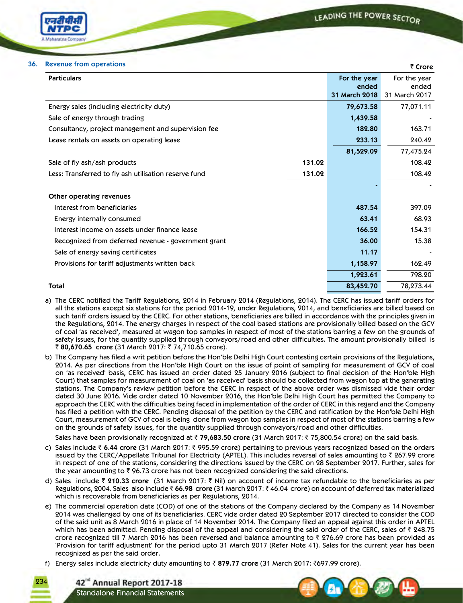

### **36. Revenue from operations** ` **Crore**

|                                                                 |                       | $\sqrt{2}$            |
|-----------------------------------------------------------------|-----------------------|-----------------------|
| <b>Particulars</b>                                              | For the year<br>ended | For the year<br>ended |
|                                                                 | 31 March 2018         | 31 March 2017         |
| Energy sales (including electricity duty)                       | 79,673.58             | 77,071.11             |
| Sale of energy through trading                                  | 1,439.58              |                       |
| Consultancy, project management and supervision fee             | 182.80                | 163.71                |
| Lease rentals on assets on operating lease                      | 233.13                | 240.42                |
|                                                                 | 81,529.09             | 77,475.24             |
| 131.02<br>Sale of fly ash/ash products                          |                       | 108.42                |
| 131.02<br>Less: Transferred to fly ash utilisation reserve fund |                       | 108.42                |
|                                                                 |                       |                       |
| Other operating revenues                                        |                       |                       |
| Interest from beneficiaries                                     | 487.54                | 397.09                |
| Energy internally consumed                                      | 63.41                 | 68.93                 |
| Interest income on assets under finance lease                   | 166.52                | 154.31                |
| Recognized from deferred revenue - government grant             | 36.00                 | 15.38                 |
| Sale of energy saving certificates                              | 11.17                 |                       |
| Provisions for tariff adjustments written back                  | 1,158.97              | 162.49                |
|                                                                 | 1,923.61              | 798.20                |
| <b>Total</b>                                                    | 83,452.70             | 78,273.44             |

- a) The CERC notified the Tariff Regulations, 2014 in February 2014 (Regulations, 2014). The CERC has issued tariff orders for all the stations except six stations for the period 2014-19, under Regulations, 2014, and beneficiaries are billed based on such tariff orders issued by the CERC. For other stations, beneficiaries are billed in accordance with the principles given in the Regulations, 2014. The energy charges in respect of the coal based stations are provisionally billed based on the GCV of coal 'as received', measured at wagon top samples in respect of most of the stations barring a few on the grounds of safety issues, for the quantity supplied through conveyors/road and other difficulties. The amount provisionally billed is ₹ 80,670.65 crore (31 March 2017: ₹ 74,710.65 crore).
- b) The Company has filed a writ petition before the Hon'ble Delhi High Court contesting certain provisions of the Regulations, 2014. As per directions from the Hon'ble High Court on the issue of point of sampling for measurement of GCV of coal on 'as received' basis, CERC has issued an order dated 25 January 2016 (subject to final decision of the Hon'ble High Court) that samples for measurement of coal on 'as received' basis should be collected from wagon top at the generating stations. The Company's review petition before the CERC in respect of the above order was dismissed vide their order dated 30 June 2016. Vide order dated 10 November 2016, the Hon'ble Delhi High Court has permitted the Company to approach the CERC with the difficulties being faced in implementation of the order of CERC in this regard and the Company has filed a petition with the CERC. Pending disposal of the petition by the CERC and ratification by the Hon'ble Delhi High Court, measurement of GCV of coal is being done from wagon top samples in respect of most of the stations barring a few on the grounds of safety issues, for the quantity supplied through conveyors/road and other difficulties.

Sales have been provisionally recognized at ` **79,683.50 crore** (31 March 2017: ` 75,800.54 crore) on the said basis.

- c) Sales include ₹ 6.44 crore (31 March 2017: ₹ 995.59 crore) pertaining to previous years recognized based on the orders issued by the CERC/Appellate Tribunal for Electricity (APTEL). This includes reversal of sales amounting to  $\bar{z}$  267.99 crore in respect of one of the stations, considering the directions issued by the CERC on 28 September 2017. Further, sales for the year amounting to  $\bar{z}$  96.73 crore has not been recognized considering the said directions.
- d) Sales include ₹ 210.33 crore (31 March 2017: ₹ Nil) on account of income tax refundable to the beneficiaries as per Regulations, 2004. Sales also include ` **66.98 crore** (31 March 2017: ` 46.04 crore) on account of deferred tax materialized which is recoverable from beneficiaries as per Regulations, 2014.
- e) The commercial operation date (COD) of one of the stations of the Company declared by the Company as 14 November 2014 was challenged by one of its beneficiaries. CERC vide order dated 20 September 2017 directed to consider the COD of the said unit as 8 March 2016 in place of 14 November 2014. The Company filed an appeal against this order in APTEL which has been admitted. Pending disposal of the appeal and considering the said order of the CERC, sales of  $\bar{\bar{\tau}}$  248.75 crore recognized till 7 March 2016 has been reversed and balance amounting to ` 276.69 crore has been provided as 'Provision for tariff adjustment' for the period upto 31 March 2017 (Refer Note 41). Sales for the current year has been recognized as per the said order.
- f) Energy sales include electricity duty amounting to ₹879.77 crore (31 March 2017: ₹697.99 crore).

42<sup>nd</sup> Annual Report 2017-18 Standalone Financial Statements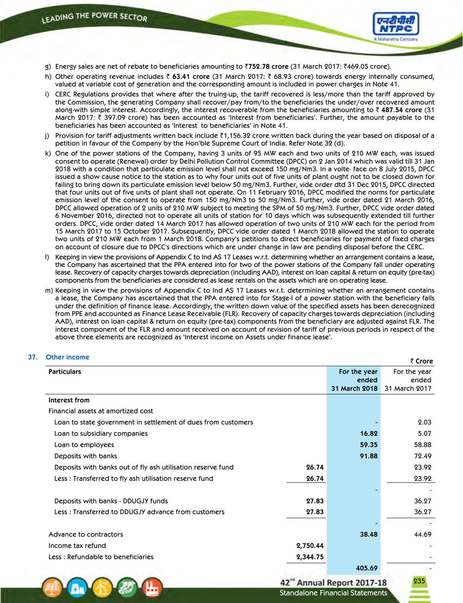

- g) Energy sales are net of rebate to beneficiaries amounting to `**752.78 crore** (31 March 2017: `469.05 crore).
- h) Other operating revenue includes ₹ 63.41 crore (31 March 2017: ₹ 68.93 crore) towards energy internally consumed, valued at variable cost of generation and the corresponding amount is included in power charges in Note 41.
- i) CERC Regulations provides that where after the truing-up, the tariff recovered is less/more than the tariff approved by the Commission, the generating Company shall recover/pay from/to the beneficiaries the under/over recovered amount along-with simple interest. Accordingly, the interest recoverable from the beneficiaries amounting to ` **487.54 crore** (31 March 2017: ₹ 397.09 crore) has been accounted as 'Interest from beneficiaries'. Further, the amount payable to the beneficiaries has been accounted as 'Interest to beneficiaries' in Note 41.
- j) Provision for tariff adjustments written back include ₹1,156.32 crore written back during the year based on disposal of a petition in favour of the Company by the Hon'ble Supreme Court of India. Refer Note 32 (d).
- k) One of the power stations of the Company, having 3 units of 95 MW each and two units of 210 MW each, was issued consent to operate (Renewal) order by Delhi Pollution Control Committee (DPCC) on 2 Jan 2014 which was valid till 31 Jan 2018 with a condition that particulate emission level shall not exceed 150 mg/Nm3. In a volte- face on 8 July 2015, DPCC issued a show cause notice to the station as to why four units out of five units of plant ought not to be closed down for failing to bring down its particulate emission level below 50 mg/Nm3. Further, vide order dtd 31 Dec 2015, DPCC directed that four units out of five units of plant shall not operate. On 11 February 2016, DPCC modified the norms for particulate emission level of the consent to operate from 150 mg/Nm3 to 50 mg/Nm3. Further, vide order dated 21 March 2016, DPCC allowed operation of 2 units of 210 MW subject to meeting the SPM of 50 mg/Nm3. Further, DPCC vide order dated 6 November 2016, directed not to operate all units of station for 10 days which was subsequently extended till further orders. DPCC, vide order dated 14 March 2017 has allowed operation of two units of 210 MW each for the period from 15 March 2017 to 15 October 2017. Subsequently, DPCC vide order dated 1 March 2018 allowed the station to operate two units of 210 MW each from 1 March 2018. Company's petitions to direct beneficiaries for payment of fixed charges on account of closure due to DPCC's directions which are under change in law are pending disposal before the CERC.
- l) Keeping in view the provisions of Appendix C to Ind AS 17 Leases w.r.t. determining whether an arrangement contains a lease, the Company has ascertained that the PPA entered into for two of the power stations of the Company fall under operating lease. Recovery of capacity charges towards depreciation (including AAD), interest on loan capital & return on equity (pre-tax) components from the beneficiaries are considered as lease rentals on the assets which are on operating lease.
- m) Keeping in view the provisions of Appendix C to Ind AS 17 Leases w.r.t. determining whether an arrangement contains a lease, the Company has ascertained that the PPA entered into for Stage-I of a power station with the beneficiary falls under the definition of finance lease. Accordingly, the written down value of the specified assets has been derecognized from PPE and accounted as Finance Lease Receivable (FLR). Recovery of capacity charges towards depreciation (including AAD), interest on loan capital & return on equity (pre-tax) components from the beneficiary are adjusted against FLR. The interest component of the FLR and amount received on account of revision of tariff of previous periods in respect of the above three elements are recognized as 'Interest income on Assets under finance lease'.

| <b>Other income</b>                                           |          |               | ₹ Crore       |
|---------------------------------------------------------------|----------|---------------|---------------|
| <b>Particulars</b>                                            |          | For the year  | For the year  |
|                                                               |          | ended         | ended         |
|                                                               |          | 31 March 2018 | 31 March 2017 |
| Interest from                                                 |          |               |               |
| Financial assets at amortized cost                            |          |               |               |
| Loan to state government in settlement of dues from customers |          |               | 2.03          |
| Loan to subsidiary companies                                  |          | 16.82         | 5.07          |
| Loan to employees                                             |          | 59.35         | 58.88         |
| Deposits with banks                                           |          | 91.88         | 72.49         |
| Deposits with banks out of fly ash utilisation reserve fund   | 26.74    |               | 23.92         |
| Less: Transferred to fly ash utilisation reserve fund         | 26.74    |               | 23.92         |
|                                                               |          |               |               |
| Deposits with banks - DDUGJY funds                            | 27.83    |               | 36.27         |
| Less: Transferred to DDUGJY advance from customers            | 27.83    |               | 36.27         |
| Advance to contractors                                        |          | 38.48         | 44.69         |
| Income tax refund                                             | 2,750.44 |               |               |
| Less: Refundable to beneficiaries                             | 2,344.75 |               |               |
|                                                               |          | 405.69        |               |

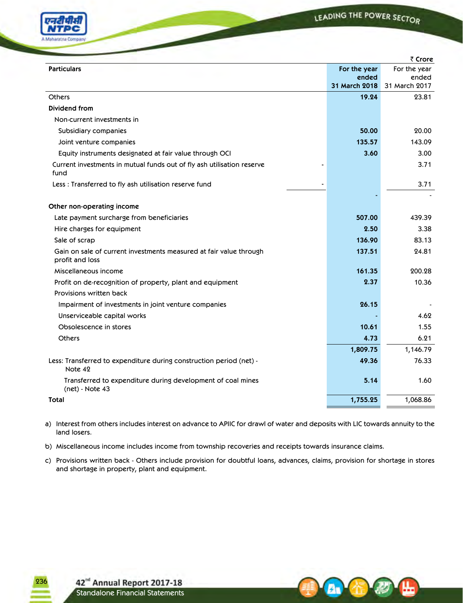LEADING THE POWER SECTOR



|                                                                                       |                        | ₹ Crore                |
|---------------------------------------------------------------------------------------|------------------------|------------------------|
| <b>Particulars</b>                                                                    | For the year           | For the year           |
|                                                                                       | ended<br>31 March 2018 | ended<br>31 March 2017 |
|                                                                                       |                        |                        |
| <b>Others</b>                                                                         | 19.24                  | 23.81                  |
| Dividend from                                                                         |                        |                        |
| Non-current investments in                                                            |                        |                        |
| Subsidiary companies                                                                  | 50.00                  | 20.00                  |
| Joint venture companies                                                               | 135.57                 | 143.09                 |
| Equity instruments designated at fair value through OCI                               | 3.60                   | 3.00                   |
| Current investments in mutual funds out of fly ash utilisation reserve<br>fund        |                        | 3.71                   |
| Less : Transferred to fly ash utilisation reserve fund                                |                        | 3.71                   |
|                                                                                       |                        |                        |
| Other non-operating income                                                            |                        |                        |
| Late payment surcharge from beneficiaries                                             | 507.00                 | 439.39                 |
| Hire charges for equipment                                                            | 2.50                   | 3.38                   |
| Sale of scrap                                                                         | 136.90                 | 83.13                  |
| Gain on sale of current investments measured at fair value through<br>profit and loss | 137.51                 | 24.81                  |
| Miscellaneous income                                                                  | 161.35                 | 200.28                 |
| Profit on de-recognition of property, plant and equipment                             | 2.37                   | 10.36                  |
| Provisions written back                                                               |                        |                        |
| Impairment of investments in joint venture companies                                  | 26.15                  |                        |
| Unserviceable capital works                                                           |                        | 4.62                   |
| Obsolescence in stores                                                                | 10.61                  | 1.55                   |
| <b>Others</b>                                                                         | 4.73                   | 6.21                   |
|                                                                                       | 1,809.75               | 1,146.79               |
| Less: Transferred to expenditure during construction period (net) -<br>Note 42        | 49.36                  | 76.33                  |
| Transferred to expenditure during development of coal mines<br>(net) - Note 43        | 5.14                   | 1.60                   |
| Total                                                                                 | 1,755.25               | 1,068.86               |
|                                                                                       |                        |                        |

a) Interest from others includes interest on advance to APIIC for drawl of water and deposits with LIC towards annuity to the land losers.

b) Miscellaneous income includes income from township recoveries and receipts towards insurance claims.

c) Provisions written back - Others include provision for doubtful loans, advances, claims, provision for shortage in stores and shortage in property, plant and equipment.

A.



42<sup>nd</sup> Annual Report 2017-18<br>Standalone Financial Statements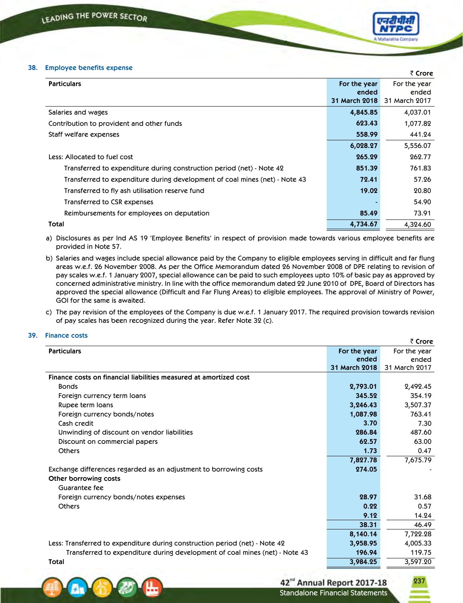### **38. Employee benefits expense**

|                                                                             |                                        | ₹ Crore                                |
|-----------------------------------------------------------------------------|----------------------------------------|----------------------------------------|
| <b>Particulars</b>                                                          | For the year<br>ended<br>31 March 2018 | For the year<br>ended<br>31 March 2017 |
| Salaries and wages                                                          | 4,845.85                               | 4,037.01                               |
| Contribution to provident and other funds                                   | 623.43                                 | 1,077.82                               |
| Staff welfare expenses                                                      | 558.99                                 | 441.24                                 |
|                                                                             | 6,028.27                               | 5,556.07                               |
| Less: Allocated to fuel cost                                                | 265.29                                 | 262.77                                 |
| Transferred to expenditure during construction period (net) - Note 42       | 851.39                                 | 761.83                                 |
| Transferred to expenditure during development of coal mines (net) - Note 43 | 72.41                                  | 57.26                                  |
| Transferred to fly ash utilisation reserve fund                             | 19.02                                  | 20.80                                  |
| Transferred to CSR expenses                                                 |                                        | 54.90                                  |
| Reimbursements for employees on deputation                                  | 85.49                                  | 73.91                                  |
| Total                                                                       | 4,734.67                               | 4,324.60                               |

- a) Disclosures as per Ind AS 19 'Employee Benefits' in respect of provision made towards various employee benefits are provided in Note 57.
- b) Salaries and wages include special allowance paid by the Company to eligible employees serving in difficult and far flung areas w.e.f. 26 November 2008. As per the Office Memorandum dated 26 November 2008 of DPE relating to revision of pay scales w.e.f. 1 January 2007, special allowance can be paid to such employees upto 10% of basic pay as approved by concerned administrative ministry. In line with the office memorandum dated 22 June 2010 of DPE, Board of Directors has approved the special allowance (Difficult and Far Flung Areas) to eligible employees. The approval of Ministry of Power, GOI for the same is awaited.
- c) The pay revision of the employees of the Company is due w.e.f. 1 January 2017. The required provision towards revision of pay scales has been recognized during the year. Refer Note 32 (c).

### **39. Finance costs**

|                                                                             |               | ₹ Crore       |
|-----------------------------------------------------------------------------|---------------|---------------|
| <b>Particulars</b>                                                          | For the year  | For the year  |
|                                                                             | ended         | ended         |
|                                                                             | 31 March 2018 | 31 March 2017 |
| Finance costs on financial liabilities measured at amortized cost           |               |               |
| <b>Bonds</b>                                                                | 2,793.01      | 2,492.45      |
| Foreign currency term loans                                                 | 345.52        | 354.19        |
| Rupee term loans                                                            | 3,246.43      | 3,507.37      |
| Foreign currency bonds/notes                                                | 1,087.98      | 763.41        |
| Cash credit                                                                 | 3.70          | 7.30          |
| Unwinding of discount on vendor liabilities                                 | 286.84        | 487.60        |
| Discount on commercial papers                                               | 62.57         | 63.00         |
| <b>Others</b>                                                               | 1.73          | 0.47          |
|                                                                             | 7,827.78      | 7,675.79      |
| Exchange differences regarded as an adjustment to borrowing costs           | 274.05        |               |
| Other borrowing costs                                                       |               |               |
| Guarantee fee                                                               |               |               |
| Foreign currency bonds/notes expenses                                       | 28.97         | 31.68         |
| <b>Others</b>                                                               | 0.22          | 0.57          |
|                                                                             | 9.12          | 14.24         |
|                                                                             | 38.31         | 46.49         |
|                                                                             | 8,140.14      | 7,722.28      |
| Less: Transferred to expenditure during construction period (net) - Note 42 | 3,958.95      | 4,005.33      |
| Transferred to expenditure during development of coal mines (net) - Note 43 | 196.94        | 119.75        |
| Total                                                                       | 3,984.25      | 3,597.20      |

42<sup>nd</sup> Annual Report 2017-18 Standalone Financial Statements

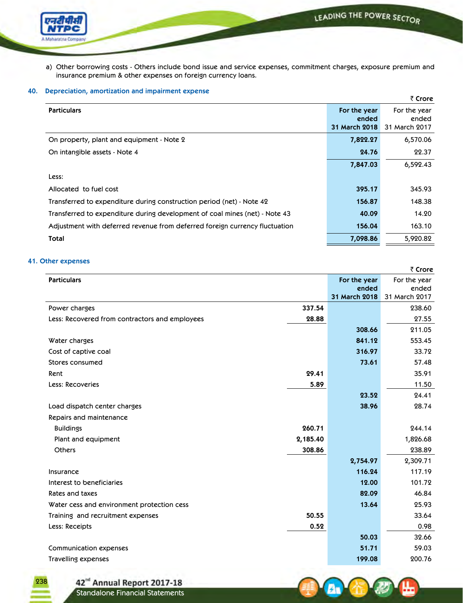

a) Other borrowing costs - Others include bond issue and service expenses, commitment charges, exposure premium and insurance premium & other expenses on foreign currency loans.

# **40. Depreciation, amortization and impairment expense**

|                                                                             |                                        | ₹ Crore                                |
|-----------------------------------------------------------------------------|----------------------------------------|----------------------------------------|
| <b>Particulars</b>                                                          | For the year<br>ended<br>31 March 2018 | For the year<br>ended<br>31 March 2017 |
| On property, plant and equipment - Note 2                                   | 7,822.27                               | 6,570.06                               |
| On intangible assets - Note 4                                               | 24.76                                  | 22.37                                  |
|                                                                             | 7,847.03                               | 6,592.43                               |
| Less:                                                                       |                                        |                                        |
| Allocated to fuel cost                                                      | 395.17                                 | 345.93                                 |
| Transferred to expenditure during construction period (net) - Note 42       | 156.87                                 | 148.38                                 |
| Transferred to expenditure during development of coal mines (net) - Note 43 | 40.09                                  | 14.20                                  |
| Adjustment with deferred revenue from deferred foreign currency fluctuation | 156.04                                 | 163.10                                 |
| Total                                                                       | 7,098.86                               | 5,920.82                               |

# **41. Other expenses**

238

|                                                |          |               | ₹ Crore       |
|------------------------------------------------|----------|---------------|---------------|
| <b>Particulars</b>                             |          | For the year  | For the year  |
|                                                |          | ended         | ended         |
|                                                |          | 31 March 2018 | 31 March 2017 |
| Power charges                                  | 337.54   |               | 238.60        |
| Less: Recovered from contractors and employees | 28.88    |               | 27.55         |
|                                                |          | 308.66        | 211.05        |
| Water charges                                  |          | 841.12        | 553.45        |
| Cost of captive coal                           |          | 316.97        | 33.72         |
| Stores consumed                                |          | 73.61         | 57.48         |
| Rent                                           | 29.41    |               | 35.91         |
| Less: Recoveries                               | 5.89     |               | 11.50         |
|                                                |          | 23.52         | 24.41         |
| Load dispatch center charges                   |          | 38.96         | 28.74         |
| Repairs and maintenance                        |          |               |               |
| <b>Buildings</b>                               | 260.71   |               | 244.14        |
| Plant and equipment                            | 2,185.40 |               | 1,826.68      |
| <b>Others</b>                                  | 308.86   |               | 238.89        |
|                                                |          | 2,754.97      | 2,309.71      |
| Insurance                                      |          | 116.24        | 117.19        |
| Interest to beneficiaries                      |          | 12.00         | 101.72        |
| Rates and taxes                                |          | 82.09         | 46.84         |
| Water cess and environment protection cess     |          | 13.64         | 25.93         |
| Training and recruitment expenses              | 50.55    |               | 33.64         |
| Less: Receipts                                 | 0.52     |               | 0.98          |
|                                                |          | 50.03         | 32.66         |
| Communication expenses                         |          | 51.71         | 59.03         |
| <b>Travelling expenses</b>                     |          | 199.08        | 200.76        |

42<sup>nd</sup> Annual Report 2017-18<br>Standalone Financial Statements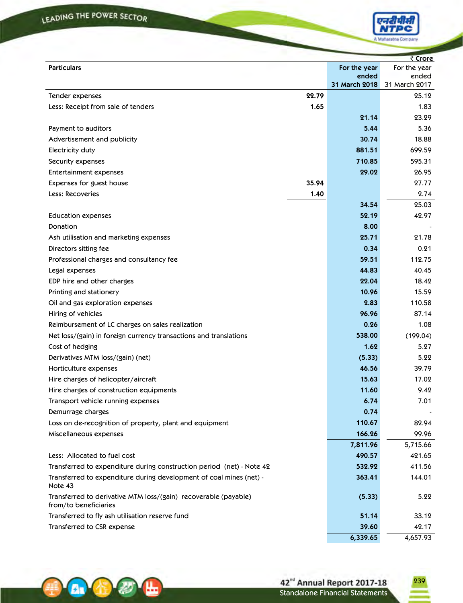

|                                                                                          |       |                               | ₹ Crore                |
|------------------------------------------------------------------------------------------|-------|-------------------------------|------------------------|
| <b>Particulars</b>                                                                       |       | For the year                  | For the year           |
|                                                                                          |       | ended<br><b>31 March 2018</b> | ended<br>31 March 2017 |
| Tender expenses                                                                          | 22.79 |                               | 25.12                  |
| Less: Receipt from sale of tenders                                                       | 1.65  |                               | 1.83                   |
|                                                                                          |       | 21.14                         | 23.29                  |
| Payment to auditors                                                                      |       | 5.44                          | 5.36                   |
| Advertisement and publicity                                                              |       | 30.74                         | 18.88                  |
| Electricity duty                                                                         |       | 881.51                        | 699.59                 |
| Security expenses                                                                        |       | 710.85                        | 595.31                 |
| <b>Entertainment expenses</b>                                                            |       | 29.02                         | 26.95                  |
| Expenses for guest house                                                                 | 35.94 |                               | 27.77                  |
| Less: Recoveries                                                                         | 1.40  |                               | 2.74                   |
|                                                                                          |       | 34.54                         | 25.03                  |
| Education expenses                                                                       |       | 52.19                         | 42.97                  |
| Donation                                                                                 |       | 8.00                          |                        |
| Ash utilisation and marketing expenses                                                   |       | 25.71                         | 21.78                  |
| Directors sitting fee                                                                    |       | 0.34                          | 0.21                   |
| Professional charges and consultancy fee                                                 |       | 59.51                         | 112.75                 |
| Legal expenses                                                                           |       | 44.83                         | 40.45                  |
| EDP hire and other charges                                                               |       | 22.04                         | 18.42                  |
| Printing and stationery                                                                  |       | 10.96                         | 15.59                  |
| Oil and gas exploration expenses                                                         |       | 2.83                          | 110.58                 |
| Hiring of vehicles                                                                       |       | 96.96                         | 87.14                  |
| Reimbursement of LC charges on sales realization                                         |       | 0.26                          | 1.08                   |
| Net loss/(gain) in foreign currency transactions and translations                        |       | 538.00                        | (199.04)               |
| Cost of hedging                                                                          |       | 1.62                          | 5.27                   |
| Derivatives MTM loss/(gain) (net)                                                        |       | (5.33)                        | 5.22                   |
| Horticulture expenses                                                                    |       | 46.56                         | 39.79                  |
| Hire charges of helicopter/aircraft                                                      |       | 15.63                         | 17.02                  |
| Hire charges of construction equipments                                                  |       | 11.60                         | 9.42                   |
| Transport vehicle running expenses                                                       |       | 6.74                          | 7.01                   |
| Demurrage charges                                                                        |       | 0.74                          |                        |
| Loss on de-recognition of property, plant and equipment                                  |       | 110.67                        | 82.94                  |
| Miscellaneous expenses                                                                   |       | 166.26                        | 99.96                  |
|                                                                                          |       | 7,811.96                      | 5,715.66               |
| Less: Allocated to fuel cost                                                             |       | 490.57                        | 421.65                 |
| Transferred to expenditure during construction period (net) - Note 42                    |       | 532.92                        | 411.56                 |
| Transferred to expenditure during development of coal mines (net) -<br>Note 43           |       | 363.41                        | 144.01                 |
| Transferred to derivative MTM loss/(gain) recoverable (payable)<br>from/to beneficiaries |       | (5.33)                        | 5.22                   |
| Transferred to fly ash utilisation reserve fund                                          |       | 51.14                         | 33.12                  |
| Transferred to CSR expense                                                               |       | 39.60                         | 42.17                  |
|                                                                                          |       | 6,339.65                      | 4,657.93               |



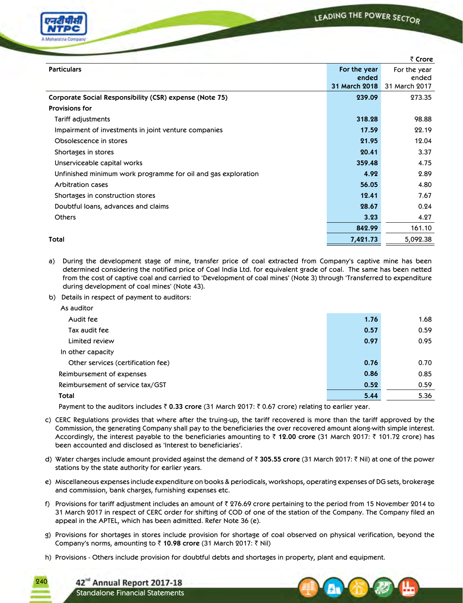

|                                                               |               | ₹ Crore       |
|---------------------------------------------------------------|---------------|---------------|
| <b>Particulars</b>                                            | For the year  | For the year  |
|                                                               | ended         | ended         |
|                                                               | 31 March 2018 | 31 March 2017 |
| Corporate Social Responsibility (CSR) expense (Note 75)       | 239.09        | 273.35        |
| <b>Provisions for</b>                                         |               |               |
| Tariff adjustments                                            | 318.28        | 98.88         |
| Impairment of investments in joint venture companies          | 17.59         | 22.19         |
| Obsolescence in stores                                        | 21.95         | 12.04         |
| Shortages in stores                                           | 20.41         | 3.37          |
| Unserviceable capital works                                   | 359.48        | 4.75          |
| Unfinished minimum work programme for oil and gas exploration | 4.92          | 2.89          |
| Arbitration cases                                             | 56.05         | 4.80          |
| Shortages in construction stores                              | 12.41         | 7.67          |
| Doubtful loans, advances and claims                           | 28.67         | 0.24          |
| <b>Others</b>                                                 | 3.23          | 4.27          |
|                                                               | 842.99        | 161.10        |
| Total                                                         | 7,421.73      | 5,092.38      |

a) During the development stage of mine, transfer price of coal extracted from Company's captive mine has been determined considering the notified price of Coal India Ltd. for equivalent grade of coal. The same has been netted from the cost of captive coal and carried to 'Development of coal mines' (Note 3) through 'Transferred to expenditure during development of coal mines' (Note 43). 

b) Details in respect of payment to auditors:

| As auditor                         |      |      |
|------------------------------------|------|------|
| Audit fee                          | 1.76 | 1.68 |
| Tax audit fee                      | 0.57 | 0.59 |
| Limited review                     | 0.97 | 0.95 |
| In other capacity                  |      |      |
| Other services (certification fee) | 0.76 | 0.70 |
| Reimbursement of expenses          | 0.86 | 0.85 |
| Reimbursement of service tax/GST   | 0.52 | 0.59 |
| Total                              | 5.44 | 5.36 |

Payment to the auditors includes ₹ 0.33 crore (31 March 2017: ₹ 0.67 crore) relating to earlier year.

- c) CERC Regulations provides that where after the truing-up, the tariff recovered is more than the tariff approved by the Commission, the generating Company shall pay to the beneficiaries the over recovered amount along-with simple interest. Accordingly, the interest payable to the beneficiaries amounting to ₹ 12.00 crore (31 March 2017: ₹ 101.72 crore) has been accounted and disclosed as 'Interest to beneficiaries'.
- d) Water charges include amount provided against the demand of ₹ 305.55 crore (31 March 2017: ₹ Nil) at one of the power stations by the state authority for earlier years.
- e) Miscellaneous expenses include expenditure on books & periodicals, workshops, operating expenses of DG sets, brokerage and commission, bank charges, furnishing expenses etc.
- f) Provisions for tariff adjustment includes an amount of  $\bar{z}$  276.69 crore pertaining to the period from 15 November 2014 to 31 March 2017 in respect of CERC order for shifting of COD of one of the station of the Company. The Company filed an appeal in the APTEL, which has been admitted. Refer Note 36 (e).
- g) Provisions for shortages in stores include provision for shortage of coal observed on physical verification, beyond the Company's norms, amounting to ₹ 10.98 crore (31 March 2017: ₹ Nil)
- h) Provisions Others include provision for doubtful debts and shortages in property, plant and equipment.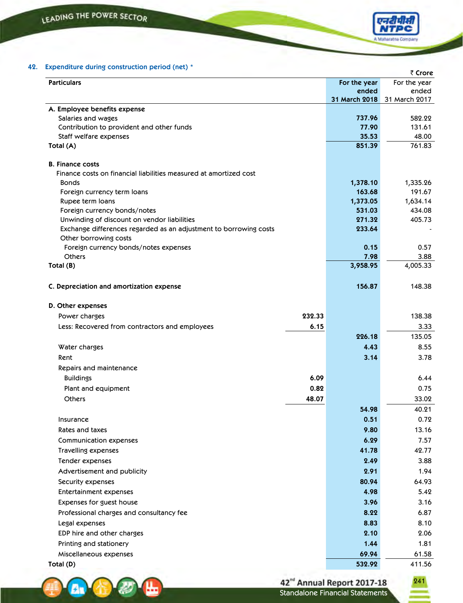A. G



|                                                                     |        |                 | र Crore          |
|---------------------------------------------------------------------|--------|-----------------|------------------|
| <b>Particulars</b>                                                  |        | For the year    | For the year     |
|                                                                     |        | ended           | ended            |
|                                                                     |        | 31 March 2018   | 31 March 2017    |
| A. Employee benefits expense                                        |        |                 |                  |
| Salaries and wages                                                  |        | 737.96<br>77.90 | 582.22<br>131.61 |
| Contribution to provident and other funds<br>Staff welfare expenses |        | 35.53           | 48.00            |
| Total (A)                                                           |        | 851.39          | 761.83           |
|                                                                     |        |                 |                  |
| <b>B. Finance costs</b>                                             |        |                 |                  |
| Finance costs on financial liabilities measured at amortized cost   |        |                 |                  |
| <b>Bonds</b>                                                        |        | 1,378.10        | 1,335.26         |
| Foreign currency term loans                                         |        | 163.68          | 191.67           |
| Rupee term loans                                                    |        | 1,373.05        | 1,634.14         |
| Foreign currency bonds/notes                                        |        | 531.03          | 434.08           |
| Unwinding of discount on vendor liabilities                         |        | 271.32          | 405.73           |
| Exchange differences regarded as an adjustment to borrowing costs   |        | 233.64          |                  |
| Other borrowing costs                                               |        |                 |                  |
| Foreign currency bonds/notes expenses                               |        | 0.15            | 0.57             |
| <b>Others</b>                                                       |        | 7.98            | 3.88             |
| Total (B)                                                           |        | 3,958.95        | 4,005.33         |
|                                                                     |        |                 |                  |
| C. Depreciation and amortization expense                            |        | 156.87          | 148.38           |
|                                                                     |        |                 |                  |
| D. Other expenses                                                   |        |                 |                  |
| Power charges                                                       | 232.33 |                 | 138.38           |
| Less: Recovered from contractors and employees                      | 6.15   |                 | 3.33             |
|                                                                     |        | 226.18          | 135.05           |
| Water charges                                                       |        | 4.43            | 8.55             |
| Rent                                                                |        | 3.14            | 3.78             |
| Repairs and maintenance                                             |        |                 |                  |
| <b>Buildings</b>                                                    | 6.09   |                 | 6.44             |
| Plant and equipment                                                 | 0.82   |                 | 0.75             |
| <b>Others</b>                                                       | 48.07  |                 | 33.02            |
|                                                                     |        | 54.98           | 40.21            |
| Insurance                                                           |        | 0.51            | 0.72             |
| Rates and taxes                                                     |        | 9.80            | 13.16            |
| Communication expenses                                              |        | 6.29            | 7.57             |
| Travelling expenses                                                 |        | 41.78           | 42.77            |
| Tender expenses                                                     |        | 2.49            | 3.88             |
| Advertisement and publicity                                         |        | 2.91            | 1.94             |
| Security expenses                                                   |        | 80.94           | 64.93            |
| <b>Entertainment expenses</b>                                       |        | 4.98            | 5.42             |
| Expenses for guest house                                            |        | 3.96            | 3.16             |
|                                                                     |        | 8.22            | 6.87             |
| Professional charges and consultancy fee                            |        |                 |                  |
| Legal expenses                                                      |        | 8.83            | 8.10             |
| EDP hire and other charges                                          |        | 2.10            | 2.06             |
| Printing and stationery                                             |        | 1.44            | 1.81             |
| Miscellaneous expenses                                              |        | 69.94           | 61.58            |
| Total (D)                                                           |        | 532.92          | 411.56           |





**A Maharatis**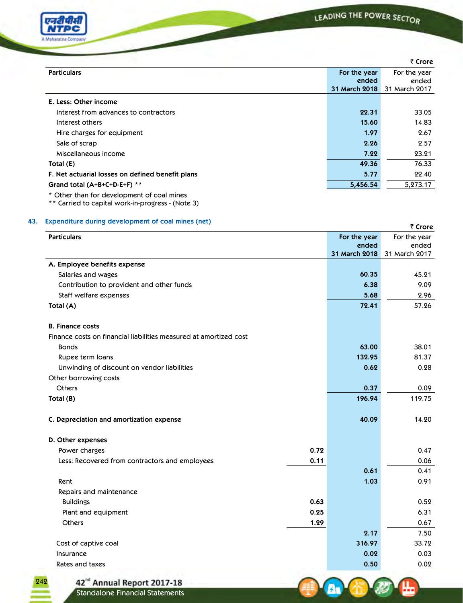

A.

|                                                  |               | ₹ Crore       |
|--------------------------------------------------|---------------|---------------|
| <b>Particulars</b>                               | For the year  | For the year  |
|                                                  | ended         | ended         |
|                                                  | 31 March 2018 | 31 March 2017 |
| E. Less: Other income                            |               |               |
| Interest from advances to contractors            | 22.31         | 33.05         |
| Interest others                                  | 15.60         | 14.83         |
| Hire charges for equipment                       | 1.97          | 2.67          |
| Sale of scrap                                    | 2.26          | 2.57          |
| Miscellaneous income                             | 7.22          | 23.21         |
| Total (E)                                        | 49.36         | 76.33         |
| F. Net actuarial losses on defined benefit plans | 5.77          | 22.40         |
| Grand total $(A+B+C+D-E+F)$ **                   | 5,456.54      | 5,273.17      |
| * Other than for development of coal mines       |               |               |

\*\* Carried to capital work-in-progress - (Note 3)

# **43. Expenditure during development of coal mines (net)**  ` **Crore**

| <b>Particulars</b>                                                |      | For the year  | $\sqrt{2}$<br>For the year |
|-------------------------------------------------------------------|------|---------------|----------------------------|
|                                                                   |      | ended         | ended                      |
|                                                                   |      | 31 March 2018 | 31 March 2017              |
| A. Employee benefits expense                                      |      |               |                            |
| Salaries and wages                                                |      | 60.35         | 45.21                      |
| Contribution to provident and other funds                         |      | 6.38          | 9.09                       |
| Staff welfare expenses                                            |      | 5.68          | 2.96                       |
| Total (A)                                                         |      | 72.41         | 57.26                      |
| <b>B. Finance costs</b>                                           |      |               |                            |
| Finance costs on financial liabilities measured at amortized cost |      |               |                            |
| <b>Bonds</b>                                                      |      | 63.00         | 38.01                      |
| Rupee term loans                                                  |      | 132.95        | 81.37                      |
| Unwinding of discount on vendor liabilities                       |      | 0.62          | 0.28                       |
| Other borrowing costs                                             |      |               |                            |
| <b>Others</b>                                                     |      | 0.37          | 0.09                       |
| Total (B)                                                         |      | 196.94        | 119.75                     |
| C. Depreciation and amortization expense                          |      | 40.09         | 14.20                      |
| D. Other expenses                                                 |      |               |                            |
| Power charges                                                     | 0.72 |               | 0.47                       |
| Less: Recovered from contractors and employees                    | 0.11 |               | 0.06                       |
|                                                                   |      | 0.61          | 0.41                       |
| Rent                                                              |      | 1.03          | 0.91                       |
| Repairs and maintenance                                           |      |               |                            |
| <b>Buildings</b>                                                  | 0.63 |               | 0.52                       |
| Plant and equipment                                               | 0.25 |               | 6.31                       |
| <b>Others</b>                                                     | 1.29 |               | 0.67                       |
|                                                                   |      | 2.17          | 7.50                       |
| Cost of captive coal                                              |      | 316.97        | 33.72                      |
| Insurance                                                         |      | 0.02          | 0.03                       |
| Rates and taxes                                                   |      | 0.50          | 0.02                       |

242

42<sup>nd</sup> Annual Report 2017-18<br>Standalone Financial Statements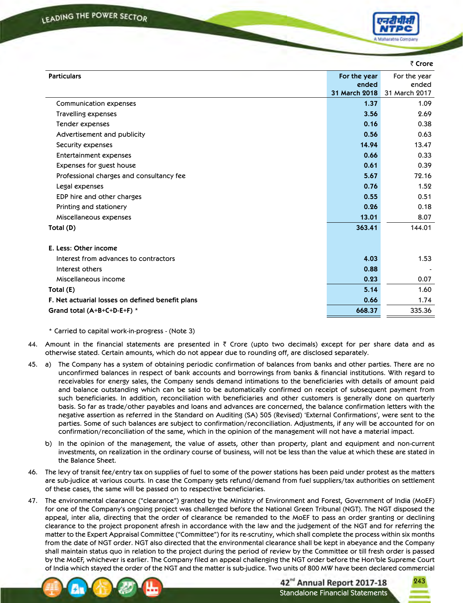

|                                                  |               |        | ₹ Crore               |
|--------------------------------------------------|---------------|--------|-----------------------|
| <b>Particulars</b>                               | For the year  | ended  | For the year<br>ended |
|                                                  | 31 March 2018 |        | 31 March 2017         |
| Communication expenses                           |               | 1.37   | 1.09                  |
| Travelling expenses                              |               | 3.56   | 2.69                  |
| Tender expenses                                  |               | 0.16   | 0.38                  |
| Advertisement and publicity                      |               | 0.56   | 0.63                  |
| Security expenses                                |               | 14.94  | 13.47                 |
| <b>Entertainment expenses</b>                    |               | 0.66   | 0.33                  |
| Expenses for guest house                         |               | 0.61   | 0.39                  |
| Professional charges and consultancy fee         |               | 5.67   | 72.16                 |
| Legal expenses                                   |               | 0.76   | 1.52                  |
| EDP hire and other charges                       |               | 0.55   | 0.51                  |
| Printing and stationery                          |               | 0.26   | 0.18                  |
| Miscellaneous expenses                           |               | 13.01  | 8.07                  |
| Total (D)                                        |               | 363.41 | 144.01                |
| E. Less: Other income                            |               |        |                       |
| Interest from advances to contractors            |               | 4.03   | 1.53                  |
| Interest others                                  |               | 0.88   |                       |
| Miscellaneous income                             |               | 0.23   | 0.07                  |
| Total (E)                                        |               | 5.14   | 1.60                  |
| F. Net actuarial losses on defined benefit plans |               | 0.66   | 1.74                  |
| Grand total (A+B+C+D-E+F) *                      |               | 668.37 | 335.36                |
|                                                  |               |        |                       |

\* Carried to capital work-in-progress - (Note 3)

- 44. Amount in the financial statements are presented in  $\bar{\tau}$  Crore (upto two decimals) except for per share data and as otherwise stated. Certain amounts, which do not appear due to rounding off, are disclosed separately.
- 45. a) The Company has a system of obtaining periodic confirmation of balances from banks and other parties. There are no unconfirmed balances in respect of bank accounts and borrowings from banks & financial institutions. With regard to receivables for energy sales, the Company sends demand intimations to the beneficiaries with details of amount paid and balance outstanding which can be said to be automatically confirmed on receipt of subsequent payment from such beneficiaries. In addition, reconciliation with beneficiaries and other customers is generally done on quarterly basis. So far as trade/other payables and loans and advances are concerned, the balance confirmation letters with the negative assertion as referred in the Standard on Auditing (SA) 505 (Revised) 'External Confirmations', were sent to the parties. Some of such balances are subject to confirmation/reconciliation. Adjustments, if any will be accounted for on confirmation/reconciliation of the same, which in the opinion of the management will not have a material impact.
	- b) In the opinion of the management, the value of assets, other than property, plant and equipment and non-current investments, on realization in the ordinary course of business, will not be less than the value at which these are stated in the Balance Sheet.
- 46. The levy of transit fee/entry tax on supplies of fuel to some of the power stations has been paid under protest as the matters are sub-judice at various courts. In case the Company gets refund/demand from fuel suppliers/tax authorities on settlement of these cases, the same will be passed on to respective beneficiaries.
- 47. The environmental clearance ("clearance") granted by the Ministry of Environment and Forest, Government of India (MoEF) for one of the Company's ongoing project was challenged before the National Green Tribunal (NGT). The NGT disposed the appeal, inter alia, directing that the order of clearance be remanded to the MoEF to pass an order granting or declining clearance to the project proponent afresh in accordance with the law and the judgement of the NGT and for referring the matter to the Expert Appraisal Committee ("Committee") for its re-scrutiny, which shall complete the process within six months from the date of NGT order. NGT also directed that the environmental clearance shall be kept in abeyance and the Company shall maintain status quo in relation to the project during the period of review by the Committee or till fresh order is passed by the MoEF, whichever is earlier. The Company filed an appeal challenging the NGT order before the Hon'ble Supreme Court of India which stayed the order of the NGT and the matter is sub-judice. Two units of 800 MW have been declared commercial



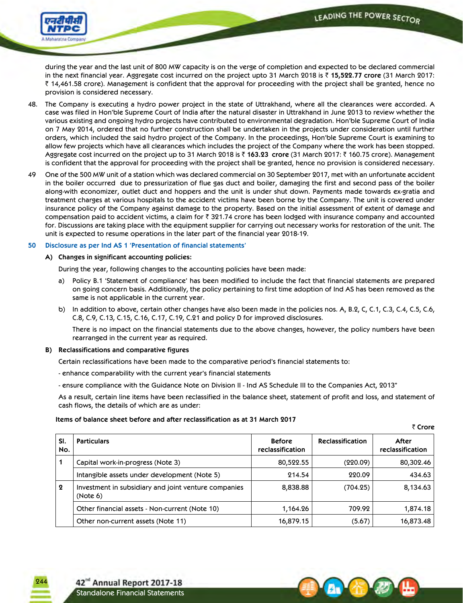₹ Crore



during the year and the last unit of 800 MW capacity is on the verge of completion and expected to be declared commercial in the next financial year. Aggregate cost incurred on the project upto 31 March 2018 is ` **15,522.77 crore** (31 March 2017:  $\bar{\zeta}$  14,461.58 crore). Management is confident that the approval for proceeding with the project shall be granted, hence no provision is considered necessary.

- 48. The Company is executing a hydro power project in the state of Uttrakhand, where all the clearances were accorded. A case was filed in Hon'ble Supreme Court of India after the natural disaster in Uttrakhand in June 2013 to review whether the various existing and ongoing hydro projects have contributed to environmental degradation. Hon'ble Supreme Court of India on 7 May 2014, ordered that no further construction shall be undertaken in the projects under consideration until further orders, which included the said hydro project of the Company. In the proceedings, Hon'ble Supreme Court is examining to allow few projects which have all clearances which includes the project of the Company where the work has been stopped. Aggregate cost incurred on the project up to 31 March 2018 is ₹ 163.23 crore (31 March 2017: ₹ 160.75 crore). Management is confident that the approval for proceeding with the project shall be granted, hence no provision is considered necessary.
- 49 One of the 500 MW unit of a station which was declared commercial on 30 September 2017, met with an unfortunate accident in the boiler occurred due to pressurization of flue gas duct and boiler, damaging the first and second pass of the boiler along-with economizer, outlet duct and hoppers and the unit is under shut down. Payments made towards ex-gratia and treatment charges at various hospitals to the accident victims have been borne by the Company. The unit is covered under insurance policy of the Company against damage to the property. Based on the initial assessment of extent of damage and compensation paid to accident victims, a claim for  $\bar{z}$  321.74 crore has been lodged with insurance company and accounted for. Discussions are taking place with the equipment supplier for carrying out necessary works for restoration of the unit. The unit is expected to resume operations in the later part of the financial year 2018-19.

### **50 Disclosure as per Ind AS 1 'Presentation of financial statements'**

 **A) Changes in significant accounting policies:**

During the year, following changes to the accounting policies have been made:

- a) Policy B.1 'Statement of compliance' has been modified to include the fact that financial statements are prepared on going concern basis. Additionally, the policy pertaining to first time adoption of Ind AS has been removed as the same is not applicable in the current year.
- b) In addition to above, certain other changes have also been made in the policies nos. A, B.2, C, C.1, C.3, C.4, C.5, C.6, C.8, C.9, C.13, C.15, C.16, C.17, C.19, C.21 and policy D for improved disclosures.

 There is no impact on the financial statements due to the above changes, however, the policy numbers have been rearranged in the current year as required.

# **B) Reclassifications and comparative figures**

Certain reclassifications have been made to the comparative period's financial statements to:

- enhance comparability with the current year's financial statements
- ensure compliance with the Guidance Note on Division II Ind AS Schedule III to the Companies Act, 2013"

 As a result, certain line items have been reclassified in the balance sheet, statement of profit and loss, and statement of cash flows, the details of which are as under:

### **Items of balance sheet before and after reclassification as at 31 March 2017**

| SI.<br>No.       | <b>Particulars</b>                                               | <b>Before</b><br>reclassification | <b>Reclassification</b> | After<br>reclassification |
|------------------|------------------------------------------------------------------|-----------------------------------|-------------------------|---------------------------|
| 1                | Capital work-in-progress (Note 3)                                | 80,522.55                         | (220.09)                | 80,302.46                 |
|                  | Intangible assets under development (Note 5)                     | 214.54                            | 220.09                  | 434.63                    |
| $\boldsymbol{2}$ | Investment in subsidiary and joint venture companies<br>(Note 6) | 8,838.88                          | (704.25)                | 8,134.63                  |
|                  | Other financial assets - Non-current (Note 10)                   | 1,164.26                          | 709.92                  | 1,874.18                  |
|                  | Other non-current assets (Note 11)                               | 16,879.15                         | (5.67)                  | 16,873.48                 |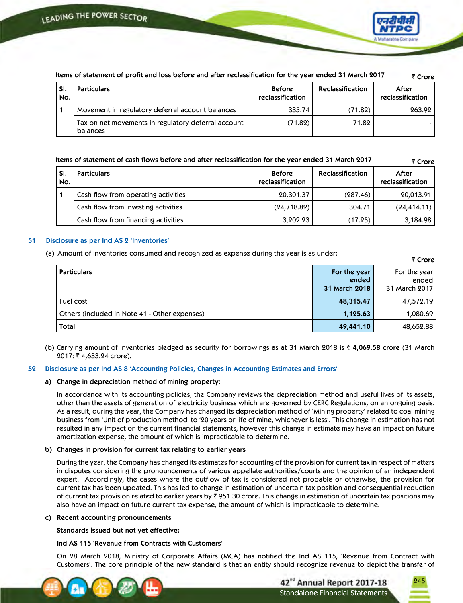

| items of statement of profit and loss before and after reclassification for the year ended 31 march 2017<br>₹ Crore |                                                                 |                                   |                         |                           |
|---------------------------------------------------------------------------------------------------------------------|-----------------------------------------------------------------|-----------------------------------|-------------------------|---------------------------|
| SI.<br>No.                                                                                                          | <b>Particulars</b>                                              | <b>Before</b><br>reclassification | <b>Reclassification</b> | After<br>reclassification |
|                                                                                                                     | Movement in regulatory deferral account balances                | 335.74                            | (71.82)                 | 263.92                    |
|                                                                                                                     | Tax on net movements in regulatory deferral account<br>balances | (71.82)                           | 71.82                   |                           |

Items of statement of profit and loss before and after reclassification for the year ended 31 March 2017

**Items of statement of cash flows before and after reclassification for the year ended 31 March 2017** ₹ Crore

| SI.<br>No. | <b>Particulars</b>                  | <b>Before</b><br>reclassification | <b>Reclassification</b> | After<br>reclassification |
|------------|-------------------------------------|-----------------------------------|-------------------------|---------------------------|
|            | Cash flow from operating activities | 20,301.37                         | (287.46)                | 20,013.91                 |
|            | Cash flow from investing activities | (24, 718.82)                      | 304.71                  | (24, 414.11)              |
|            | Cash flow from financing activities | 3,202.23                          | (17.25)                 | 3,184.98                  |

### **51 Disclosure as per Ind AS 2 'Inventories'**

(a) Amount of inventories consumed and recognized as expense during the year is as under:

|                                               |                                        | $\sim$ uvic                            |
|-----------------------------------------------|----------------------------------------|----------------------------------------|
| <b>Particulars</b>                            | For the year<br>ended<br>31 March 2018 | For the year<br>ended<br>31 March 2017 |
| Fuel cost                                     | 48,315.47                              | 47,572.19                              |
| Others (included in Note 41 - Other expenses) | 1,125.63                               | 1,080.69                               |
| Total                                         | 49,441.10                              | 48,652.88                              |

(b) Carrying amount of inventories pledged as security for borrowings as at 31 March 2018 is ` **4,069.58 crore** (31 March 2017: ₹4,633.24 crore).

### **52 Disclosure as per Ind AS 8 'Accounting Policies, Changes in Accounting Estimates and Errors'**

### **a) Change in depreciation method of mining property:**

 In accordance with its accounting policies, the Company reviews the depreciation method and useful lives of its assets, other than the assets of generation of electricity business which are governed by CERC Regulations, on an ongoing basis. As a result, during the year, the Company has changed its depreciation method of 'Mining property' related to coal mining business from 'Unit of production method' to '20 years or life of mine, whichever is less'. This change in estimation has not resulted in any impact on the current financial statements, however this change in estimate may have an impact on future amortization expense, the amount of which is impracticable to determine.

### **b) Changes in provision for current tax relating to earlier years**

 During the year, the Company has changed its estimates for accounting of the provision for current tax in respect of matters in disputes considering the pronouncements of various appellate authorities/courts and the opinion of an independent expert. Accordingly, the cases where the outflow of tax is considered not probable or otherwise, the provision for current tax has been updated. This has led to change in estimation of uncertain tax position and consequential reduction of current tax provision related to earlier years by  $\bar{\zeta}$  951.30 crore. This change in estimation of uncertain tax positions may also have an impact on future current tax expense, the amount of which is impracticable to determine.

### **c) Recent accounting pronouncements**

 **Standards issued but not yet effective:**

# **Ind AS 115 'Revenue from Contracts with Customers'**

 On 28 March 2018, Ministry of Corporate Affairs (MCA) has notified the Ind AS 115, 'Revenue from Contract with Customers'. The core principle of the new standard is that an entity should recognize revenue to depict the transfer of



245

` **Crore**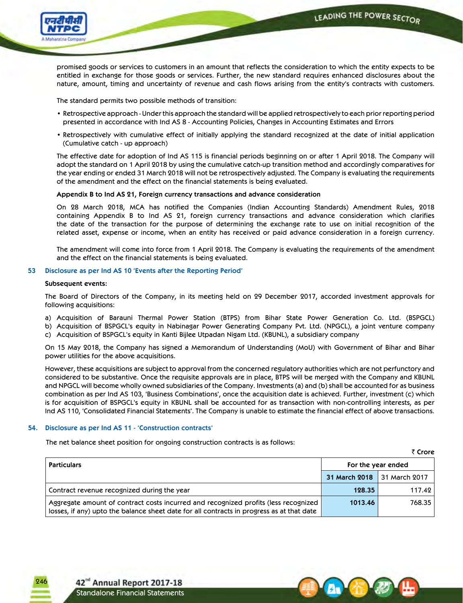

promised goods or services to customers in an amount that reflects the consideration to which the entity expects to be entitled in exchange for those goods or services. Further, the new standard requires enhanced disclosures about the nature, amount, timing and uncertainty of revenue and cash flows arising from the entity's contracts with customers.

The standard permits two possible methods of transition:

- Retrospective approach Under this approach the standard will be applied retrospectively to each prior reporting period presented in accordance with Ind AS 8 - Accounting Policies, Changes in Accounting Estimates and Errors
- Retrospectively with cumulative effect of initially applying the standard recognized at the date of initial application (Cumulative catch - up approach)

 The effective date for adoption of Ind AS 115 is financial periods beginning on or after 1 April 2018. The Company will adopt the standard on 1 April 2018 by using the cumulative catch-up transition method and accordingly comparatives for the year ending or ended 31 March 2018 will not be retrospectively adjusted. The Company is evaluating the requirements of the amendment and the effect on the financial statements is being evaluated.

### **Appendix B to Ind AS 21, Foreign currency transactions and advance consideration**

 On 28 March 2018, MCA has notified the Companies (Indian Accounting Standards) Amendment Rules, 2018 containing Appendix B to Ind AS 21, foreign currency transactions and advance consideration which clarifies the date of the transaction for the purpose of determining the exchange rate to use on initial recognition of the related asset, expense or income, when an entity has received or paid advance consideration in a foreign currency.

The amendment will come into force from 1 April 2018. The Company is evaluating the requirements of the amendment and the effect on the financial statements is being evaluated.

### **53 Disclosure as per Ind AS 10 'Events after the Reporting Period'**

### **Subsequent events:**

 The Board of Directors of the Company, in its meeting held on 29 December 2017, accorded investment approvals for following acquisitions:

- a) Acquisition of Barauni Thermal Power Station (BTPS) from Bihar State Power Generation Co. Ltd. (BSPGCL)
- b) Acquisition of BSPGCL's equity in Nabinagar Power Generating Company Pvt. Ltd. (NPGCL), a joint venture company
- c) Acquisition of BSPGCL's equity in Kanti Bijlee Utpadan Nigam Ltd. (KBUNL), a subsidiary company

 On 15 May 2018, the Company has signed a Memorandum of Understanding (MoU) with Government of Bihar and Bihar power utilities for the above acquisitions.

 However, these acquisitions are subject to approval from the concerned regulatory authorities which are not perfunctory and considered to be substantive. Once the requisite approvals are in place, BTPS will be merged with the Company and KBUNL and NPGCL will become wholly owned subsidiaries of the Company. Investments (a) and (b) shall be accounted for as business combination as per Ind AS 103, 'Business Combinations', once the acquisition date is achieved. Further, investment (c) which is for acquisition of BSPGCL's equity in KBUNL shall be accounted for as transaction with non-controlling interests, as per Ind AS 110, 'Consolidated Financial Statements'. The Company is unable to estimate the financial effect of above transactions.

# **54. Disclosure as per Ind AS 11 - 'Construction contracts'**

The net balance sheet position for ongoing construction contracts is as follows:

₹ Crore **Particulars For the year ended 31 March 2018** 31 March 2017 Contract revenue recognized during the year **128.35** 117.42 Aggregate amount of contract costs incurred and recognized profits (less recognized losses, if any) upto the balance sheet date for all contracts in progress as at that date **1013.46** 768.35

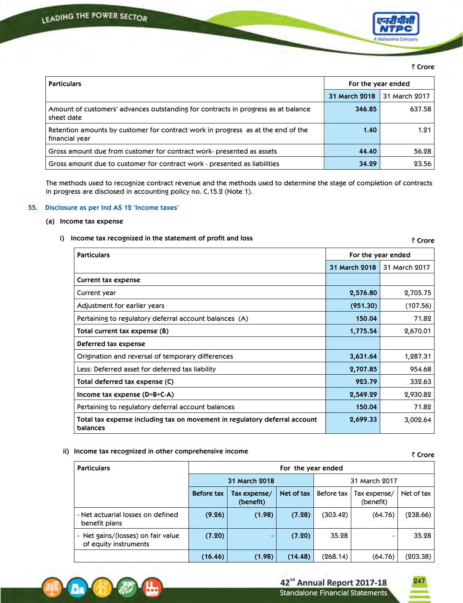

### ₹ Crore

| <b>Particulars</b>                                                                                 | For the year ended |               |
|----------------------------------------------------------------------------------------------------|--------------------|---------------|
|                                                                                                    | 31 March 2018      | 31 March 2017 |
| Amount of customers' advances outstanding for contracts in progress as at balance<br>sheet date    | 346.85             | 637.58        |
| Retention amounts by customer for contract work in progress as at the end of the<br>financial year | 1.40               | 1.21          |
| Gross amount due from customer for contract work-presented as assets                               | 44.40              | 56.28         |
| Gross amount due to customer for contract work - presented as liabilities                          | 34.29              | 23.56         |

 The methods used to recognize contract revenue and the methods used to determine the stage of completion of contracts in progress are disclosed in accounting policy no. C.15.2 (Note 1).

### **55. Disclosure as per Ind AS 12 'Income taxes'**

### **(a) Income tax expense**

### **i) Income tax recognized in the statement of profit and loss**

₹ Crore **Particulars For the year ended 31 March 2018** 31 March 2017 **Current tax expense** Current year **2,576.80** 2,705.75 Adjustment for earlier years **(951.30)** (107.56) Pertaining to regulatory deferral account balances (A) **150.04** 71.82 **Total current tax expense (B) 1,775.54** 2,670.01 **Deferred tax expense** Origination and reversal of temporary differences **3,631.64** 1,287.31 Less: Deferred asset for deferred tax liability **2,707.85** 954.68 **Total deferred tax expense (C) 923.79** 332.63 **Income tax expense (D=B+C-A) 2,549.29** 2,930.82 Pertaining to regulatory deferral account balances **150.04** 150.04 71.82 **Total tax expense including tax on movement in regulatory deferral account balances 2,699.33** 3,002.64

# **ii)** Income tax recognized in other comprehensive income  $\bar{\tau}$

| <b>Particulars</b>                                          | For the year ended |                           |            |               |                           |            |
|-------------------------------------------------------------|--------------------|---------------------------|------------|---------------|---------------------------|------------|
|                                                             |                    | 31 March 2018             |            | 31 March 2017 |                           |            |
|                                                             | <b>Before tax</b>  | Tax expense/<br>(benefit) | Net of tax | Before tax    | Tax expense/<br>(benefit) | Net of tax |
| - Net actuarial losses on defined<br>benefit plans          | (9.26)             | (1.98)                    | (7.28)     | (303.42)      | (64.76)                   | (238.66)   |
| - Net gains/(losses) on fair value<br>of equity instruments | (7.20)             |                           | (7.20)     | 35.28         | $\overline{\phantom{a}}$  | 35.28      |
|                                                             | (16.46)            | (1.98)                    | (14.48)    | (268.14)      | (64.76)                   | (203.38)   |



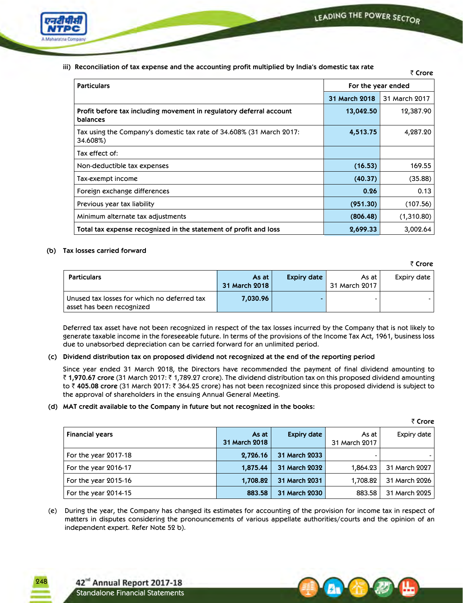

 **iii) Reconciliation of tax expense and the accounting profit multiplied by India's domestic tax rate**

` **Crore**

|                                                                                  |                      | שוטו ט        |
|----------------------------------------------------------------------------------|----------------------|---------------|
| <b>Particulars</b>                                                               | For the year ended   |               |
|                                                                                  | <b>31 March 2018</b> | 31 March 2017 |
| Profit before tax including movement in regulatory deferral account<br>balances  | 13,042.50            | 12,387.90     |
| Tax using the Company's domestic tax rate of 34.608% (31 March 2017:<br>34.608%) | 4,513.75             | 4,287.20      |
| Tax effect of:                                                                   |                      |               |
| Non-deductible tax expenses                                                      | (16.53)              | 169.55        |
| Tax-exempt income                                                                | (40.37)              | (35.88)       |
| Foreign exchange differences                                                     | 0.26                 | 0.13          |
| Previous year tax liability                                                      | (951.30)             | (107.56)      |
| Minimum alternate tax adjustments                                                | (806.48)             | (1,310.80)    |
| Total tax expense recognized in the statement of profit and loss                 | 2,699.33             | 3,002.64      |

# **(b) Tax losses carried forward**

₹ Crore

| <b>Particulars</b>                                                       | As at<br>31 March 2018 | Expiry date | As at I<br>31 March 2017 | Expiry date |
|--------------------------------------------------------------------------|------------------------|-------------|--------------------------|-------------|
| Unused tax losses for which no deferred tax<br>asset has been recognized | 7,030.96               |             |                          |             |

 Deferred tax asset have not been recognized in respect of the tax losses incurred by the Company that is not likely to generate taxable income in the foreseeable future. In terms of the provisions of the Income Tax Act, 1961, business loss due to unabsorbed depreciation can be carried forward for an unlimited period.

# **(c) Dividend distribution tax on proposed dividend not recognized at the end of the reporting period**

 Since year ended 31 March 2018, the Directors have recommended the payment of final dividend amounting to ` **1,970.67 crore** (31 March 2017: ` 1,789.27 crore). The dividend distribution tax on this proposed dividend amounting to ₹405.08 crore (31 March 2017: ₹364.25 crore) has not been recognized since this proposed dividend is subject to the approval of shareholders in the ensuing Annual General Meeting.

# **(d) MAT credit available to the Company in future but not recognized in the books:**

|                        |               |                    |               | ₹ Crore       |
|------------------------|---------------|--------------------|---------------|---------------|
| <b>Financial years</b> | As at         | <b>Expiry date</b> | As at         | Expiry date   |
|                        | 31 March 2018 |                    | 31 March 2017 |               |
| For the year 2017-18   | 2,726.16      | 31 March 2033      | -             |               |
| For the year 2016-17   | 1,875.44      | 31 March 2032      | 1,864.23      | 31 March 2027 |
| For the year 2015-16   | 1,708.82      | 31 March 2031      | 1,708.82      | 31 March 2026 |
| For the year 2014-15   | 883.58        | 31 March 2030      | 883.58        | 31 March 2025 |

(e) During the year, the Company has changed its estimates for accounting of the provision for income tax in respect of matters in disputes considering the pronouncements of various appellate authorities/courts and the opinion of an independent expert. Refer Note 52 b).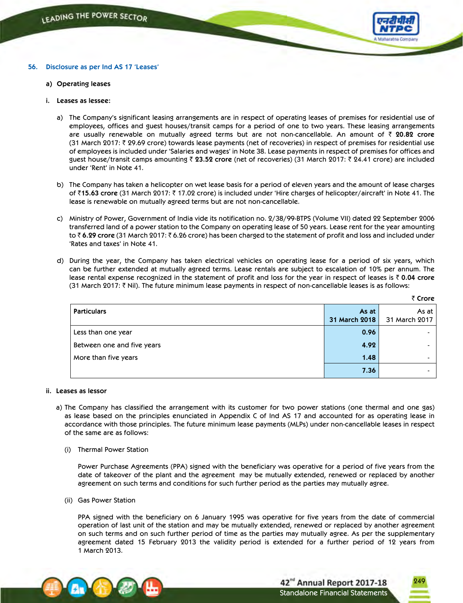

### **56. Disclosure as per Ind AS 17 'Leases'**

- **a) Operating leases**
- **i. Leases as lessee:**
	- a) The Company's significant leasing arrangements are in respect of operating leases of premises for residential use of employees, offices and guest houses/transit camps for a period of one to two years. These leasing arrangements are usually renewable on mutually agreed terms but are not non-cancellable. An amount of ` **20.82 crore** (31 March 2017:  $\bar{\tau}$  29.69 crore) towards lease payments (net of recoveries) in respect of premises for residential use of employees is included under 'Salaries and wages' in Note 38. Lease payments in respect of premises for offices and guest house/transit camps amounting ` **23.52 crore** (net of recoveries) (31 March 2017: ` 24.41 crore) are included under 'Rent' in Note 41.
	- b) The Company has taken a helicopter on wet lease basis for a period of eleven years and the amount of lease charges of ₹15.63 crore (31 March 2017: ₹ 17.02 crore) is included under 'Hire charges of helicopter/aircraft' in Note 41. The lease is renewable on mutually agreed terms but are not non-cancellable.
	- c) Ministry of Power, Government of India vide its notification no. 2/38/99-BTPS (Volume VII) dated 22 September 2006 transferred land of a power station to the Company on operating lease of 50 years. Lease rent for the year amounting to ₹6.29 crore (31 March 2017: ₹6.26 crore) has been charged to the statement of profit and loss and included under 'Rates and taxes' in Note 41.
	- d) During the year, the Company has taken electrical vehicles on operating lease for a period of six years, which can be further extended at mutually agreed terms. Lease rentals are subject to escalation of 10% per annum. The lease rental expense recognized in the statement of profit and loss for the year in respect of leases is ` **0.04 crore** (31 March 2017:  $\bar{\tau}$  Nil). The future minimum lease payments in respect of non-cancellable leases is as follows:

|                            |                        | .                        |
|----------------------------|------------------------|--------------------------|
| <b>Particulars</b>         | As at<br>31 March 2018 | As at<br>31 March 2017   |
| Less than one year         | 0.96                   |                          |
| Between one and five years | 4.92                   | $\overline{\phantom{0}}$ |
| More than five years       | 1.48                   | $\overline{\phantom{a}}$ |
|                            | 7.36                   |                          |

### **ii. Leases as lessor**

- a) The Company has classified the arrangement with its customer for two power stations (one thermal and one gas) as lease based on the principles enunciated in Appendix C of Ind AS 17 and accounted for as operating lease in accordance with those principles. The future minimum lease payments (MLPs) under non-cancellable leases in respect of the same are as follows:
	- (i) Thermal Power Station

 Power Purchase Agreements (PPA) signed with the beneficiary was operative for a period of five years from the date of takeover of the plant and the agreement may be mutually extended, renewed or replaced by another agreement on such terms and conditions for such further period as the parties may mutually agree.

(ii) Gas Power Station

 PPA signed with the beneficiary on 6 January 1995 was operative for five years from the date of commercial operation of last unit of the station and may be mutually extended, renewed or replaced by another agreement on such terms and on such further period of time as the parties may mutually agree. As per the supplementary agreement dated 15 February 2013 the validity period is extended for a further period of 12 years from 1 March 2013.





` **Crore**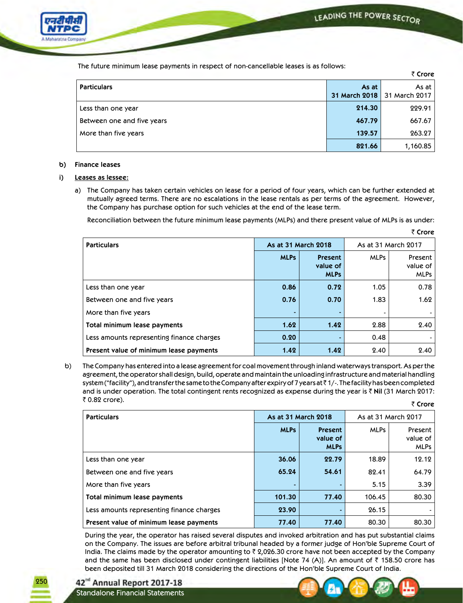

The future minimum lease payments in respect of non-cancellable leases is as follows:

|                            |                        | ₹ Crore                |
|----------------------------|------------------------|------------------------|
| <b>Particulars</b>         | As at<br>31 March 2018 | As at<br>31 March 2017 |
|                            |                        |                        |
| Less than one year         | 214.30                 | 229.91                 |
| Between one and five years | 467.79                 | 667.67                 |
| More than five years       | 139.57                 | 263.27                 |
|                            | 821.66                 | 1,160.85               |

# **b) Finance leases**

# **i) Leases as lessee:**

 a) The Company has taken certain vehicles on lease for a period of four years, which can be further extended at mutually agreed terms. There are no escalations in the lease rentals as per terms of the agreement. However, the Company has purchase option for such vehicles at the end of the lease term.

Reconciliation between the future minimum lease payments (MLPs) and there present value of MLPs is as under:

|                                           |                     |                                    |                     | ₹ Crore                            |  |
|-------------------------------------------|---------------------|------------------------------------|---------------------|------------------------------------|--|
| <b>Particulars</b>                        | As at 31 March 2018 |                                    | As at 31 March 2017 |                                    |  |
|                                           | <b>MLPs</b>         | Present<br>value of<br><b>MLPs</b> | <b>MLPs</b>         | Present<br>value of<br><b>MLPs</b> |  |
| Less than one year                        | 0.86                | 0.72                               | 1.05                | 0.78                               |  |
| Between one and five years                | 0.76                | 0.70                               | 1.83                | 1.62                               |  |
| More than five years                      |                     | $\overline{\phantom{a}}$           |                     |                                    |  |
| Total minimum lease payments              | 1.62                | 1.42                               | 2.88                | 2.40                               |  |
| Less amounts representing finance charges | 0.20                |                                    | 0.48                |                                    |  |
| Present value of minimum lease payments   | 1.42                | 1.42                               | 2.40                | 2.40                               |  |

 b) The Company has entered into a lease agreement for coal movement through inland waterways transport. As per the agreement, the operator shall design, build, operate and maintain the unloading infrastructure and material handling system ("facility"), and transfer the same to the Company after expiry of 7 years at  $\bar{\tau}$  1/-. The facility has been completed and is under operation. The total contingent rents recognized as expense during the year is  $\bar{\tau}$  Nil (31 March 2017: ₹ 0.82 crore). ₹ Crore

| <b>Particulars</b>                        | As at 31 March 2018 |                                    | As at 31 March 2017 |                                    |
|-------------------------------------------|---------------------|------------------------------------|---------------------|------------------------------------|
|                                           | <b>MLPs</b>         | Present<br>value of<br><b>MLPs</b> | <b>MLPs</b>         | Present<br>value of<br><b>MLPs</b> |
| Less than one year                        | 36.06               | 22.79                              | 18.89               | 12.12                              |
| Between one and five years                | 65.24               | 54.61                              | 82.41               | 64.79                              |
| More than five years                      |                     |                                    | 5.15                | 3.39                               |
| Total minimum lease payments              | 101.30              | 77.40                              | 106.45              | 80.30                              |
| Less amounts representing finance charges | 23.90               |                                    | 26.15               |                                    |
| Present value of minimum lease payments   | 77.40               | 77.40                              | 80.30               | 80.30                              |

 During the year, the operator has raised several disputes and invoked arbitration and has put substantial claims on the Company. The issues are before arbitral tribunal headed by a former judge of Hon'ble Supreme Court of India. The claims made by the operator amounting to  $\bar{x}$  2,026.30 crore have not been accepted by the Company and the same has been disclosed under contingent liabilities [Note 74 (A)]. An amount of  $\bar{z}$  158.50 crore has been deposited till 31 March 2018 considering the directions of the Hon'ble Supreme Court of India.

42<sup>nd</sup> Annual Report 2017-18 Standalone Financial Statements

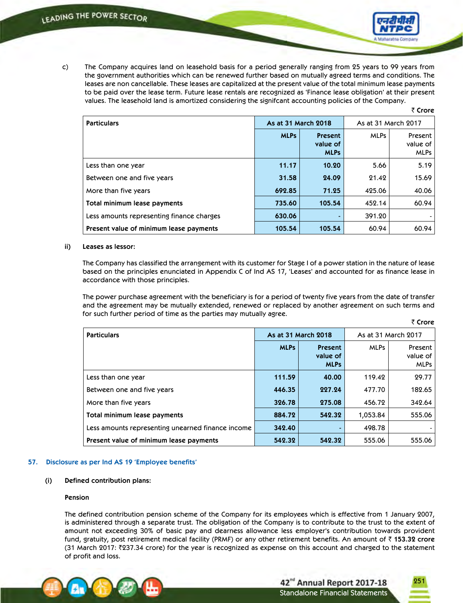

 c) The Company acquires land on leasehold basis for a period generally ranging from 25 years to 99 years from the government authorities which can be renewed further based on mutually agreed terms and conditions. The leases are non cancellable. These leases are capitalized at the present value of the total minimum lease payments to be paid over the lease term. Future lease rentals are recognized as 'Finance lease obligation' at their present values. The leasehold land is amortized considering the signifcant accounting policies of the Company.

|                                           |                     |                                    |                     | ₹ Crore                            |  |
|-------------------------------------------|---------------------|------------------------------------|---------------------|------------------------------------|--|
| <b>Particulars</b>                        | As at 31 March 2018 |                                    | As at 31 March 2017 |                                    |  |
|                                           | <b>MLPs</b>         | Present<br>value of<br><b>MLPs</b> | <b>MLPs</b>         | Present<br>value of<br><b>MLPs</b> |  |
| Less than one year                        | 11.17               | 10.20                              | 5.66                | 5.19                               |  |
| Between one and five years                | 31.58               | 24.09                              | 21.42               | 15.69                              |  |
| More than five years                      | 692.85              | 71.25                              | 425.06              | 40.06                              |  |
| Total minimum lease payments              | 735.60              | 105.54                             | 452.14              | 60.94                              |  |
| Less amounts representing finance charges | 630.06              | ۰                                  | 391.20              |                                    |  |
| Present value of minimum lease payments   | 105.54              | 105.54                             | 60.94               | 60.94                              |  |

### **ii) Leases as lessor:**

 The Company has classified the arrangement with its customer for Stage I of a power station in the nature of lease based on the principles enunciated in Appendix C of Ind AS 17, 'Leases' and accounted for as finance lease in accordance with those principles.

 The power purchase agreement with the beneficiary is for a period of twenty five years from the date of transfer and the agreement may be mutually extended, renewed or replaced by another agreement on such terms and for such further period of time as the parties may mutually agree.

| <b>Particulars</b>                                | As at 31 March 2018 |                                    | As at 31 March 2017 |                                    |
|---------------------------------------------------|---------------------|------------------------------------|---------------------|------------------------------------|
|                                                   | <b>MLPs</b>         | Present<br>value of<br><b>MLPs</b> | <b>MLPs</b>         | Present<br>value of<br><b>MLPs</b> |
| Less than one year                                | 111.59              | 40.00                              | 119.42              | 29.77                              |
| Between one and five years                        | 446.35              | 227.24                             | 477.70              | 182.65                             |
| More than five years                              | 326.78              | 275.08                             | 456.72              | 342.64                             |
| Total minimum lease payments                      | 884.72              | 542.32                             | 1,053.84            | 555.06                             |
| Less amounts representing unearned finance income | 342.40              | -                                  | 498.78              |                                    |
| Present value of minimum lease payments           | 542.32              | 542.32                             | 555.06              | 555.06                             |

### **57. Disclosure as per Ind AS 19 'Employee benefits'**

# **(i) Defined contribution plans:**

### **Pension**

 The defined contribution pension scheme of the Company for its employees which is effective from 1 January 2007, is administered through a separate trust. The obligation of the Company is to contribute to the trust to the extent of amount not exceeding 30% of basic pay and dearness allowance less employer's contribution towards provident fund, gratuity, post retirement medical facility (PRMF) or any other retirement benefits. An amount of ` **153.32 crore** (31 March 2017:  $\sqrt[3]{237.34}$  crore) for the year is recognized as expense on this account and charged to the statement of profit and loss.

251

₹ Crore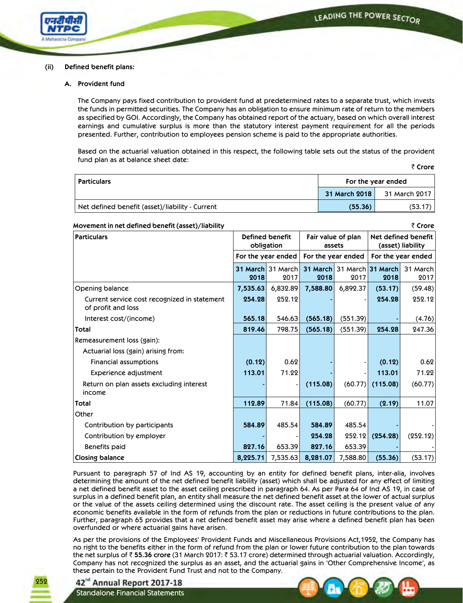

### **(ii) Defined benefit plans:**

### **A. Provident fund**

 The Company pays fixed contribution to provident fund at predetermined rates to a separate trust, which invests the funds in permitted securities. The Company has an obligation to ensure minimum rate of return to the members as specified by GOI. Accordingly, the Company has obtained report of the actuary, based on which overall interest earnings and cumulative surplus is more than the statutory interest payment requirement for all the periods presented. Further, contribution to employees pension scheme is paid to the appropriate authorities.

 Based on the actuarial valuation obtained in this respect, the following table sets out the status of the provident fund plan as at balance sheet date:

|--|--|

| <b>Particulars</b>                              | For the year ended |               |  |
|-------------------------------------------------|--------------------|---------------|--|
|                                                 | 31 March 2018      | 31 March 2017 |  |
| Net defined benefit (asset)/liability - Current | (55.36)            | (53.17)       |  |

# **Movement in net defined benefit (asset)/liability** ` **Crore**

**Particulars Defined benefit obligation Fair value of plan assets Net defined benefit (asset) liability For the year ended For the year ended For the year ended 31 March** 31 March **2018** 2017 **31 March** 31 March **31 March** 31 March **2018** 2017 **2018** 2017 Opening balance **7,535.63** 6,832.89 **7,588.80** 6,892.37 **(53.17)** (59.48) Current service cost recognized in statement of profit and loss **254.28** 252.12 **-** - **254.28** 252.12 Interest cost/(income) **565.18** 546.63 **(565.18)** (551.39) **-** (4.76) **Total 819.46** 798.75 **(565.18)** (551.39) **254.28** 247.36 Remeasurement loss (gain): Actuarial loss (gain) arising from: Financial assumptions **(0.12)** 0.62 **-** - **(0.12)** 0.62 Experience adjustment **113.01** 71.22 **-** - **113.01** 71.22 Return on plan assets excluding interest income **-** - **(115.08)** (60.77) **(115.08)** (60.77) **Total 112.89** 71.84 **(115.08)** (60.77) **(2.19)** 11.07 **Other**  Contribution by participants **584.89** 485.54 **584.89** 485.54 **-** - Contribution by employer **-** - **254.28** 252.12 **(254.28)** (252.12) Benefits paid **827.16** 653.39 **827.16** 653.39 **-** - **Closing balance 8,225.71** 7,535.63 **8,281.07** 7,588.80 **(55.36)** (53.17)

 Pursuant to paragraph 57 of Ind AS 19, accounting by an entity for defined benefit plans, inter-alia, involves determining the amount of the net defined benefit liability (asset) which shall be adjusted for any effect of limiting a net defined benefit asset to the asset ceiling prescribed in paragraph 64. As per Para 64 of Ind AS 19, in case of surplus in a defined benefit plan, an entity shall measure the net defined benefit asset at the lower of actual surplus or the value of the assets ceiling determined using the discount rate. The asset ceiling is the present value of any economic benefits available in the form of refunds from the plan or reductions in future contributions to the plan. Further, paragraph 65 provides that a net defined benefit asset may arise where a defined benefit plan has been overfunded or where actuarial gains have arisen.

 As per the provisions of the Employees' Provident Funds and Miscellaneous Provisions Act,1952, the Company has no right to the benefits either in the form of refund from the plan or lower future contribution to the plan towards the net surplus of ` **55.36 crore** (31 March 2017: ` 53.17 crore) determined through actuarial valuation. Accordingly, Company has not recognized the surplus as an asset, and the actuarial gains in 'Other Comprehensive Income', as these pertain to the Provident Fund Trust and not to the Company.

42<sup>nd</sup> Annual Report 2017-18 Standalone Financial Statements

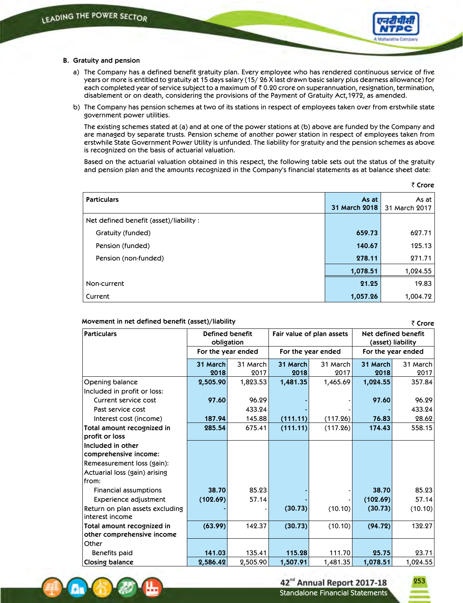

#### **B. Gratuity and pension**

- a) The Company has a defined benefit gratuity plan. Every employee who has rendered continuous service of five years or more is entitled to gratuity at 15 days salary (15/ 26 X last drawn basic salary plus dearness allowance) for each completed year of service subject to a maximum of  $\bar{\tau}$  0.20 crore on superannuation, resignation, termination, disablement or on death, considering the provisions of the Payment of Gratuity Act,1972, as amended.
- b) The Company has pension schemes at two of its stations in respect of employees taken over from erstwhile state government power utilities.

 The existing schemes stated at (a) and at one of the power stations at (b) above are funded by the Company and are managed by separate trusts. Pension scheme of another power station in respect of employees taken from erstwhile State Government Power Utility is unfunded. The liability for gratuity and the pension schemes as above is recognized on the basis of actuarial valuation.

 Based on the actuarial valuation obtained in this respect, the following table sets out the status of the gratuity and pension plan and the amounts recognized in the Company's financial statements as at balance sheet date:

|                                         |               | $\sim$ Crois  |
|-----------------------------------------|---------------|---------------|
| <b>Particulars</b>                      | As at         | As at         |
|                                         | 31 March 2018 | 31 March 2017 |
| Net defined benefit (asset)/liability : |               |               |
| Gratuity (funded)                       | 659.73        | 627.71        |
| Pension (funded)                        | 140.67        | 125.13        |
| Pension (non-funded)                    | 278.11        | 271.71        |
|                                         | 1,078.51      | 1,024.55      |
| Non-current                             | 21.25         | 19.83         |
| Current                                 | 1,057.26      | 1,004.72      |

#### **Movement in net defined benefit (asset)/liability**

**Particulars Defined** benefit **obligation Fair value of plan assets Net defined benefit (asset) liability For the year ended For the year ended For the year ended 31 March 2018** 31 March 2017 **31 March 2018** 31 March 2017 **31 March 2018** 31 March 2017 Opening balance **2,505.90** 1,823.53 **1,481.35** 1,465.69 **1,024.55** 357.84 Included in profit or loss: Current service cost **97.60** 96.29 **-** - **97.60** 96.29 Past service cost 433.24 **-** - **-** 433.24 Interest cost (income) **187.94** 145.88 **(111.11)** (117.26) **76.83** 28.62 **Total amount recognized in profit or loss 285.54** 675.41 **(111.11)** (117.26) **174.43** 558.15 **Included in other comprehensive income:** Remeasurement loss (gain): Actuarial loss (gain) arising from: Financial assumptions **38.70** 85.23 **-** - **38.70** 85.23 Experience adjustment **(102.69)** 57.14 **-** - **(102.69)** 57.14 Return on plan assets excluding interest income **-** - **(30.73)** (10.10) **(30.73)** (10.10) **Total amount recognized in other comprehensive income (63.99)** 142.37 **(30.73)** (10.10) **(94.72)** 132.27 Other Benefits paid **141.03** 135.41 **115.28** 111.70 **25.75** 23.71 **Closing balance 2,586.42** 2,505.90 **1,507.91** 1,481.35 **1,078.51** 1,024.55



253

₹ Crore

` **Crore**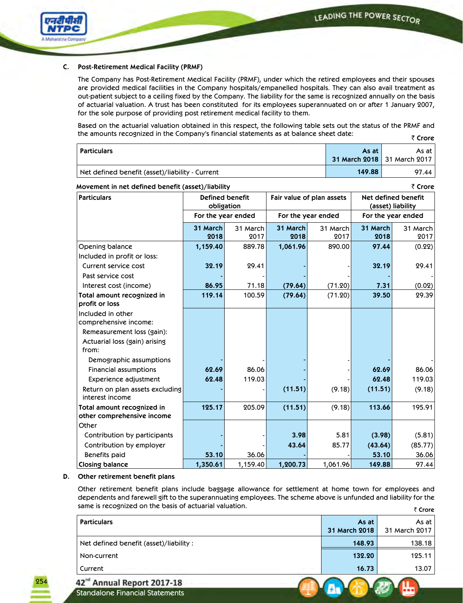

## **C. Post-Retirement Medical Facility (PRMF)**

 The Company has Post-Retirement Medical Facility (PRMF), under which the retired employees and their spouses are provided medical facilities in the Company hospitals/empanelled hospitals. They can also avail treatment as out-patient subject to a ceiling fixed by the Company. The liability for the same is recognized annually on the basis of actuarial valuation. A trust has been constituted for its employees superannuated on or after 1 January 2007, for the sole purpose of providing post retirement medical facility to them.

 Based on the actuarial valuation obtained in this respect, the following table sets out the status of the PRMF and the amounts recognized in the Company's financial statements as at balance sheet date: ₹ Crore

|                                                 |                             | .       |
|-------------------------------------------------|-----------------------------|---------|
| Particulars                                     | As at                       | As at I |
|                                                 | 31 March 2018 31 March 2017 |         |
| Net defined benefit (asset)/liability - Current | 149.88                      | 97.44   |

| Movement in net defined benefit (asset)/liability |                    |                                                                                                        |          |                    |                    | ₹ Crore  |  |
|---------------------------------------------------|--------------------|--------------------------------------------------------------------------------------------------------|----------|--------------------|--------------------|----------|--|
| <b>Particulars</b>                                |                    | Defined benefit<br>Net defined benefit<br>Fair value of plan assets<br>obligation<br>(asset) liability |          |                    |                    |          |  |
|                                                   | For the year ended |                                                                                                        |          | For the year ended | For the year ended |          |  |
|                                                   | 31 March           | 31 March                                                                                               | 31 March | 31 March           | 31 March           | 31 March |  |
|                                                   | 2018               | 2017                                                                                                   | 2018     | 2017               | 2018               | 2017     |  |
| Opening balance                                   | 1,159.40           | 889.78                                                                                                 | 1,061.96 | 890.00             | 97.44              | (0.22)   |  |
| Included in profit or loss:                       |                    |                                                                                                        |          |                    |                    |          |  |
| Current service cost                              | 32.19              | 29.41                                                                                                  |          |                    | 32.19              | 29.41    |  |
| Past service cost                                 |                    |                                                                                                        |          |                    |                    |          |  |
| Interest cost (income)                            | 86.95              | 71.18                                                                                                  | (79.64)  | (71.20)            | 7.31               | (0.02)   |  |
| Total amount recognized in                        | 119.14             | 100.59                                                                                                 | (79.64)  | (71.20)            | 39.50              | 29.39    |  |
| profit or loss                                    |                    |                                                                                                        |          |                    |                    |          |  |
| Included in other                                 |                    |                                                                                                        |          |                    |                    |          |  |
| comprehensive income:                             |                    |                                                                                                        |          |                    |                    |          |  |
| Remeasurement loss (gain):                        |                    |                                                                                                        |          |                    |                    |          |  |
| Actuarial loss (gain) arising                     |                    |                                                                                                        |          |                    |                    |          |  |
| from:                                             |                    |                                                                                                        |          |                    |                    |          |  |
| Demographic assumptions                           |                    |                                                                                                        |          |                    |                    |          |  |
| <b>Financial assumptions</b>                      | 62.69              | 86.06                                                                                                  |          |                    | 62.69              | 86.06    |  |
| Experience adjustment                             | 62.48              | 119.03                                                                                                 |          |                    | 62.48              | 119.03   |  |
| Return on plan assets excluding                   |                    |                                                                                                        | (11.51)  | (9.18)             | (11.51)            | (9.18)   |  |
| interest income                                   |                    |                                                                                                        |          |                    |                    |          |  |
| Total amount recognized in                        | 125.17             | 205.09                                                                                                 | (11.51)  | (9.18)             | 113.66             | 195.91   |  |
| other comprehensive income                        |                    |                                                                                                        |          |                    |                    |          |  |
| Other                                             |                    |                                                                                                        |          |                    |                    |          |  |
| Contribution by participants                      |                    |                                                                                                        | 3.98     | 5.81               | (3.98)             | (5.81)   |  |
| Contribution by employer                          |                    |                                                                                                        | 43.64    | 85.77              | (43.64)            | (85.77)  |  |
| <b>Benefits paid</b>                              | 53.10              | 36.06                                                                                                  |          |                    | 53.10              | 36.06    |  |
| <b>Closing balance</b>                            | 1,350.61           | 1,159.40                                                                                               | 1,200.73 | 1,061.96           | 149.88             | 97.44    |  |

## **Movement in net defined benefit (asset)/liability**

 **D. Other retirement benefit plans**

 Other retirement benefit plans include baggage allowance for settlement at home town for employees and dependents and farewell gift to the superannuating employees. The scheme above is unfunded and liability for the same is recognized on the basis of actuarial valuation. ` **Crore**

|                                         |                        | 1                      |
|-----------------------------------------|------------------------|------------------------|
| <b>Particulars</b>                      | As at<br>31 March 2018 | As at<br>31 March 2017 |
| Net defined benefit (asset)/liability : | 148.93                 | 138.18                 |
| Non-current                             | 132.20                 | 125.11                 |
| Current                                 | 16.73                  | 13.07                  |
| 42 <sup>nd</sup> Annual Report 2017-18  |                        |                        |

Standalone Financial Statements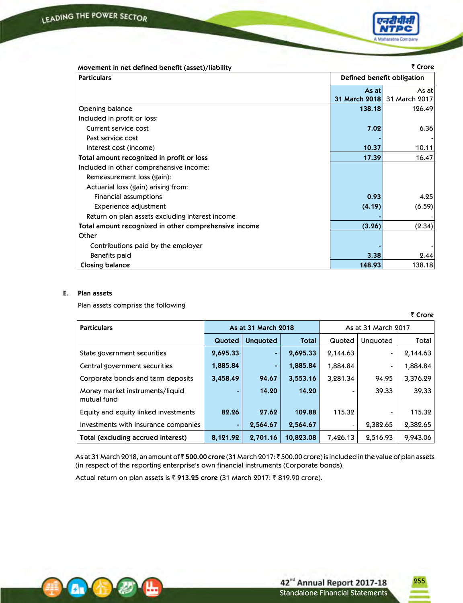

| Defined benefit obligation<br><b>Particulars</b>      |        |                             |
|-------------------------------------------------------|--------|-----------------------------|
|                                                       |        |                             |
|                                                       | As at  | As at l                     |
|                                                       |        | 31 March 2018 31 March 2017 |
| Opening balance                                       | 138.18 | 126.49                      |
| Included in profit or loss:                           |        |                             |
| Current service cost                                  | 7.02   | 6.36                        |
| Past service cost                                     |        |                             |
| Interest cost (income)                                | 10.37  | 10.11                       |
| Total amount recognized in profit or loss             | 17.39  | 16.47                       |
| Included in other comprehensive income:               |        |                             |
| Remeasurement loss (gain):                            |        |                             |
| Actuarial loss (gain) arising from:                   |        |                             |
| <b>Financial assumptions</b>                          | 0.93   | 4.25                        |
| Experience adjustment                                 | (4.19) | (6.59)                      |
| Return on plan assets excluding interest income       |        |                             |
| Total amount recognized in other comprehensive income | (3.26) | (2.34)                      |
| Other                                                 |        |                             |
| Contributions paid by the employer                    |        |                             |
| Benefits paid                                         | 3.38   | 2.44                        |
| Closing balance                                       | 148.93 | 138.18                      |

## **E. Plan assets**

Plan assets comprise the following

` **Crore**

255

| <b>Particulars</b>                             | As at 31 March 2018 |                 |              | As at 31 March 2017 |                 |          |
|------------------------------------------------|---------------------|-----------------|--------------|---------------------|-----------------|----------|
|                                                | Quoted              | <b>Unquoted</b> | <b>Total</b> | Quoted              | <b>Unquoted</b> | Total    |
| State government securities                    | 2,695.33            | $\blacksquare$  | 2,695.33     | 2,144.63            | $\blacksquare$  | 2,144.63 |
| Central government securities                  | 1,885.84            | $\blacksquare$  | 1,885.84     | 1,884.84            |                 | 1,884.84 |
| Corporate bonds and term deposits              | 3,458.49            | 94.67           | 3,553.16     | 3,281.34            | 94.95           | 3,376.29 |
| Money market instruments/liquid<br>mutual fund |                     | 14.20           | 14.20        |                     | 39.33           | 39.33    |
| Equity and equity linked investments           | 82.26               | 27.62           | 109.88       | 115.32              |                 | 115.32   |
| Investments with insurance companies           |                     | 2,564.67        | 2,564.67     |                     | 2,382.65        | 2,382.65 |
| Total (excluding accrued interest)             | 8,121.92            | 2,701.16        | 10,823.08    | 7,426.13            | 2,516.93        | 9,943.06 |

As at 31 March 2018, an amount of ₹500.00 crore (31 March 2017: ₹500.00 crore) is included in the value of plan assets (in respect of the reporting enterprise's own financial instruments (Corporate bonds).

Actual return on plan assets is ₹ 913.25 crore (31 March 2017: ₹ 819.90 crore).

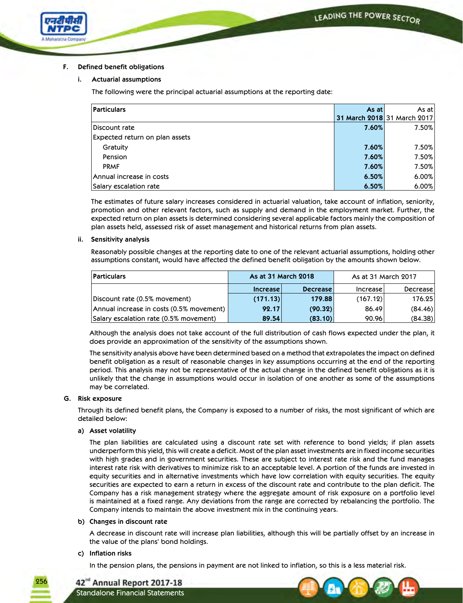

## **F. Defined benefit obligations**

## **i. Actuarial assumptions**

The following were the principal actuarial assumptions at the reporting date:

| <b>Particulars</b>             | As at I | As at l                     |
|--------------------------------|---------|-----------------------------|
|                                |         | 31 March 2018 31 March 2017 |
| Discount rate                  | 7.60%   | 7.50%                       |
| Expected return on plan assets |         |                             |
| Gratuity                       | 7.60%   | 7.50%                       |
| Pension                        | 7.60%   | 7.50%                       |
| <b>PRMF</b>                    | 7.60%   | 7.50%                       |
| Annual increase in costs       | 6.50%   | 6.00%                       |
| Salary escalation rate         | 6.50%   | 6.00%                       |

 The estimates of future salary increases considered in actuarial valuation, take account of inflation, seniority, promotion and other relevant factors, such as supply and demand in the employment market. Further, the expected return on plan assets is determined considering several applicable factors mainly the composition of plan assets held, assessed risk of asset management and historical returns from plan assets.

## **ii. Sensitivity analysis**

 Reasonably possible changes at the reporting date to one of the relevant actuarial assumptions, holding other assumptions constant, would have affected the defined benefit obligation by the amounts shown below.

| <b>Particulars</b>                       | As at 31 March 2018 |          |          |          | As at 31 March 2017 |  |
|------------------------------------------|---------------------|----------|----------|----------|---------------------|--|
|                                          | Increase            | Decrease | Increase | Decrease |                     |  |
| Discount rate (0.5% movement)            | (171.13)            | 179.88   | (167.12) | 176.25   |                     |  |
| Annual increase in costs (0.5% movement) | 92.17               | (90.32)  | 86.49    | (84.46)  |                     |  |
| Salary escalation rate (0.5% movement)   | 89.54               | (83.10)  | 90.96    | (84.38)  |                     |  |

 Although the analysis does not take account of the full distribution of cash flows expected under the plan, it does provide an approximation of the sensitivity of the assumptions shown.

 The sensitivity analysis above have been determined based on a method that extrapolates the impact on defined benefit obligation as a result of reasonable changes in key assumptions occurring at the end of the reporting period. This analysis may not be representative of the actual change in the defined benefit obligations as it is unlikely that the change in assumptions would occur in isolation of one another as some of the assumptions may be correlated.

## **G.** Risk exposure

 Through its defined benefit plans, the Company is exposed to a number of risks, the most significant of which are detailed below:

## **a) Asset volatility**

 The plan liabilities are calculated using a discount rate set with reference to bond yields; if plan assets underperform this yield, this will create a deficit. Most of the plan asset investments are in fixed income securities with high grades and in government securities. These are subject to interest rate risk and the fund manages interest rate risk with derivatives to minimize risk to an acceptable level. A portion of the funds are invested in equity securities and in alternative investments which have low correlation with equity securities. The equity securities are expected to earn a return in excess of the discount rate and contribute to the plan deficit. The Company has a risk management strategy where the aggregate amount of risk exposure on a portfolio level is maintained at a fixed range. Any deviations from the range are corrected by rebalancing the portfolio. The Company intends to maintain the above investment mix in the continuing years.

## **b) Changes in discount rate**

A decrease in discount rate will increase plan liabilities, although this will be partially offset by an increase in the value of the plans' bond holdings.

## **c) Inflation risks**

In the pension plans, the pensions in payment are not linked to inflation, so this is a less material risk.



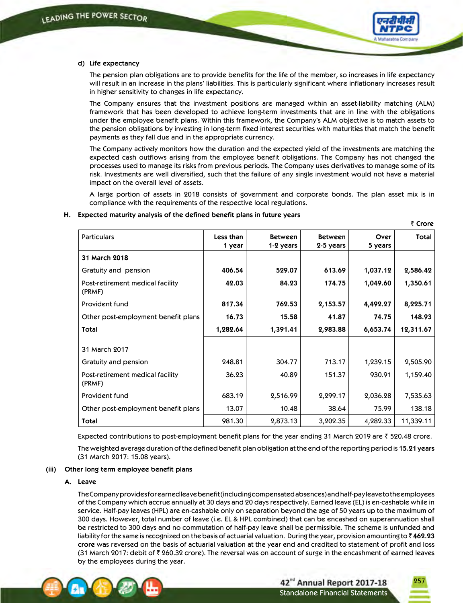

` **Crore**

#### **d) Life expectancy**

 The pension plan obligations are to provide benefits for the life of the member, so increases in life expectancy will result in an increase in the plans' liabilities. This is particularly significant where inflationary increases result in higher sensitivity to changes in life expectancy.

 The Company ensures that the investment positions are managed within an asset-liability matching (ALM) framework that has been developed to achieve long-term investments that are in line with the obligations under the employee benefit plans. Within this framework, the Company's ALM objective is to match assets to the pension obligations by investing in long-term fixed interest securities with maturities that match the benefit payments as they fall due and in the appropriate currency.

 The Company actively monitors how the duration and the expected yield of the investments are matching the expected cash outflows arising from the employee benefit obligations. The Company has not changed the processes used to manage its risks from previous periods. The Company uses derivatives to manage some of its risk. Investments are well diversified, such that the failure of any single investment would not have a material impact on the overall level of assets.

 A large portion of assets in 2018 consists of government and corporate bonds. The plan asset mix is in compliance with the requirements of the respective local regulations.

|                                            |                     |                             |                             |                 | שוטופ     |
|--------------------------------------------|---------------------|-----------------------------|-----------------------------|-----------------|-----------|
| <b>Particulars</b>                         | Less than<br>1 year | <b>Between</b><br>1-2 years | <b>Between</b><br>2-5 years | Over<br>5 years | Total     |
| 31 March 2018                              |                     |                             |                             |                 |           |
| Gratuity and pension                       | 406.54              | 529.07                      | 613.69                      | 1,037.12        | 2,586.42  |
| Post-retirement medical facility<br>(PRMF) | 42.03               | 84.23                       | 174.75                      | 1,049.60        | 1,350.61  |
| Provident fund                             | 817.34              | 762.53                      | 2,153.57                    | 4,492.27        | 8,225.71  |
| Other post-employment benefit plans        | 16.73               | 15.58                       | 41.87                       | 74.75           | 148.93    |
| <b>Total</b>                               | 1,282.64            | 1,391.41                    | 2,983.88                    | 6,653.74        | 12,311.67 |
| 31 March 2017                              |                     |                             |                             |                 |           |
| Gratuity and pension                       | 248.81              | 304.77                      | 713.17                      | 1,239.15        | 2,505.90  |
| Post-retirement medical facility<br>(PRMF) | 36.23               | 40.89                       | 151.37                      | 930.91          | 1,159.40  |
| Provident fund                             | 683.19              | 2,516.99                    | 2,299.17                    | 2,036.28        | 7,535.63  |
| Other post-employment benefit plans        | 13.07               | 10.48                       | 38.64                       | 75.99           | 138.18    |
| <b>Total</b>                               | 981.30              | 2,873.13                    | 3,202.35                    | 4,282.33        | 11,339.11 |

## **H. Expected maturity analysis of the defined benefit plans in future years**

Expected contributions to post-employment benefit plans for the year ending 31 March 2019 are  $\bar{\tau}$  520.48 crore.

 The weighted average duration of the defined benefit plan obligation at the end of the reporting period is **15.21 years** (31 March 2017: 15.08 years).

#### **(iii) Other long term employee benefit plans**

#### **A. Leave**

 The Company provides for earned leave benefit (including compensated absences) and half-pay leave to the employees of the Company which accrue annually at 30 days and 20 days respectively. Earned leave (EL) is en-cashable while in service. Half-pay leaves (HPL) are en-cashable only on separation beyond the age of 50 years up to the maximum of 300 days. However, total number of leave (i.e. EL & HPL combined) that can be encashed on superannuation shall be restricted to 300 days and no commutation of half-pay leave shall be permissible. The scheme is unfunded and liability for the same is recognized on the basis of actuarial valuation. During the year, provision amounting to  $\bar{\zeta}$  462.23 **crore** was reversed on the basis of actuarial valuation at the year end and credited to statement of profit and loss (31 March 2017: debit of  $\bar{\tau}$  260.32 crore). The reversal was on account of surge in the encashment of earned leaves by the employees during the year.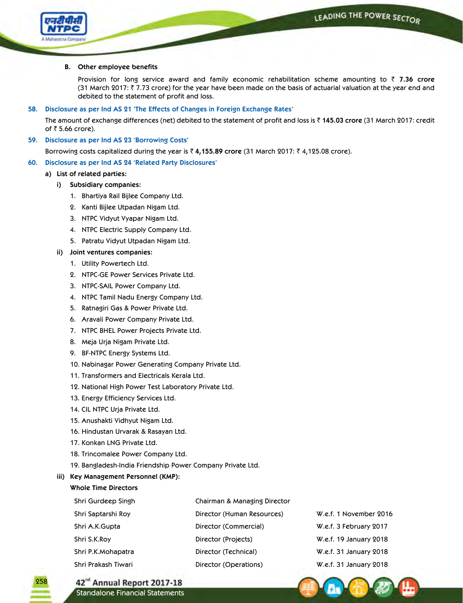

## **B. Other employee benefits**

Provision for long service award and family economic rehabilitation scheme amounting to ` **7.36 crore** (31 March 2017:  $\bar{\tau}$  7.73 crore) for the year have been made on the basis of actuarial valuation at the year end and debited to the statement of profit and loss.

## **58. Disclosure as per Ind AS 21 'The Effects of Changes in Foreign Exchange Rates'**

 The amount of exchange differences (net) debited to the statement of profit and loss is ` **145.03 crore** (31 March 2017: credit of  $\bar{z}$  5.66 crore).

## **59. Disclosure as per Ind AS 23 'Borrowing Costs'**

Borrowing costs capitalized during the year is ₹ 4,155.89 crore (31 March 2017: ₹ 4,125.08 crore).

## **60. Disclosure as per Ind AS 24 'Related Party Disclosures'**

## **a) List of related parties:**

- **i) Subsidiary companies:**
	- 1. Bhartiya Rail Bijlee Company Ltd.
	- 2. Kanti Bijlee Utpadan Nigam Ltd.
	- 3. NTPC Vidyut Vyapar Nigam Ltd.
	- 4. NTPC Electric Supply Company Ltd.
	- 5. Patratu Vidyut Utpadan Nigam Ltd.
- **ii) Joint ventures companies:** 
	- 1. Utility Powertech Ltd.
	- 2. NTPC-GE Power Services Private Ltd.
	- 3. NTPC-SAIL Power Company Ltd.
	- 4. NTPC Tamil Nadu Energy Company Ltd.
	- 5. Ratnagiri Gas & Power Private Ltd.
	- 6. Aravali Power Company Private Ltd.
	- 7. NTPC BHEL Power Projects Private Ltd.
	- 8. Meja Urja Nigam Private Ltd.
	- 9. BF-NTPC Energy Systems Ltd.
	- 10. Nabinagar Power Generating Company Private Ltd.
	- 11. Transformers and Electricals Kerala Ltd.
	- 12. National High Power Test Laboratory Private Ltd.
	- 13. Energy Efficiency Services Ltd.
	- 14. CIL NTPC Urja Private Ltd.
	- 15. Anushakti Vidhyut Nigam Ltd.
	- 16. Hindustan Urvarak & Rasayan Ltd.
	- 17. Konkan LNG Private Ltd.
	- 18. Trincomalee Power Company Ltd.
	- 19. Bangladesh-India Friendship Power Company Private Ltd.

## **iii) Key Management Personnel (KMP):**

## **Whole Time Directors**

258

| Shri Gurdeep Singh  | Chairman & Managing Director |                        |
|---------------------|------------------------------|------------------------|
| Shri Saptarshi Roy  | Director (Human Resources)   | W.e.f. 1 November 2016 |
| Shri A.K.Gupta      | Director (Commercial)        | W.e.f. 3 February 2017 |
| Shri S.K.Roy        | Director (Projects)          | W.e.f. 19 January 2018 |
| Shri P.K.Mohapatra  | Director (Technical)         | W.e.f. 31 January 2018 |
| Shri Prakash Tiwari | Director (Operations)        | W.e.f. 31 January 2018 |

42<sup>nd</sup> Annual Report 2017-18 Standalone Financial Statements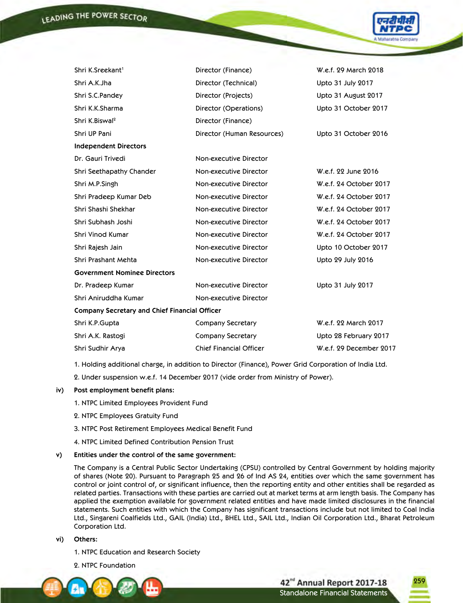

| Shri K.Sreekant <sup>1</sup>                         | Director (Finance)             | W.e.f. 29 March 2018    |
|------------------------------------------------------|--------------------------------|-------------------------|
| Shri A.K.Jha                                         | Director (Technical)           | Upto 31 July 2017       |
| Shri S.C.Pandey                                      | Director (Projects)            | Upto 31 August 2017     |
| Shri K.K.Sharma                                      | Director (Operations)          | Upto 31 October 2017    |
| Shri K.Biswal <sup>2</sup>                           | Director (Finance)             |                         |
| Shri UP Pani                                         | Director (Human Resources)     | Upto 31 October 2016    |
| <b>Independent Directors</b>                         |                                |                         |
| Dr. Gauri Trivedi                                    | Non-executive Director         |                         |
| Shri Seethapathy Chander                             | Non-executive Director         | W.e.f. 22 June 2016     |
| Shri M.P.Singh                                       | Non-executive Director         | W.e.f. 24 October 2017  |
| Shri Pradeep Kumar Deb                               | Non-executive Director         | W.e.f. 24 October 2017  |
| Shri Shashi Shekhar                                  | Non-executive Director         | W.e.f. 24 October 2017  |
| Shri Subhash Joshi                                   | Non-executive Director         | W.e.f. 24 October 2017  |
| Shri Vinod Kumar                                     | Non-executive Director         | W.e.f. 24 October 2017  |
| Shri Rajesh Jain                                     | Non-executive Director         | Upto 10 October 2017    |
| Shri Prashant Mehta                                  | Non-executive Director         | Upto 29 July 2016       |
| <b>Government Nominee Directors</b>                  |                                |                         |
| Dr. Pradeep Kumar                                    | Non-executive Director         | Upto 31 July 2017       |
| Shri Aniruddha Kumar                                 | Non-executive Director         |                         |
| <b>Company Secretary and Chief Financial Officer</b> |                                |                         |
| Shri K.P.Gupta                                       | Company Secretary              | W.e.f. 22 March 2017    |
| Shri A.K. Rastogi                                    | Company Secretary              | Upto 28 February 2017   |
| Shri Sudhir Arya                                     | <b>Chief Financial Officer</b> | W.e.f. 29 December 2017 |
|                                                      |                                |                         |

1. Holding additional charge, in addition to Director (Finance), Power Grid Corporation of India Ltd.

2. Under suspension w.e.f. 14 December 2017 (vide order from Ministry of Power).

## iv) Post employment benefit plans:

1. NTPC Limited Employees Provident Fund

- 2. NTPC Employees Gratuity Fund
- 3. NTPC Post Retirement Employees Medical Benefit Fund
- 4. NTPC Limited Defined Contribution Pension Trust
- **v) Entities under the control of the same government:**

 The Company is a Central Public Sector Undertaking (CPSU) controlled by Central Government by holding majority of shares (Note 20). Pursuant to Paragraph 25 and 26 of Ind AS 24, entities over which the same government has control or joint control of, or significant influence, then the reporting entity and other entities shall be regarded as related parties. Transactions with these parties are carried out at market terms at arm length basis. The Company has applied the exemption available for government related entities and have made limited disclosures in the financial statements. Such entities with which the Company has significant transactions include but not limited to Coal India Ltd., Singareni Coalfields Ltd., GAIL (India) Ltd., BHEL Ltd., SAIL Ltd., Indian Oil Corporation Ltd., Bharat Petroleum Corporation Ltd.

- **vi) Others:**
	- 1. NTPC Education and Research Society
	- 2. NTPC Foundation

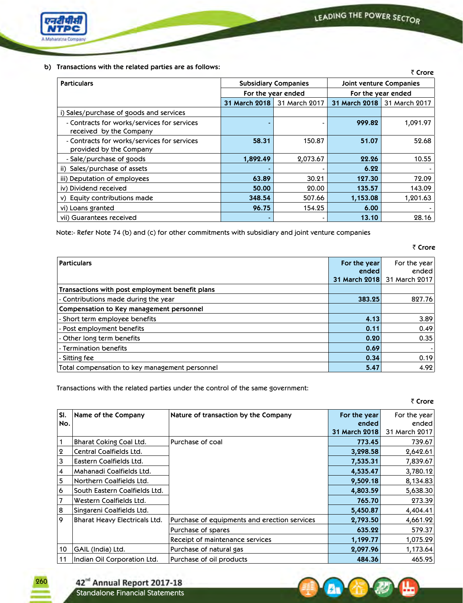LEADING THE POWER SECTOR



## **b) Transactions with the related parties are as follows:**

| <b>IT GITS GUILDITY WILLIE THE TEIGLE OF DUITIES OF CONTROL</b>        |                             |                    |                         | ₹ Crore            |
|------------------------------------------------------------------------|-----------------------------|--------------------|-------------------------|--------------------|
| <b>Particulars</b>                                                     | <b>Subsidiary Companies</b> |                    | Joint venture Companies |                    |
|                                                                        |                             | For the year ended |                         | For the year ended |
|                                                                        | 31 March 2018               | 31 March 2017      | 31 March 2018           | 31 March 2017      |
| i) Sales/purchase of goods and services                                |                             |                    |                         |                    |
| - Contracts for works/services for services<br>received by the Company |                             |                    | 999.82                  | 1,091.97           |
| - Contracts for works/services for services<br>provided by the Company | 58.31                       | 150.87             | 51.07                   | 52.68              |
| - Sale/purchase of goods                                               | 1,892.49                    | 2,073.67           | 22.26                   | 10.55              |
| ii) Sales/purchase of assets                                           |                             |                    | 6.22                    |                    |
| iii) Deputation of employees                                           | 63.89                       | 30.21              | 127.30                  | 72.09              |
| iv) Dividend received                                                  | 50.00                       | 20.00              | 135.57                  | 143.09             |
| v) Equity contributions made                                           | 348.54                      | 507.66             | 1,153.08                | 1,201.63           |
| vi) Loans granted                                                      | 96.75                       | 154.25             | 6.00                    |                    |
| vii) Guarantees received                                               |                             |                    | 13.10                   | 28.16              |

Note:- Refer Note 74 (b) and (c) for other commitments with subsidiary and joint venture companies

| <b>Particulars</b>                              | For the year  | For the year  |
|-------------------------------------------------|---------------|---------------|
|                                                 | ended         | ended         |
|                                                 | 31 March 2018 | 31 March 2017 |
| Transactions with post employment benefit plans |               |               |
| - Contributions made during the year            | 383.25        | 827.76        |
| Compensation to Key management personnel        |               |               |
| - Short term employee benefits                  | 4.13          | 3.89          |
| - Post employment benefits                      | 0.11          | 0.49          |
| - Other long term benefits                      | 0.20          | 0.35          |
| - Termination benefits                          | 0.69          |               |
| - Sitting fee                                   | 0.34          | 0.19          |
| Total compensation to key management personnel  | 5.47          | 4.92          |

Transactions with the related parties under the control of the same government:

` **Crore**

` **Crore**

| SI.          | Name of the Company           | Nature of transaction by the Company         | For the year  | For the year  |
|--------------|-------------------------------|----------------------------------------------|---------------|---------------|
| No.          |                               |                                              | ended         | ended         |
|              |                               |                                              | 31 March 2018 | 31 March 2017 |
| 1            | Bharat Coking Coal Ltd.       | Purchase of coal                             | 773.45        | 739.67        |
| $\mathbf{Q}$ | Central Coalfields Ltd.       |                                              | 3,298.58      | 2,642.61      |
| 3            | Eastern Coalfields Ltd.       |                                              | 7,535.31      | 7,839.67      |
| 4            | Mahanadi Coalfields Ltd.      |                                              | 4,535.47      | 3,780.12      |
| 5            | Northern Coalfields Ltd.      |                                              | 9,509.18      | 8,134.83      |
| 6            | South Eastern Coalfields Ltd. |                                              | 4,803.59      | 5,638.30      |
| 7            | Western Coalfields Ltd.       |                                              | 765.70        | 273.39        |
| 8            | Singareni Coalfields Ltd.     |                                              | 5,450.87      | 4,404.41      |
| 9            | Bharat Heavy Electricals Ltd. | Purchase of equipments and erection services | 2,793.50      | 4,661.92      |
|              |                               | Purchase of spares                           | 635.22        | 579.37        |
|              |                               | Receipt of maintenance services              | 1,199.77      | 1,075.29      |
| 10           | GAIL (India) Ltd.             | Purchase of natural gas                      | 2,097.96      | 1,173.64      |
| 11           | Indian Oil Corporation Ltd.   | Purchase of oil products                     | 484.36        | 465.95        |





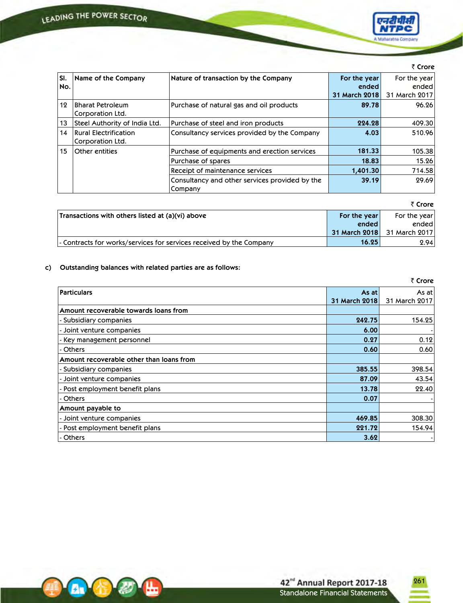

|     |                                                             |                                                           |               | $\sqrt{C}$    |
|-----|-------------------------------------------------------------|-----------------------------------------------------------|---------------|---------------|
| SI. | Name of the Company<br>Nature of transaction by the Company |                                                           | For the year  | For the year  |
| No. |                                                             |                                                           | ended         | ended         |
|     |                                                             |                                                           | 31 March 2018 | 31 March 2017 |
| 12  | <b>Bharat Petroleum</b><br>Corporation Ltd.                 | Purchase of natural gas and oil products                  | 89.78         | 96.26         |
| 13  | Steel Authority of India Ltd.                               | Purchase of steel and iron products                       | 224.28        | 409.30        |
| 14  | <b>Rural Electrification</b><br>Corporation Ltd.            | Consultancy services provided by the Company              | 4.03          | 510.96        |
| 15  | Other entities                                              | Purchase of equipments and erection services              | 181.33        | 105.38        |
|     |                                                             | Purchase of spares                                        | 18.83         | 15.26         |
|     |                                                             | Receipt of maintenance services                           | 1,401.30      | 714.58        |
|     |                                                             | Consultancy and other services provided by the<br>Company | 39.19         | 29.69         |

|                                                                     |               | ₹ Crore       |
|---------------------------------------------------------------------|---------------|---------------|
| Transactions with others listed at (a)(vi) above                    | For the year  | For the year  |
|                                                                     | ended         | ended         |
|                                                                     | 31 March 2018 | 31 March 2017 |
| - Contracts for works/services for services received by the Company | 16.25         | 2.94          |

## **c) Outstanding balances with related parties are as follows:**

|                                          |               | ₹ Crore       |
|------------------------------------------|---------------|---------------|
| <b>Particulars</b>                       | As at         | As at         |
|                                          | 31 March 2018 | 31 March 2017 |
| Amount recoverable towards loans from    |               |               |
| - Subsidiary companies                   | 242.75        | 154.25        |
| - Joint venture companies                | 6.00          |               |
| - Key management personnel               | 0.27          | 0.12          |
| - Others                                 | 0.60          | 0.60          |
| Amount recoverable other than loans from |               |               |
| - Subsidiary companies                   | 385.55        | 398.54        |
| - Joint venture companies                | 87.09         | 43.54         |
| - Post employment benefit plans          | 13.78         | 22.40         |
| - Others                                 | 0.07          |               |
| Amount payable to                        |               |               |
| - Joint venture companies                | 469.85        | 308.30        |
| - Post employment benefit plans          | 221.72        | 154.94        |
| - Others                                 | 3.62          |               |

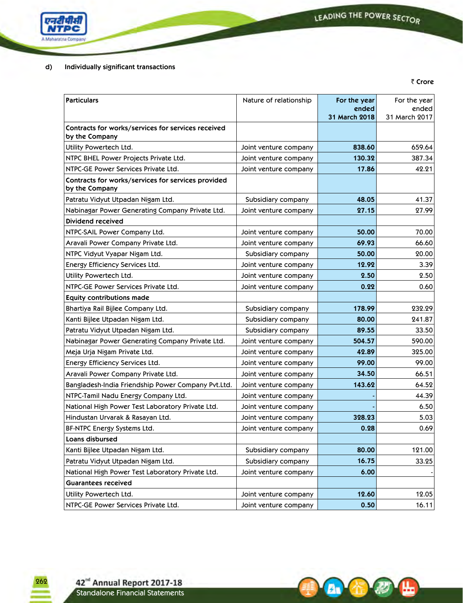**A.** 6

**A** 

ь



## **d) Individually significant transactions**

` **Crore**

| <b>Particulars</b>                                                   | Nature of relationship | For the year<br>ended | For the year<br>ended |
|----------------------------------------------------------------------|------------------------|-----------------------|-----------------------|
|                                                                      |                        | 31 March 2018         | 31 March 2017         |
| Contracts for works/services for services received<br>by the Company |                        |                       |                       |
| Utility Powertech Ltd.                                               | Joint venture company  | 838.60                | 659.64                |
| NTPC BHEL Power Projects Private Ltd.                                | Joint venture company  | 130.32                | 387.34                |
| NTPC-GE Power Services Private Ltd.                                  | Joint venture company  | 17.86                 | 42.21                 |
| Contracts for works/services for services provided<br>by the Company |                        |                       |                       |
| Patratu Vidyut Utpadan Nigam Ltd.                                    | Subsidiary company     | 48.05                 | 41.37                 |
| Nabinagar Power Generating Company Private Ltd.                      | Joint venture company  | 27.15                 | 27.99                 |
| Dividend received                                                    |                        |                       |                       |
| NTPC-SAIL Power Company Ltd.                                         | Joint venture company  | 50.00                 | 70.00                 |
| Aravali Power Company Private Ltd.                                   | Joint venture company  | 69.93                 | 66.60                 |
| NTPC Vidyut Vyapar Nigam Ltd.                                        | Subsidiary company     | 50.00                 | 20.00                 |
| Energy Efficiency Services Ltd.                                      | Joint venture company  | 12.92                 | 3.39                  |
| Utility Powertech Ltd.                                               | Joint venture company  | 2.50                  | 2.50                  |
| NTPC-GE Power Services Private Ltd.                                  | Joint venture company  | 0.22                  | 0.60                  |
| <b>Equity contributions made</b>                                     |                        |                       |                       |
| Bhartiya Rail Bijlee Company Ltd.                                    | Subsidiary company     | 178.99                | 232.29                |
| Kanti Bijlee Utpadan Nigam Ltd.                                      | Subsidiary company     | 80.00                 | 241.87                |
| Patratu Vidyut Utpadan Nigam Ltd.                                    | Subsidiary company     | 89.55                 | 33.50                 |
| Nabinagar Power Generating Company Private Ltd.                      | Joint venture company  | 504.57                | 590.00                |
| Meja Urja Nigam Private Ltd.                                         | Joint venture company  | 42.89                 | 325.00                |
| Energy Efficiency Services Ltd.                                      | Joint venture company  | 99.00                 | 99.00                 |
| Aravali Power Company Private Ltd.                                   | Joint venture company  | 34.50                 | 66.51                 |
| Bangladesh-India Friendship Power Company Pvt.Ltd.                   | Joint venture company  | 143.62                | 64.52                 |
| NTPC-Tamil Nadu Energy Company Ltd.                                  | Joint venture company  |                       | 44.39                 |
| National High Power Test Laboratory Private Ltd.                     | Joint venture company  |                       | 6.50                  |
| Hindustan Urvarak & Rasayan Ltd.                                     | Joint venture company  | 328.23                | 5.03                  |
| BF-NTPC Energy Systems Ltd.                                          | Joint venture company  | 0.28                  | 0.69                  |
| Loans disbursed                                                      |                        |                       |                       |
| Kanti Bijlee Utpadan Nigam Ltd.                                      | Subsidiary company     | 80.00                 | 121.00                |
| Patratu Vidyut Utpadan Nigam Ltd.                                    | Subsidiary company     | 16.75                 | 33.25                 |
| National High Power Test Laboratory Private Ltd.                     | Joint venture company  | 6.00                  |                       |
| <b>Guarantees received</b>                                           |                        |                       |                       |
| Utility Powertech Ltd.                                               | Joint venture company  | 12.60                 | 12.05                 |
| NTPC-GE Power Services Private Ltd.                                  | Joint venture company  | 0.50                  | 16.11                 |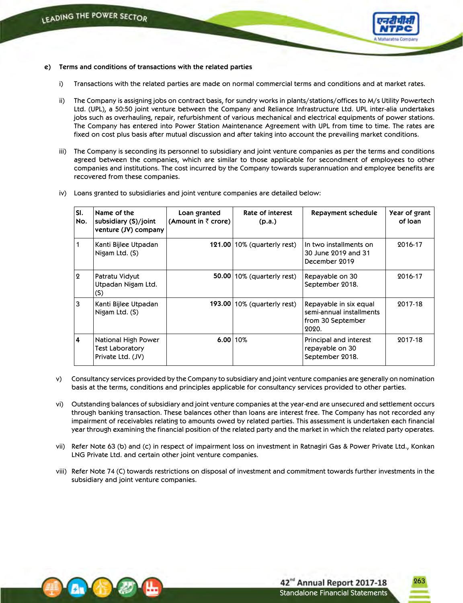

#### **e) Terms and conditions of transactions with the related parties**

- i) Transactions with the related parties are made on normal commercial terms and conditions and at market rates.
- ii) The Company is assigning jobs on contract basis, for sundry works in plants/stations/offices to M/s Utility Powertech Ltd. (UPL), a 50:50 joint venture between the Company and Reliance Infrastructure Ltd. UPL inter-alia undertakes jobs such as overhauling, repair, refurbishment of various mechanical and electrical equipments of power stations. The Company has entered into Power Station Maintenance Agreement with UPL from time to time. The rates are fixed on cost plus basis after mutual discussion and after taking into account the prevailing market conditions.
- iii) The Company is seconding its personnel to subsidiary and joint venture companies as per the terms and conditions agreed between the companies, which are similar to those applicable for secondment of employees to other companies and institutions. The cost incurred by the Company towards superannuation and employee benefits are recovered from these companies.
- iv) Loans granted to subsidiaries and joint venture companies are detailed below:

| SI.<br>No.   | Name of the<br>subsidiary (S)/joint<br>venture (JV) company | Loan granted<br>(Amount in $\bar{z}$ crore) | Rate of interest<br>(p.a.)    | Repayment schedule                                                               | Year of grant<br>of Ioan |
|--------------|-------------------------------------------------------------|---------------------------------------------|-------------------------------|----------------------------------------------------------------------------------|--------------------------|
|              | Kanti Bijlee Utpadan<br>Nigam Ltd. (S)                      |                                             | $121.00$ 10% (quarterly rest) | In two installments on<br>30 June 2019 and 31<br>December 2019                   | 2016-17                  |
| $\mathbf{Q}$ | Patratu Vidyut<br>Utpadan Nigam Ltd.<br>(S)                 |                                             | $50.00$  10% (quarterly rest) | Repayable on 30<br>September 2018.                                               | 2016-17                  |
| 3            | Kanti Bijlee Utpadan<br>Nigam Ltd. (S)                      |                                             | $193.00$ 10% (quarterly rest) | Repayable in six equal<br>semi-annual installments<br>from 30 September<br>2020. | 2017-18                  |
| 4            | National High Power<br>Test Laboratory<br>Private Ltd. (JV) | 6.00110%                                    |                               | Principal and interest<br>repayable on 30<br>September 2018.                     | 2017-18                  |

- v) Consultancy services provided by the Company to subsidiary and joint venture companies are generally on nomination basis at the terms, conditions and principles applicable for consultancy services provided to other parties.
- vi) Outstanding balances of subsidiary and joint venture companies at the year-end are unsecured and settlement occurs through banking transaction. These balances other than loans are interest free. The Company has not recorded any impairment of receivables relating to amounts owed by related parties. This assessment is undertaken each financial year through examining the financial position of the related party and the market in which the related party operates.
- vii) Refer Note 63 (b) and (c) in respect of impairment loss on investment in Ratnagiri Gas & Power Private Ltd., Konkan LNG Private Ltd. and certain other joint venture companies.
- viii) Refer Note 74 (C) towards restrictions on disposal of investment and commitment towards further investments in the subsidiary and joint venture companies.

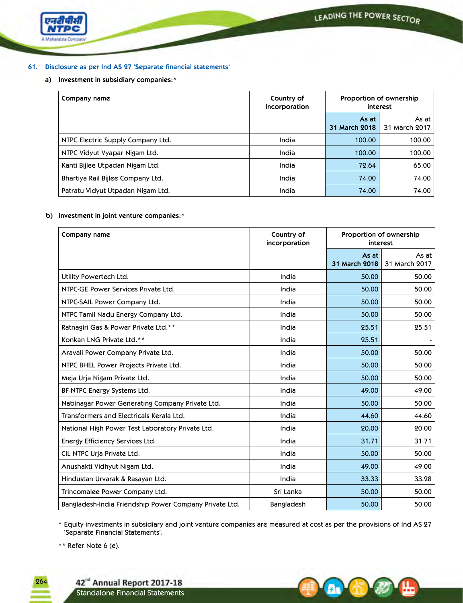

## **61. Disclosure as per Ind AS 27 'Separate financial statements'**

## **a) Investment in subsidiary companies:\***

| Company name                      | Country of<br>incorporation | Proportion of ownership<br>interest |                          |
|-----------------------------------|-----------------------------|-------------------------------------|--------------------------|
|                                   |                             | As at<br>31 March 2018              | As at I<br>31 March 2017 |
| NTPC Electric Supply Company Ltd. | India                       | 100.00                              | 100.00                   |
| NTPC Vidyut Vyapar Nigam Ltd.     | India                       | 100.00                              | 100.00                   |
| Kanti Bijlee Utpadan Nigam Ltd.   | India                       | 72.64                               | 65.00                    |
| Bhartiya Rail Bijlee Company Ltd. | India                       | 74.00                               | 74.00                    |
| Patratu Vidyut Utpadan Nigam Ltd. | India                       | 74.00                               | 74.00                    |

## **b) Investment in joint venture companies:\***

| Company name                                           | Country of<br>incorporation | Proportion of ownership<br>interest |                        |
|--------------------------------------------------------|-----------------------------|-------------------------------------|------------------------|
|                                                        |                             | As at<br>31 March 2018              | As at<br>31 March 2017 |
| Utility Powertech Ltd.                                 | India                       | 50.00                               | 50.00                  |
| NTPC-GE Power Services Private Ltd.                    | India                       | 50.00                               | 50.00                  |
| NTPC-SAIL Power Company Ltd.                           | India                       | 50.00                               | 50.00                  |
| NTPC-Tamil Nadu Energy Company Ltd.                    | India                       | 50.00                               | 50.00                  |
| Ratnagiri Gas & Power Private Ltd.**                   | India                       | 25.51                               | 25.51                  |
| Konkan LNG Private Ltd.**                              | India                       | 25.51                               |                        |
| Aravali Power Company Private Ltd.                     | India                       | 50.00                               | 50.00                  |
| NTPC BHEL Power Projects Private Ltd.                  | India                       | 50.00                               | 50.00                  |
| Meja Urja Nigam Private Ltd.                           | India                       | 50.00                               | 50.00                  |
| BF-NTPC Energy Systems Ltd.                            | India                       | 49.00                               | 49.00                  |
| Nabinagar Power Generating Company Private Ltd.        | India                       | 50.00                               | 50.00                  |
| Transformers and Electricals Kerala Ltd.               | India                       | 44.60                               | 44.60                  |
| National High Power Test Laboratory Private Ltd.       | India                       | 20.00                               | 20.00                  |
| Energy Efficiency Services Ltd.                        | India                       | 31.71                               | 31.71                  |
| CIL NTPC Uria Private Ltd.                             | India                       | 50.00                               | 50.00                  |
| Anushakti Vidhyut Nigam Ltd.                           | India                       | 49.00                               | 49.00                  |
| Hindustan Urvarak & Rasayan Ltd.                       | India                       | 33.33                               | 33.28                  |
| Trincomalee Power Company Ltd.                         | Sri Lanka                   | 50.00                               | 50.00                  |
| Bangladesh-India Friendship Power Company Private Ltd. | Bangladesh                  | 50.00                               | 50.00                  |

\* Equity investments in subsidiary and joint venture companies are measured at cost as per the provisions of Ind AS 27 'Separate Financial Statements'. 

Au)

\*\* Refer Note 6 (e).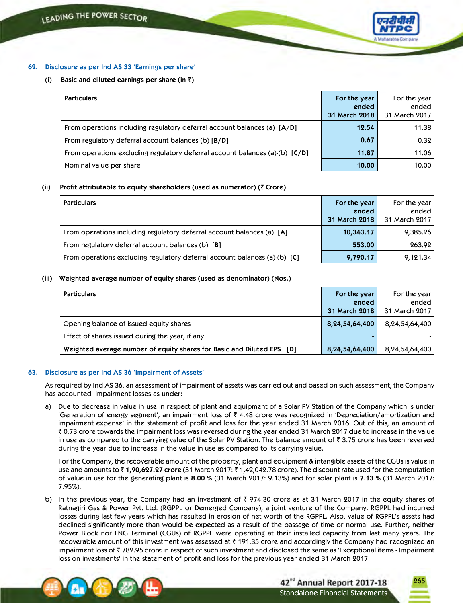

## **62. Disclosure as per Ind AS 33 'Earnings per share'**

**(i) Basic** and diluted earnings per share (in  $\bar{\tau}$ )

| <b>Particulars</b>                                                           | For the year  | For the year  |
|------------------------------------------------------------------------------|---------------|---------------|
|                                                                              | ended         | ended         |
|                                                                              | 31 March 2018 | 31 March 2017 |
| From operations including regulatory deferral account balances (a) [A/D]     | 12.54         | 11.38         |
| From regulatory deferral account balances (b) [B/D]                          | 0.67          | 0.32          |
| From operations excluding regulatory deferral account balances (a)-(b) [C/D] | 11.87         | 11.06         |
| Nominal value per share                                                      | 10.00         | 10.00         |

#### **(ii) Profit attributable to equity shareholders (used as numerator) (**` **Crore)**

| <b>Particulars</b>                                                         | For the year  | For the year  |
|----------------------------------------------------------------------------|---------------|---------------|
|                                                                            | ended         | ended         |
|                                                                            | 31 March 2018 | 31 March 2017 |
| From operations including regulatory deferral account balances (a) [A]     | 10,343.17     | 9,385.26      |
| From regulatory deferral account balances (b) [B]                          | 553.00        | 263.92        |
| From operations excluding regulatory deferral account balances (a)-(b) [C] | 9,790.17      | 9,121.34      |

#### **(iii) Weighted average number of equity shares (used as denominator) (Nos.)**

| <b>Particulars</b>                                                     | For the year       | For the year   |
|------------------------------------------------------------------------|--------------------|----------------|
|                                                                        | ended              | ended          |
|                                                                        | 31 March 2018      | 31 March 2017  |
| Opening balance of issued equity shares                                | 8, 24, 54, 64, 400 | 8,24,54,64,400 |
| Effect of shares issued during the year, if any                        | -                  |                |
| Weighted average number of equity shares for Basic and Diluted EPS [D] | 8, 24, 54, 64, 400 | 8,24,54,64,400 |

#### **63. Disclosure as per Ind AS 36 'Impairment of Assets'**

As required by Ind AS 36, an assessment of impairment of assets was carried out and based on such assessment, the Company has accounted impairment losses as under:

a) Due to decrease in value in use in respect of plant and equipment of a Solar PV Station of the Company which is under 'Generation of energy segment', an impairment loss of  $\bar{\tau}$  4.48 crore was recognized in 'Depreciation/amortization and impairment expense' in the statement of profit and loss for the year ended 31 March 2016. Out of this, an amount of  $\bar{\bar{\tau}}$  0.73 crore towards the impairment loss was reversed during the year ended 31 March 2017 due to increase in the value in use as compared to the carrying value of the Solar PV Station. The balance amount of  $\bar{\tau}$  3.75 crore has been reversed during the year due to increase in the value in use as compared to its carrying value.

 For the Company, the recoverable amount of the property, plant and equipment & intangible assets of the CGUs is value in use and amounts to ₹1,90,627.27 crore (31 March 2017: ₹1,42,042.78 crore). The discount rate used for the computation of value in use for the generating plant is **8.00 %** (31 March 2017: 9.13%) and for solar plant is **7.13 %** (31 March 2017: 7.95%).

b) In the previous year, the Company had an investment of  $\bar{\tau}$  974.30 crore as at 31 March 2017 in the equity shares of Ratnagiri Gas & Power Pvt. Ltd. (RGPPL or Demerged Company), a joint venture of the Company. RGPPL had incurred losses during last few years which has resulted in erosion of net worth of the RGPPL. Also, value of RGPPL's assets had declined significantly more than would be expected as a result of the passage of time or normal use. Further, neither Power Block nor LNG Terminal (CGUs) of RGPPL were operating at their installed capacity from last many years. The recoverable amount of this investment was assessed at  $\bar{\tau}$  191.35 crore and accordingly the Company had recognized an impairment loss of ₹782.95 crore in respect of such investment and disclosed the same as 'Exceptional items - Impairment loss on investments' in the statement of profit and loss for the previous year ended 31 March 2017.

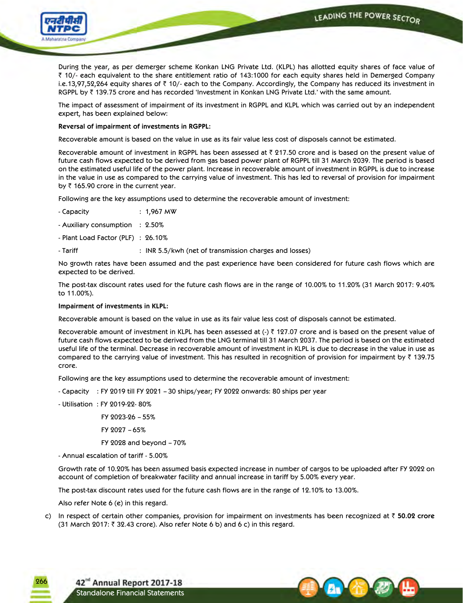LEADING THE POWER SECTOR



 During the year, as per demerger scheme Konkan LNG Private Ltd. (KLPL) has allotted equity shares of face value of  $\bar{\zeta}$  10/- each equivalent to the share entitlement ratio of 143:1000 for each equity shares held in Demerged Company i.e.13,97,52,264 equity shares of  $\bar{z}$  10/- each to the Company. Accordingly, the Company has reduced its investment in RGPPL by ₹139.75 crore and has recorded 'Investment in Konkan LNG Private Ltd.' with the same amount.

 The impact of assessment of impairment of its investment in RGPPL and KLPL which was carried out by an independent expert, has been explained below:

## **Reversal of impairment of investments in RGPPL:**

Recoverable amount is based on the value in use as its fair value less cost of disposals cannot be estimated.

Recoverable amount of investment in RGPPL has been assessed at  $\bar{\tau}$  217.50 crore and is based on the present value of future cash flows expected to be derived from gas based power plant of RGPPL till 31 March 2039. The period is based on the estimated useful life of the power plant. Increase in recoverable amount of investment in RGPPL is due to increase in the value in use as compared to the carrying value of investment. This has led to reversal of provision for impairment by  $\bar{\tau}$  165.90 crore in the current year.

Following are the key assumptions used to determine the recoverable amount of investment:

- Capacity : 1,967 MW

- Auxiliary consumption : 2.50%

- Plant Load Factor (PLF) : 26.10%

- Tariff : INR 5.5/kwh (net of transmission charges and losses)

 No growth rates have been assumed and the past experience have been considered for future cash flows which are expected to be derived.

 The post-tax discount rates used for the future cash flows are in the range of 10.00% to 11.20% (31 March 2017: 9.40% to 11.00%).

**Impairment of investments in KLPL:**

Recoverable amount is based on the value in use as its fair value less cost of disposals cannot be estimated.

Recoverable amount of investment in KLPL has been assessed at  $(\cdot)$   $\bar{\tau}$  127.07 crore and is based on the present value of future cash flows expected to be derived from the LNG terminal till 31 March 2037. The period is based on the estimated useful life of the terminal. Decrease in recoverable amount of investment in KLPL is due to decrease in the value in use as compared to the carrying value of investment. This has resulted in recognition of provision for impairment by  $\bar{\tau}$  139.75 crore.

Following are the key assumptions used to determine the recoverable amount of investment:

- Capacity : FY 2019 till FY 2021 – 30 ships/year; FY 2022 onwards: 80 ships per year

- Utilisation : FY 2019-22- 80%

FY 2023-26 – 55%

FY 2027 – 65%

FY 2028 and beyond – 70%

- Annual escalation of tariff - 5.00%

 Growth rate of 10.20% has been assumed basis expected increase in number of cargos to be uploaded after FY 2022 on account of completion of breakwater facility and annual increase in tariff by 5.00% every year.

The post-tax discount rates used for the future cash flows are in the range of 12.10% to 13.00%.

Also refer Note 6 (e) in this regard.

c) In respect of certain other companies, provision for impairment on investments has been recognized at ` **50.02 crore** (31 March 2017:  $\bar{\tau}$  32.43 crore). Also refer Note 6 b) and 6 c) in this regard.

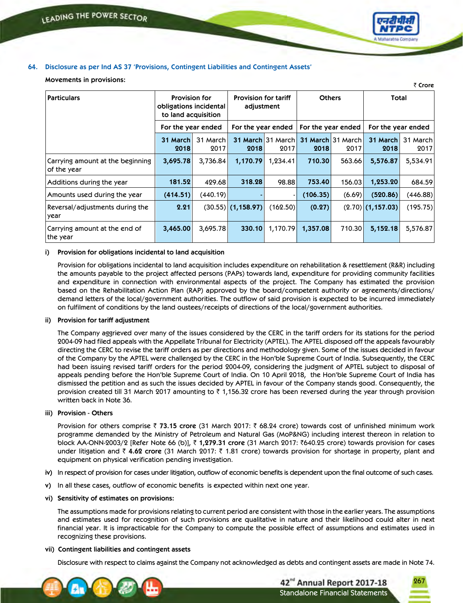

` **Crore**

## **64. Disclosure as per Ind AS 37 'Provisions, Contingent Liabilities and Contingent Assets'**

#### **Movements in provisions:**

| Particulars                                     | <b>Provision for</b><br>obligations incidental |                                                                 | <b>Provision for tariff</b><br>adjustment |                           | <b>Others</b> |                           | Total               |                  |
|-------------------------------------------------|------------------------------------------------|-----------------------------------------------------------------|-------------------------------------------|---------------------------|---------------|---------------------------|---------------------|------------------|
|                                                 |                                                | to land acquisition<br>For the year ended<br>For the year ended |                                           | For the year ended        |               | For the year ended        |                     |                  |
|                                                 | 31 March<br>2018                               | 31 March<br>2017                                                | 2018                                      | 31 March 31 March<br>2017 | 2018          | 31 March 31 March<br>2017 | 31 March<br>2018    | 31 March<br>2017 |
| Carrying amount at the beginning<br>of the year | 3,695.78                                       | 3,736.84                                                        | 1,170.79                                  | 1,234.41                  | 710.30        | 563.66                    | 5,576.87            | 5,534.91         |
| Additions during the year                       | 181.52                                         | 429.68                                                          | 318.28                                    | 98.88                     | 753.40        | 156.03                    | 1,253.20            | 684.59           |
| Amounts used during the year                    | (414.51)                                       | (440.19)                                                        |                                           |                           | (106.35)      | (6.69)                    | (520.86)            | (446.88)         |
| Reversal/adjustments during the<br>year         | 2.21                                           |                                                                 | $(30.55)$ $(1,158.97)$                    | (162.50)                  | (0.27)        |                           | $(2.70)$ (1,157.03) | (195.75)         |
| Carrying amount at the end of<br>the year       | 3,465.00                                       | 3,695.78                                                        | 330.10                                    | 1,170.79                  | 1,357.08      | 710.30                    | 5,152.18            | 5,576.87         |

#### **i) Provision for obligations incidental to land acquisition**

 Provision for obligations incidental to land acquisition includes expenditure on rehabilitation & resettlement (R&R) including the amounts payable to the project affected persons (PAPs) towards land, expenditure for providing community facilities and expenditure in connection with environmental aspects of the project. The Company has estimated the provision based on the Rehabilitation Action Plan (RAP) approved by the board/competent authority or agreements/directions/ demand letters of the local/government authorities. The outflow of said provision is expected to be incurred immediately on fulfilment of conditions by the land oustees/receipts of directions of the local/government authorities.

#### **ii) Provision for tariff adjustment**

The Company aggrieved over many of the issues considered by the CERC in the tariff orders for its stations for the period 2004-09 had filed appeals with the Appellate Tribunal for Electricity (APTEL). The APTEL disposed off the appeals favourably directing the CERC to revise the tariff orders as per directions and methodology given. Some of the issues decided in favour of the Company by the APTEL were challenged by the CERC in the Hon'ble Supreme Court of India. Subsequently, the CERC had been issuing revised tariff orders for the period 2004-09, considering the judgment of APTEL subject to disposal of appeals pending before the Hon'ble Supreme Court of India. On 10 April 2018, the Hon'ble Supreme Court of India has dismissed the petition and as such the issues decided by APTEL in favour of the Company stands good. Consequently, the provision created till 31 March 2017 amounting to  $\bar{\tau}$  1,156.32 crore has been reversed during the year through provision written back in Note 36.

#### **iii) Provision - Others**

Provision for others comprise ` **73.15 crore** (31 March 2017: ` 68.24 crore) towards cost of unfinished minimum work programme demanded by the Ministry of Petroleum and Natural Gas (MoP&NG) including interest thereon in relation to block AA-ONN-2003/2 [Refer Note 66 (b)], ₹ 1,279.31 crore (31 March 2017: ₹640.25 crore) towards provision for cases under litigation and ` **4.62 crore** (31 March 2017: ` 1.81 crore) towards provision for shortage in property, plant and equipment on physical verification pending investigation.

- **iv)** In respect of provision for cases under litigation, outflow of economic benefits is dependent upon the final outcome of such cases.
- **v)** In all these cases, outflow of economic benefits is expected within next one year.

#### **vi) Sensitivity of estimates on provisions:**

 The assumptions made for provisions relating to current period are consistent with those in the earlier years. The assumptions and estimates used for recognition of such provisions are qualitative in nature and their likelihood could alter in next financial year. It is impracticable for the Company to compute the possible effect of assumptions and estimates used in recognizing these provisions.

#### **vii) Contingent liabilities and contingent assets**

Disclosure with respect to claims against the Company not acknowledged as debts and contingent assets are made in Note 74.



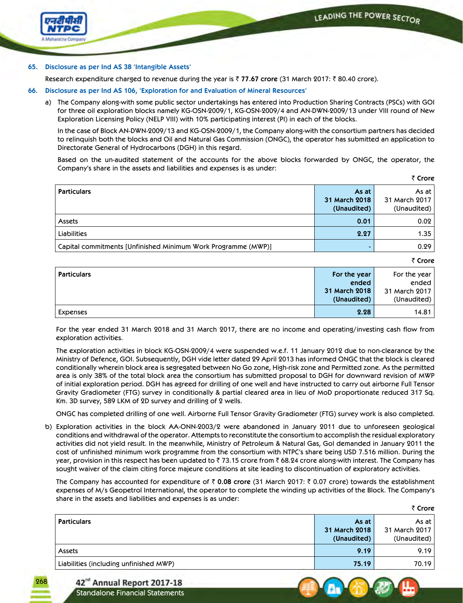` **Crore**

₹ Crore



### **65. Disclosure as per Ind AS 38 'Intangible Assets'**

Research expenditure charged to revenue during the year is ₹ 77.67 crore (31 March 2017: ₹ 80.40 crore).

- **66. Disclosure as per Ind AS 106, 'Exploration for and Evaluation of Mineral Resources'** 
	- a) The Company along-with some public sector undertakings has entered into Production Sharing Contracts (PSCs) with GOI for three oil exploration blocks namely KG-OSN-2009/1, KG-OSN-2009/4 and AN-DWN-2009/13 under VIII round of New Exploration Licensing Policy (NELP VIII) with 10% participating interest (PI) in each of the blocks.

In the case of Block AN-DWN-2009/13 and KG-OSN-2009/1, the Company along-with the consortium partners has decided to relinquish both the blocks and Oil and Natural Gas Commission (ONGC), the operator has submitted an application to Directorate General of Hydrocarbons (DGH) in this regard.

Based on the un-audited statement of the accounts for the above blocks forwarded by ONGC, the operator, the Company's share in the assets and liabilities and expenses is as under:

|                                                               |               | $\sim$ uvit     |
|---------------------------------------------------------------|---------------|-----------------|
| <b>Particulars</b>                                            | As at         | As at $ $       |
|                                                               | 31 March 2018 | 31 March 2017   |
|                                                               | (Unaudited)   | (Unaudited) $ $ |
| Assets                                                        | 0.01          | 0.02            |
| <b>Liabilities</b>                                            | 2.27          | 1.35            |
| Capital commitments [Unfinished Minimum Work Programme (MWP)] |               | 0.29            |

| <b>Particulars</b> | For the year  | For the year  |
|--------------------|---------------|---------------|
|                    | ended         | ended         |
|                    | 31 March 2018 | 31 March 2017 |
|                    | (Unaudited)   | (Unaudited)   |
| Expenses           | 2.28          | 14.81         |

 For the year ended 31 March 2018 and 31 March 2017, there are no income and operating/investing cash flow from exploration activities.

 The exploration activities in block KG-OSN-2009/4 were suspended w.e.f. 11 January 2012 due to non-clearance by the Ministry of Defence, GOI. Subsequently, DGH vide letter dated 29 April 2013 has informed ONGC that the block is cleared conditionally wherein block area is segregated between No Go zone, High-risk zone and Permitted zone. As the permitted area is only 38% of the total block area the consortium has submitted proposal to DGH for downward revision of MWP of initial exploration period. DGH has agreed for drilling of one well and have instructed to carry out airborne Full Tensor Gravity Gradiometer (FTG) survey in conditionally & partial cleared area in lieu of MoD proportionate reduced 317 Sq. Km. 3D survey, 589 LKM of 2D survey and drilling of 2 wells.

ONGC has completed drilling of one well. Airborne Full Tensor Gravity Gradiometer (FTG) survey work is also completed.

b) Exploration activities in the block AA-ONN-2003/2 were abandoned in January 2011 due to unforeseen geological conditions and withdrawal of the operator. Attempts to reconstitute the consortium to accomplish the residual exploratory activities did not yield result. In the meanwhile, Ministry of Petroleum & Natural Gas, GoI demanded in January 2011 the cost of unfinished minimum work programme from the consortium with NTPC's share being USD 7.516 million. During the year, provision in this respect has been updated to  $\bar{z}$  73.15 crore from  $\bar{z}$  68.24 crore along-with interest. The Company has sought waiver of the claim citing force majeure conditions at site leading to discontinuation of exploratory activities.

 The Company has accounted for expenditure of ` **0.08 crore** (31 March 2017: ` 0.07 crore) towards the establishment expenses of M/s Geopetrol International, the operator to complete the winding up activities of the Block. The Company's share in the assets and liabilities and expenses is as under:

|                                        |                                           | ₹ Crore                                 |
|----------------------------------------|-------------------------------------------|-----------------------------------------|
| <b>Particulars</b>                     | As at<br>31 March 2018<br>(Unaudited) $ $ | As at I<br>31 March 2017<br>(Unaudited) |
| Assets                                 | 9.19                                      | 9.19                                    |
| Liabilities (including unfinished MWP) | 75.19                                     | 70.19                                   |

42<sup>nd</sup> Annual Report 2017-18 Standalone Financial Statements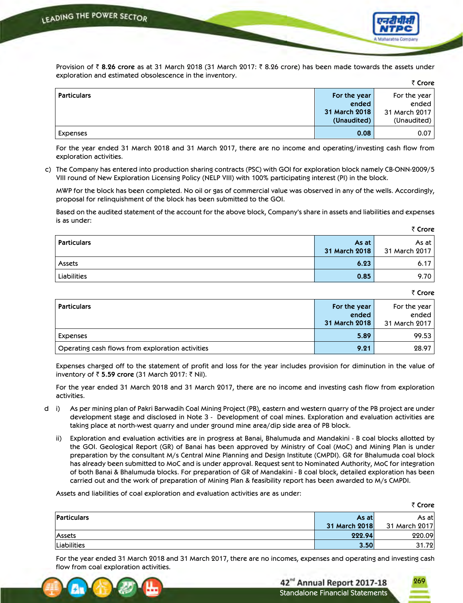

Provision of ₹8.26 crore as at 31 March 2018 (31 March 2017: ₹8.26 crore) has been made towards the assets under exploration and estimated obsolescence in the inventory. ` **Crore**

|                    |               | . 1016           |
|--------------------|---------------|------------------|
| <b>Particulars</b> | For the year  | For the year $ $ |
|                    | ended         | ended            |
|                    | 31 March 2018 | 31 March 2017    |
|                    | (Unaudited)   | (Unaudited) $ $  |
| Expenses           | 0.08          | 0.07             |

 For the year ended 31 March 2018 and 31 March 2017, there are no income and operating/investing cash flow from exploration activities.

c) The Company has entered into production sharing contracts (PSC) with GOI for exploration block namely CB-ONN-2009/5 VIII round of New Exploration Licensing Policy (NELP VIII) with 100% participating interest (PI) in the block.

 MWP for the block has been completed. No oil or gas of commercial value was observed in any of the wells. Accordingly, proposal for relinquishment of the block has been submitted to the GOI.

 Based on the audited statement of the account for the above block, Company's share in assets and liabilities and expenses is as under:

| <b>Particulars</b> | As at<br>31 March 2018 | As at I<br>31 March 2017 |
|--------------------|------------------------|--------------------------|
| Assets             | 6.23                   | 6.17                     |
| Liabilities        | 0.85                   | 9.70                     |

₹ Crore

₹ Crore

269

| <b>Particulars</b>                               | For the year<br>ended<br>31 March 2018 | For the year<br>ended<br>31 March 2017 |
|--------------------------------------------------|----------------------------------------|----------------------------------------|
| Expenses                                         | 5.89                                   | 99.53                                  |
| Operating cash flows from exploration activities | 9.21                                   | 28.97                                  |

 Expenses charged off to the statement of profit and loss for the year includes provision for diminution in the value of inventory of ₹ 5.59 crore (31 March 2017: ₹ Nil).

 For the year ended 31 March 2018 and 31 March 2017, there are no income and investing cash flow from exploration activities.

- d i) As per mining plan of Pakri Barwadih Coal Mining Project (PB), eastern and western quarry of the PB project are under development stage and disclosed in Note 3 - Development of coal mines. Exploration and evaluation activities are taking place at north-west quarry and under ground mine area/dip side area of PB block.
	- ii) Exploration and evaluation activities are in progress at Banai, Bhalumuda and Mandakini B coal blocks allotted by the GOI. Geological Report (GR) of Banai has been approved by Ministry of Coal (MoC) and Mining Plan is under preparation by the consultant M/s Central Mine Planning and Design Institute (CMPDI). GR for Bhalumuda coal block has already been submitted to MoC and is under approval. Request sent to Nominated Authority, MoC for integration of both Banai & Bhalumuda blocks. For preparation of GR of Mandakini - B coal block, detailed exploration has been carried out and the work of preparation of Mining Plan & feasibility report has been awarded to M/s CMPDI.

Assets and liabilities of coal exploration and evaluation activities are as under:

|             |               | ₹ Crore       |
|-------------|---------------|---------------|
| Particulars | As at         | As atl        |
|             | 31 March 2018 | 31 March 2017 |
| Assets      | 222.94        | 220.09        |
| Liabilities | 3.50          | 31.72         |

 For the year ended 31 March 2018 and 31 March 2017, there are no incomes, expenses and operating and investing cash flow from coal exploration activities.

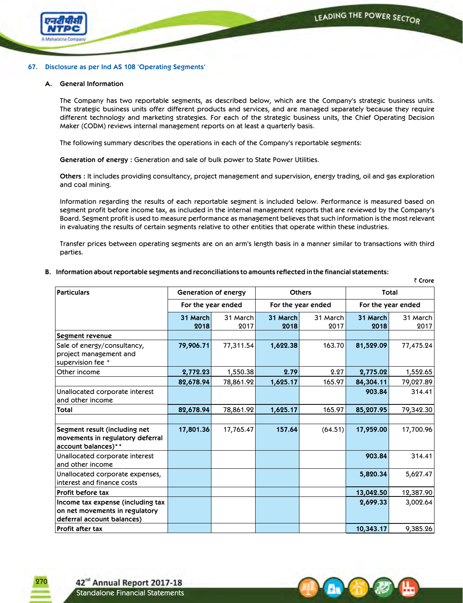` **Crore**



## **67. Disclosure as per Ind AS 108 'Operating Segments'**

#### **A. General Information**

The Company has two reportable segments, as described below, which are the Company's strategic business units. The strategic business units offer different products and services, and are managed separately because they require different technology and marketing strategies. For each of the strategic business units, the Chief Operating Decision Maker (CODM) reviews internal management reports on at least a quarterly basis.

 The following summary describes the operations in each of the Company's reportable segments:

**Generation of energy :** Generation and sale of bulk power to State Power Utilities.

 **Others :** It includes providing consultancy, project management and supervision, energy trading, oil and gas exploration and coal mining.

 Information regarding the results of each reportable segment is included below. Performance is measured based on segment profit before income tax, as included in the internal management reports that are reviewed by the Company's Board. Segment profit is used to measure performance as management believes that such information is the most relevant in evaluating the results of certain segments relative to other entities that operate within these industries.

Transfer prices between operating segments are on an arm's length basis in a manner similar to transactions with third parties.

#### **B. Information aboutreportable segments and reconciliations to amounts reflected in the financial statements:**

**Particulars Generation of energy Others Total For the year ended For the year ended For the year ended 31 March 2018** 31 March 2017 **31 March 2018** 31 March 2017 **31 March 2018** 31 March 2017 **Segment revenue** Sale of energy/consultancy, project management and supervision fee \* **79,906.71** 77,311.54 **1,622.38** 163.70 **81,529.09** 77,475.24 Other income **2,772.23** 1,550.38 **2.79** 2.27 **2,775.02** 1,552.65 **82,678.94** 78,861.92 **1,625.17** 165.97 **84,304.11** 79,027.89 Unallocated corporate interest and other income **903.84** 314.41 **Total 82,678.94** 78,861.92 **1,625.17** 165.97 **85,207.95** 79,342.30 **Segment result (including net movements in regulatory deferral account balances)\*\* 17,801.36** 17,765.47 **157.64** (64.51) **17,959.00** 17,700.96 Unallocated corporate interest and other income **903.84** 314.41 Unallocated corporate expenses, interest and finance costs **5,820.34** 5,627.47 **Profit before tax 13,042.50** 12,387.90 **Income tax expense (including tax on net movements in regulatory deferral account balances) 2,699.33** 3,002.64 **Profit after tax 10,343.17** 9,385.26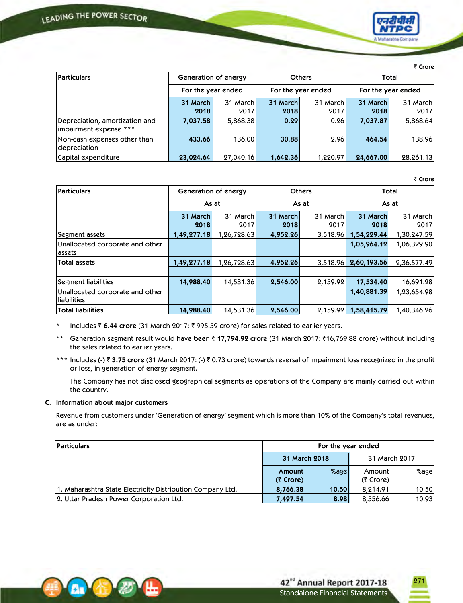

₹ Crore

| <b>Particulars</b>                                       | Generation of energy |                    | <b>Others</b><br>For the year ended |          | Total              |            |  |
|----------------------------------------------------------|----------------------|--------------------|-------------------------------------|----------|--------------------|------------|--|
|                                                          |                      | For the year ended |                                     |          | For the year ended |            |  |
|                                                          | 31 March             | 31 March           | 31 March                            | 31 March | 31 March           | 31 March l |  |
|                                                          | 2018                 | 2017               | 2018                                | 2017     | 2018               | 2017       |  |
| Depreciation, amortization and<br>impairment expense *** | 7,037.58             | 5,868.38           | 0.29                                | 0.26     | 7,037.87           | 5,868.64   |  |
| Non-cash expenses other than<br>depreciation             | 433.66               | 136.00             | 30.88                               | 2.96     | 464.54             | 138.96     |  |
| Capital expenditure                                      | 23,024.64            | 27,040.16          | 1,642.36                            | 1.220.97 | 24,667.00          | 28,261.13  |  |

₹ Crore

271

|                                                |                  |                                       |                  |                  |                  | \\\\\\           |  |
|------------------------------------------------|------------------|---------------------------------------|------------------|------------------|------------------|------------------|--|
| <b>Particulars</b>                             |                  | Generation of energy<br><b>Others</b> |                  | Total            |                  |                  |  |
|                                                | As at            |                                       |                  | As at            |                  | As at            |  |
|                                                | 31 March<br>2018 | 31 March<br>2017                      | 31 March<br>2018 | 31 March<br>2017 | 31 March<br>2018 | 31 March<br>2017 |  |
| Segment assets                                 | 1,49,277.18      | 1,26,728.63                           | 4,952.26         | 3,518.96         | 1,54,229.44      | 1,30,247.59      |  |
| Unallocated corporate and other<br>  assets    |                  |                                       |                  |                  | 1,05,964.12      | 1,06,329.90      |  |
| Total assets                                   | 1,49,277.18      | 1,26,728.63                           | 4,952.26         | 3,518.96         | 2,60,193.56      | 2,36,577.49      |  |
| Segment liabilities                            | 14,988.40        | 14,531.36                             | 2,546.00         | 2,159.92         | 17,534.40        | 16,691.28        |  |
| Unallocated corporate and other<br>liabilities |                  |                                       |                  |                  | 1,40,881.39      | 1,23,654.98      |  |
| Total liabilities                              | 14,988.40        | 14,531.36                             | 2,546.00         | 2,159.92         | 1,58,415.79      | 1,40,346.26      |  |

Includes ₹ 6.44 crore (31 March 2017: ₹ 995.59 crore) for sales related to earlier years.

\*\* Generation segment result would have been ₹17,794.92 crore (31 March 2017: ₹16,769.88 crore) without including the sales related to earlier years.

\*\*\* Includes (-)  $\bar{z}$  3.75 crore (31 March 2017: (-)  $\bar{z}$  0.73 crore) towards reversal of impairment loss recognized in the profit or loss, in generation of energy segment.

 The Company has not disclosed geographical segments as operations of the Company are mainly carried out within the country.

## **C. Information about major customers**

Revenue from customers under 'Generation of energy' segment which is more than 10% of the Company's total revenues, are as under:

| <b>Particulars</b>                                         | For the year ended |         |               |         |  |
|------------------------------------------------------------|--------------------|---------|---------------|---------|--|
|                                                            | 31 March 2018      |         | 31 March 2017 |         |  |
|                                                            | Amount             | $%$ age | Amount        | $%$ age |  |
|                                                            | ( $7$ Crore)       |         | (₹ Crore)     |         |  |
| 1. Maharashtra State Electricity Distribution Company Ltd. | 8,766.38           | 10.50   | 8,214.91      | 10.50   |  |
| 2. Uttar Pradesh Power Corporation Ltd.                    | 7,497.54           | 8.98    | 8,556.66      | 10.93   |  |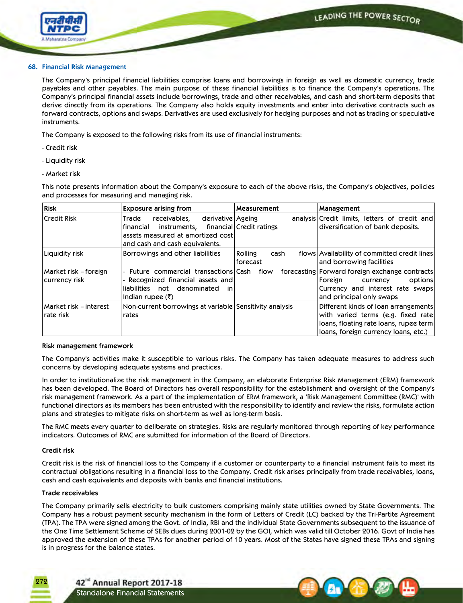

## **68. Financial Risk Management**

The Company's principal financial liabilities comprise loans and borrowings in foreign as well as domestic currency, trade payables and other payables. The main purpose of these financial liabilities is to finance the Company's operations. The Company's principal financial assets include borrowings, trade and other receivables, and cash and short-term deposits that derive directly from its operations. The Company also holds equity investments and enter into derivative contracts such as forward contracts, options and swaps. Derivatives are used exclusively for hedging purposes and not as trading or speculative instruments.

The Company is exposed to the following risks from its use of financial instruments:

- Credit risk
- Liquidity risk
- Market risk

This note presents information about the Company's exposure to each of the above risks, the Company's objectives, policies and processes for measuring and managing risk.

| <b>Risk</b>                             | <b>Exposure arising from</b>                                                                                                                                              | Measurement                 | Management                                                                                                                                                   |
|-----------------------------------------|---------------------------------------------------------------------------------------------------------------------------------------------------------------------------|-----------------------------|--------------------------------------------------------------------------------------------------------------------------------------------------------------|
| Credit Risk                             | receivables,<br>derivative Ageing<br>Trade<br>instruments, financial Credit ratings<br>l financial<br>assets measured at amortized cost<br>and cash and cash equivalents. |                             | analysis Credit limits, letters of credit and<br>diversification of bank deposits.                                                                           |
| Liquidity risk                          | Borrowings and other liabilities                                                                                                                                          | Rolling<br>cash<br>forecast | flows Availability of committed credit lines<br>and borrowing facilities                                                                                     |
| Market risk – foreign<br> currency risk | Future commercial transactions Cash<br>Recognized financial assets and<br>not denominated<br>liabilities<br><i>in</i><br>Indian rupee $(\bar{\zeta})$                     | flow                        | forecasting Forward foreign exchange contracts<br>options<br>Foreign<br>currency<br>Currency and interest rate swaps<br>and principal only swaps             |
| Market risk – interest <br>Irate risk   | Non-current borrowings at variable Sensitivity analysis<br>rates                                                                                                          |                             | Different kinds of loan arrangements<br>with varied terms (e.g. fixed rate<br>loans, floating rate loans, rupee term<br>loans, foreign currency loans, etc.) |

## **Risk management framework**

The Company's activities make it susceptible to various risks. The Company has taken adequate measures to address such concerns by developing adequate systems and practices.

 In order to institutionalize the risk management in the Company, an elaborate Enterprise Risk Management (ERM) framework has been developed. The Board of Directors has overall responsibility for the establishment and oversight of the Company's risk management framework. As a part of the implementation of ERM framework, a 'Risk Management Committee (RMC)' with functional directors as its members has been entrusted with the responsibility to identify and review the risks, formulate action plans and strategies to mitigate risks on short-term as well as long-term basis.

 The RMC meets every quarter to deliberate on strategies. Risks are regularly monitored through reporting of key performance indicators. Outcomes of RMC are submitted for information of the Board of Directors.

## **Credit risk**

272

 Credit risk is the risk of financial loss to the Company if a customer or counterparty to a financial instrument fails to meet its contractual obligations resulting in a financial loss to the Company. Credit risk arises principally from trade receivables, loans, cash and cash equivalents and deposits with banks and financial institutions.

## **Trade receivables**

 The Company primarily sells electricity to bulk customers comprising mainly state utilities owned by State Governments. The Company has a robust payment security mechanism in the form of Letters of Credit (LC) backed by the Tri-Partite Agreement (TPA). The TPA were signed among the Govt. of India, RBI and the individual State Governments subsequent to the issuance of the One Time Settlement Scheme of SEBs dues during 2001-02 by the GOI, which was valid till October 2016. Govt of India has approved the extension of these TPAs for another period of 10 years. Most of the States have signed these TPAs and signing is in progress for the balance states.

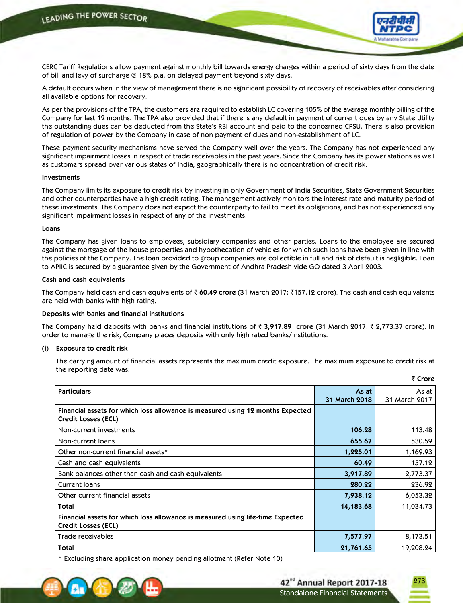

 CERC Tariff Regulations allow payment against monthly bill towards energy charges within a period of sixty days from the date of bill and levy of surcharge @ 18% p.a. on delayed payment beyond sixty days.

 A default occurs when in the view of management there is no significant possibility of recovery of receivables after considering all available options for recovery.

 As per the provisions of the TPA, the customers are required to establish LC covering 105% of the average monthly billing of the Company for last 12 months. The TPA also provided that if there is any default in payment of current dues by any State Utility the outstanding dues can be deducted from the State's RBI account and paid to the concerned CPSU. There is also provision of regulation of power by the Company in case of non payment of dues and non-establishment of LC.

 These payment security mechanisms have served the Company well over the years. The Company has not experienced any significant impairment losses in respect of trade receivables in the past years. Since the Company has its power stations as well as customers spread over various states of India, geographically there is no concentration of credit risk.

#### **Investments**

 The Company limits its exposure to credit risk by investing in only Government of India Securities, State Government Securities and other counterparties have a high credit rating. The management actively monitors the interest rate and maturity period of these investments. The Company does not expect the counterparty to fail to meet its obligations, and has not experienced any significant impairment losses in respect of any of the investments.

#### **Loans**

 The Company has given loans to employees, subsidiary companies and other parties. Loans to the employee are secured against the mortgage of the house properties and hypothecation of vehicles for which such loans have been given in line with the policies of the Company. The loan provided to group companies are collectible in full and risk of default is negligible. Loan to APIIC is secured by a guarantee given by the Government of Andhra Pradesh vide GO dated 3 April 2003.

### **Cash and cash equivalents**

 The Company held cash and cash equivalents of ` **60.49 crore** (31 March 2017: `157.12 crore). The cash and cash equivalents are held with banks with high rating.

#### **Deposits with banks and financial institutions**

The Company held deposits with banks and financial institutions of ₹ 3,917.89 crore (31 March 2017: ₹ 2,773.37 crore). In order to manage the risk, Company places deposits with only high rated banks/institutions.

#### **(i) Exposure to credit risk**

 The carrying amount of financial assets represents the maximum credit exposure. The maximum exposure to credit risk at the reporting date was:

|                                                                                                       |               | טוטונ         |
|-------------------------------------------------------------------------------------------------------|---------------|---------------|
| <b>Particulars</b>                                                                                    | As at         | As at         |
|                                                                                                       | 31 March 2018 | 31 March 2017 |
| Financial assets for which loss allowance is measured using 12 months Expected<br>Credit Losses (ECL) |               |               |
| Non-current investments                                                                               | 106.28        | 113.48        |
| Non-current loans                                                                                     | 655.67        | 530.59        |
| Other non-current financial assets*                                                                   | 1,225.01      | 1,169.93      |
| Cash and cash equivalents                                                                             | 60.49         | 157.12        |
| Bank balances other than cash and cash equivalents                                                    | 3,917.89      | 2,773.37      |
| Current Ioans                                                                                         | 280.22        | 236.92        |
| Other current financial assets                                                                        | 7,938.12      | 6,053.32      |
| Total                                                                                                 | 14,183.68     | 11,034.73     |
| Financial assets for which loss allowance is measured using life-time Expected<br>Credit Losses (ECL) |               |               |
| Trade receivables                                                                                     | 7,577.97      | 8,173.51      |
| Total                                                                                                 | 21,761.65     | 19,208.24     |

\* Excluding share application money pending allotment (Refer Note 10)



273

` **Crore**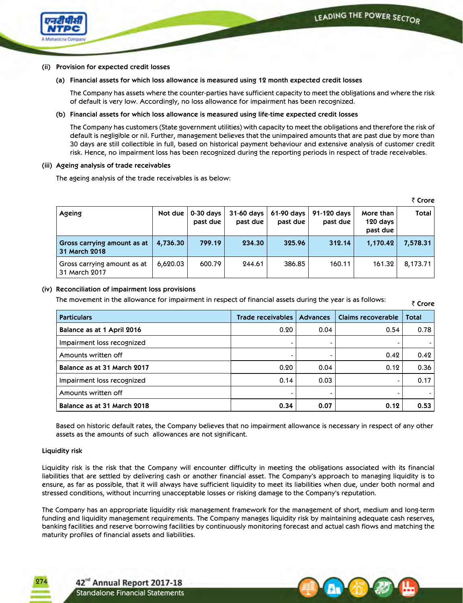₹ Crore



## **(ii) Provision for expected credit losses**

 **(a) Financial assets for which loss allowance is measured using 12 month expected credit losses**

 The Company has assets where the counter-parties have sufficient capacity to meet the obligations and where the risk of default is very low. Accordingly, no loss allowance for impairment has been recognized.

**(b) Financial assets for which loss allowance is measured using life-time expected credit losses**

 The Company has customers (State government utilities) with capacity to meet the obligations and therefore the risk of default is negligible or nil. Further, management believes that the unimpaired amounts that are past due by more than 30 days are still collectible in full, based on historical payment behaviour and extensive analysis of customer credit risk. Hence, no impairment loss has been recognized during the reporting periods in respect of trade receivables.

#### **(iii) Ageing analysis of trade receivables**

The ageing analysis of the trade receivables is as below:

| Ageing                                       | Not due  | $0-30$ days<br>past due | 31-60 days<br>past due | $61-90$ days  <br>past due | 91-120 days<br>past due | More than<br>120 days<br>past due | <b>Total</b> |  |  |
|----------------------------------------------|----------|-------------------------|------------------------|----------------------------|-------------------------|-----------------------------------|--------------|--|--|
| Gross carrying amount as at<br>31 March 2018 | 4,736.30 | 799.19                  | 234.30                 | 325.96                     | 312.14                  | 1,170.42                          | 7,578.31     |  |  |
| Gross carrying amount as at<br>31 March 2017 | 6,620.03 | 600.79                  | 244.61                 | 386.85                     | 160.11                  | 161.32                            | 8,173.71     |  |  |

## **(iv) Reconciliation of impairment loss provisions**

The movement in the allowance for impairment in respect of financial assets during the year is as follows:

| <b>Particulars</b>          | Trade receivables | <b>Advances</b> | Claims recoverable | <b>Total</b> |
|-----------------------------|-------------------|-----------------|--------------------|--------------|
| Balance as at 1 April 2016  | 0.20              | 0.04            | 0.54               | 0.78         |
| Impairment loss recognized  |                   |                 |                    |              |
| Amounts written off         |                   |                 | 0.42               | 0.42         |
| Balance as at 31 March 2017 | 0.20              | 0.04            | 0.12               | 0.36         |
| Impairment loss recognized  | 0.14              | 0.03            | $\blacksquare$     | 0.17         |
| Amounts written off         |                   |                 |                    |              |
| Balance as at 31 March 2018 | 0.34              | 0.07            | 0.12               | 0.53         |

 Based on historic default rates, the Company believes that no impairment allowance is necessary in respect of any other assets as the amounts of such allowances are not significant.

## **Liquidity risk**

274

 Liquidity risk is the risk that the Company will encounter difficulty in meeting the obligations associated with its financial liabilities that are settled by delivering cash or another financial asset. The Company's approach to managing liquidity is to ensure, as far as possible, that it will always have sufficient liquidity to meet its liabilities when due, under both normal and stressed conditions, without incurring unacceptable losses or risking damage to the Company's reputation.

 The Company has an appropriate liquidity risk management framework for the management of short, medium and long-term funding and liquidity management requirements. The Company manages liquidity risk by maintaining adequate cash reserves, banking facilities and reserve borrowing facilities by continuously monitoring forecast and actual cash flows and matching the maturity profiles of financial assets and liabilities.

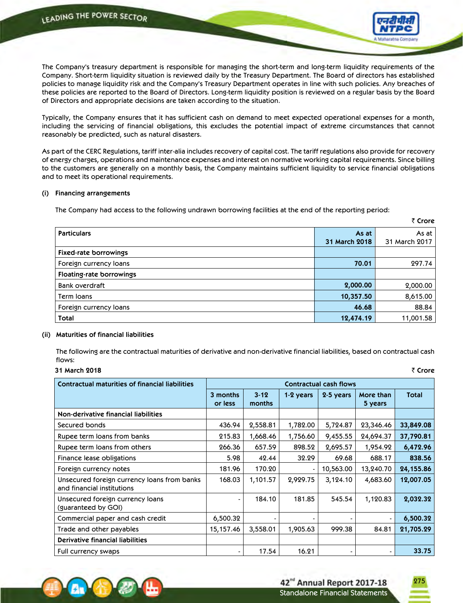

` **Crore**

The Company's treasury department is responsible for managing the short-term and long-term liquidity requirements of the Company. Short-term liquidity situation is reviewed daily by the Treasury Department. The Board of directors has established policies to manage liquidity risk and the Company's Treasury Department operates in line with such policies. Any breaches of these policies are reported to the Board of Directors. Long-term liquidity position is reviewed on a regular basis by the Board of Directors and appropriate decisions are taken according to the situation.

 Typically, the Company ensures that it has sufficient cash on demand to meet expected operational expenses for a month, including the servicing of financial obligations, this excludes the potential impact of extreme circumstances that cannot reasonably be predicted, such as natural disasters.

 As part of the CERC Regulations, tariff inter-alia includes recovery of capital cost. The tariff regulations also provide for recovery of energy charges, operations and maintenance expenses and interest on normative working capital requirements. Since billing to the customers are generally on a monthly basis, the Company maintains sufficient liquidity to service financial obligations and to meet its operational requirements.

#### **(i) Financing arrangements**

The Company had access to the following undrawn borrowing facilities at the end of the reporting period:

|                                 |               | .             |
|---------------------------------|---------------|---------------|
| <b>Particulars</b>              | As at         | As at         |
|                                 | 31 March 2018 | 31 March 2017 |
| <b>Fixed-rate borrowings</b>    |               |               |
| Foreign currency loans          | 70.01         | 297.74        |
| <b>Floating-rate borrowings</b> |               |               |
| Bank overdraft                  | 2,000.00      | 2,000.00      |
| Term Ioans                      | 10,357.50     | 8,615.00      |
| Foreign currency loans          | 46.68         | 88.84         |
| <b>Total</b>                    | 12,474.19     | 11,001.58     |

## **(ii) Maturities of financial liabilities**

 The following are the contractual maturities of derivative and non-derivative financial liabilities, based on contractual cash flows:

| ₹ Crore |  |
|---------|--|
|         |  |

| <b>Contractual maturities of financial liabilities</b>                    | <b>Contractual cash flows</b> |                |           |           |                      |              |  |
|---------------------------------------------------------------------------|-------------------------------|----------------|-----------|-----------|----------------------|--------------|--|
|                                                                           | 3 months<br>or less           | 3.12<br>months | 1-2 years | 2-5 years | More than<br>5 years | <b>Total</b> |  |
| Non-derivative financial liabilities                                      |                               |                |           |           |                      |              |  |
| Secured bonds                                                             | 436.94                        | 2,558.81       | 1,782.00  | 5,724.87  | 23,346.46            | 33,849.08    |  |
| Rupee term loans from banks                                               | 215.83                        | 1,668.46       | 1,756.60  | 9,455.55  | 24,694.37            | 37,790.81    |  |
| Rupee term loans from others                                              | 266.36                        | 657.59         | 898.52    | 2,695.57  | 1,954.92             | 6,472.96     |  |
| Finance lease obligations                                                 | 5.98                          | 42.44          | 32.29     | 69.68     | 688.17               | 838.56       |  |
| Foreign currency notes                                                    | 181.96                        | 170.20         |           | 10,563.00 | 13,240.70            | 24,155.86    |  |
| Unsecured foreign currency loans from banks<br>and financial institutions | 168.03                        | 1,101.57       | 2,929.75  | 3,124.10  | 4,683.60             | 12,007.05    |  |
| Unsecured foreign currency loans<br>(guaranteed by GOI)                   | $\blacksquare$                | 184.10         | 181.85    | 545.54    | 1,120.83             | 2,032.32     |  |
| Commercial paper and cash credit                                          | 6,500.32                      |                |           |           |                      | 6,500.32     |  |
| Trade and other payables                                                  | 15,157.46                     | 3,558.01       | 1,905.63  | 999.38    | 84.81                | 21,705.29    |  |
| <b>Derivative financial liabilities</b>                                   |                               |                |           |           |                      |              |  |
| Full currency swaps                                                       | $\blacksquare$                | 17.54          | 16.21     |           | $\blacksquare$       | 33.75        |  |

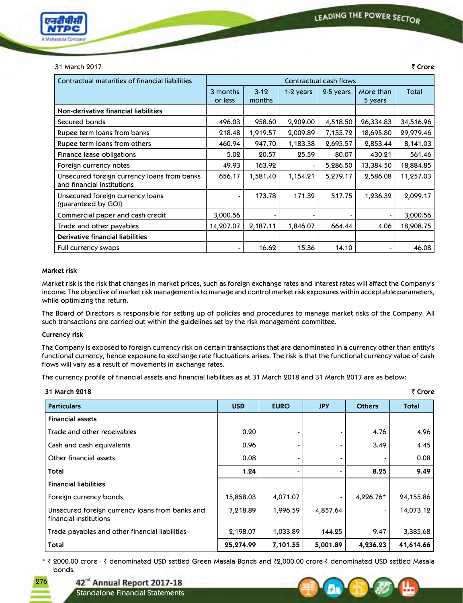

#### 31 March 2017 ` **Crore**

| Contractual maturities of financial liabilities                           | Contractual cash flows |                    |           |           |                      |           |  |
|---------------------------------------------------------------------------|------------------------|--------------------|-----------|-----------|----------------------|-----------|--|
|                                                                           | 3 months<br>or less    | $3 - 12$<br>months | 1-2 years | 2-5 years | More than<br>5 years | Total     |  |
| Non-derivative financial liabilities                                      |                        |                    |           |           |                      |           |  |
| Secured bonds                                                             | 496.03                 | 958.60             | 2,209.00  | 4,518.50  | 26,334.83            | 34,516.96 |  |
| Rupee term loans from banks                                               | 218.48                 | 1,919.57           | 2,009.89  | 7,135.72  | 18,695.80            | 29,979.46 |  |
| Rupee term loans from others                                              | 460.94                 | 947.70             | 1,183.38  | 2,695.57  | 2,853.44             | 8,141.03  |  |
| Finance lease obligations                                                 | 5.02                   | 20.57              | 25.59     | 80.07     | 430.21               | 561.46    |  |
| Foreign currency notes                                                    | 49.93                  | 163.92             |           | 5,286.50  | 13,384.50            | 18,884.85 |  |
| Unsecured foreign currency loans from banks<br>and financial institutions | 656.17                 | 1,581.40           | 1,154.21  | 5,279.17  | 2,586.08             | 11,257.03 |  |
| Unsecured foreign currency loans<br>(guaranteed by GOI)                   | $\blacksquare$         | 173.78             | 171.32    | 517.75    | 1,236.32             | 2,099.17  |  |
| Commercial paper and cash credit                                          | 3,000.56               |                    |           |           |                      | 3,000.56  |  |
| Trade and other payables                                                  | 14,207.07              | 2,187.11           | 1,846.07  | 664.44    | 4.06                 | 18,908.75 |  |
| <b>Derivative financial liabilities</b>                                   |                        |                    |           |           |                      |           |  |
| Full currency swaps                                                       | $\blacksquare$         | 16.62              | 15.36     | 14.10     | $\blacksquare$       | 46.08     |  |

#### **Market risk**

Market risk is the risk that changes in market prices, such as foreign exchange rates and interest rates will affect the Company's income. The objective of market risk management is to manage and control market risk exposures within acceptable parameters, while optimizing the return.

 The Board of Directors is responsible for setting up of policies and procedures to manage market risks of the Company. All such transactions are carried out within the guidelines set by the risk management committee.

## **Currency risk**

276

The Company is exposed to foreign currency risk on certain transactions that are denominated in a currency other than entity's functional currency, hence exposure to exchange rate fluctuations arises. The risk is that the functional currency value of cash flows will vary as a result of movements in exchange rates.

The currency profile of financial assets and financial liabilities as at 31 March 2018 and 31 March 2017 are as below:

| 31 March 2018                                                             |            |             |            |               | ₹ Crore      |
|---------------------------------------------------------------------------|------------|-------------|------------|---------------|--------------|
| <b>Particulars</b>                                                        | <b>USD</b> | <b>EURO</b> | <b>JPY</b> | <b>Others</b> | <b>Total</b> |
| <b>Financial assets</b>                                                   |            |             |            |               |              |
| Trade and other receivables                                               | 0.20       |             |            | 4.76          | 4.96         |
| Cash and cash equivalents                                                 | 0.96       |             |            | 3.49          | 4.45         |
| Other financial assets                                                    | 0.08       |             |            |               | 0.08         |
| Total                                                                     | 1.24       |             |            | 8.25          | 9.49         |
| <b>Financial liabilities</b>                                              |            |             |            |               |              |
| Foreign currency bonds                                                    | 15,858.03  | 4,071.07    |            | 4,226.76*     | 24,155.86    |
| Unsecured foreign currency loans from banks and<br>financial institutions | 7,218.89   | 1,996.59    | 4,857.64   |               | 14,073.12    |
| Trade payables and other financial liabilities                            | 2,198.07   | 1,033.89    | 144.25     | 9.47          | 3,385.68     |
| Total                                                                     | 25,274.99  | 7,101.55    | 5,001.89   | 4,236.23      | 41,614.66    |

\* ₹ 2000.00 crore - ₹ denominated USD settled Green Masala Bonds and ₹2,000.00 crore-₹ denominated USD settled Masala bonds.

42<sup>nd</sup> Annual Report 2017-18

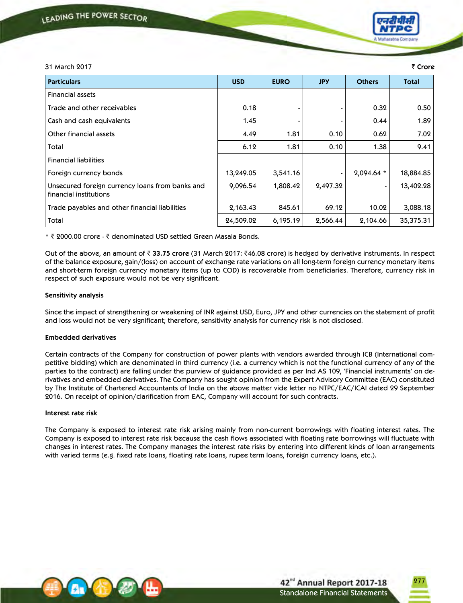

# 31 March 2017 ` **Crore Particulars USD EURO JPY Others Total** Financial assets Trade and other receivables 0.18 - - 0.32 0.50 Cash and cash equivalents 1.45 - - 0.44 1.89 Other financial assets 4.49 1.81 0.10 0.62 7.02 Total 6.12 1.81 0.10 1.38 9.41 Financial liabilities Foreign currency bonds 13,249.05 | 13,249.05 3,541.16 | 2,094.64 \* | 18,884.85 Unsecured foreign currency loans from banks and financial institutions  $9,096.54$   $1,808.42$   $2,497.32$   $-13,402.28$ Trade payables and other financial liabilities  $\begin{array}{|c|c|c|c|c|c|} \hline 2,163.43 & 845.61 & 69.12 & 10.02 & 3,088.18 \hline \end{array}$ Total 24,509.02 6,195.19 2,566.44 2,104.66 35,375.31

\* ₹ 2000.00 crore - ₹ denominated USD settled Green Masala Bonds.

 Out of the above, an amount of ` **33.75 crore** (31 March 2017: `46.08 crore) is hedged by derivative instruments. In respect of the balance exposure, gain/(loss) on account of exchange rate variations on all long-term foreign currency monetary items and short-term foreign currency monetary items (up to COD) is recoverable from beneficiaries. Therefore, currency risk in respect of such exposure would not be very significant.

## **Sensitivity analysis**

 Since the impact of strengthening or weakening of INR against USD, Euro, JPY and other currencies on the statement of profit and loss would not be very significant; therefore, sensitivity analysis for currency risk is not disclosed.

## **Embedded derivatives**

 Certain contracts of the Company for construction of power plants with vendors awarded through ICB (International competitive bidding) which are denominated in third currency (i.e. a currency which is not the functional currency of any of the parties to the contract) are falling under the purview of guidance provided as per Ind AS 109, 'Financial instruments' on derivatives and embedded derivatives. The Company has sought opinion from the Expert Advisory Committee (EAC) constituted by The Institute of Chartered Accountants of India on the above matter vide letter no NTPC/EAC/ICAI dated 29 September 2016. On receipt of opinion/clarification from EAC, Company will account for such contracts.

## **Interest rate risk**

 The Company is exposed to interest rate risk arising mainly from non-current borrowings with floating interest rates. The Company is exposed to interest rate risk because the cash flows associated with floating rate borrowings will fluctuate with changes in interest rates. The Company manages the interest rate risks by entering into different kinds of loan arrangements with varied terms (e.g. fixed rate loans, floating rate loans, rupee term loans, foreign currency loans, etc.).



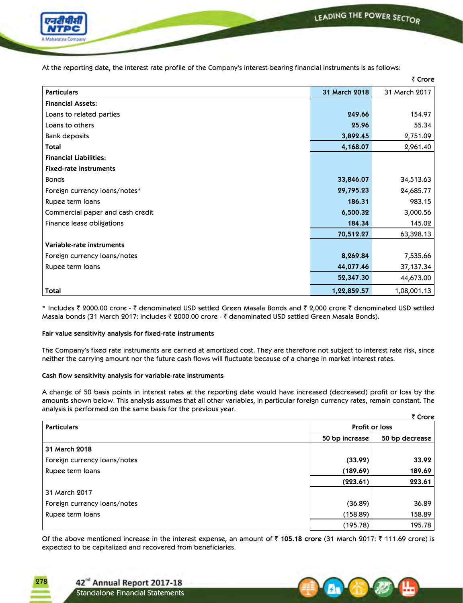

At the reporting date, the interest rate profile of the Company's interest-bearing financial instruments is as follows:

|                                  |               | ₹ Crore       |
|----------------------------------|---------------|---------------|
| <b>Particulars</b>               | 31 March 2018 | 31 March 2017 |
| <b>Financial Assets:</b>         |               |               |
| Loans to related parties         | 249.66        | 154.97        |
| Loans to others                  | 25.96         | 55.34         |
| <b>Bank deposits</b>             | 3,892.45      | 2,751.09      |
| Total                            | 4,168.07      | 2,961.40      |
| <b>Financial Liabilities:</b>    |               |               |
| <b>Fixed-rate instruments</b>    |               |               |
| <b>Bonds</b>                     | 33,846.07     | 34,513.63     |
| Foreign currency loans/notes*    | 29,795.23     | 24,685.77     |
| Rupee term loans                 | 186.31        | 983.15        |
| Commercial paper and cash credit | 6,500.32      | 3,000.56      |
| Finance lease obligations        | 184.34        | 145.02        |
|                                  | 70,512.27     | 63,328.13     |
| Variable-rate instruments        |               |               |
| Foreign currency loans/notes     | 8,269.84      | 7,535.66      |
| Rupee term loans                 | 44,077.46     | 37,137.34     |
|                                  | 52,347.30     | 44,673.00     |
| <b>Total</b>                     | 1,22,859.57   | 1,08,001.13   |

\* Includes ₹ 2000.00 crore - ₹ denominated USD settled Green Masala Bonds and ₹ 2,000 crore ₹ denominated USD settled Masala bonds (31 March 2017: includes ₹ 2000.00 crore - ₹ denominated USD settled Green Masala Bonds).

## **Fair value sensitivity analysis for fixed-rate instruments**

The Company's fixed rate instruments are carried at amortized cost. They are therefore not subject to interest rate risk, since neither the carrying amount nor the future cash flows will fluctuate because of a change in market interest rates.

## **Cash flow sensitivity analysis for variable-rate instruments**

 A change of 50 basis points in interest rates at the reporting date would have increased (decreased) profit or loss by the amounts shown below. This analysis assumes that all other variables, in particular foreign currency rates, remain constant. The analysis is performed on the same basis for the previous year. ` **Crore**

| $\sim$ 200                   |                       |                |  |  |
|------------------------------|-----------------------|----------------|--|--|
| <b>Particulars</b>           | <b>Profit or loss</b> |                |  |  |
|                              | 50 bp increase        | 50 bp decrease |  |  |
| 31 March 2018                |                       |                |  |  |
| Foreign currency loans/notes | (33.92)               | 33.92          |  |  |
| Rupee term loans             | (189.69)              | 189.69         |  |  |
|                              | (223.61)              | 223.61         |  |  |
| 31 March 2017                |                       |                |  |  |
| Foreign currency loans/notes | (36.89)               | 36.89          |  |  |
| Rupee term loans             | (158.89)              | 158.89         |  |  |
|                              | (195.78)              | 195.78         |  |  |

Of the above mentioned increase in the interest expense, an amount of ₹ 105.18 crore (31 March 2017: ₹ 111.69 crore) is expected to be capitalized and recovered from beneficiaries.

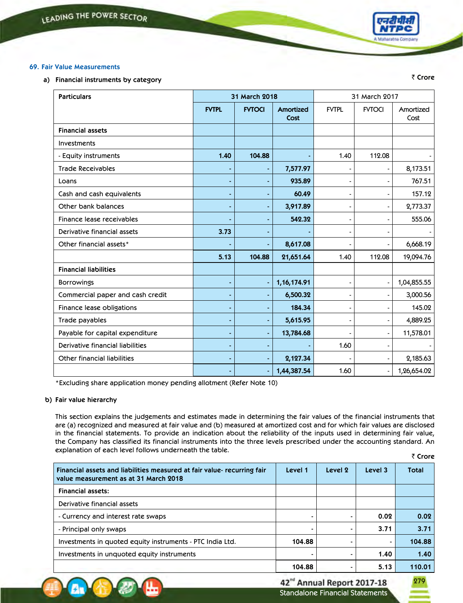

₹ Crore

## **69. Fair Value Measurements**

**a) Financial instruments by category**

| <b>Particulars</b>                 |              | 31 March 2018 |                   | 31 March 2017  |               |                   |
|------------------------------------|--------------|---------------|-------------------|----------------|---------------|-------------------|
|                                    | <b>FVTPL</b> | <b>FVTOCI</b> | Amortized<br>Cost | <b>FVTPL</b>   | <b>FVTOCI</b> | Amortized<br>Cost |
| <b>Financial assets</b>            |              |               |                   |                |               |                   |
| Investments                        |              |               |                   |                |               |                   |
| - Equity instruments               | 1.40         | 104.88        |                   | 1.40           | 112.08        |                   |
| <b>Trade Receivables</b>           |              |               | 7,577.97          |                |               | 8,173.51          |
| Loans                              |              |               | 935.89            | $\blacksquare$ |               | 767.51            |
| Cash and cash equivalents          |              |               | 60.49             | $\blacksquare$ |               | 157.12            |
| Other bank balances                |              |               | 3,917.89          | $\blacksquare$ |               | 2,773.37          |
| Finance lease receivables          |              |               | 542.32            | $\blacksquare$ |               | 555.06            |
| Derivative financial assets        | 3.73         |               |                   | $\blacksquare$ |               |                   |
| Other financial assets*            |              |               | 8,617.08          | $\blacksquare$ |               | 6,668.19          |
|                                    | 5.13         | 104.88        | 21,651.64         | 1.40           | 112.08        | 19,094.76         |
| <b>Financial liabilities</b>       |              |               |                   |                |               |                   |
| <b>Borrowings</b>                  |              |               | 1, 16, 174.91     | $\blacksquare$ |               | 1,04,855.55       |
| Commercial paper and cash credit   |              |               | 6,500.32          |                |               | 3,000.56          |
| Finance lease obligations          |              |               | 184.34            | $\blacksquare$ |               | 145.02            |
| Trade payables                     |              |               | 5,615.95          | $\blacksquare$ |               | 4,889.25          |
| Payable for capital expenditure    |              |               | 13,784.68         |                |               | 11,578.01         |
| Derivative financial liabilities   |              |               |                   | 1.60           |               |                   |
| <b>Other financial liabilities</b> |              |               | 2,127.34          |                |               | 2,185.63          |
|                                    |              |               | 1,44,387.54       | 1.60           |               | 1,26,654.02       |

\*Excluding share application money pending allotment (Refer Note 10)

## **b) Fair value hierarchy**

₹ Crore This section explains the judgements and estimates made in determining the fair values of the financial instruments that are (a) recognized and measured at fair value and (b) measured at amortized cost and for which fair values are disclosed in the financial statements. To provide an indication about the reliability of the inputs used in determining fair value, the Company has classified its financial instruments into the three levels prescribed under the accounting standard. An explanation of each level follows underneath the table.

| Financial assets and liabilities measured at fair value- recurring fair<br>value measurement as at 31 March 2018 | Level 1 | Level 2 | Level 3        | <b>Total</b> |
|------------------------------------------------------------------------------------------------------------------|---------|---------|----------------|--------------|
| <b>Financial assets:</b>                                                                                         |         |         |                |              |
| Derivative financial assets                                                                                      |         |         |                |              |
| - Currency and interest rate swaps                                                                               |         |         | 0.02           | 0.02         |
| - Principal only swaps                                                                                           |         |         | 3.71           | 3.71         |
| Investments in quoted equity instruments - PTC India Ltd.                                                        | 104.88  |         | $\blacksquare$ | 104.88       |
| Investments in unquoted equity instruments                                                                       |         |         | 1.40           | 1.40         |
|                                                                                                                  | 104.88  |         | 5.13           | 110.01       |

42<sup>nd</sup> Annual Report 2017-18 Standalone Financial Statements

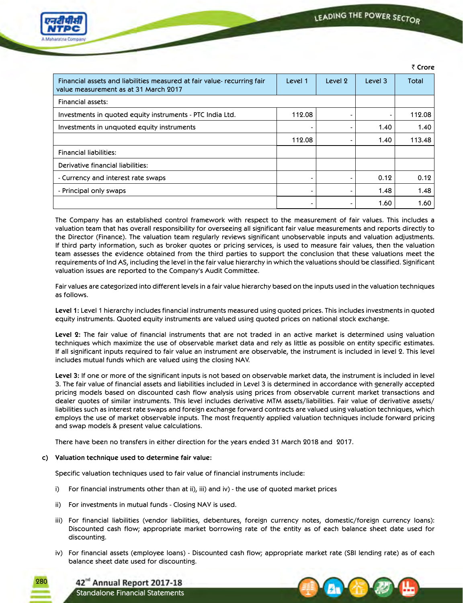

| Financial assets and liabilities measured at fair value- recurring fair<br>value measurement as at 31 March 2017 | Level 1        | Level 2 | Level 3 | Total  |
|------------------------------------------------------------------------------------------------------------------|----------------|---------|---------|--------|
| <b>Financial assets:</b>                                                                                         |                |         |         |        |
| Investments in quoted equity instruments - PTC India Ltd.                                                        | 112.08         |         |         | 112.08 |
| Investments in unquoted equity instruments                                                                       |                | -       | 1.40    | 1.40   |
|                                                                                                                  | 112.08         |         | 1.40    | 113.48 |
| <b>Financial liabilities:</b>                                                                                    |                |         |         |        |
| Derivative financial liabilities:                                                                                |                |         |         |        |
| - Currency and interest rate swaps                                                                               | $\blacksquare$ | -       | 0.12    | 0.12   |
| - Principal only swaps                                                                                           | $\blacksquare$ | -       | 1.48    | 1.48   |
|                                                                                                                  | $\blacksquare$ |         | 1.60    | 1.60   |

 The Company has an established control framework with respect to the measurement of fair values. This includes a valuation team that has overall responsibility for overseeing all significant fair value measurements and reports directly to the Director (Finance). The valuation team regularly reviews significant unobservable inputs and valuation adjustments. If third party information, such as broker quotes or pricing services, is used to measure fair values, then the valuation team assesses the evidence obtained from the third parties to support the conclusion that these valuations meet the requirements of Ind AS, including the level in the fair value hierarchy in which the valuations should be classified. Significant valuation issues are reported to the Company's Audit Committee.

 Fair values are categorized into different levels in a fair value hierarchy based on the inputs used in the valuation techniques as follows.

 **Level 1:** Level 1 hierarchy includes financial instruments measured using quoted prices. This includes investments in quoted equity instruments. Quoted equity instruments are valued using quoted prices on national stock exchange.

 **Level 2:** The fair value of financial instruments that are not traded in an active market is determined using valuation techniques which maximize the use of observable market data and rely as little as possible on entity specific estimates. If all significant inputs required to fair value an instrument are observable, the instrument is included in level 2. This level includes mutual funds which are valued using the closing NAV.

 **Level 3:** If one or more of the significant inputs is not based on observable market data, the instrument is included in level 3. The fair value of financial assets and liabilities included in Level 3 is determined in accordance with generally accepted pricing models based on discounted cash flow analysis using prices from observable current market transactions and dealer quotes of similar instruments. This level includes derivative MTM assets/liabilities. Fair value of derivative assets/ liabilities such as interest rate swaps and foreign exchange forward contracts are valued using valuation techniques, which employs the use of market observable inputs. The most frequently applied valuation techniques include forward pricing and swap models & present value calculations.

There have been no transfers in either direction for the years ended 31 March 2018 and 2017.

## **c) Valuation technique used to determine fair value:**

Standalone Financial Statements

42<sup>nd</sup> Annual Report 2017-18

Specific valuation techniques used to fair value of financial instruments include:

- i) For financial instruments other than at ii), iii) and iv) the use of quoted market prices
- ii) For investments in mutual funds Closing NAV is used.
- iii) For financial liabilities (vendor liabilities, debentures, foreign currency notes, domestic/foreign currency loans): Discounted cash flow; appropriate market borrowing rate of the entity as of each balance sheet date used for discounting.
- iv) For financial assets (employee loans) Discounted cash flow; appropriate market rate (SBI lending rate) as of each balance sheet date used for discounting.

280



` **Crore**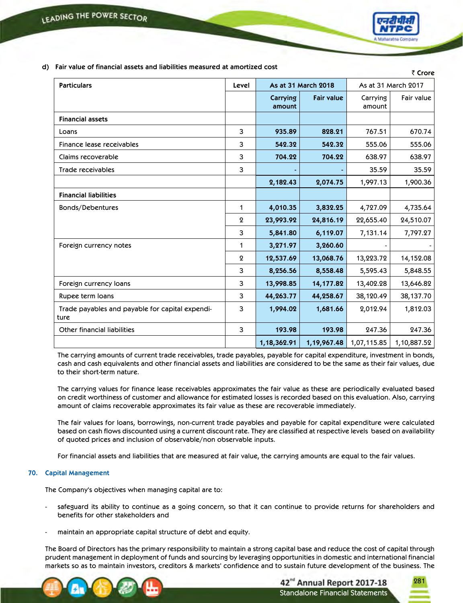

 **d) Fair value of financial assets and liabilities measured at amortized cost**

|                                                         |                  |                    |                     |                    | ₹ Crore             |
|---------------------------------------------------------|------------------|--------------------|---------------------|--------------------|---------------------|
| <b>Particulars</b>                                      | Level            |                    | As at 31 March 2018 |                    | As at 31 March 2017 |
|                                                         |                  | Carrying<br>amount | <b>Fair value</b>   | Carrying<br>amount | Fair value          |
| <b>Financial assets</b>                                 |                  |                    |                     |                    |                     |
| Loans                                                   | 3                | 935.89             | 828.21              | 767.51             | 670.74              |
| Finance lease receivables                               | 3                | 542.32             | 542.32              | 555.06             | 555.06              |
| Claims recoverable                                      | 3                | 704.22             | 704.22              | 638.97             | 638.97              |
| Trade receivables                                       | 3                |                    |                     | 35.59              | 35.59               |
|                                                         |                  | 2,182.43           | 2,074.75            | 1,997.13           | 1,900.36            |
| <b>Financial liabilities</b>                            |                  |                    |                     |                    |                     |
| Bonds/Debentures                                        | 1                | 4,010.35           | 3,832.25            | 4,727.09           | 4,735.64            |
|                                                         | $\boldsymbol{2}$ | 23,993.92          | 24,816.19           | 22,655.40          | 24,510.07           |
|                                                         | 3                | 5,841.80           | 6,119.07            | 7,131.14           | 7,797.27            |
| Foreign currency notes                                  | 1                | 3,271.97           | 3,260.60            |                    |                     |
|                                                         | $\mathbf{Q}$     | 12,537.69          | 13,068.76           | 13,223.72          | 14,152.08           |
|                                                         | 3                | 8,256.56           | 8,558.48            | 5,595.43           | 5,848.55            |
| Foreign currency loans                                  | 3                | 13,998.85          | 14,177.82           | 13,402.28          | 13,646.82           |
| Rupee term loans                                        | 3                | 44,263.77          | 44,258.67           | 38,120.49          | 38,137.70           |
| Trade payables and payable for capital expendi-<br>ture | 3                | 1,994.02           | 1,681.66            | 2,012.94           | 1,812.03            |
| <b>Other financial liabilities</b>                      | 3                | 193.98             | 193.98              | 247.36             | 247.36              |
|                                                         |                  | 1,18,362.91        | 1,19,967.48         | 1,07,115.85        | 1,10,887.52         |

The carrying amounts of current trade receivables, trade payables, payable for capital expenditure, investment in bonds, cash and cash equivalents and other financial assets and liabilities are considered to be the same as their fair values, due to their short-term nature.

 The carrying values for finance lease receivables approximates the fair value as these are periodically evaluated based on credit worthiness of customer and allowance for estimated losses is recorded based on this evaluation. Also, carrying amount of claims recoverable approximates its fair value as these are recoverable immediately.

 The fair values for loans, borrowings, non-current trade payables and payable for capital expenditure were calculated based on cash flows discounted using a current discount rate. They are classified at respective levels based on availability of quoted prices and inclusion of observable/non observable inputs.

For financial assets and liabilities that are measured at fair value, the carrying amounts are equal to the fair values.

## **70. Capital Management**

The Company's objectives when managing capital are to:

- safeguard its ability to continue as a going concern, so that it can continue to provide returns for shareholders and benefits for other stakeholders and
- maintain an appropriate capital structure of debt and equity.

 The Board of Directors has the primary responsibility to maintain a strong capital base and reduce the cost of capital through prudent management in deployment of funds and sourcing by leveraging opportunities in domestic and international financial markets so as to maintain investors, creditors & markets' confidence and to sustain future development of the business. The



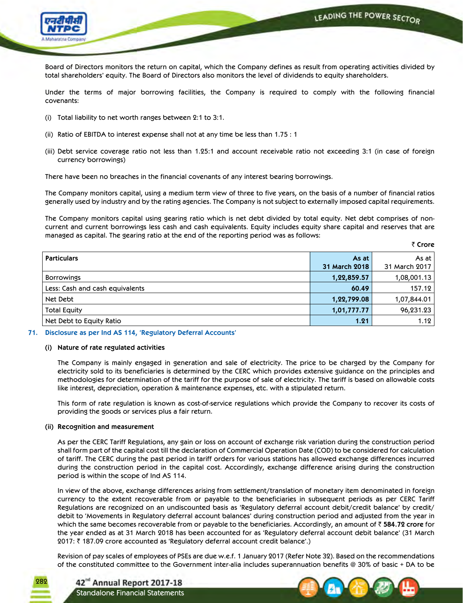LEADING THE POWER SECTOR



Board of Directors monitors the return on capital, which the Company defines as result from operating activities divided by total shareholders' equity. The Board of Directors also monitors the level of dividends to equity shareholders.

 Under the terms of major borrowing facilities, the Company is required to comply with the following financial covenants:

- (i) Total liability to net worth ranges between 2:1 to 3:1.
- (ii) Ratio of EBITDA to interest expense shall not at any time be less than 1.75 : 1
- (iii) Debt service coverage ratio not less than 1.25:1 and account receivable ratio not exceeding 3:1 (in case of foreign currency borrowings)

There have been no breaches in the financial covenants of any interest bearing borrowings.

 The Company monitors capital, using a medium term view of three to five years, on the basis of a number of financial ratios generally used by industry and by the rating agencies. The Company is not subject to externally imposed capital requirements.

 The Company monitors capital using gearing ratio which is net debt divided by total equity. Net debt comprises of noncurrent and current borrowings less cash and cash equivalents. Equity includes equity share capital and reserves that are managed as capital. The gearing ratio at the end of the reporting period was as follows:

₹ Crore

| <b>Particulars</b>              | As at         | As at         |
|---------------------------------|---------------|---------------|
|                                 | 31 March 2018 | 31 March 2017 |
| <b>Borrowings</b>               | 1,22,859.57   | 1,08,001.13   |
| Less: Cash and cash equivalents | 60.49         | 157.12        |
| Net Debt                        | 1,22,799.08   | 1,07,844.01   |
| <b>Total Equity</b>             | 1,01,777.77   | 96,231.23     |
| Net Debt to Equity Ratio        | 1.21          | 1.12          |

#### **71. Disclosure as per Ind AS 114, 'Regulatory Deferral Accounts'**

#### **(i) Nature of rate regulated activities**

 The Company is mainly engaged in generation and sale of electricity. The price to be charged by the Company for electricity sold to its beneficiaries is determined by the CERC which provides extensive guidance on the principles and methodologies for determination of the tariff for the purpose of sale of electricity. The tariff is based on allowable costs like interest, depreciation, operation & maintenance expenses, etc. with a stipulated return.

 This form of rate regulation is known as cost-of-service regulations which provide the Company to recover its costs of providing the goods or services plus a fair return.

#### **(ii) Recognition and measurement**

 As per the CERC Tariff Regulations, any gain or loss on account of exchange risk variation during the construction period shall form part of the capital cost till the declaration of Commercial Operation Date (COD) to be considered for calculation of tariff. The CERC during the past period in tariff orders for various stations has allowed exchange differences incurred during the construction period in the capital cost. Accordingly, exchange difference arising during the construction period is within the scope of Ind AS 114.

 In view of the above, exchange differences arising from settlement/translation of monetary item denominated in foreign currency to the extent recoverable from or payable to the beneficiaries in subsequent periods as per CERC Tariff Regulations are recognized on an undiscounted basis as 'Regulatory deferral account debit/credit balance' by credit/ debit to 'Movements in Regulatory deferral account balances' during construction period and adjusted from the year in which the same becomes recoverable from or payable to the beneficiaries. Accordingly, an amount of ₹584.72 crore for the year ended as at 31 March 2018 has been accounted for as 'Regulatory deferral account debit balance' (31 March 2017: ₹ 187.09 crore accounted as 'Regulatory deferral account credit balance'.)

 Revision of pay scales of employees of PSEs are due w.e.f. 1 January 2017 (Refer Note 32). Based on the recommendations of the constituted committee to the Government inter-alia includes superannuation benefits @ 30% of basic + DA to be

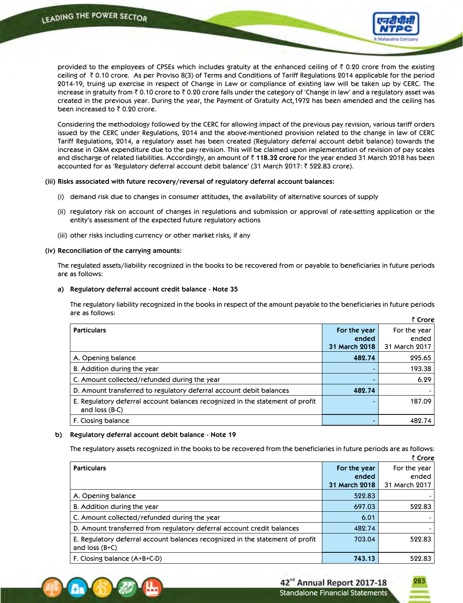

provided to the employees of CPSEs which includes gratuity at the enhanced ceiling of  $\bar{\tau}$  0.20 crore from the existing ceiling of  $\bar{\tau}$  0.10 crore. As per Proviso 8(3) of Terms and Conditions of Tariff Regulations 2014 applicable for the period 2014-19, truing up exercise in respect of Change in Law or compliance of existing law will be taken up by CERC. The increase in gratuity from  $\bar{\tau}$  0.10 crore to  $\bar{\tau}$  0.20 crore falls under the category of 'Change in law' and a regulatory asset was created in the previous year. During the year, the Payment of Gratuity Act,1972 has been amended and the ceiling has been increased to  $\bar{\tau}$  0.20 crore.

 Considering the methodology followed by the CERC for allowing impact of the previous pay revision, various tariff orders issued by the CERC under Regulations, 2014 and the above-mentioned provision related to the change in law of CERC Tariff Regulations, 2014, a regulatory asset has been created (Regulatory deferral account debit balance) towards the increase in O&M expenditure due to the pay revision. This will be claimed upon implementation of revision of pay scales and discharge of related liabilities. Accordingly, an amount of ` **118.32 crore** for the year ended 31 March 2018 has been accounted for as 'Regulatory deferral account debit balance' (31 March 2017: ₹ 522.83 crore).

#### **(iii) Risks associated with future recovery/reversal of regulatory deferral account balances:**

- (i) demand risk due to changes in consumer attitudes, the availability of alternative sources of supply
- (ii) regulatory risk on account of changes in regulations and submission or approval of rate-setting application or the entity's assessment of the expected future regulatory actions
- (iii) other risks including currency or other market risks, if any

#### **(iv) Reconciliation of the carrying amounts:**

 The regulated assets/liability recognized in the books to be recovered from or payable to beneficiaries in future periods are as follows:

#### **a) Regulatory deferral account credit balance - Note 35**

 The regulatory liability recognized in the books in respect of the amount payable to the beneficiaries in future periods are as follows:  $\overline{z}$  **C** 

|                                                                                                       |               | י כוטופ       |
|-------------------------------------------------------------------------------------------------------|---------------|---------------|
| <b>Particulars</b>                                                                                    | For the year  | For the year  |
|                                                                                                       | ended         | ended         |
|                                                                                                       | 31 March 2018 | 31 March 2017 |
| A. Opening balance                                                                                    | 482.74        | 295.65        |
| B. Addition during the year                                                                           |               | 193.38        |
| C. Amount collected/refunded during the year                                                          |               | 6.29          |
| D. Amount transferred to regulatory deferral account debit balances                                   | 482.74        |               |
| E. Regulatory deferral account balances recognized in the statement of profit<br>and $loss$ ( $B-C$ ) |               | 187.09        |
| F. Closing balance                                                                                    |               | 482.74        |

## **b) Regulatory deferral account debit balance - Note 19**

The regulatory assets recognized in the books to be recovered from the beneficiaries in future periods are as follows:

|                                                                                                  |               | ₹ Crore       |
|--------------------------------------------------------------------------------------------------|---------------|---------------|
| <b>Particulars</b>                                                                               | For the year  | For the year  |
|                                                                                                  | ended         | ended         |
|                                                                                                  | 31 March 2018 | 31 March 2017 |
| A. Opening balance                                                                               | 522.83        |               |
| B. Addition during the year                                                                      | 697.03        | 522.83        |
| C. Amount collected/refunded during the year                                                     | 6.01          |               |
| D. Amount transferred from regulatory deferral account credit balances                           | 482.74        |               |
| E. Regulatory deferral account balances recognized in the statement of profit<br>and $loss(B+C)$ | 703.04        | 522.83        |
| F. Closing balance $(A+B+C-D)$                                                                   | 743.13        | 522.83        |

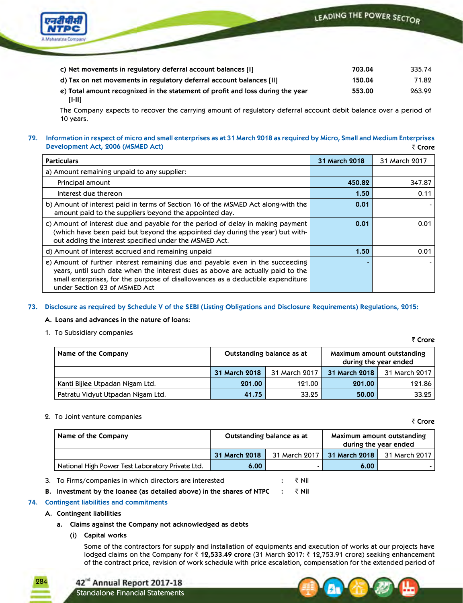

| c) Net movements in regulatory deferral account balances [1]                   | 703.04 | 335.74 |
|--------------------------------------------------------------------------------|--------|--------|
| d) Tax on net movements in regulatory deferral account balances [II]           | 150.04 | 71.82  |
| e) Total amount recognized in the statement of profit and loss during the year | 553.00 | 263.92 |
| $[1-11]$                                                                       |        |        |

The Company expects to recover the carrying amount of regulatory deferral account debit balance over a period of 10 years.

#### **72. Information in respect of micro and small enterprises as at 31 March 2018 as required by Micro, Small and Medium Enterprises Development Act, 2006 (MSMED Act)** ` **Crore**

| <b>Particulars</b>                                                                                                                                                                                                                                                                    | <b>31 March 2018</b> | 31 March 2017 |
|---------------------------------------------------------------------------------------------------------------------------------------------------------------------------------------------------------------------------------------------------------------------------------------|----------------------|---------------|
| a) Amount remaining unpaid to any supplier:                                                                                                                                                                                                                                           |                      |               |
| Principal amount                                                                                                                                                                                                                                                                      | 450.82               | 347.87        |
| Interest due thereon                                                                                                                                                                                                                                                                  | 1.50                 | 0.11          |
| b) Amount of interest paid in terms of Section 16 of the MSMED Act along-with the<br>amount paid to the suppliers beyond the appointed day.                                                                                                                                           | 0.01                 |               |
| c) Amount of interest due and payable for the period of delay in making payment<br>(which have been paid but beyond the appointed day during the year) but with-<br>out adding the interest specified under the MSMED Act.                                                            | 0.01                 | 0.01          |
| d) Amount of interest accrued and remaining unpaid                                                                                                                                                                                                                                    | 1.50                 | 0.01          |
| e) Amount of further interest remaining due and payable even in the succeeding<br>years, until such date when the interest dues as above are actually paid to the<br>small enterprises, for the purpose of disallowances as a deductible expenditure<br>under Section 23 of MSMED Act |                      |               |

## **73. Disclosure as required by Schedule V of the SEBI (Listing Obligations and Disclosure Requirements) Regulations, 2015:**

## **A. Loans and advances in the nature of loans:**

1. To Subsidiary companies

` **Crore**

` **Crore**

| Name of the Company               | Outstanding balance as at |               |               | Maximum amount outstanding<br>during the year ended |
|-----------------------------------|---------------------------|---------------|---------------|-----------------------------------------------------|
|                                   | 31 March 2018             | 31 March 2017 | 31 March 2018 | 31 March 2017                                       |
| Kanti Bijlee Utpadan Nigam Ltd.   | 201.00                    | 121.00        | 201.00        | 121.86                                              |
| Patratu Vidyut Utpadan Nigam Ltd. | 41.75                     | 33.25         | 50.00         | 33.25                                               |

## 2. To Joint venture companies

| Name of the Company                              | Outstanding balance as at |  |                             | Maximum amount outstanding<br>during the year ended |
|--------------------------------------------------|---------------------------|--|-----------------------------|-----------------------------------------------------|
|                                                  | 31 March 2018             |  | 31 March 2017 31 March 2018 | 31 March 2017                                       |
| National High Power Test Laboratory Private Ltd. | 6.00 <sub>1</sub>         |  | 6.00                        |                                                     |

3. To Firms/companies in which directors are interested **:** ` Nil

**B.** Investment by the loanee (as detailed above) in the shares of NTPC : ₹ Nil

## **74. Contingent liabilities and commitments**

## **A. Contingent liabilities**

284

- **a. Claims against the Company not acknowledged as debts**
	- **(i) Capital works**

 Some of the contractors for supply and installation of equipments and execution of works at our projects have lodged claims on the Company for ` **12,533.49 crore** (31 March 2017: ` 12,753.91 crore) seeking enhancement of the contract price, revision of work schedule with price escalation, compensation for the extended period of



Standalone Financial Statements

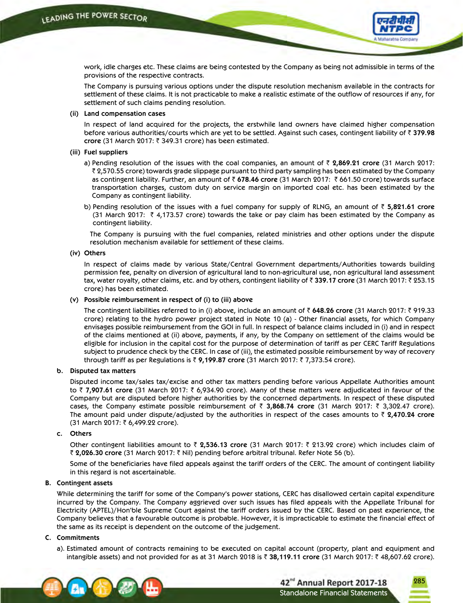

work, idle charges etc. These claims are being contested by the Company as being not admissible in terms of the provisions of the respective contracts.

 The Company is pursuing various options under the dispute resolution mechanism available in the contracts for settlement of these claims. It is not practicable to make a realistic estimate of the outflow of resources if any, for settlement of such claims pending resolution.

#### **(ii) Land compensation cases**

 In respect of land acquired for the projects, the erstwhile land owners have claimed higher compensation before various authorities/courts which are yet to be settled. Against such cases, contingent liability of ` **379.98 crore** (31 March 2017: ₹ 349.31 crore) has been estimated.

#### **(iii) Fuel suppliers**

- a) Pending resolution of the issues with the coal companies, an amount of ` **2,869.21 crore** (31 March 2017: ` 2,570.55 crore) towards grade slippage pursuant to third party sampling has been estimated by the Company as contingent liability. Further, an amount of ` **678.46 crore** (31 March 2017: ` 661.50 crore) towards surface transportation charges, custom duty on service margin on imported coal etc. has been estimated by the Company as contingent liability.
- b) Pending resolution of the issues with a fuel company for supply of RLNG, an amount of ` **5,821.61 crore** (31 March 2017:  $\bar{\tau}$  4,173.57 crore) towards the take or pay claim has been estimated by the Company as contingent liability.

 The Company is pursuing with the fuel companies, related ministries and other options under the dispute resolution mechanism available for settlement of these claims.

#### **(iv) Others**

 In respect of claims made by various State/Central Government departments/Authorities towards building permission fee, penalty on diversion of agricultural land to non-agricultural use, non agricultural land assessment tax, water royalty, other claims, etc. and by others, contingent liability of ₹ 339.17 crore (31 March 2017: ₹ 253.15 crore) has been estimated.

#### **(v) Possible reimbursement in respect of (i) to (iii) above**

The contingent liabilities referred to in (i) above, include an amount of ₹ 648.26 crore (31 March 2017: ₹ 919.33 crore) relating to the hydro power project stated in Note 10 (a) - Other financial assets, for which Company envisages possible reimbursement from the GOI in full. In respect of balance claims included in (i) and in respect of the claims mentioned at (ii) above, payments, if any, by the Company on settlement of the claims would be eligible for inclusion in the capital cost for the purpose of determination of tariff as per CERC Tariff Regulations subject to prudence check by the CERC. In case of (iii), the estimated possible reimbursement by way of recovery through tariff as per Regulations is ` **9,199.87 crore** (31 March 2017: ` 7,373.54 crore).

## **b. Disputed tax matters**

 Disputed income tax/sales tax/excise and other tax matters pending before various Appellate Authorities amount to ₹ **7,907.61** crore (31 March 2017: ₹ 6,934.90 crore). Many of these matters were adjudicated in favour of the Company but are disputed before higher authorities by the concerned departments. In respect of these disputed cases, the Company estimate possible reimbursement of ₹ 3,868.74 crore (31 March 2017: ₹ 3,302.47 crore). The amount paid under dispute/adjusted by the authorities in respect of the cases amounts to ` **2,470.24 crore** (31 March 2017: ₹ 6,499.22 crore).

#### c. Others

 Other contingent liabilities amount to ` **2,536.13 crore** (31 March 2017: ` 213.92 crore) which includes claim of ` **2,026.30 crore** (31 March 2017: ` Nil) pending before arbitral tribunal. Refer Note 56 (b).

 Some of the beneficiaries have filed appeals against the tariff orders of the CERC. The amount of contingent liability in this regard is not ascertainable.

#### **B. Contingent assets**

While determining the tariff for some of the Company's power stations, CERC has disallowed certain capital expenditure incurred by the Company. The Company aggrieved over such issues has filed appeals with the Appellate Tribunal for Electricity (APTEL)/Hon'ble Supreme Court against the tariff orders issued by the CERC. Based on past experience, the Company believes that a favourable outcome is probable. However, it is impracticable to estimate the financial effect of the same as its receipt is dependent on the outcome of the judgement.

#### **C. Commitments**

 a). Estimated amount of contracts remaining to be executed on capital account (property, plant and equipment and intangible assets) and not provided for as at 31 March 2018 is ₹ 38,119.11 **crore** (31 March 2017: ₹ 48,607.62 crore).

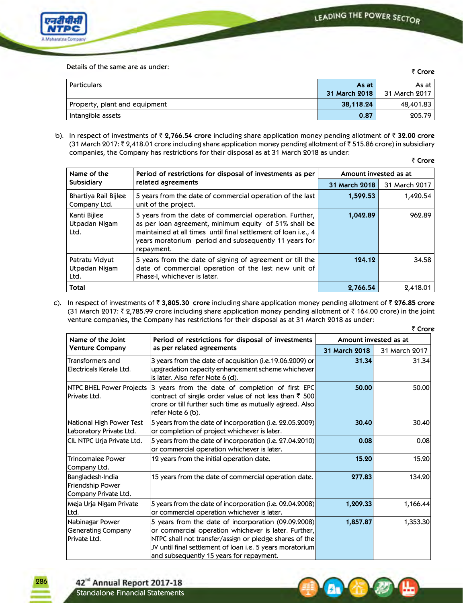

Details of the same are as under:

| Details Of the same are as under. |               |               |
|-----------------------------------|---------------|---------------|
| Particulars                       | As at         | As at I       |
|                                   | 31 March 2018 | 31 March 2017 |
| Property, plant and equipment     | 38,118.24     | 48,401.83     |
| Intangible assets                 | 0.87          | 205.79        |

 b). In respect of investments of ` **2,766.54 crore** including share application money pending allotment of ` **32.00 crore** (31 March 2017: ₹ 2,418.01 crore including share application money pending allotment of ₹ 515.86 crore) in subsidiary companies, the Company has restrictions for their disposal as at 31 March 2018 as under:

₹ Crore

| Name of the<br>Period of restrictions for disposal of investments as per<br>related agreements<br><b>Subsidiary</b> |                                                                                                                                                                                                                                                           |               | Amount invested as at |  |
|---------------------------------------------------------------------------------------------------------------------|-----------------------------------------------------------------------------------------------------------------------------------------------------------------------------------------------------------------------------------------------------------|---------------|-----------------------|--|
|                                                                                                                     | 31 March 2018                                                                                                                                                                                                                                             | 31 March 2017 |                       |  |
| Bhartiya Rail Bijlee<br>Company Ltd.                                                                                | 5 years from the date of commercial operation of the last<br>unit of the project.                                                                                                                                                                         | 1,599.53      | 1,420.54              |  |
| Kanti Bijlee<br>Utpadan Nigam<br>Ltd.                                                                               | 5 years from the date of commercial operation. Further,<br>as per loan agreement, minimum equity of 51% shall be<br>maintained at all times until final settlement of loan i.e., 4<br>years moratorium period and subsequently 11 years for<br>repayment. | 1,042.89      | 962.89                |  |
| Patratu Vidyut<br>Utpadan Nigam<br>Ltd.                                                                             | 5 years from the date of signing of agreement or till the<br>date of commercial operation of the last new unit of<br>Phase-I, whichever is later.                                                                                                         | 124.12        | 34.58                 |  |
| Total                                                                                                               |                                                                                                                                                                                                                                                           | 2,766.54      | 2,418.01              |  |

c). In respect of investments of ` **3,805.30 crore** including share application money pending allotment of ` **276.85 crore** (31 March 2017:  $\bar{\tau}$  2,785.99 crore including share application money pending allotment of  $\bar{\tau}$  164.00 crore) in the joint venture companies, the Company has restrictions for their disposal as at 31 March 2018 as under:

|                                                              |                                                                                                                                                                                                                                                                                 |                       | ₹ Crore       |  |
|--------------------------------------------------------------|---------------------------------------------------------------------------------------------------------------------------------------------------------------------------------------------------------------------------------------------------------------------------------|-----------------------|---------------|--|
| Name of the Joint                                            | Period of restrictions for disposal of investments                                                                                                                                                                                                                              | Amount invested as at |               |  |
| <b>Venture Company</b>                                       | as per related agreements                                                                                                                                                                                                                                                       | 31 March 2018         | 31 March 2017 |  |
| Transformers and<br>Electricals Kerala Ltd.                  | 3 years from the date of acquisition (i.e.19.06.2009) or $\mid$<br>upgradation capacity enhancement scheme whichever<br>is later. Also refer Note 6 (d).                                                                                                                        | 31.34                 | 31.34         |  |
| NTPC BHEL Power Projects<br> Private Ltd.                    | 3 years from the date of completion of first EPC<br>contract of single order value of not less than $\bar{\tau}$ 500<br>crore or till further such time as mutually agreed. Also<br>refer Note 6 (b).                                                                           | 50.00                 | 50.00         |  |
| National High Power Test<br>Laboratory Private Ltd.          | 5 years from the date of incorporation (i.e. 22.05.2009)<br>or completion of project whichever is later.                                                                                                                                                                        | 30.40                 | 30.40         |  |
| CIL NTPC Uria Private Ltd.                                   | 5 years from the date of incorporation (i.e. 27.04.2010)<br>or commercial operation whichever is later.                                                                                                                                                                         | 0.08                  | 0.08          |  |
| Trincomalee Power<br> Company Ltd.                           | 12 years from the initial operation date.                                                                                                                                                                                                                                       | 15.20                 | 15.20         |  |
| Bangladesh-India<br>Friendship Power<br>Company Private Ltd. | 15 years from the date of commercial operation date.                                                                                                                                                                                                                            | 277.83                | 134.20        |  |
| Meja Urja Nigam Private<br>Ltd.                              | 5 years from the date of incorporation (i.e. 02.04.2008)<br>or commercial operation whichever is later.                                                                                                                                                                         | 1,209.33              | 1,166.44      |  |
| Nabinagar Power<br>Generating Company<br> Private Ltd.       | 5 years from the date of incorporation (09.09.2008)<br>or commercial operation whichever is later. Further,<br>NTPC shall not transfer/assign or pledge shares of the<br>JV until final settlement of loan i.e. 5 years moratorium <br>and subsequently 15 years for repayment. | 1,857.87              | 1,353.30      |  |

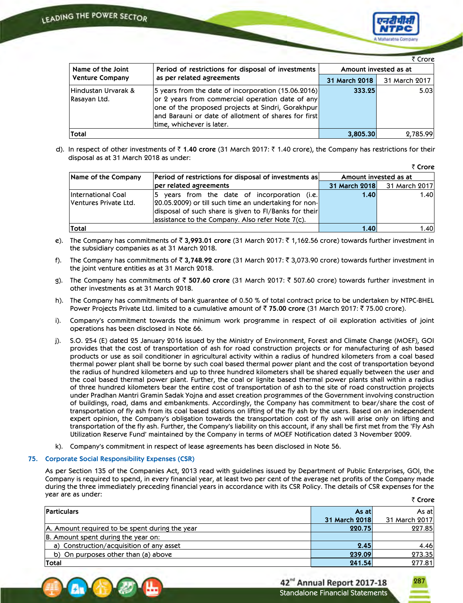

|                                     |                                                                                                                                                                                                                                                                      |                       | ₹ Crore       |
|-------------------------------------|----------------------------------------------------------------------------------------------------------------------------------------------------------------------------------------------------------------------------------------------------------------------|-----------------------|---------------|
| Name of the Joint                   | Period of restrictions for disposal of investments                                                                                                                                                                                                                   | Amount invested as at |               |
| <b>Venture Company</b>              | as per related agreements                                                                                                                                                                                                                                            | 31 March 2018         | 31 March 2017 |
| Hindustan Urvarak &<br>Rasayan Ltd. | $ 5 \rangle$ years from the date of incorporation (15.06.2016)<br>or 2 years from commercial operation date of any<br>one of the proposed projects at Sindri, Gorakhpur<br>$ $ and Barauni or date of allotment of shares for first $ $<br>time, whichever is later. | 333.25                | 5.03          |
| Total                               |                                                                                                                                                                                                                                                                      | 3,805.30              | 2,785.99      |

d). In respect of other investments of ₹1.40 crore (31 March 2017: ₹1.40 crore), the Company has restrictions for their disposal as at 31 March 2018 as under:

|                                             |                                                                                                                                                                                                                                 |               | ₹ Crore               |
|---------------------------------------------|---------------------------------------------------------------------------------------------------------------------------------------------------------------------------------------------------------------------------------|---------------|-----------------------|
| Name of the Company                         | <b>Period of restrictions for disposal of investments as</b>                                                                                                                                                                    |               | Amount invested as at |
|                                             | per related agreements                                                                                                                                                                                                          | 31 March 2018 | 31 March 2017         |
| International Coal<br>Ventures Private Ltd. | $ 5 \rangle$ years from the date of incorporation (i.e.)<br>[20.05.2009] or till such time an undertaking for non-<br>disposal of such share is given to FI/Banks for their<br>assistance to the Company. Also refer Note 7(c). | 1.40          | 1.40                  |
| Total                                       |                                                                                                                                                                                                                                 | 1.40          | 1.40                  |

- e). The Company has commitments of ` **3,993.01 crore** (31 March 2017: ` 1,162.56 crore) towards further investment in the subsidiary companies as at 31 March 2018.
- f). The Company has commitments of ₹ 3,748.92 crore (31 March 2017: ₹ 3,073.90 crore) towards further investment in the joint venture entities as at 31 March 2018.
- g). The Company has commitments of ` **507.60 crore** (31 March 2017: ` 507.60 crore) towards further investment in other investments as at 31 March 2018.
- h). The Company has commitments of bank guarantee of 0.50 % of total contract price to be undertaken by NTPC-BHEL Power Projects Private Ltd. limited to a cumulative amount of ₹ 75.00 crore (31 March 2017: ₹ 75.00 crore).
- i). Company's commitment towards the minimum work programme in respect of oil exploration activities of joint operations has been disclosed in Note 66.
- j). S.O. 254 (E) dated 25 January 2016 issued by the Ministry of Environment, Forest and Climate Change (MOEF), GOI provides that the cost of transportation of ash for road construction projects or for manufacturing of ash based products or use as soil conditioner in agricultural activity within a radius of hundred kilometers from a coal based thermal power plant shall be borne by such coal based thermal power plant and the cost of transportation beyond the radius of hundred kilometers and up to three hundred kilometers shall be shared equally between the user and the coal based thermal power plant. Further, the coal or lignite based thermal power plants shall within a radius of three hundred kilometers bear the entire cost of transportation of ash to the site of road construction projects under Pradhan Mantri Gramin Sadak Yojna and asset creation programmes of the Government involving construction of buildings, road, dams and embankments. Accordingly, the Company has commitment to bear/share the cost of transportation of fly ash from its coal based stations on lifting of the fly ash by the users. Based on an independent expert opinion, the Company's obligation towards the transportation cost of fly ash will arise only on lifting and transportation of the fly ash. Further, the Company's liability on this account, if any shall be first met from the 'Fly Ash Utilization Reserve Fund' maintained by the Company in terms of MOEF Notification dated 3 November 2009.
- k). Company's commitment in respect of lease agreements has been disclosed in Note 56.

#### **75. Corporate Social Responsibility Expenses (CSR)**

 As per Section 135 of the Companies Act, 2013 read with guidelines issued by Department of Public Enterprises, GOI, the Company is required to spend, in every financial year, at least two per cent of the average net profits of the Company made during the three immediately preceding financial years in accordance with its CSR Policy. The details of CSR expenses for the year are as under: ` **Crore**

|                                                |               | $\sim$ uvit   |
|------------------------------------------------|---------------|---------------|
| <b>Particulars</b>                             | As atl        | As atl        |
|                                                | 31 March 2018 | 31 March 2017 |
| A. Amount required to be spent during the year | 220.75        | 227.85        |
| B. Amount spent during the year on:            |               |               |
| a) Construction/acquisition of any asset       | 2.45          | 4.46          |
| b) On purposes other than (a) above            | 239.09        | 273.35        |
| Total                                          | 241.54        | 277.81        |

|  | 单个个纱出 |  |
|--|-------|--|
|  |       |  |